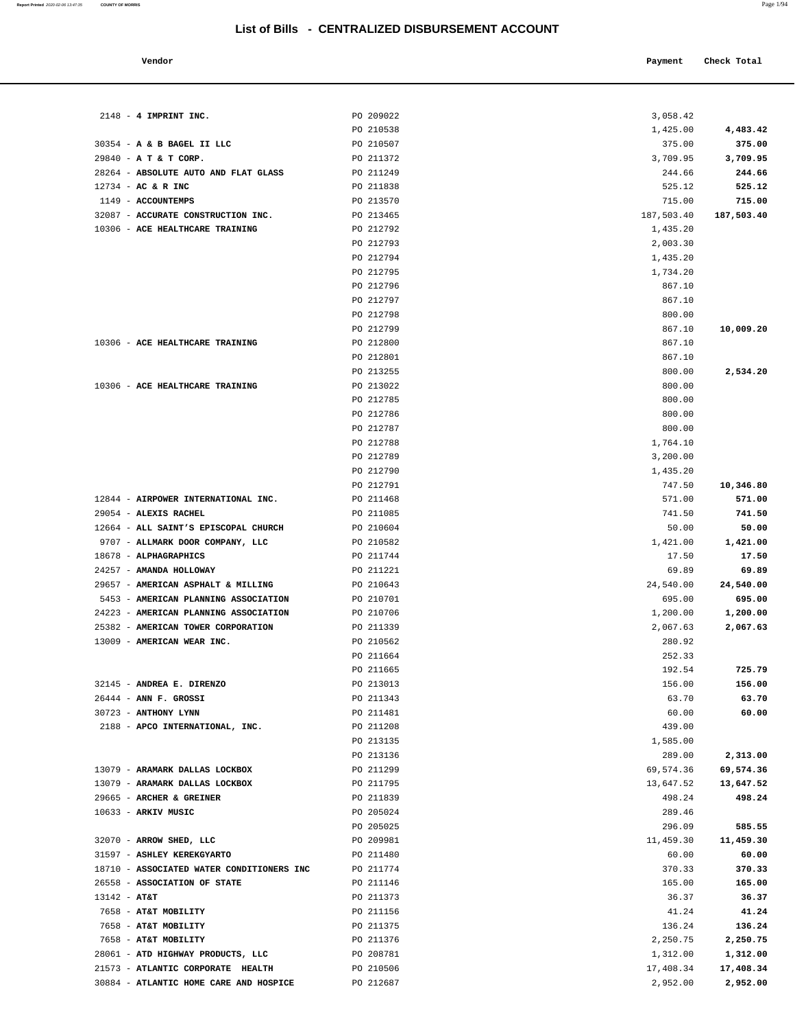| Vendor                                             |                        | Payment            | Check Total    |
|----------------------------------------------------|------------------------|--------------------|----------------|
|                                                    |                        |                    |                |
| 2148 - 4 IMPRINT INC.                              | PO 209022              | 3,058.42           |                |
|                                                    | PO 210538              | 1,425.00           | 4,483.42       |
| 30354 - A & B BAGEL II LLC                         | PO 210507              | 375.00             | 375.00         |
| 29840 - A T & T CORP.                              | PO 211372              | 3,709.95           | 3,709.95       |
| 28264 - ABSOLUTE AUTO AND FLAT GLASS               | PO 211249              | 244.66             | 244.66         |
| $12734$ - AC & R INC                               | PO 211838              | 525.12             | 525.12         |
| 1149 - ACCOUNTEMPS                                 | PO 213570              | 715.00             | 715.00         |
| 32087 - ACCURATE CONSTRUCTION INC.                 | PO 213465              | 187,503.40         | 187,503.40     |
| 10306 - ACE HEALTHCARE TRAINING                    | PO 212792              | 1,435.20           |                |
|                                                    | PO 212793              | 2,003.30           |                |
|                                                    | PO 212794              | 1,435.20           |                |
|                                                    | PO 212795<br>PO 212796 | 1,734.20<br>867.10 |                |
|                                                    | PO 212797              | 867.10             |                |
|                                                    | PO 212798              | 800.00             |                |
|                                                    | PO 212799              | 867.10             | 10,009.20      |
| 10306 - ACE HEALTHCARE TRAINING                    | PO 212800              | 867.10             |                |
|                                                    | PO 212801              | 867.10             |                |
|                                                    | PO 213255              | 800.00             | 2,534.20       |
| 10306 - ACE HEALTHCARE TRAINING                    | PO 213022              | 800.00             |                |
|                                                    | PO 212785              | 800.00             |                |
|                                                    | PO 212786              | 800.00             |                |
|                                                    | PO 212787              | 800.00             |                |
|                                                    | PO 212788              | 1,764.10           |                |
|                                                    | PO 212789              | 3,200.00           |                |
|                                                    | PO 212790              | 1,435.20           |                |
|                                                    | PO 212791              | 747.50             | 10,346.80      |
| 12844 - AIRPOWER INTERNATIONAL INC.                | PO 211468              | 571.00             | 571.00         |
| 29054 - ALEXIS RACHEL                              | PO 211085              | 741.50             | 741.50         |
| 12664 - ALL SAINT'S EPISCOPAL CHURCH               | PO 210604              | 50.00              | 50.00          |
| 9707 - ALLMARK DOOR COMPANY, LLC                   | PO 210582              | 1,421.00           | 1,421.00       |
| 18678 - ALPHAGRAPHICS                              | PO 211744              | 17.50              | 17.50          |
| 24257 - AMANDA HOLLOWAY                            | PO 211221              | 69.89              | 69.89          |
| 29657 - AMERICAN ASPHALT & MILLING                 | PO 210643              | 24,540.00          | 24,540.00      |
| 5453 - AMERICAN PLANNING ASSOCIATION               | PO 210701              | 695.00             | 695.00         |
| 24223 - AMERICAN PLANNING ASSOCIATION              | PO 210706              | 1,200.00           | 1,200.00       |
| 25382 - AMERICAN TOWER CORPORATION                 | PO 211339              | 2,067.63           | 2,067.63       |
| 13009 - AMERICAN WEAR INC.                         | PO 210562              | 280.92             |                |
|                                                    | PO 211664              | 252.33             |                |
|                                                    | PO 211665              | 192.54             | 725.79         |
| 32145 - ANDREA E. DIRENZO<br>26444 - ANN F. GROSSI | PO 213013              | 156.00             | 156.00         |
| 30723 - ANTHONY LYNN                               | PO 211343<br>PO 211481 | 63.70<br>60.00     | 63.70<br>60.00 |
| 2188 - APCO INTERNATIONAL, INC.                    | PO 211208              | 439.00             |                |
|                                                    | PO 213135              | 1,585.00           |                |
|                                                    | PO 213136              | 289.00             | 2,313.00       |
| 13079 - ARAMARK DALLAS LOCKBOX                     | PO 211299              | 69,574.36          | 69,574.36      |
| 13079 - ARAMARK DALLAS LOCKBOX                     | PO 211795              | 13,647.52          | 13,647.52      |
| 29665 - ARCHER & GREINER                           | PO 211839              | 498.24             | 498.24         |
| 10633 - ARKIV MUSIC                                | PO 205024              | 289.46             |                |
|                                                    | PO 205025              | 296.09             | 585.55         |
| 32070 - ARROW SHED, LLC                            | PO 209981              | 11,459.30          | 11,459.30      |
| 31597 - ASHLEY KEREKGYARTO                         | PO 211480              | 60.00              | 60.00          |
| 18710 - ASSOCIATED WATER CONDITIONERS INC          | PO 211774              | 370.33             | 370.33         |
| 26558 - ASSOCIATION OF STATE                       | PO 211146              | 165.00             | 165.00         |
| $13142 - AT&T$                                     | PO 211373              | 36.37              | 36.37          |
| 7658 - AT&T MOBILITY                               | PO 211156              | 41.24              | 41.24          |
| 7658 - AT&T MOBILITY                               | PO 211375              | 136.24             | 136.24         |
| 7658 - AT&T MOBILITY                               | PO 211376              | 2,250.75           | 2,250.75       |
| 28061 - ATD HIGHWAY PRODUCTS, LLC                  | PO 208781              | 1,312.00           | 1,312.00       |
| 21573 - ATLANTIC CORPORATE HEALTH                  | PO 210506              | 17,408.34          | 17,408.34      |
| 30884 - ATLANTIC HOME CARE AND HOSPICE             | PO 212687              | 2,952.00           | 2,952.00       |

**Report Printed** 2020-02-06 13:47:35 **COUNTY OF MORRIS** Page 1/94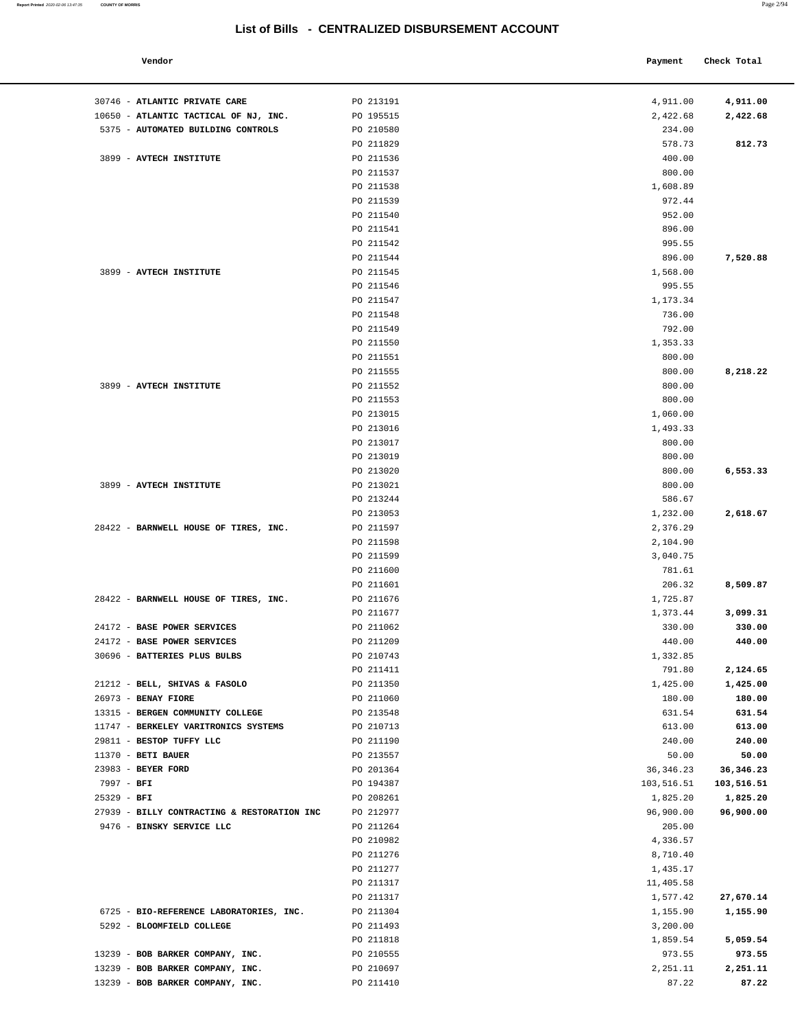| Vendor                                      |           | Payment    | Check Total |
|---------------------------------------------|-----------|------------|-------------|
|                                             |           |            |             |
| 30746 - ATLANTIC PRIVATE CARE               | PO 213191 | 4,911.00   | 4,911.00    |
| 10650 - ATLANTIC TACTICAL OF NJ, INC.       | PO 195515 | 2,422.68   | 2,422.68    |
| 5375 - AUTOMATED BUILDING CONTROLS          | PO 210580 | 234.00     |             |
|                                             | PO 211829 | 578.73     | 812.73      |
| 3899 - AVTECH INSTITUTE                     | PO 211536 | 400.00     |             |
|                                             | PO 211537 | 800.00     |             |
|                                             | PO 211538 | 1,608.89   |             |
|                                             | PO 211539 | 972.44     |             |
|                                             | PO 211540 | 952.00     |             |
|                                             | PO 211541 | 896.00     |             |
|                                             | PO 211542 | 995.55     |             |
|                                             | PO 211544 | 896.00     | 7,520.88    |
| 3899 - AVTECH INSTITUTE                     | PO 211545 | 1,568.00   |             |
|                                             | PO 211546 | 995.55     |             |
|                                             | PO 211547 | 1,173.34   |             |
|                                             | PO 211548 | 736.00     |             |
|                                             | PO 211549 | 792.00     |             |
|                                             | PO 211550 | 1,353.33   |             |
|                                             | PO 211551 | 800.00     |             |
|                                             | PO 211555 | 800.00     | 8,218.22    |
| 3899 - AVTECH INSTITUTE                     | PO 211552 | 800.00     |             |
|                                             | PO 211553 | 800.00     |             |
|                                             | PO 213015 | 1,060.00   |             |
|                                             | PO 213016 | 1,493.33   |             |
|                                             | PO 213017 | 800.00     |             |
|                                             | PO 213019 | 800.00     |             |
|                                             | PO 213020 | 800.00     | 6,553.33    |
| 3899 - AVTECH INSTITUTE                     | PO 213021 | 800.00     |             |
|                                             | PO 213244 | 586.67     |             |
|                                             | PO 213053 | 1,232.00   | 2,618.67    |
| 28422 - BARNWELL HOUSE OF TIRES, INC.       | PO 211597 | 2,376.29   |             |
|                                             |           |            |             |
|                                             | PO 211598 | 2,104.90   |             |
|                                             | PO 211599 | 3,040.75   |             |
|                                             | PO 211600 | 781.61     |             |
|                                             | PO 211601 | 206.32     | 8,509.87    |
| 28422 - BARNWELL HOUSE OF TIRES, INC.       | PO 211676 | 1,725.87   |             |
|                                             | PO 211677 | 1,373.44   | 3,099.31    |
| 24172 - BASE POWER SERVICES                 | PO 211062 | 330.00     | 330.00      |
| 24172 - BASE POWER SERVICES                 | PO 211209 | 440.00     | 440.00      |
| 30696 - BATTERIES PLUS BULBS                | PO 210743 | 1,332.85   |             |
|                                             | PO 211411 | 791.80     | 2,124.65    |
| 21212 - BELL, SHIVAS & FASOLO               | PO 211350 | 1,425.00   | 1,425.00    |
| 26973 - BENAY FIORE                         | PO 211060 | 180.00     | 180.00      |
| 13315 - BERGEN COMMUNITY COLLEGE            | PO 213548 | 631.54     | 631.54      |
| 11747 - BERKELEY VARITRONICS SYSTEMS        | PO 210713 | 613.00     | 613.00      |
| 29811 - BESTOP TUFFY LLC                    | PO 211190 | 240.00     | 240.00      |
| $11370$ - BETI BAUER                        | PO 213557 | 50.00      | 50.00       |
| 23983 - BEYER FORD                          | PO 201364 | 36, 346.23 | 36, 346.23  |
| 7997 - BFI                                  | PO 194387 | 103,516.51 | 103,516.51  |
| $25329 - BFI$                               | PO 208261 | 1,825.20   | 1,825.20    |
| 27939 - BILLY CONTRACTING & RESTORATION INC | PO 212977 | 96,900.00  | 96,900.00   |
| 9476 - BINSKY SERVICE LLC                   | PO 211264 | 205.00     |             |
|                                             | PO 210982 | 4,336.57   |             |
|                                             | PO 211276 | 8,710.40   |             |
|                                             | PO 211277 | 1,435.17   |             |
|                                             | PO 211317 | 11,405.58  |             |
|                                             | PO 211317 | 1,577.42   | 27,670.14   |
| 6725 - BIO-REFERENCE LABORATORIES, INC.     | PO 211304 | 1,155.90   | 1,155.90    |
| 5292 - BLOOMFIELD COLLEGE                   | PO 211493 | 3,200.00   |             |
|                                             | PO 211818 | 1,859.54   | 5,059.54    |
| 13239 - BOB BARKER COMPANY, INC.            | PO 210555 | 973.55     | 973.55      |
| 13239 - BOB BARKER COMPANY, INC.            | PO 210697 | 2,251.11   | 2,251.11    |
| 13239 - BOB BARKER COMPANY, INC.            | PO 211410 | 87.22      | 87.22       |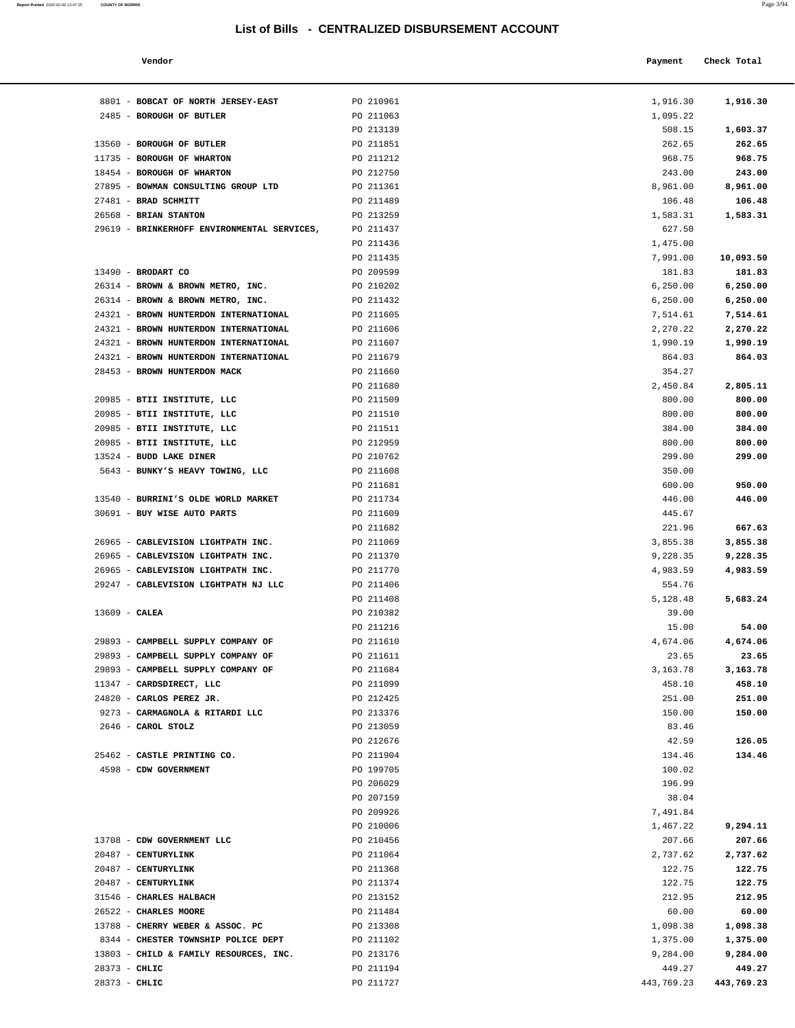**Report Printed** 2020-02-06 13:47:35 **COUNTY OF MORRIS** Page 3/94

| Vendor                              |           | Payment  | Check Total |
|-------------------------------------|-----------|----------|-------------|
| 8801 - BOBCAT OF NORTH JERSEY-EAST  | PO 210961 | 1,916.30 | 1,916.30    |
| 2485 - BOROUGH OF BUTLER            | PO 211063 | 1,095.22 |             |
|                                     | PO 213139 | 508.15   | 1,603.37    |
| 13560 - BOROUGH OF BUTLER           | PO 211851 | 262.65   | 262.65      |
| 11735 - BOROUGH OF WHARTON          | PO 211212 | 968.75   | 968.75      |
| 18454 - BOROUGH OF WHARTON          | PO 212750 | 243.00   | 243.00      |
| 27895 - BOWMAN CONSULTING GROUP LTD | PO 211361 | 8,961.00 | 8,961.00    |
| 27481 - BRAD SCHMITT                | PO 211489 | 106.48   | 106.48      |
| $26560 - 2273N$                     | DO 212259 | 1 502 21 | 1 502 21    |

| 8801 - BOBCAT OF NORTH JERSEY-EAST          | PO 210961 | 1,916.30  | 1,916.30  |
|---------------------------------------------|-----------|-----------|-----------|
| 2485 - BOROUGH OF BUTLER                    | PO 211063 | 1,095.22  |           |
|                                             | PO 213139 | 508.15    | 1,603.37  |
| 13560 - BOROUGH OF BUTLER                   | PO 211851 | 262.65    | 262.65    |
| 11735 - BOROUGH OF WHARTON                  | PO 211212 | 968.75    | 968.75    |
| 18454 - BOROUGH OF WHARTON                  | PO 212750 | 243.00    | 243.00    |
| 27895 - BOWMAN CONSULTING GROUP LTD         | PO 211361 | 8,961.00  | 8,961.00  |
| 27481 - BRAD SCHMITT                        | PO 211489 | 106.48    | 106.48    |
| 26568 - BRIAN STANTON                       | PO 213259 | 1,583.31  | 1,583.31  |
| 29619 - BRINKERHOFF ENVIRONMENTAL SERVICES, | PO 211437 | 627.50    |           |
|                                             | PO 211436 | 1,475.00  |           |
|                                             | PO 211435 | 7,991.00  | 10,093.50 |
| 13490 - BRODART CO                          | PO 209599 | 181.83    | 181.83    |
| 26314 - BROWN & BROWN METRO, INC.           | PO 210202 | 6, 250.00 | 6, 250.00 |
| 26314 - BROWN & BROWN METRO, INC.           | PO 211432 | 6, 250.00 | 6, 250.00 |
| 24321 - BROWN HUNTERDON INTERNATIONAL       | PO 211605 | 7,514.61  | 7,514.61  |
| 24321 - BROWN HUNTERDON INTERNATIONAL       | PO 211606 | 2,270.22  | 2,270.22  |
| 24321 - BROWN HUNTERDON INTERNATIONAL       | PO 211607 | 1,990.19  | 1,990.19  |
| 24321 - BROWN HUNTERDON INTERNATIONAL       | PO 211679 | 864.03    | 864.03    |
| 28453 - BROWN HUNTERDON MACK                | PO 211660 |           |           |
|                                             |           | 354.27    |           |
|                                             | PO 211680 | 2,450.84  | 2,805.11  |
| 20985 - BTII INSTITUTE, LLC                 | PO 211509 | 800.00    | 800.00    |
| 20985 - BTII INSTITUTE, LLC                 | PO 211510 | 800.00    | 800.00    |
| 20985 - BTII INSTITUTE, LLC                 | PO 211511 | 384.00    | 384.00    |
| 20985 - BTII INSTITUTE, LLC                 | PO 212959 | 800.00    | 800.00    |
| 13524 - BUDD LAKE DINER                     | PO 210762 | 299.00    | 299.00    |
| 5643 - BUNKY'S HEAVY TOWING, LLC            | PO 211608 | 350.00    |           |
|                                             | PO 211681 | 600.00    | 950.00    |
| 13540 - BURRINI'S OLDE WORLD MARKET         | PO 211734 | 446.00    | 446.00    |
| 30691 - BUY WISE AUTO PARTS                 | PO 211609 | 445.67    |           |
|                                             | PO 211682 | 221.96    | 667.63    |
| 26965 - CABLEVISION LIGHTPATH INC.          | PO 211069 | 3,855.38  | 3,855.38  |
| 26965 - CABLEVISION LIGHTPATH INC.          | PO 211370 | 9,228.35  | 9,228.35  |
| 26965 - CABLEVISION LIGHTPATH INC.          | PO 211770 | 4,983.59  | 4,983.59  |
| 29247 - CABLEVISION LIGHTPATH NJ LLC        | PO 211406 | 554.76    |           |
|                                             | PO 211408 | 5,128.48  | 5,683.24  |
| $13609$ - CALEA                             | PO 210382 | 39.00     |           |
|                                             | PO 211216 | 15.00     | 54.00     |
| 29893 - CAMPBELL SUPPLY COMPANY OF          | PO 211610 | 4,674.06  | 4,674.06  |
| 29893 - CAMPBELL SUPPLY COMPANY OF          | PO 211611 | 23.65     | 23.65     |
| 29893 - CAMPBELL SUPPLY COMPANY OF          | PO 211684 | 3,163.78  | 3,163.78  |
| 11347 - CARDSDIRECT, LLC                    | PO 211099 | 458.10    | 458.10    |
| 24820 - CARLOS PEREZ JR.                    | PO 212425 | 251.00    | 251.00    |
| 9273 - CARMAGNOLA & RITARDI LLC             | PO 213376 | 150.00    | 150.00    |
| 2646 - CAROL STOLZ                          | PO 213059 | 83.46     |           |
|                                             | PO 212676 | 42.59     | 126.05    |
| 25462 - CASTLE PRINTING CO.                 | PO 211904 | 134.46    | 134.46    |
| 4598 - CDW GOVERNMENT                       | PO 199705 | 100.02    |           |
|                                             | PO 206029 | 196.99    |           |
|                                             | PO 207159 | 38.04     |           |
|                                             | PO 209926 | 7,491.84  |           |
|                                             |           |           |           |
|                                             | PO 210006 | 1,467.22  | 9,294.11  |
| 13708 - CDW GOVERNMENT LLC                  | PO 210456 | 207.66    | 207.66    |
| 20487 - CENTURYLINK                         | PO 211064 | 2,737.62  | 2,737.62  |
| 20487 - CENTURYLINK                         | PO 211368 | 122.75    | 122.75    |
| 20487 - CENTURYLINK                         | PO 211374 | 122.75    | 122.75    |
| 31546 - CHARLES HALBACH                     | PO 213152 | 212.95    | 212.95    |
| 26522 - CHARLES MOORE                       | PO 211484 | 60.00     | 60.00     |
| 13788 - CHERRY WEBER & ASSOC. PC            | PO 213308 | 1,098.38  | 1,098.38  |
| 8344 - CHESTER TOWNSHIP POLICE DEPT         | PO 211102 | 1,375.00  | 1,375.00  |
| 13803 - CHILD & FAMILY RESOURCES, INC.      | PO 213176 | 9,284.00  | 9,284.00  |
| 28373 - CHLIC                               | PO 211194 | 449.27    | 449.27    |

28373 - **CHLIC** PO 211727 443,769.23 **443,769.23**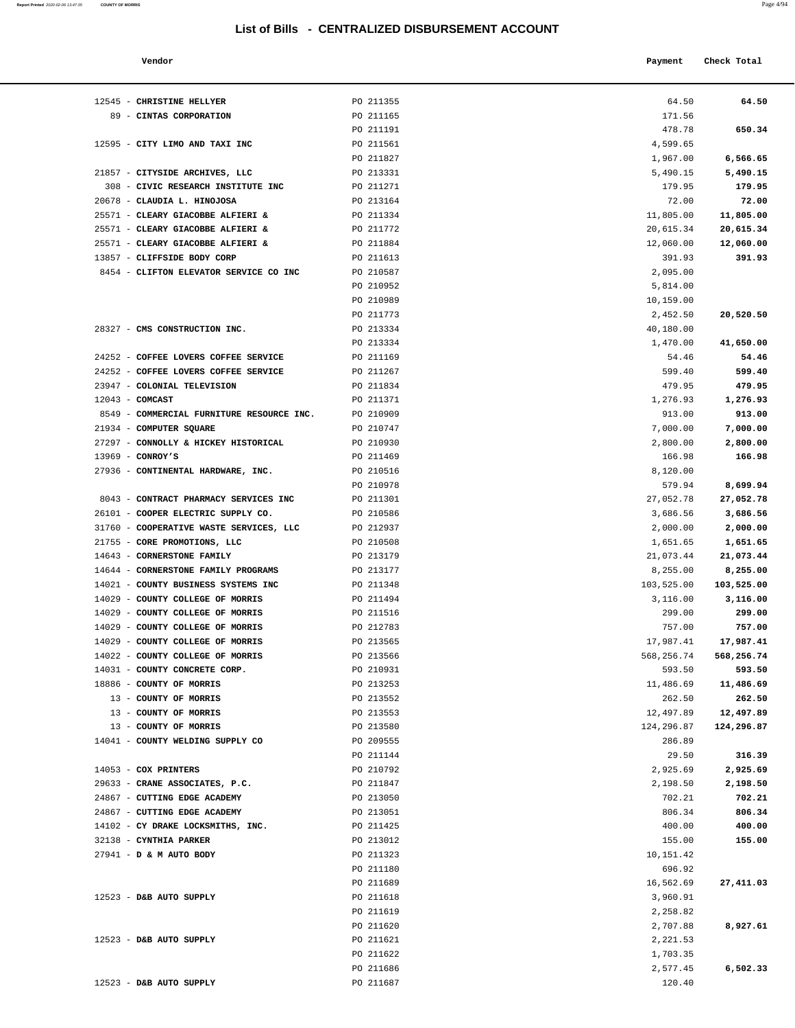**Report Printed** 2020-02-06 13:47:35 **COUNTY OF MORRIS** 

| Vendor |  | Payment Check Total |
|--------|--|---------------------|
|        |  |                     |

| 12545 - CHRISTINE HELLYER                                                    | PO 211355              | 64.50              | 64.50            |
|------------------------------------------------------------------------------|------------------------|--------------------|------------------|
| 89 - CINTAS CORPORATION                                                      | PO 211165              | 171.56             |                  |
|                                                                              | PO 211191              | 478.78             | 650.34           |
| 12595 - CITY LIMO AND TAXI INC                                               | PO 211561              | 4,599.65           |                  |
|                                                                              | PO 211827              | 1,967.00           | 6,566.65         |
| 21857 - CITYSIDE ARCHIVES, LLC                                               | PO 213331              | 5,490.15           | 5,490.15         |
| 308 - CIVIC RESEARCH INSTITUTE INC                                           | PO 211271              | 179.95             | 179.95           |
| 20678 - CLAUDIA L. HINOJOSA                                                  | PO 213164              | 72.00              | 72.00            |
| 25571 - CLEARY GIACOBBE ALFIERI &                                            | PO 211334              | 11,805.00          | 11,805.00        |
| 25571 - CLEARY GIACOBBE ALFIERI &                                            | PO 211772              | 20,615.34          | 20,615.34        |
| 25571 - CLEARY GIACOBBE ALFIERI &                                            | PO 211884              | 12,060.00          | 12,060.00        |
| 13857 - CLIFFSIDE BODY CORP                                                  | PO 211613              | 391.93             | 391.93           |
| 8454 - CLIFTON ELEVATOR SERVICE CO INC                                       | PO 210587              | 2,095.00           |                  |
|                                                                              | PO 210952              | 5,814.00           |                  |
|                                                                              | PO 210989              | 10,159.00          |                  |
|                                                                              | PO 211773              | 2,452.50           | 20,520.50        |
| 28327 - CMS CONSTRUCTION INC.                                                | PO 213334              | 40,180.00          | 41,650.00        |
|                                                                              | PO 213334              | 1,470.00           |                  |
| 24252 - COFFEE LOVERS COFFEE SERVICE<br>24252 - COFFEE LOVERS COFFEE SERVICE | PO 211169              | 54.46<br>599.40    | 54.46            |
|                                                                              | PO 211267              |                    | 599.40<br>479.95 |
| 23947 - COLONIAL TELEVISION<br>$12043$ - COMCAST                             | PO 211834              | 479.95             | 1,276.93         |
| 8549 - COMMERCIAL FURNITURE RESOURCE INC.                                    | PO 211371<br>PO 210909 | 1,276.93<br>913.00 | 913.00           |
| 21934 - COMPUTER SQUARE                                                      | PO 210747              | 7,000.00           | 7,000.00         |
| 27297 - CONNOLLY & HICKEY HISTORICAL                                         | PO 210930              | 2,800.00           | 2,800.00         |
| $13969$ - CONROY'S                                                           | PO 211469              | 166.98             | 166.98           |
| 27936 - CONTINENTAL HARDWARE, INC.                                           | PO 210516              | 8,120.00           |                  |
|                                                                              | PO 210978              | 579.94             | 8,699.94         |
| 8043 - CONTRACT PHARMACY SERVICES INC                                        | PO 211301              | 27,052.78          | 27,052.78        |
| 26101 - COOPER ELECTRIC SUPPLY CO.                                           | PO 210586              | 3,686.56           | 3,686.56         |
| 31760 - COOPERATIVE WASTE SERVICES, LLC                                      | PO 212937              | 2,000.00           | 2,000.00         |
| 21755 - CORE PROMOTIONS, LLC                                                 | PO 210508              | 1,651.65           | 1,651.65         |
| 14643 - CORNERSTONE FAMILY                                                   | PO 213179              | 21,073.44          | 21,073.44        |
| 14644 - CORNERSTONE FAMILY PROGRAMS                                          | PO 213177              | 8,255.00           | 8,255.00         |
| 14021 - COUNTY BUSINESS SYSTEMS INC                                          | PO 211348              | 103,525.00         | 103,525.00       |
| 14029 - COUNTY COLLEGE OF MORRIS                                             | PO 211494              | 3,116.00           | 3,116.00         |
| 14029 - COUNTY COLLEGE OF MORRIS                                             | PO 211516              | 299.00             | 299.00           |
| 14029 - COUNTY COLLEGE OF MORRIS                                             | PO 212783              | 757.00             | 757.00           |
| 14029 - COUNTY COLLEGE OF MORRIS                                             | PO 213565              | 17,987.41          | 17,987.41        |
| 14022 - COUNTY COLLEGE OF MORRIS                                             | PO 213566              | 568,256.74         | 568,256.74       |
| 14031 - COUNTY CONCRETE CORP.                                                | PO 210931              | 593.50             | 593.50           |
| 18886 - COUNTY OF MORRIS                                                     | PO 213253              | 11,486.69          | 11,486.69        |
| 13 - COUNTY OF MORRIS                                                        | PO 213552              | 262.50             | 262.50           |
| 13 - COUNTY OF MORRIS                                                        | PO 213553              | 12,497.89          | 12,497.89        |
| 13 - COUNTY OF MORRIS                                                        | PO 213580              | 124,296.87         | 124,296.87       |
| 14041 - COUNTY WELDING SUPPLY CO                                             | PO 209555              | 286.89             |                  |
|                                                                              | PO 211144              | 29.50              | 316.39           |
| 14053 - COX PRINTERS                                                         | PO 210792              | 2,925.69           | 2,925.69         |
| 29633 - CRANE ASSOCIATES, P.C.                                               | PO 211847              | 2,198.50           | 2,198.50         |
| 24867 - CUTTING EDGE ACADEMY                                                 | PO 213050              | 702.21             | 702.21           |
| 24867 - CUTTING EDGE ACADEMY                                                 | PO 213051              | 806.34             | 806.34           |
| 14102 - CY DRAKE LOCKSMITHS, INC.                                            | PO 211425              | 400.00             | 400.00           |
| 32138 - CYNTHIA PARKER                                                       | PO 213012              | 155.00             | 155.00           |
| 27941 - D & M AUTO BODY                                                      | PO 211323              | 10,151.42          |                  |
|                                                                              | PO 211180              | 696.92             |                  |
|                                                                              | PO 211689              | 16,562.69          | 27,411.03        |
| 12523 - D&B AUTO SUPPLY                                                      | PO 211618              | 3,960.91           |                  |
|                                                                              | PO 211619              | 2,258.82           |                  |
|                                                                              | PO 211620              | 2,707.88           | 8,927.61         |
| 12523 - D&B AUTO SUPPLY                                                      | PO 211621              | 2,221.53           |                  |
|                                                                              | PO 211622              | 1,703.35           |                  |
|                                                                              | PO 211686              | 2,577.45           | 6,502.33         |
| 12523 - D&B AUTO SUPPLY                                                      | PO 211687              | 120.40             |                  |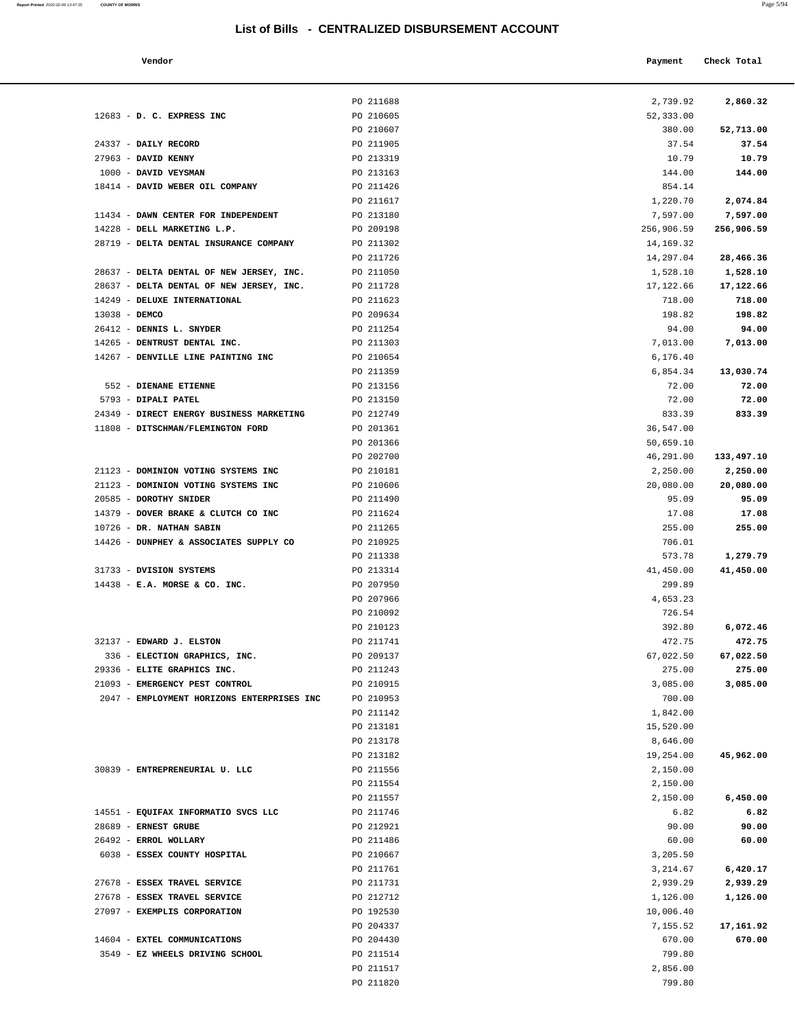| Report Printed 2020-02-06 13:47:35 | <b>COUNTY OF MORRIS</b>                    |                                                  |            | Page 5/94   |
|------------------------------------|--------------------------------------------|--------------------------------------------------|------------|-------------|
|                                    |                                            | List of Bills - CENTRALIZED DISBURSEMENT ACCOUNT |            |             |
|                                    |                                            |                                                  |            |             |
|                                    | Vendor                                     |                                                  | Payment    | Check Total |
|                                    |                                            | PO 211688                                        | 2,739.92   |             |
|                                    | $12683$ - D. C. EXPRESS INC                | PO 210605                                        | 52,333.00  | 2,860.32    |
|                                    |                                            | PO 210607                                        | 380.00     | 52,713.00   |
|                                    | 24337 - DAILY RECORD                       | PO 211905                                        | 37.54      | 37.54       |
|                                    | 27963 - DAVID KENNY                        | PO 213319                                        | 10.79      | 10.79       |
|                                    | 1000 - DAVID VEYSMAN                       | PO 213163                                        | 144.00     | 144.00      |
|                                    | 18414 - DAVID WEBER OIL COMPANY            | PO 211426                                        | 854.14     |             |
|                                    |                                            | PO 211617                                        | 1,220.70   | 2,074.84    |
|                                    | 11434 - DAWN CENTER FOR INDEPENDENT        | PO 213180                                        | 7,597.00   | 7,597.00    |
|                                    | 14228 - DELL MARKETING L.P.                | PO 209198                                        | 256,906.59 | 256,906.59  |
|                                    | 28719 - DELTA DENTAL INSURANCE COMPANY     | PO 211302                                        | 14,169.32  |             |
|                                    |                                            | PO 211726                                        | 14,297.04  | 28,466.36   |
|                                    | 28637 - DELTA DENTAL OF NEW JERSEY, INC.   | PO 211050                                        | 1,528.10   | 1,528.10    |
|                                    | 28637 - DELTA DENTAL OF NEW JERSEY, INC.   | PO 211728                                        | 17,122.66  | 17,122.66   |
|                                    | 14249 - DELUXE INTERNATIONAL               | PO 211623                                        | 718.00     | 718.00      |
|                                    | 13038 - DEMCO                              | PO 209634                                        | 198.82     | 198.82      |
|                                    | 26412 - DENNIS L. SNYDER                   | PO 211254                                        | 94.00      | 94.00       |
|                                    | 14265 - DENTRUST DENTAL INC.               | PO 211303                                        | 7,013.00   | 7,013.00    |
|                                    | 14267 - DENVILLE LINE PAINTING INC         | PO 210654                                        | 6,176.40   |             |
|                                    |                                            | PO 211359                                        | 6,854.34   | 13,030.74   |
|                                    | 552 - DIENANE ETIENNE                      | PO 213156                                        | 72.00      | 72.00       |
|                                    | 5793 - DIPALI PATEL                        | PO 213150                                        | 72.00      | 72.00       |
|                                    | 24349 - DIRECT ENERGY BUSINESS MARKETING   | PO 212749                                        | 833.39     | 833.39      |
|                                    | 11808 - DITSCHMAN/FLEMINGTON FORD          | PO 201361                                        | 36,547.00  |             |
|                                    |                                            | PO 201366                                        | 50,659.10  |             |
|                                    |                                            | PO 202700                                        | 46,291.00  | 133,497.10  |
|                                    | 21123 - DOMINION VOTING SYSTEMS INC        | PO 210181                                        | 2,250.00   | 2,250.00    |
|                                    | 21123 - DOMINION VOTING SYSTEMS INC        | PO 210606                                        | 20,080.00  | 20,080.00   |
|                                    | 20585 - DOROTHY SNIDER                     | PO 211490                                        | 95.09      | 95.09       |
|                                    | 14379 - DOVER BRAKE & CLUTCH CO INC        | PO 211624                                        | 17.08      | 17.08       |
|                                    | 10726 - DR. NATHAN SABIN                   | PO 211265                                        | 255.00     | 255.00      |
|                                    | 14426 - DUNPHEY & ASSOCIATES SUPPLY CO     | PO 210925                                        | 706.01     |             |
|                                    |                                            | PO 211338                                        | 573.78     | 1,279.79    |
|                                    | 31733 - DVISION SYSTEMS                    | PO 213314                                        | 41,450.00  | 41,450.00   |
|                                    | $14438$ - E.A. MORSE & CO. INC.            | PO 207950                                        | 299.89     |             |
|                                    |                                            | PO 207966                                        | 4,653.23   |             |
|                                    |                                            | PO 210092                                        | 726.54     |             |
|                                    |                                            | PO 210123                                        | 392.80     | 6,072.46    |
|                                    | 32137 - EDWARD J. ELSTON                   | PO 211741                                        | 472.75     | 472.75      |
|                                    | 336 - ELECTION GRAPHICS, INC.              | PO 209137                                        | 67,022.50  | 67,022.50   |
|                                    | 29336 - ELITE GRAPHICS INC.                | PO 211243                                        | 275.00     | 275.00      |
|                                    | 21093 - EMERGENCY PEST CONTROL             | PO 210915                                        | 3,085.00   | 3,085.00    |
|                                    | 2047 - EMPLOYMENT HORIZONS ENTERPRISES INC | PO 210953                                        | 700.00     |             |
|                                    |                                            | PO 211142                                        | 1,842.00   |             |

| 12683 - D. C. EXPRESS INC                  | PO 210605 | 52,333.00  |            |
|--------------------------------------------|-----------|------------|------------|
|                                            | PO 210607 | 380.00     | 52,713.00  |
| 24337 - DAILY RECORD                       | PO 211905 | 37.54      | 37.54      |
| 27963 - DAVID KENNY                        | PO 213319 | 10.79      | 10.79      |
| 1000 - DAVID VEYSMAN                       | PO 213163 | 144.00     | 144.00     |
|                                            |           |            |            |
| 18414 - DAVID WEBER OIL COMPANY            | PO 211426 | 854.14     |            |
|                                            | PO 211617 | 1,220.70   | 2,074.84   |
| 11434 - DAWN CENTER FOR INDEPENDENT        | PO 213180 | 7,597.00   | 7,597.00   |
| 14228 - DELL MARKETING L.P.                | PO 209198 | 256,906.59 | 256,906.59 |
| 28719 - DELTA DENTAL INSURANCE COMPANY     | PO 211302 | 14,169.32  |            |
|                                            | PO 211726 | 14,297.04  | 28,466.36  |
| 28637 - DELTA DENTAL OF NEW JERSEY, INC.   | PO 211050 | 1,528.10   | 1,528.10   |
| 28637 - DELTA DENTAL OF NEW JERSEY, INC.   | PO 211728 | 17,122.66  | 17,122.66  |
| 14249 - DELUXE INTERNATIONAL               | PO 211623 | 718.00     | 718.00     |
| 13038 - DEMCO                              | PO 209634 | 198.82     | 198.82     |
| 26412 - DENNIS L. SNYDER                   | PO 211254 | 94.00      | 94.00      |
| 14265 - DENTRUST DENTAL INC.               | PO 211303 | 7,013.00   | 7,013.00   |
| 14267 - DENVILLE LINE PAINTING INC         | PO 210654 | 6,176.40   |            |
|                                            | PO 211359 | 6,854.34   |            |
|                                            |           |            | 13,030.74  |
| 552 - DIENANE ETIENNE                      | PO 213156 | 72.00      | 72.00      |
| 5793 - DIPALI PATEL                        | PO 213150 | 72.00      | 72.00      |
| 24349 - DIRECT ENERGY BUSINESS MARKETING   | PO 212749 | 833.39     | 833.39     |
| 11808 - DITSCHMAN/FLEMINGTON FORD          | PO 201361 | 36,547.00  |            |
|                                            | PO 201366 | 50,659.10  |            |
|                                            | PO 202700 | 46,291.00  | 133,497.10 |
| 21123 - DOMINION VOTING SYSTEMS INC        | PO 210181 | 2,250.00   | 2,250.00   |
| 21123 - DOMINION VOTING SYSTEMS INC        | PO 210606 | 20,080.00  | 20,080.00  |
| 20585 - DOROTHY SNIDER                     | PO 211490 | 95.09      | 95.09      |
| 14379 - DOVER BRAKE & CLUTCH CO INC        | PO 211624 | 17.08      | 17.08      |
| 10726 - DR. NATHAN SABIN                   | PO 211265 | 255.00     | 255.00     |
| 14426 - DUNPHEY & ASSOCIATES SUPPLY CO     | PO 210925 | 706.01     |            |
|                                            | PO 211338 | 573.78     | 1,279.79   |
| 31733 - DVISION SYSTEMS                    | PO 213314 |            | 41,450.00  |
|                                            |           | 41,450.00  |            |
| 14438 - E.A. MORSE & CO. INC.              | PO 207950 | 299.89     |            |
|                                            | PO 207966 | 4,653.23   |            |
|                                            | PO 210092 | 726.54     |            |
|                                            | PO 210123 | 392.80     | 6,072.46   |
| 32137 - EDWARD J. ELSTON                   | PO 211741 | 472.75     | 472.75     |
| 336 - ELECTION GRAPHICS, INC.              | PO 209137 | 67,022.50  | 67,022.50  |
| 29336 - ELITE GRAPHICS INC.                | PO 211243 | 275.00     | 275.00     |
| 21093 - EMERGENCY PEST CONTROL             | PO 210915 | 3,085.00   | 3,085.00   |
| 2047 - EMPLOYMENT HORIZONS ENTERPRISES INC | PO 210953 | 700.00     |            |
|                                            | PO 211142 | 1,842.00   |            |
|                                            | PO 213181 | 15,520.00  |            |
|                                            | PO 213178 | 8,646.00   |            |
|                                            | PO 213182 | 19,254.00  | 45,962.00  |
| 30839 - ENTREPRENEURIAL U. LLC             | PO 211556 | 2,150.00   |            |
|                                            | PO 211554 | 2,150.00   |            |
|                                            |           |            |            |
|                                            | PO 211557 | 2,150.00   | 6,450.00   |
| 14551 - EQUIFAX INFORMATIO SVCS LLC        | PO 211746 | 6.82       | 6.82       |
| 28689 - ERNEST GRUBE                       | PO 212921 | 90.00      | 90.00      |
| 26492 - ERROL WOLLARY                      | PO 211486 | 60.00      | 60.00      |
| 6038 - ESSEX COUNTY HOSPITAL               | PO 210667 | 3,205.50   |            |
|                                            | PO 211761 | 3,214.67   | 6,420.17   |
| 27678 - ESSEX TRAVEL SERVICE               | PO 211731 | 2,939.29   | 2,939.29   |
| 27678 - ESSEX TRAVEL SERVICE               | PO 212712 | 1,126.00   | 1,126.00   |
| 27097 - EXEMPLIS CORPORATION               | PO 192530 | 10,006.40  |            |
|                                            | PO 204337 | 7,155.52   | 17,161.92  |
| 14604 - EXTEL COMMUNICATIONS               | PO 204430 | 670.00     | 670.00     |
| 3549 - EZ WHEELS DRIVING SCHOOL            | PO 211514 | 799.80     |            |
|                                            | PO 211517 | 2,856.00   |            |
|                                            | PO 211820 | 799.80     |            |
|                                            |           |            |            |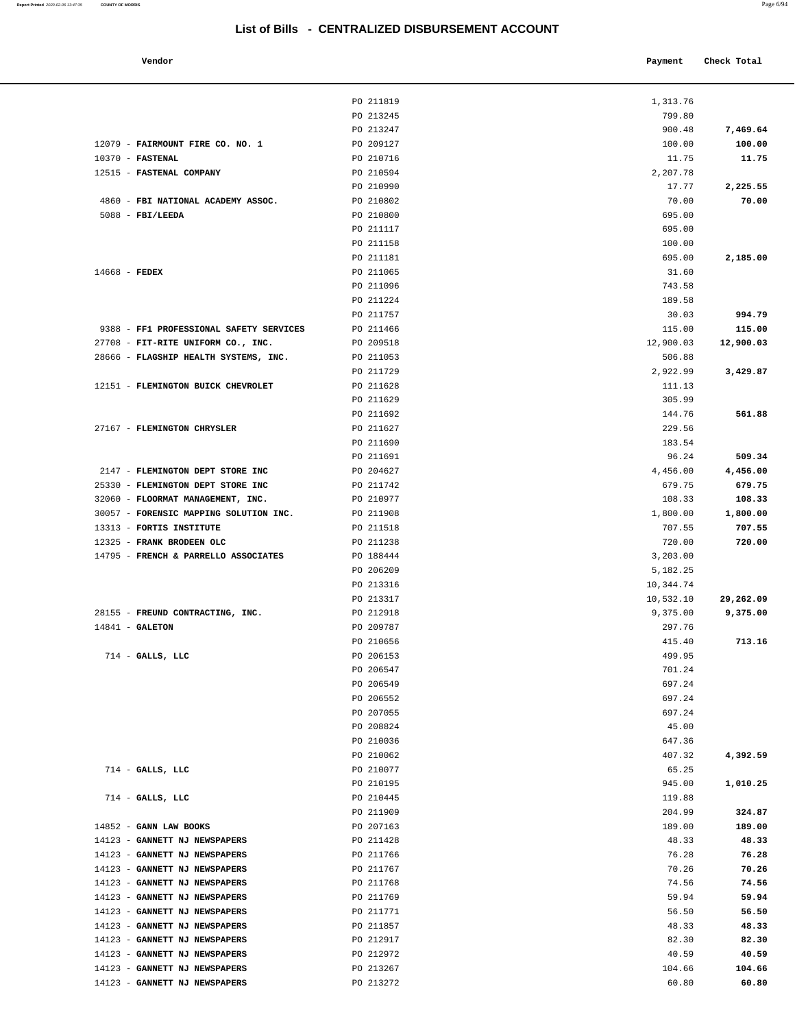#### **Vendor Check Total**

|                                                         | PO 211819              | 1,313.76              |                 |
|---------------------------------------------------------|------------------------|-----------------------|-----------------|
|                                                         | PO 213245              | 799.80                |                 |
|                                                         | PO 213247              | 900.48                | 7,469.64        |
| 12079 - FAIRMOUNT FIRE CO. NO. 1                        | PO 209127              | 100.00                | 100.00          |
| $10370$ - FASTENAL                                      | PO 210716              | 11.75                 | 11.75           |
| 12515 - FASTENAL COMPANY                                | PO 210594              | 2,207.78              |                 |
|                                                         | PO 210990              | 17.77                 | 2,225.55        |
| 4860 - FBI NATIONAL ACADEMY ASSOC.                      | PO 210802              | 70.00                 | 70.00           |
| $5088$ - FBI/LEEDA                                      | PO 210800              | 695.00                |                 |
|                                                         | PO 211117              | 695.00                |                 |
|                                                         | PO 211158              | 100.00                |                 |
|                                                         | PO 211181              | 695.00                | 2,185.00        |
| $14668$ - FEDEX                                         | PO 211065              | 31.60                 |                 |
|                                                         | PO 211096<br>PO 211224 | 743.58                |                 |
|                                                         | PO 211757              | 189.58<br>30.03       | 994.79          |
| 9388 - FF1 PROFESSIONAL SAFETY SERVICES                 | PO 211466              | 115.00                | 115.00          |
| 27708 - FIT-RITE UNIFORM CO., INC.                      | PO 209518              | 12,900.03             | 12,900.03       |
| 28666 - FLAGSHIP HEALTH SYSTEMS, INC.                   | PO 211053              | 506.88                |                 |
|                                                         | PO 211729              | 2,922.99              | 3,429.87        |
| 12151 - FLEMINGTON BUICK CHEVROLET                      | PO 211628              | 111.13                |                 |
|                                                         | PO 211629              | 305.99                |                 |
|                                                         | PO 211692              | 144.76                | 561.88          |
| 27167 - FLEMINGTON CHRYSLER                             | PO 211627              | 229.56                |                 |
|                                                         | PO 211690              | 183.54                |                 |
|                                                         | PO 211691              | 96.24                 | 509.34          |
| 2147 - FLEMINGTON DEPT STORE INC                        | PO 204627              | 4,456.00              | 4,456.00        |
| 25330 - FLEMINGTON DEPT STORE INC                       | PO 211742              | 679.75                | 679.75          |
| 32060 - FLOORMAT MANAGEMENT, INC.                       | PO 210977              | 108.33                | 108.33          |
| 30057 - FORENSIC MAPPING SOLUTION INC.                  | PO 211908              | 1,800.00              | 1,800.00        |
| 13313 - FORTIS INSTITUTE                                | PO 211518              | 707.55                | 707.55          |
| 12325 - FRANK BRODEEN OLC                               | PO 211238              | 720.00                | 720.00          |
| 14795 - FRENCH & PARRELLO ASSOCIATES                    | PO 188444              | 3,203.00              |                 |
|                                                         | PO 206209              | 5,182.25              |                 |
|                                                         | PO 213316<br>PO 213317 | 10,344.74             | 29,262.09       |
| 28155 - FREUND CONTRACTING, INC.                        | PO 212918              | 10,532.10<br>9,375.00 | 9,375.00        |
| $14841 - GALETON$                                       | PO 209787              | 297.76                |                 |
|                                                         | PO 210656              | 415.40                | 713.16          |
| $714$ - GALLS, LLC                                      | PO 206153              | 499.95                |                 |
|                                                         | PO 206547              | 701.24                |                 |
|                                                         | PO 206549              | 697.24                |                 |
|                                                         | PO 206552              | 697.24                |                 |
|                                                         | PO 207055              | 697.24                |                 |
|                                                         | PO 208824              | 45.00                 |                 |
|                                                         | PO 210036              | 647.36                |                 |
|                                                         | PO 210062              | 407.32                | 4,392.59        |
| $714$ - GALLS, LLC                                      | PO 210077              | 65.25                 |                 |
|                                                         | PO 210195              | 945.00                | 1,010.25        |
| $714$ - GALLS, LLC                                      | PO 210445              | 119.88                |                 |
|                                                         | PO 211909              | 204.99                | 324.87          |
| 14852 - GANN LAW BOOKS<br>14123 - GANNETT NJ NEWSPAPERS | PO 207163<br>PO 211428 | 189.00<br>48.33       | 189.00<br>48.33 |
| 14123 - GANNETT NJ NEWSPAPERS                           | PO 211766              | 76.28                 | 76.28           |
| 14123 - GANNETT NJ NEWSPAPERS                           | PO 211767              | 70.26                 | 70.26           |
| 14123 - GANNETT NJ NEWSPAPERS                           | PO 211768              | 74.56                 | 74.56           |
| 14123 - GANNETT NJ NEWSPAPERS                           | PO 211769              | 59.94                 | 59.94           |
| 14123 - GANNETT NJ NEWSPAPERS                           | PO 211771              | 56.50                 | 56.50           |
| 14123 - GANNETT NJ NEWSPAPERS                           | PO 211857              | 48.33                 | 48.33           |
| 14123 - GANNETT NJ NEWSPAPERS                           | PO 212917              | 82.30                 | 82.30           |
| 14123 - GANNETT NJ NEWSPAPERS                           | PO 212972              | 40.59                 | 40.59           |
| 14123 - GANNETT NJ NEWSPAPERS                           | PO 213267              | 104.66                | 104.66          |
| 14123 - GANNETT NJ NEWSPAPERS                           | PO 213272              | 60.80                 | 60.80           |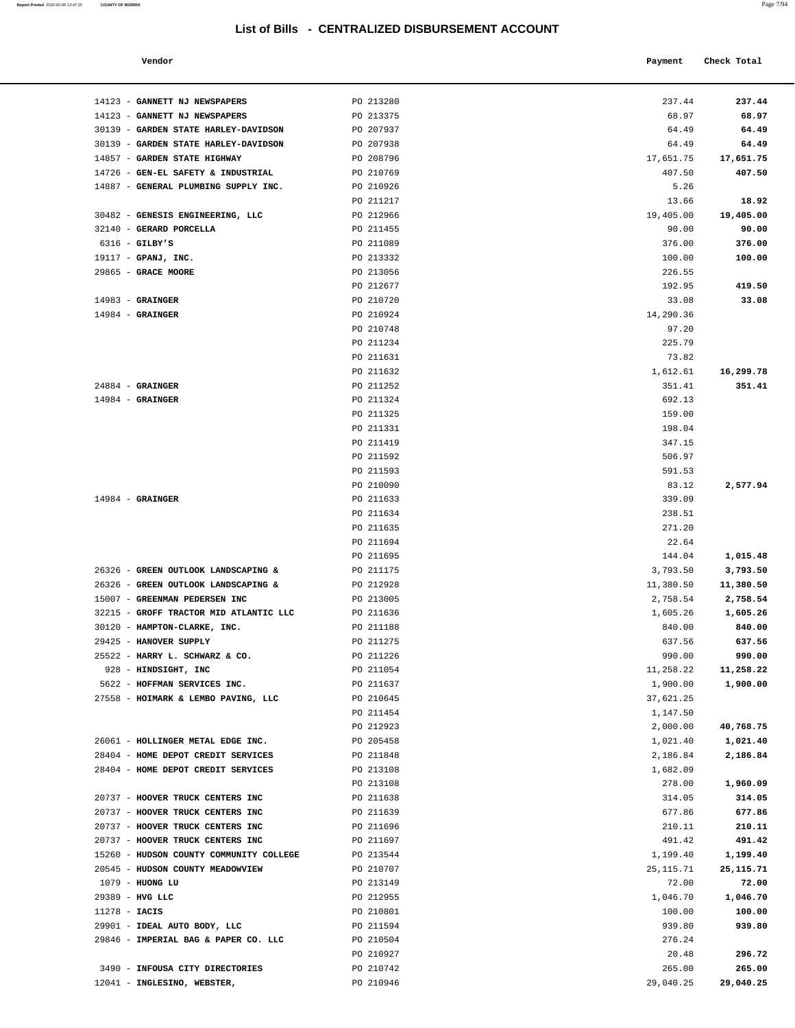| Report Printed 2020-02-06 13:47:35 | <b>COUNTY OF MORRIS</b>                |                                                  |                    | Page 7/94           |
|------------------------------------|----------------------------------------|--------------------------------------------------|--------------------|---------------------|
|                                    | Vendor                                 | List of Bills - CENTRALIZED DISBURSEMENT ACCOUNT | Payment            | Check Total         |
|                                    |                                        |                                                  |                    |                     |
|                                    | 14123 - GANNETT NJ NEWSPAPERS          | PO 213280                                        | 237.44             | 237.44              |
|                                    | 14123 - GANNETT NJ NEWSPAPERS          | PO 213375                                        | 68.97              | 68.97               |
|                                    | 30139 - GARDEN STATE HARLEY-DAVIDSON   | PO 207937                                        | 64.49              | 64.49               |
|                                    | 30139 - GARDEN STATE HARLEY-DAVIDSON   | PO 207938                                        | 64.49              | 64.49               |
|                                    | 14857 - GARDEN STATE HIGHWAY           | PO 208796                                        | 17,651.75          | 17,651.75           |
|                                    | 14726 - GEN-EL SAFETY & INDUSTRIAL     | PO 210769                                        | 407.50             | 407.50              |
|                                    | 14887 - GENERAL PLUMBING SUPPLY INC.   | PO 210926                                        | 5.26               |                     |
|                                    |                                        | PO 211217                                        | 13.66              | 18.92               |
|                                    | 30482 - GENESIS ENGINEERING, LLC       | PO 212966                                        | 19,405.00          | 19,405.00           |
|                                    | 32140 - GERARD PORCELLA                | PO 211455                                        | 90.00              | 90.00               |
|                                    | $6316$ - GILBY'S                       | PO 211089                                        | 376.00             | 376.00              |
|                                    | 19117 - GPANJ, INC.                    | PO 213332                                        | 100.00             | 100.00              |
|                                    | $29865$ - GRACE MOORE                  | PO 213056                                        | 226.55             |                     |
|                                    |                                        | PO 212677                                        | 192.95             | 419.50              |
|                                    | $14983$ - GRAINGER                     | PO 210720                                        | 33.08              | 33.08               |
|                                    | $14984$ - GRAINGER                     | PO 210924                                        | 14,290.36          |                     |
|                                    |                                        | PO 210748                                        | 97.20              |                     |
|                                    |                                        | PO 211234                                        | 225.79             |                     |
|                                    |                                        | PO 211631                                        | 73.82              |                     |
|                                    | $24884$ - GRAINGER                     | PO 211632<br>PO 211252                           | 1,612.61<br>351.41 | 16,299.78<br>351.41 |
|                                    | $14984$ - GRAINGER                     |                                                  |                    |                     |
|                                    |                                        | PO 211324<br>PO 211325                           | 692.13<br>159.00   |                     |
|                                    |                                        | PO 211331                                        | 198.04             |                     |
|                                    |                                        | PO 211419                                        | 347.15             |                     |
|                                    |                                        | PO 211592                                        | 506.97             |                     |
|                                    |                                        | PO 211593                                        | 591.53             |                     |
|                                    |                                        | PO 210090                                        | 83.12              | 2,577.94            |
|                                    | $14984$ - GRAINGER                     | PO 211633                                        | 339.09             |                     |
|                                    |                                        | PO 211634                                        | 238.51             |                     |
|                                    |                                        | PO 211635                                        | 271.20             |                     |
|                                    |                                        | PO 211694                                        | 22.64              |                     |
|                                    |                                        | PO 211695                                        | 144.04             | 1,015.48            |
|                                    | 26326 - GREEN OUTLOOK LANDSCAPING &    | PO 211175                                        | 3,793.50           | 3,793.50            |
|                                    | 26326 - GREEN OUTLOOK LANDSCAPING &    | PO 212928                                        | 11,380.50          | 11,380.50           |
|                                    | 15007 - GREENMAN PEDERSEN INC          | PO 213005                                        | 2,758.54           | 2,758.54            |
|                                    | 32215 - GROFF TRACTOR MID ATLANTIC LLC | PO 211636                                        | 1,605.26           | 1,605.26            |
|                                    | 30120 - HAMPTON-CLARKE, INC.           | PO 211188                                        | 840.00             | 840.00              |
|                                    | 29425 - HANOVER SUPPLY                 | PO 211275                                        | 637.56             | 637.56              |
|                                    | 25522 - HARRY L. SCHWARZ & CO.         | PO 211226                                        | 990.00             | 990.00              |
|                                    | 928 - HINDSIGHT, INC                   | PO 211054                                        | 11,258.22          | 11,258.22           |
|                                    | 5622 - HOFFMAN SERVICES INC.           | PO 211637                                        | 1,900.00           | 1,900.00            |
|                                    | 27558 - HOIMARK & LEMBO PAVING, LLC    | PO 210645                                        | 37,621.25          |                     |
|                                    |                                        | PO 211454                                        | 1,147.50           |                     |
|                                    |                                        | PO 212923                                        | 2,000.00           | 40,768.75           |
|                                    | 26061 - HOLLINGER METAL EDGE INC.      | PO 205458                                        | 1,021.40           | 1,021.40            |
|                                    | 28404 - HOME DEPOT CREDIT SERVICES     | PO 211848                                        | 2,186.84           | 2,186.84            |
|                                    | 28404 - HOME DEPOT CREDIT SERVICES     | PO 213108                                        | 1,682.09           |                     |
|                                    |                                        | PO 213108                                        | 278.00             | 1,960.09            |
|                                    |                                        |                                                  |                    |                     |

| 14726 - GEN-EL SAFETY & INDUSTRIAL<br>14887 - GENERAL PLUMBING SUPPLY INC. | PO 210769<br>PO 210926 | 407.50<br>5.26 | 407.50      |
|----------------------------------------------------------------------------|------------------------|----------------|-------------|
|                                                                            |                        |                |             |
|                                                                            |                        |                |             |
|                                                                            | PO 211217              | 13.66          | 18.92       |
| 30482 - GENESIS ENGINEERING, LLC                                           | PO 212966              | 19,405.00      | 19,405.00   |
| 32140 - GERARD PORCELLA                                                    | PO 211455              | 90.00          | 90.00       |
| $6316$ - GILBY'S                                                           | PO 211089              | 376.00         | 376.00      |
| 19117 - GPANJ, INC.                                                        | PO 213332              | 100.00         | 100.00      |
| 29865 - GRACE MOORE                                                        | PO 213056              | 226.55         |             |
|                                                                            | PO 212677              | 192.95         | 419.50      |
| $14983$ - GRAINGER                                                         | PO 210720              | 33.08          | 33.08       |
| $14984$ - GRAINGER                                                         | PO 210924              | 14,290.36      |             |
|                                                                            | PO 210748              | 97.20          |             |
|                                                                            |                        |                |             |
|                                                                            | PO 211234              | 225.79         |             |
|                                                                            | PO 211631              | 73.82          |             |
|                                                                            | PO 211632              | 1,612.61       | 16,299.78   |
| $24884$ - GRAINGER                                                         | PO 211252              | 351.41         | 351.41      |
| $14984$ - GRAINGER                                                         | PO 211324              | 692.13         |             |
|                                                                            | PO 211325              | 159.00         |             |
|                                                                            | PO 211331              | 198.04         |             |
|                                                                            | PO 211419              | 347.15         |             |
|                                                                            | PO 211592              | 506.97         |             |
|                                                                            | PO 211593              | 591.53         |             |
|                                                                            | PO 210090              | 83.12          | 2,577.94    |
| $14984$ - GRAINGER                                                         | PO 211633              | 339.09         |             |
|                                                                            | PO 211634              | 238.51         |             |
|                                                                            | PO 211635              | 271.20         |             |
|                                                                            | PO 211694              | 22.64          |             |
|                                                                            | PO 211695              | 144.04         | 1,015.48    |
| 26326 - GREEN OUTLOOK LANDSCAPING &                                        | PO 211175              | 3,793.50       | 3,793.50    |
| 26326 - GREEN OUTLOOK LANDSCAPING &                                        | PO 212928              | 11,380.50      | 11,380.50   |
| 15007 - GREENMAN PEDERSEN INC                                              | PO 213005              | 2,758.54       | 2,758.54    |
| 32215 - GROFF TRACTOR MID ATLANTIC LLC                                     | PO 211636              | 1,605.26       | 1,605.26    |
| 30120 - HAMPTON-CLARKE, INC.                                               | PO 211188              | 840.00         | 840.00      |
| 29425 - HANOVER SUPPLY                                                     | PO 211275              | 637.56         | 637.56      |
| 25522 - HARRY L. SCHWARZ & CO.                                             | PO 211226              | 990.00         | 990.00      |
| 928 - HINDSIGHT, INC                                                       | PO 211054              | 11,258.22      | 11,258.22   |
| 5622 - HOFFMAN SERVICES INC.                                               | PO 211637              | 1,900.00       | 1,900.00    |
| 27558 - HOIMARK & LEMBO PAVING, LLC                                        | PO 210645              | 37,621.25      |             |
|                                                                            | PO 211454              | 1,147.50       |             |
|                                                                            | PO 212923              | 2,000.00       | 40,768.75   |
| 26061 - HOLLINGER METAL EDGE INC.                                          | PO 205458              | 1,021.40       | 1,021.40    |
| 28404 - HOME DEPOT CREDIT SERVICES                                         | PO 211848              | 2,186.84       | 2,186.84    |
| 28404 - HOME DEPOT CREDIT SERVICES                                         | PO 213108              | 1,682.09       |             |
|                                                                            | PO 213108              | 278.00         | 1,960.09    |
| 20737 - HOOVER TRUCK CENTERS INC                                           | PO 211638              | 314.05         | 314.05      |
| 20737 - HOOVER TRUCK CENTERS INC                                           | PO 211639              | 677.86         | 677.86      |
| 20737 - HOOVER TRUCK CENTERS INC                                           | PO 211696              | 210.11         | 210.11      |
| 20737 - HOOVER TRUCK CENTERS INC                                           | PO 211697              | 491.42         | 491.42      |
| 15260 - HUDSON COUNTY COMMUNITY COLLEGE                                    | PO 213544              | 1,199.40       | 1,199.40    |
| 20545 - HUDSON COUNTY MEADOWVIEW                                           | PO 210707              | 25, 115.71     | 25, 115. 71 |
| 1079 - HUONG LU                                                            | PO 213149              | 72.00          | 72.00       |
| 29389 - HVG LLC                                                            | PO 212955              | 1,046.70       | 1,046.70    |
| $11278 - IACIS$                                                            | PO 210801              | 100.00         | 100.00      |
| 29901 - IDEAL AUTO BODY, LLC                                               | PO 211594              | 939.80         | 939.80      |
| 29846 - IMPERIAL BAG & PAPER CO. LLC                                       | PO 210504              | 276.24         |             |
|                                                                            | PO 210927              | 20.48          | 296.72      |
| 3490 - INFOUSA CITY DIRECTORIES                                            | PO 210742              | 265.00         | 265.00      |
| 12041 - INGLESINO, WEBSTER,                                                | PO 210946              | 29,040.25      | 29,040.25   |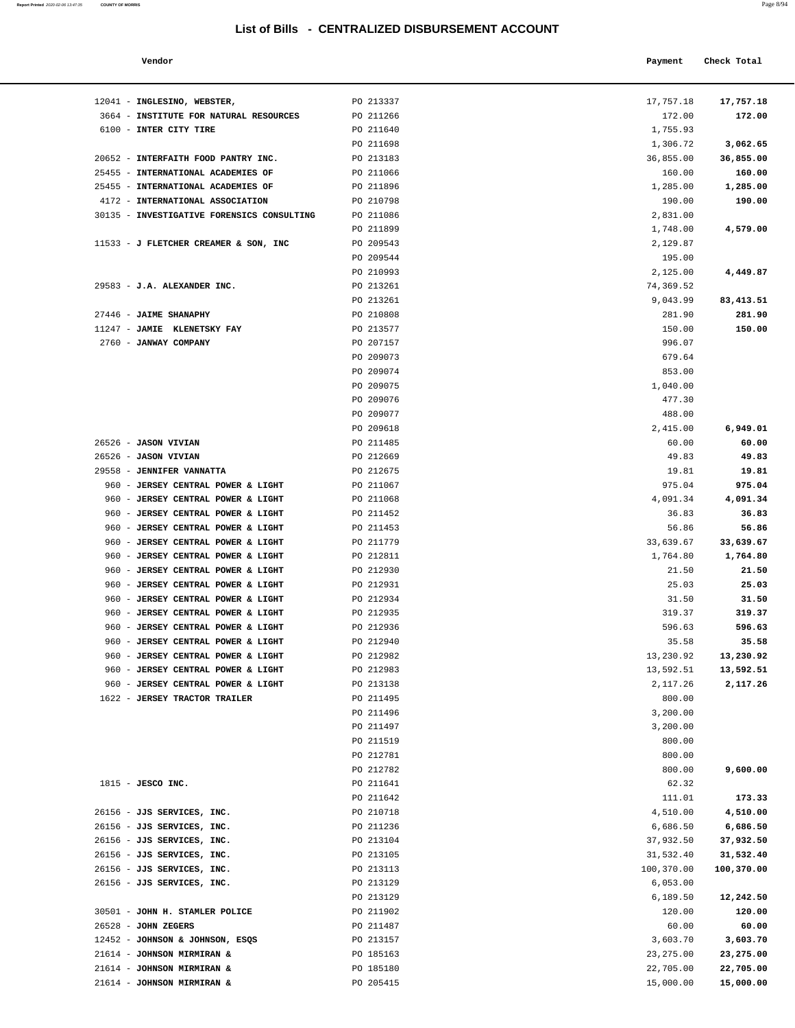| Page 8/94 |
|-----------|
|           |

| Vendor                                     |                  | Payment   | Check Total |
|--------------------------------------------|------------------|-----------|-------------|
| 12041 - INGLESINO, WEBSTER,                | PO 213337        | 17,757.18 | 17,757.18   |
| 3664 - INSTITUTE FOR NATURAL RESOURCES     | PO 211266        | 172.00    | 172.00      |
| 6100 - INTER CITY TIRE                     | PO 211640        | 1,755.93  |             |
|                                            | PO 211698        | 1,306.72  | 3,062.65    |
| 20652 - INTERFAITH FOOD PANTRY INC.        | PO 213183        | 36,855.00 | 36,855.00   |
| 25455 - INTERNATIONAL ACADEMIES OF         | PO 211066        | 160.00    | 160.00      |
| 25455 - INTERNATIONAL ACADEMIES OF         | PO 211896        | 1,285.00  | 1,285.00    |
| 4172 - INTERNATIONAL ASSOCIATION           | PO 210798        | 190.00    | 190.00      |
| 30135 - INVESTIGATIVE FORENSICS CONSULTING | PO 211086        | 2,831.00  |             |
|                                            | PO 211899        | 1,748.00  | 4,579.00    |
| 11533 - J FLETCHER CREAMER & SON, INC      | PO 209543        | 2,129.87  |             |
|                                            | PO 209544        | 195.00    |             |
|                                            | <b>PO 210993</b> | 2 125 00  | 4 449 87    |

| 12041 - INGLESINO, WEBSTER,                                              | PO 213337              | 17,757.18          | 17,757.18              |
|--------------------------------------------------------------------------|------------------------|--------------------|------------------------|
| 3664 - INSTITUTE FOR NATURAL RESOURCES                                   | PO 211266              | 172.00             | 172.00                 |
| 6100 - INTER CITY TIRE                                                   | PO 211640              | 1,755.93           |                        |
|                                                                          | PO 211698              | 1,306.72           | 3,062.65               |
| 20652 - INTERFAITH FOOD PANTRY INC.                                      | PO 213183              | 36,855.00          | 36,855.00              |
| 25455 - INTERNATIONAL ACADEMIES OF                                       | PO 211066              | 160.00             | 160.00                 |
| 25455 - INTERNATIONAL ACADEMIES OF                                       | PO 211896              | 1,285.00           | 1,285.00               |
| 4172 - INTERNATIONAL ASSOCIATION                                         | PO 210798              | 190.00             | 190.00                 |
| 30135 - INVESTIGATIVE FORENSICS CONSULTING                               | PO 211086              | 2,831.00           |                        |
|                                                                          | PO 211899              | 1,748.00           | 4,579.00               |
| 11533 - J FLETCHER CREAMER & SON, INC                                    | PO 209543              | 2,129.87           |                        |
|                                                                          | PO 209544              | 195.00             |                        |
|                                                                          | PO 210993              | 2,125.00           | 4,449.87               |
| 29583 - J.A. ALEXANDER INC.                                              | PO 213261              | 74,369.52          |                        |
|                                                                          | PO 213261              | 9,043.99           | 83, 413.51             |
| 27446 - JAIME SHANAPHY                                                   | PO 210808              | 281.90             | 281.90                 |
| 11247 - JAMIE KLENETSKY FAY                                              | PO 213577<br>PO 207157 | 150.00<br>996.07   | 150.00                 |
| 2760 - JANWAY COMPANY                                                    | PO 209073              | 679.64             |                        |
|                                                                          | PO 209074              | 853.00             |                        |
|                                                                          | PO 209075              | 1,040.00           |                        |
|                                                                          | PO 209076              | 477.30             |                        |
|                                                                          | PO 209077              | 488.00             |                        |
|                                                                          | PO 209618              | 2,415.00           | 6,949.01               |
| 26526 - JASON VIVIAN                                                     | PO 211485              | 60.00              | 60.00                  |
| 26526 - JASON VIVIAN                                                     | PO 212669              | 49.83              | 49.83                  |
| 29558 - JENNIFER VANNATTA                                                | PO 212675              | 19.81              | 19.81                  |
| 960 - JERSEY CENTRAL POWER & LIGHT                                       | PO 211067              | 975.04             | 975.04                 |
| 960 - JERSEY CENTRAL POWER & LIGHT                                       | PO 211068              | 4,091.34           | 4,091.34               |
| 960 - JERSEY CENTRAL POWER & LIGHT                                       | PO 211452              | 36.83              | 36.83                  |
| 960 - JERSEY CENTRAL POWER & LIGHT                                       | PO 211453              | 56.86              | 56.86                  |
| 960 - JERSEY CENTRAL POWER & LIGHT                                       | PO 211779              | 33,639.67          | 33,639.67              |
| 960 - JERSEY CENTRAL POWER & LIGHT                                       | PO 212811              | 1,764.80           | 1,764.80               |
| 960 - JERSEY CENTRAL POWER & LIGHT                                       | PO 212930              | 21.50              | 21.50                  |
| 960 - JERSEY CENTRAL POWER & LIGHT                                       | PO 212931              | 25.03              | 25.03                  |
| 960 - JERSEY CENTRAL POWER & LIGHT                                       | PO 212934              | 31.50              | 31.50                  |
| 960 - JERSEY CENTRAL POWER & LIGHT                                       | PO 212935              | 319.37             | 319.37                 |
| 960 - JERSEY CENTRAL POWER & LIGHT                                       | PO 212936              | 596.63             | 596.63                 |
| 960 - JERSEY CENTRAL POWER & LIGHT<br>960 - JERSEY CENTRAL POWER & LIGHT | PO 212940<br>PO 212982 | 35.58<br>13,230.92 | 35.58<br>13,230.92     |
| 960 - JERSEY CENTRAL POWER & LIGHT                                       | PO 212983              | 13,592.51          | 13,592.51              |
| 960 - JERSEY CENTRAL POWER & LIGHT                                       | PO 213138              | 2,117.26           | 2,117.26               |
| 1622 - JERSEY TRACTOR TRAILER                                            | PO 211495              | 800.00             |                        |
|                                                                          | PO 211496              | 3,200.00           |                        |
|                                                                          | PO 211497              | 3,200.00           |                        |
|                                                                          | PO 211519              | 800.00             |                        |
|                                                                          | PO 212781              | 800.00             |                        |
|                                                                          | PO 212782              | 800.00             | 9,600.00               |
| 1815 - JESCO INC.                                                        | PO 211641              | 62.32              |                        |
|                                                                          | PO 211642              | 111.01             | 173.33                 |
| 26156 - JJS SERVICES, INC.                                               | PO 210718              | 4,510.00           | 4,510.00               |
| 26156 - JJS SERVICES, INC.                                               | PO 211236              | 6,686.50           | 6,686.50               |
| 26156 - JJS SERVICES, INC.                                               | PO 213104              | 37,932.50          | 37,932.50              |
| 26156 - JJS SERVICES, INC.                                               | PO 213105              | 31,532.40          | 31,532.40              |
| 26156 - JJS SERVICES, INC.                                               | PO 213113              | 100,370.00         | 100,370.00             |
| 26156 - JJS SERVICES, INC.                                               | PO 213129              | 6,053.00           |                        |
|                                                                          | PO 213129              | 6,189.50           | 12,242.50              |
| 30501 - JOHN H. STAMLER POLICE                                           | PO 211902              | 120.00             | 120.00                 |
| 26528 - JOHN ZEGERS                                                      | PO 211487              | 60.00              | 60.00                  |
| 12452 - JOHNSON & JOHNSON, ESQS                                          | PO 213157              | 3,603.70           | 3,603.70               |
| 21614 - JOHNSON MIRMIRAN &                                               | PO 185163              | 23, 275.00         | 23,275.00<br>22,705.00 |
| 21614 - JOHNSON MIRMIRAN &                                               | PO 185180              | 22,705.00          |                        |

21614 - **JOHNSON MIRMIRAN &** PO 205415 15,000.00 **15,000.00**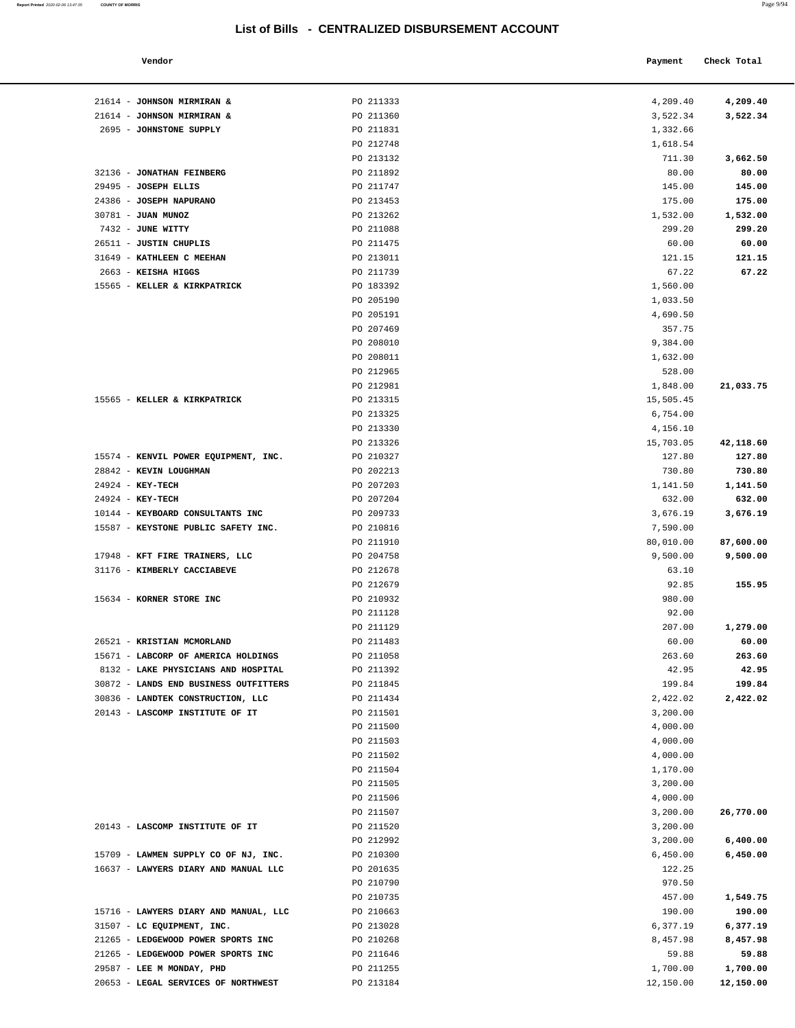#### **Vendor Check Total**

**Report Printed** 2020-02-06 13:47:35 **COUNTY OF MORRIS** 

| 4,209.40  | 4,209.40  |
|-----------|-----------|
| 3,522.34  | 3,522.34  |
|           |           |
| 1,332.66  |           |
| 1,618.54  |           |
| 711.30    | 3,662.50  |
| 80.00     | 80.00     |
| 145.00    | 145.00    |
|           |           |
| 175.00    | 175.00    |
| 1,532.00  | 1,532.00  |
| 299.20    | 299.20    |
| 60.00     | 60.00     |
| 121.15    | 121.15    |
| 67.22     | 67.22     |
| 1,560.00  |           |
|           |           |
| 1,033.50  |           |
| 4,690.50  |           |
| 357.75    |           |
| 9,384.00  |           |
| 1,632.00  |           |
| 528.00    |           |
|           |           |
| 1,848.00  | 21,033.75 |
| 15,505.45 |           |
| 6,754.00  |           |
| 4,156.10  |           |
| 15,703.05 | 42,118.60 |
| 127.80    | 127.80    |
| 730.80    | 730.80    |
|           |           |
| 1,141.50  | 1,141.50  |
| 632.00    | 632.00    |
| 3,676.19  | 3,676.19  |
| 7,590.00  |           |
| 80,010.00 | 87,600.00 |
| 9,500.00  | 9,500.00  |
| 63.10     |           |
| 92.85     |           |
|           | 155.95    |
| 980.00    |           |
| 92.00     |           |
| 207.00    | 1,279.00  |
| 60.00     | 60.00     |
| 263.60    | 263.60    |
| 42.95     | 42.95     |
| 199.84    | 199.84    |
| 2,422.02  | 2,422.02  |
|           |           |
| 3,200.00  |           |
| 4,000.00  |           |
| 4,000.00  |           |
| 4,000.00  |           |
| 1,170.00  |           |
| 3,200.00  |           |
| 4,000.00  |           |
|           |           |
| 3,200.00  | 26,770.00 |
| 3,200.00  |           |
| 3,200.00  | 6,400.00  |
| 6,450.00  | 6,450.00  |
| 122.25    |           |
| 970.50    |           |
| 457.00    | 1,549.75  |
|           |           |
| 190.00    | 190.00    |
| 6,377.19  | 6,377.19  |
| 8,457.98  | 8,457.98  |
| 59.88     | 59.88     |
| 1,700.00  | 1,700.00  |
| 12.150.00 | 12,150.00 |

| 21614 - JOHNSON MIRMIRAN &            | PO 211333              | 4,209.40        | 4,209.40  |
|---------------------------------------|------------------------|-----------------|-----------|
| 21614 - JOHNSON MIRMIRAN &            | PO 211360              | 3,522.34        | 3,522.34  |
| 2695 - JOHNSTONE SUPPLY               | PO 211831              | 1,332.66        |           |
|                                       | PO 212748              | 1,618.54        |           |
|                                       | PO 213132              | 711.30          | 3,662.50  |
| 32136 - JONATHAN FEINBERG             | PO 211892              | 80.00           | 80.00     |
| 29495 - JOSEPH ELLIS                  | PO 211747              | 145.00          | 145.00    |
| 24386 - JOSEPH NAPURANO               | PO 213453              | 175.00          | 175.00    |
| 30781 - JUAN MUNOZ                    | PO 213262              | 1,532.00        | 1,532.00  |
| 7432 - JUNE WITTY                     | PO 211088              | 299.20          | 299.20    |
| 26511 - JUSTIN CHUPLIS                | PO 211475              | 60.00           | 60.00     |
| 31649 - KATHLEEN C MEEHAN             | PO 213011              | 121.15          | 121.15    |
| 2663 - KEISHA HIGGS                   | PO 211739              | 67.22           | 67.22     |
| 15565 - KELLER & KIRKPATRICK          | PO 183392              | 1,560.00        |           |
|                                       | PO 205190              | 1,033.50        |           |
|                                       | PO 205191              | 4,690.50        |           |
|                                       | PO 207469              | 357.75          |           |
|                                       | PO 208010              | 9,384.00        |           |
|                                       | PO 208011              | 1,632.00        |           |
|                                       | PO 212965              | 528.00          |           |
|                                       | PO 212981              | 1,848.00        | 21,033.75 |
| 15565 - KELLER & KIRKPATRICK          | PO 213315              | 15,505.45       |           |
|                                       | PO 213325              | 6,754.00        |           |
|                                       | PO 213330              | 4,156.10        |           |
|                                       | PO 213326              | 15,703.05       | 42,118.60 |
| 15574 - KENVIL POWER EQUIPMENT, INC.  | PO 210327              | 127.80          | 127.80    |
| 28842 - KEVIN LOUGHMAN                | PO 202213              | 730.80          | 730.80    |
| 24924 - KEY-TECH                      | PO 207203              | 1,141.50        | 1,141.50  |
| 24924 - KEY-TECH                      | PO 207204              | 632.00          | 632.00    |
| 10144 - KEYBOARD CONSULTANTS INC      | PO 209733              | 3,676.19        | 3,676.19  |
| 15587 - KEYSTONE PUBLIC SAFETY INC.   | PO 210816              | 7,590.00        |           |
|                                       | PO 211910              | 80,010.00       | 87,600.00 |
| 17948 - KFT FIRE TRAINERS, LLC        | PO 204758              | 9,500.00        |           |
| 31176 - KIMBERLY CACCIABEVE           | PO 212678              | 63.10           | 9,500.00  |
|                                       |                        |                 | 155.95    |
|                                       | PO 212679              | 92.85<br>980.00 |           |
| 15634 - KORNER STORE INC              | PO 210932              |                 |           |
|                                       | PO 211128              | 92.00           |           |
| 26521 - KRISTIAN MCMORLAND            | PO 211129              | 207.00          | 1,279.00  |
|                                       | PO 211483              | 60.00           | 60.00     |
| 15671 - LABCORP OF AMERICA HOLDINGS   | PO 211058<br>PO 211392 | 263.60          | 263.60    |
| 8132 - LAKE PHYSICIANS AND HOSPITAL   |                        | 42.95           | 42.95     |
| 30872 - LANDS END BUSINESS OUTFITTERS | PO 211845              | 199.84          | 199.84    |
| 30836 - LANDTEK CONSTRUCTION, LLC     | PO 211434              | 2,422.02        | 2,422.02  |
| 20143 - LASCOMP INSTITUTE OF IT       | PO 211501              | 3,200.00        |           |
|                                       | PO 211500              | 4,000.00        |           |
|                                       | PO 211503              | 4,000.00        |           |
|                                       | PO 211502              | 4,000.00        |           |
|                                       | PO 211504              | 1,170.00        |           |
|                                       | PO 211505              | 3,200.00        |           |
|                                       | PO 211506              | 4,000.00        |           |
|                                       | PO 211507              | 3,200.00        | 26,770.00 |
| 20143 - LASCOMP INSTITUTE OF IT       | PO 211520              | 3,200.00        |           |
|                                       | PO 212992              | 3,200.00        | 6,400.00  |
| 15709 - LAWMEN SUPPLY CO OF NJ, INC.  | PO 210300              | 6,450.00        | 6,450.00  |
| 16637 - LAWYERS DIARY AND MANUAL LLC  | PO 201635              | 122.25          |           |
|                                       | PO 210790              | 970.50          |           |
|                                       | PO 210735              | 457.00          | 1,549.75  |
| 15716 - LAWYERS DIARY AND MANUAL, LLC | PO 210663              | 190.00          | 190.00    |
| 31507 - LC EQUIPMENT, INC.            | PO 213028              | 6,377.19        | 6,377.19  |
| 21265 - LEDGEWOOD POWER SPORTS INC    | PO 210268              | 8,457.98        | 8,457.98  |
| 21265 - LEDGEWOOD POWER SPORTS INC    | PO 211646              | 59.88           | 59.88     |
| 29587 - LEE M MONDAY, PHD             | PO 211255              | 1,700.00        | 1,700.00  |

20653 - **LEGAL SERVICES OF NORTHWEST** PO 213184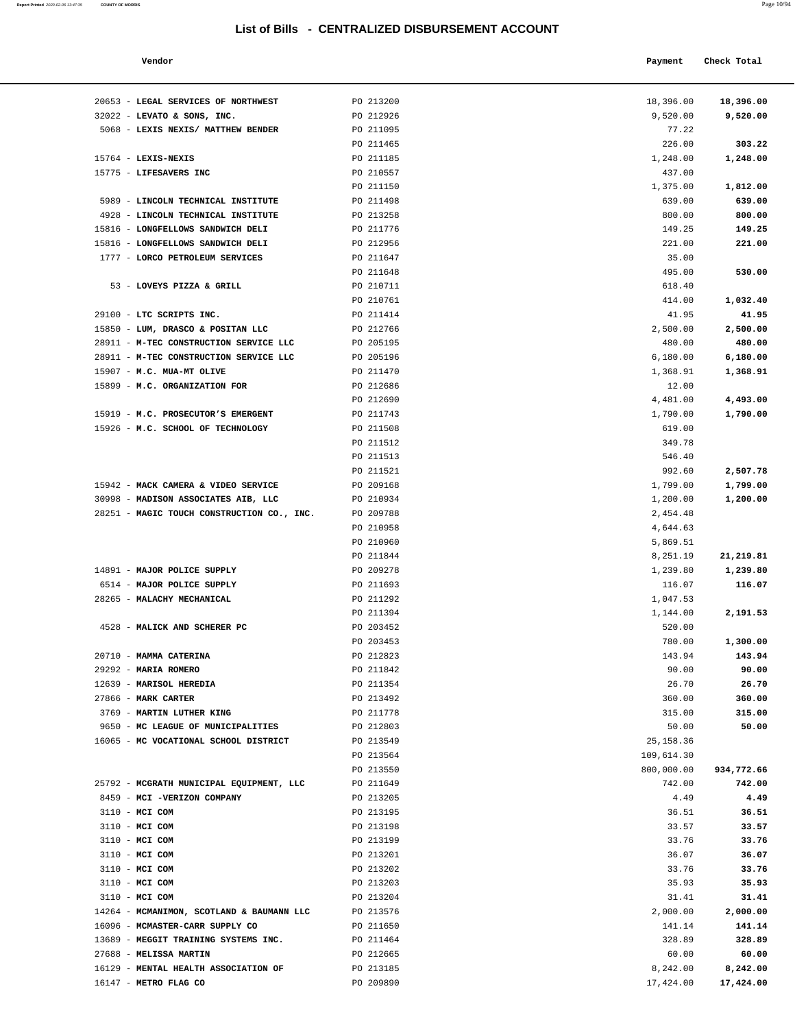| Report Printed 2020-02-06 13:47:35 | <b>COUNTY OF MORRIS</b>                    |                                                  |           | Page 10/94  |
|------------------------------------|--------------------------------------------|--------------------------------------------------|-----------|-------------|
|                                    |                                            | List of Bills - CENTRALIZED DISBURSEMENT ACCOUNT |           |             |
|                                    | Vendor                                     |                                                  | Payment   | Check Total |
|                                    | 20653 - LEGAL SERVICES OF NORTHWEST        | PO 213200                                        | 18,396.00 | 18,396.00   |
|                                    | 32022 - LEVATO & SONS, INC.                | PO 212926                                        | 9,520.00  | 9,520.00    |
|                                    | 5068 - LEXIS NEXIS/ MATTHEW BENDER         | PO 211095                                        | 77.22     |             |
|                                    |                                            | PO 211465                                        | 226.00    | 303.22      |
|                                    | $15764$ - LEXIS-NEXIS                      | PO 211185                                        | 1,248.00  | 1,248.00    |
|                                    | 15775 - LIFESAVERS INC                     | PO 210557                                        | 437.00    |             |
|                                    |                                            | PO 211150                                        | 1,375.00  | 1,812.00    |
|                                    | 5989 - LINCOLN TECHNICAL INSTITUTE         | PO 211498                                        | 639.00    | 639.00      |
|                                    | 4928 - LINCOLN TECHNICAL INSTITUTE         | PO 213258                                        | 800.00    | 800.00      |
|                                    | 15816 - LONGFELLOWS SANDWICH DELI          | PO 211776                                        | 149.25    | 149.25      |
|                                    | 15816 - LONGFELLOWS SANDWICH DELI          | PO 212956                                        | 221.00    | 221.00      |
|                                    | 1777 - LORCO PETROLEUM SERVICES            | PO 211647                                        | 35.00     |             |
|                                    |                                            | PO 211648                                        | 495.00    | 530.00      |
|                                    | 53 - LOVEYS PIZZA & GRILL                  | PO 210711                                        | 618.40    |             |
|                                    |                                            | PO 210761                                        | 414.00    | 1,032.40    |
|                                    | 29100 - LTC SCRIPTS INC.                   | PO 211414                                        | 41.95     | 41.95       |
|                                    | 15850 - LUM, DRASCO & POSITAN LLC          | PO 212766                                        | 2,500.00  | 2,500.00    |
|                                    | 28911 - M-TEC CONSTRUCTION SERVICE LLC     | PO 205195                                        | 480.00    | 480.00      |
|                                    | 28911 - M-TEC CONSTRUCTION SERVICE LLC     | PO 205196                                        | 6,180.00  | 6,180.00    |
|                                    | 15907 - M.C. MUA-MT OLIVE                  | PO 211470                                        | 1,368.91  | 1,368.91    |
|                                    | 15899 - M.C. ORGANIZATION FOR              | PO 212686                                        | 12.00     |             |
|                                    |                                            | PO 212690                                        | 4,481.00  | 4,493.00    |
|                                    | 15919 - M.C. PROSECUTOR'S EMERGENT         | PO 211743                                        | 1,790.00  | 1,790.00    |
|                                    | 15926 - M.C. SCHOOL OF TECHNOLOGY          | PO 211508                                        | 619.00    |             |
|                                    |                                            | PO 211512                                        | 349.78    |             |
|                                    |                                            | PO 211513                                        | 546.40    |             |
|                                    |                                            | PO 211521                                        | 992.60    | 2,507.78    |
|                                    | 15942 - MACK CAMERA & VIDEO SERVICE        | PO 209168                                        | 1,799.00  | 1,799.00    |
|                                    | 30998 - MADISON ASSOCIATES AIB, LLC        | PO 210934                                        | 1,200.00  | 1,200.00    |
|                                    | 28251 - MAGIC TOUCH CONSTRUCTION CO., INC. | PO 209788                                        | 2,454.48  |             |
|                                    |                                            | PO 210958                                        | 4,644.63  |             |
|                                    |                                            | PO 210960                                        | 5,869.51  |             |
|                                    |                                            | PO 211844                                        | 8,251.19  | 21,219.81   |
|                                    | 14891 - MAJOR POLICE SUPPLY                | PO 209278                                        | 1,239.80  | 1,239.80    |
|                                    | 6514 - MAJOR POLICE SUPPLY                 | PO 211693                                        | 116.07    | 116.07      |
|                                    | 28265 - MALACHY MECHANICAL                 | PO 211292                                        | 1,047.53  |             |
|                                    |                                            | PO 211394                                        | 1.144.00  | 2.191.53    |

| 32022 - LEVATO & SONS, INC.                | PO 212926 | 9,520.00   | 9,520.00   |
|--------------------------------------------|-----------|------------|------------|
| 5068 - LEXIS NEXIS/ MATTHEW BENDER         | PO 211095 | 77.22      |            |
|                                            | PO 211465 | 226.00     | 303.22     |
| 15764 - LEXIS-NEXIS                        | PO 211185 | 1,248.00   | 1,248.00   |
| 15775 - LIFESAVERS INC                     | PO 210557 | 437.00     |            |
|                                            | PO 211150 | 1,375.00   | 1,812.00   |
| 5989 - LINCOLN TECHNICAL INSTITUTE         | PO 211498 | 639.00     | 639.00     |
| 4928 - LINCOLN TECHNICAL INSTITUTE         | PO 213258 | 800.00     | 800.00     |
| 15816 - LONGFELLOWS SANDWICH DELI          | PO 211776 | 149.25     | 149.25     |
|                                            |           |            |            |
| 15816 - LONGFELLOWS SANDWICH DELI          | PO 212956 | 221.00     | 221.00     |
| 1777 - LORCO PETROLEUM SERVICES            | PO 211647 | 35.00      |            |
|                                            | PO 211648 | 495.00     | 530.00     |
| 53 - LOVEYS PIZZA & GRILL                  | PO 210711 | 618.40     |            |
|                                            | PO 210761 | 414.00     | 1,032.40   |
| 29100 - LTC SCRIPTS INC.                   | PO 211414 | 41.95      | 41.95      |
| 15850 - LUM, DRASCO & POSITAN LLC          | PO 212766 | 2,500.00   | 2,500.00   |
| 28911 - M-TEC CONSTRUCTION SERVICE LLC     | PO 205195 | 480.00     | 480.00     |
| 28911 - M-TEC CONSTRUCTION SERVICE LLC     | PO 205196 | 6,180.00   | 6,180.00   |
| 15907 - M.C. MUA-MT OLIVE                  | PO 211470 | 1,368.91   | 1,368.91   |
| 15899 - M.C. ORGANIZATION FOR              | PO 212686 | 12.00      |            |
|                                            | PO 212690 | 4,481.00   | 4,493.00   |
| 15919 - M.C. PROSECUTOR'S EMERGENT         | PO 211743 | 1,790.00   | 1,790.00   |
| 15926 - M.C. SCHOOL OF TECHNOLOGY          | PO 211508 | 619.00     |            |
|                                            | PO 211512 | 349.78     |            |
|                                            | PO 211513 |            |            |
|                                            |           | 546.40     |            |
|                                            | PO 211521 | 992.60     | 2,507.78   |
| 15942 - MACK CAMERA & VIDEO SERVICE        | PO 209168 | 1,799.00   | 1,799.00   |
| 30998 - MADISON ASSOCIATES AIB, LLC        | PO 210934 | 1,200.00   | 1,200.00   |
| 28251 - MAGIC TOUCH CONSTRUCTION CO., INC. | PO 209788 | 2,454.48   |            |
|                                            | PO 210958 | 4,644.63   |            |
|                                            | PO 210960 | 5,869.51   |            |
|                                            | PO 211844 | 8,251.19   | 21, 219.81 |
| 14891 - MAJOR POLICE SUPPLY                | PO 209278 | 1,239.80   | 1,239.80   |
| 6514 - MAJOR POLICE SUPPLY                 | PO 211693 | 116.07     | 116.07     |
| 28265 - MALACHY MECHANICAL                 | PO 211292 | 1,047.53   |            |
|                                            | PO 211394 | 1,144.00   | 2,191.53   |
| 4528 - MALICK AND SCHERER PC               | PO 203452 | 520.00     |            |
|                                            | PO 203453 | 780.00     | 1,300.00   |
| 20710 - MAMMA CATERINA                     | PO 212823 | 143.94     | 143.94     |
| 29292 - MARIA ROMERO                       | PO 211842 | 90.00      | 90.00      |
| 12639 - MARISOL HEREDIA                    | PO 211354 | 26.70      | 26.70      |
|                                            |           | 360.00     | 360.00     |
| 27866 - MARK CARTER                        | PO 213492 |            |            |
| 3769 - MARTIN LUTHER KING                  | PO 211778 | 315.00     | 315.00     |
| 9650 - MC LEAGUE OF MUNICIPALITIES         | PO 212803 | 50.00      | 50.00      |
| 16065 - MC VOCATIONAL SCHOOL DISTRICT      | PO 213549 | 25, 158.36 |            |
|                                            | PO 213564 | 109,614.30 |            |
|                                            | PO 213550 | 800,000.00 | 934,772.66 |
| 25792 - MCGRATH MUNICIPAL EQUIPMENT, LLC   | PO 211649 | 742.00     | 742.00     |
| 8459 - MCI -VERIZON COMPANY                | PO 213205 | 4.49       | 4.49       |
| 3110 - MCI COM                             | PO 213195 | 36.51      | 36.51      |
| 3110 - MCI COM                             | PO 213198 | 33.57      | 33.57      |
| 3110 - MCI COM                             | PO 213199 | 33.76      | 33.76      |
| 3110 - MCI COM                             | PO 213201 | 36.07      | 36.07      |
| 3110 - MCI COM                             | PO 213202 | 33.76      | 33.76      |
| 3110 - MCI COM                             | PO 213203 | 35.93      | 35.93      |
| 3110 - MCI COM                             | PO 213204 | 31.41      | 31.41      |
| 14264 - MCMANIMON, SCOTLAND & BAUMANN LLC  | PO 213576 | 2,000.00   | 2,000.00   |
| 16096 - MCMASTER-CARR SUPPLY CO            | PO 211650 | 141.14     | 141.14     |
|                                            |           |            | 328.89     |
| 13689 - MEGGIT TRAINING SYSTEMS INC.       | PO 211464 | 328.89     |            |
| 27688 - MELISSA MARTIN                     | PO 212665 | 60.00      | 60.00      |
| 16129 - MENTAL HEALTH ASSOCIATION OF       | PO 213185 | 8,242.00   | 8,242.00   |
| 16147 - METRO FLAG CO                      | PO 209890 | 17,424.00  | 17,424.00  |
|                                            |           |            |            |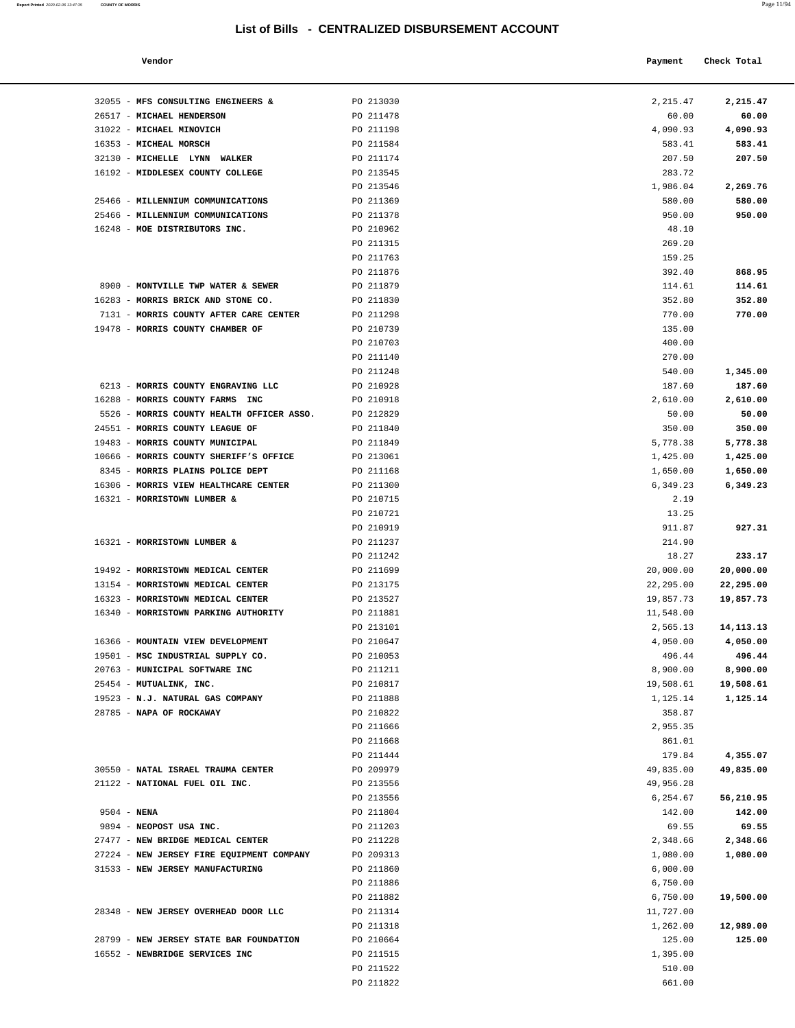#### **Vendor Check Total**

| Report Printed 2020-02-06 13:47:35 COUNTY OF MORRIS |  |  | Page 11/94 |
|-----------------------------------------------------|--|--|------------|
|                                                     |  |  |            |

| 60.00     | 60.00       |
|-----------|-------------|
| 4,090.93  | 4,090.93    |
|           |             |
| 583.41    | 583.41      |
| 207.50    | 207.50      |
| 283.72    |             |
| 1,986.04  | 2,269.76    |
| 580.00    | 580.00      |
| 950.00    | 950.00      |
| 48.10     |             |
| 269.20    |             |
| 159.25    |             |
| 392.40    | 868.95      |
| 114.61    | 114.61      |
| 352.80    | 352.80      |
| 770.00    | 770.00      |
|           |             |
| 135.00    |             |
| 400.00    |             |
| 270.00    |             |
| 540.00    | 1,345.00    |
| 187.60    | 187.60      |
| 2,610.00  | 2,610.00    |
| 50.00     | 50.00       |
| 350.00    | 350.00      |
| 5,778.38  | 5,778.38    |
| 1,425.00  | 1,425.00    |
| 1,650.00  | 1,650.00    |
| 6,349.23  | 6,349.23    |
| 2.19      |             |
| 13.25     |             |
|           |             |
| 911.87    | 927.31      |
| 214.90    |             |
| 18.27     | 233.17      |
| 20,000.00 | 20,000.00   |
| 22,295.00 | 22,295.00   |
| 19,857.73 | 19,857.73   |
| 11,548.00 |             |
| 2,565.13  | 14, 113. 13 |
| 4,050.00  | 4,050.00    |
| 496.44    | 496.44      |
| 8,900.00  | 8,900.00    |
| 19,508.61 | 19,508.61   |
| 1,125.14  | 1,125.14    |
| 358.87    |             |
| 2,955.35  |             |
| 861.01    |             |
| 179.84    | 4,355.07    |
| 49,835.00 | 49,835.00   |
| 49,956.28 |             |
|           |             |
| 6,254.67  | 56,210.95   |
| 142.00    | 142.00      |
| 69.55     | 69.55       |
| 2,348.66  | 2,348.66    |
| 1,080.00  | 1,080.00    |
| 6,000.00  |             |
| 6,750.00  |             |
| 6,750.00  | 19,500.00   |
| 11,727.00 |             |
| 1,262.00  | 12,989.00   |
| 125.00    | 125.00      |
| 1,395.00  |             |
| 510.00    |             |
| 661.00    |             |
|           |             |

| 32055 - MFS CONSULTING ENGINEERS &                                 | PO 213030              | 2,215.47             | 2,215.47            |
|--------------------------------------------------------------------|------------------------|----------------------|---------------------|
| 26517 - MICHAEL HENDERSON                                          | PO 211478              | 60.00                | 60.00               |
| 31022 - MICHAEL MINOVICH                                           | PO 211198              | 4,090.93             | 4,090.93            |
| 16353 - MICHEAL MORSCH                                             | PO 211584              | 583.41               | 583.41              |
| 32130 - MICHELLE LYNN WALKER                                       | PO 211174              | 207.50               | 207.50              |
| 16192 - MIDDLESEX COUNTY COLLEGE                                   | PO 213545              | 283.72               |                     |
|                                                                    | PO 213546              | 1,986.04             | 2,269.76            |
| 25466 - MILLENNIUM COMMUNICATIONS                                  | PO 211369              | 580.00               | 580.00              |
| 25466 - MILLENNIUM COMMUNICATIONS                                  | PO 211378              | 950.00               | 950.00              |
| 16248 - MOE DISTRIBUTORS INC.                                      | PO 210962              | 48.10                |                     |
|                                                                    | PO 211315              | 269.20               |                     |
|                                                                    | PO 211763              | 159.25               |                     |
|                                                                    | PO 211876              | 392.40               | 868.95              |
| 8900 - MONTVILLE TWP WATER & SEWER                                 | PO 211879              | 114.61               | 114.61              |
| 16283 - MORRIS BRICK AND STONE CO.                                 | PO 211830              | 352.80               | 352.80              |
| 7131 - MORRIS COUNTY AFTER CARE CENTER                             | PO 211298              | 770.00               | 770.00              |
| 19478 - MORRIS COUNTY CHAMBER OF                                   | PO 210739              | 135.00               |                     |
|                                                                    | PO 210703              | 400.00               |                     |
|                                                                    | PO 211140              | 270.00               |                     |
|                                                                    | PO 211248              | 540.00               | 1,345.00            |
| 6213 - MORRIS COUNTY ENGRAVING LLC                                 | PO 210928              | 187.60               | 187.60              |
| 16288 - MORRIS COUNTY FARMS INC                                    | PO 210918              | 2,610.00             | 2,610.00            |
| 5526 - MORRIS COUNTY HEALTH OFFICER ASSO.                          | PO 212829              | 50.00                | 50.00               |
| 24551 - MORRIS COUNTY LEAGUE OF<br>19483 - MORRIS COUNTY MUNICIPAL | PO 211840<br>PO 211849 | 350.00               | 350.00<br>5,778.38  |
| 10666 - MORRIS COUNTY SHERIFF'S OFFICE                             | PO 213061              | 5,778.38<br>1,425.00 | 1,425.00            |
| 8345 - MORRIS PLAINS POLICE DEPT                                   | PO 211168              | 1,650.00             | 1,650.00            |
| 16306 - MORRIS VIEW HEALTHCARE CENTER                              | PO 211300              | 6,349.23             | 6,349.23            |
| 16321 - MORRISTOWN LUMBER &                                        | PO 210715              | 2.19                 |                     |
|                                                                    | PO 210721              | 13.25                |                     |
|                                                                    | PO 210919              | 911.87               | 927.31              |
| 16321 - MORRISTOWN LUMBER &                                        | PO 211237              | 214.90               |                     |
|                                                                    | PO 211242              | 18.27                | 233.17              |
| 19492 - MORRISTOWN MEDICAL CENTER                                  | PO 211699              | 20,000.00            | 20,000.00           |
| 13154 - MORRISTOWN MEDICAL CENTER                                  | PO 213175              | 22,295.00            | 22,295.00           |
| 16323 - MORRISTOWN MEDICAL CENTER                                  | PO 213527              | 19,857.73            | 19,857.73           |
| 16340 - MORRISTOWN PARKING AUTHORITY                               | PO 211881              | 11,548.00            |                     |
|                                                                    | PO 213101              | 2,565.13             | 14, 113. 13         |
| 16366 - MOUNTAIN VIEW DEVELOPMENT                                  | PO 210647              | 4,050.00             | 4,050.00            |
| 19501 - MSC INDUSTRIAL SUPPLY CO.                                  | PO 210053              | 496.44               | 496.44              |
| 20763 - MUNICIPAL SOFTWARE INC                                     | PO 211211              | 8,900.00             | 8,900.00            |
| 25454 - MUTUALINK, INC.                                            | PO 210817              | 19,508.61            | 19,508.61           |
| 19523 - N.J. NATURAL GAS COMPANY                                   | PO 211888              | 1,125.14             | 1,125.14            |
| 28785 - NAPA OF ROCKAWAY                                           | PO 210822              | 358.87               |                     |
|                                                                    | PO 211666              | 2,955.35             |                     |
|                                                                    | PO 211668              | 861.01               |                     |
|                                                                    | PO 211444              | 179.84               | 4,355.07            |
| 30550 - NATAL ISRAEL TRAUMA CENTER                                 | PO 209979              | 49,835.00            | 49,835.00           |
| 21122 - NATIONAL FUEL OIL INC.                                     | PO 213556<br>PO 213556 | 49,956.28            |                     |
| $9504 - NENA$                                                      | PO 211804              | 6,254.67<br>142.00   | 56,210.95<br>142.00 |
| 9894 - NEOPOST USA INC.                                            | PO 211203              | 69.55                | 69.55               |
| 27477 - NEW BRIDGE MEDICAL CENTER                                  | PO 211228              | 2,348.66             | 2,348.66            |
| 27224 - NEW JERSEY FIRE EQUIPMENT COMPANY                          | PO 209313              | 1,080.00             | 1,080.00            |
| 31533 - NEW JERSEY MANUFACTURING                                   | PO 211860              | 6,000.00             |                     |
|                                                                    | PO 211886              | 6,750.00             |                     |
|                                                                    | PO 211882              | 6,750.00             | 19,500.00           |
| 28348 - NEW JERSEY OVERHEAD DOOR LLC                               | PO 211314              | 11,727.00            |                     |
|                                                                    | PO 211318              | 1,262.00             | 12,989.00           |
| 28799 - NEW JERSEY STATE BAR FOUNDATION                            | PO 210664              | 125.00               | 125.00              |
| 16552 - NEWBRIDGE SERVICES INC                                     | PO 211515              | 1,395.00             |                     |
|                                                                    | PO 211522              | 510.00               |                     |
|                                                                    |                        |                      |                     |

PO 211822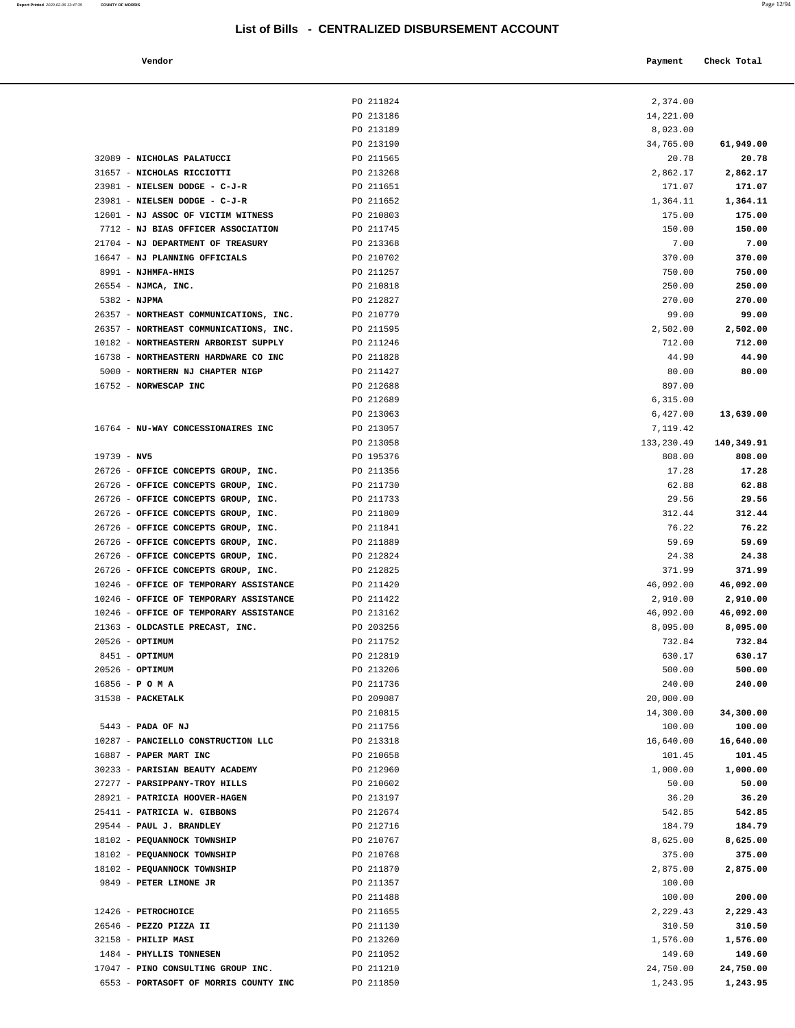| Vendor                                                                    |                        | Payment               | Check Total           |
|---------------------------------------------------------------------------|------------------------|-----------------------|-----------------------|
|                                                                           | PO 211824              | 2,374.00              |                       |
|                                                                           | PO 213186              | 14,221.00             |                       |
|                                                                           | PO 213189              | 8,023.00              |                       |
|                                                                           | PO 213190              | 34,765.00             | 61,949.00             |
| 32089 - NICHOLAS PALATUCCI                                                | PO 211565              | 20.78                 | 20.78                 |
| 31657 - NICHOLAS RICCIOTTI                                                | PO 213268              | 2,862.17              | 2,862.17              |
| 23981 - NIELSEN DODGE - C-J-R                                             | PO 211651              | 171.07                | 171.07                |
| 23981 - NIELSEN DODGE - C-J-R                                             | PO 211652              | 1,364.11              | 1,364.11              |
| 12601 - NJ ASSOC OF VICTIM WITNESS                                        | PO 210803              | 175.00                | 175.00                |
| 7712 - NJ BIAS OFFICER ASSOCIATION                                        | PO 211745              | 150.00                | 150.00                |
| 21704 - NJ DEPARTMENT OF TREASURY                                         | PO 213368              | 7.00                  | 7.00                  |
| 16647 - NJ PLANNING OFFICIALS                                             | PO 210702              | 370.00                | 370.00                |
| 8991 - NJHMFA-HMIS                                                        | PO 211257              | 750.00                | 750.00                |
| 26554 - NJMCA, INC.                                                       | PO 210818              | 250.00                | 250.00                |
| 5382 - NJPMA                                                              | PO 212827              | 270.00                | 270.00                |
| 26357 - NORTHEAST COMMUNICATIONS, INC.                                    | PO 210770              | 99.00                 | 99.00                 |
| 26357 - NORTHEAST COMMUNICATIONS, INC.                                    | PO 211595              | 2,502.00              | 2,502.00              |
| 10182 - NORTHEASTERN ARBORIST SUPPLY                                      | PO 211246              | 712.00                | 712.00                |
| 16738 - NORTHEASTERN HARDWARE CO INC                                      | PO 211828              | 44.90                 | 44.90                 |
| 5000 - NORTHERN NJ CHAPTER NIGP                                           | PO 211427              | 80.00                 | 80.00                 |
| 16752 - NORWESCAP INC                                                     | PO 212688              | 897.00                |                       |
|                                                                           | PO 212689              | 6,315.00              |                       |
|                                                                           | PO 213063              | 6,427.00              | 13,639.00             |
| 16764 - NU-WAY CONCESSIONAIRES INC                                        | PO 213057              | 7,119.42              |                       |
|                                                                           | PO 213058              | 133,230.49            | 140,349.91            |
| $19739 - NV5$                                                             | PO 195376              | 808.00                | 808.00                |
| 26726 - OFFICE CONCEPTS GROUP, INC.                                       | PO 211356              | 17.28                 | 17.28                 |
| 26726 - OFFICE CONCEPTS GROUP, INC.                                       | PO 211730              | 62.88                 | 62.88                 |
| 26726 - OFFICE CONCEPTS GROUP, INC.                                       | PO 211733              | 29.56                 | 29.56                 |
| 26726 - OFFICE CONCEPTS GROUP, INC.                                       | PO 211809              | 312.44                | 312.44                |
| 26726 - OFFICE CONCEPTS GROUP, INC.                                       | PO 211841              | 76.22                 | 76.22                 |
| 26726 - OFFICE CONCEPTS GROUP, INC.                                       | PO 211889              | 59.69                 | 59.69                 |
| 26726 - OFFICE CONCEPTS GROUP, INC.                                       | PO 212824              | 24.38                 | 24.38                 |
| 26726 - OFFICE CONCEPTS GROUP, INC.                                       | PO 212825              | 371.99                | 371.99                |
| 10246 - OFFICE OF TEMPORARY ASSISTANCE                                    | PO 211420              | 46,092.00             | 46,092.00             |
| 10246 - OFFICE OF TEMPORARY ASSISTANCE                                    | PO 211422              | 2,910.00              | 2,910.00              |
| 10246 - OFFICE OF TEMPORARY ASSISTANCE<br>21363 - OLDCASTLE PRECAST, INC. | PO 213162<br>PO 203256 | 46,092.00<br>8,095.00 | 46,092.00<br>8,095.00 |
| 20526 - OPTIMUM                                                           | PO 211752              | 732.84                | 732.84                |
| 8451 - OPTIMUM                                                            | PO 212819              | 630.17                | 630.17                |
| 20526 - OPTIMUM                                                           | PO 213206              | 500.00                | 500.00                |
| $16856 - P$ O M A                                                         | PO 211736              | 240.00                | 240.00                |
| 31538 - PACKETALK                                                         | PO 209087              | 20,000.00             |                       |
|                                                                           | PO 210815              | 14,300.00             | 34,300.00             |
| 5443 - PADA OF NJ                                                         | PO 211756              | 100.00                | 100.00                |
| 10287 - PANCIELLO CONSTRUCTION LLC                                        | PO 213318              | 16,640.00             | 16,640.00             |
| 16887 - PAPER MART INC                                                    | PO 210658              | 101.45                | 101.45                |
| 30233 - PARISIAN BEAUTY ACADEMY                                           | PO 212960              | 1,000.00              | 1,000.00              |
| 27277 - PARSIPPANY-TROY HILLS                                             | PO 210602              | 50.00                 | 50.00                 |
| 28921 - PATRICIA HOOVER-HAGEN                                             | PO 213197              | 36.20                 | 36.20                 |
| 25411 - PATRICIA W. GIBBONS                                               | PO 212674              | 542.85                | 542.85                |
| 29544 - PAUL J. BRANDLEY                                                  | PO 212716              | 184.79                | 184.79                |
| 18102 - PEQUANNOCK TOWNSHIP                                               | PO 210767              | 8,625.00              | 8,625.00              |
| 18102 - PEQUANNOCK TOWNSHIP                                               | PO 210768              | 375.00                | 375.00                |
| 18102 - PEQUANNOCK TOWNSHIP                                               | PO 211870              | 2,875.00              | 2,875.00              |
| 9849 - PETER LIMONE JR                                                    | PO 211357              | 100.00                |                       |
|                                                                           | PO 211488              | 100.00                | 200.00                |
| 12426 - PETROCHOICE                                                       | PO 211655              | 2,229.43              | 2,229.43              |
| 26546 - PEZZO PIZZA II                                                    | PO 211130              | 310.50                | 310.50                |
| 32158 - PHILIP MASI                                                       | PO 213260              | 1,576.00              | 1,576.00              |
| 1484 - PHYLLIS TONNESEN                                                   | PO 211052              | 149.60                | 149.60                |
| 17047 - PINO CONSULTING GROUP INC.                                        | PO 211210              | 24,750.00             | 24,750.00             |
| 6553 - PORTASOFT OF MORRIS COUNTY INC                                     | PO 211850              | 1,243.95              | 1,243.95              |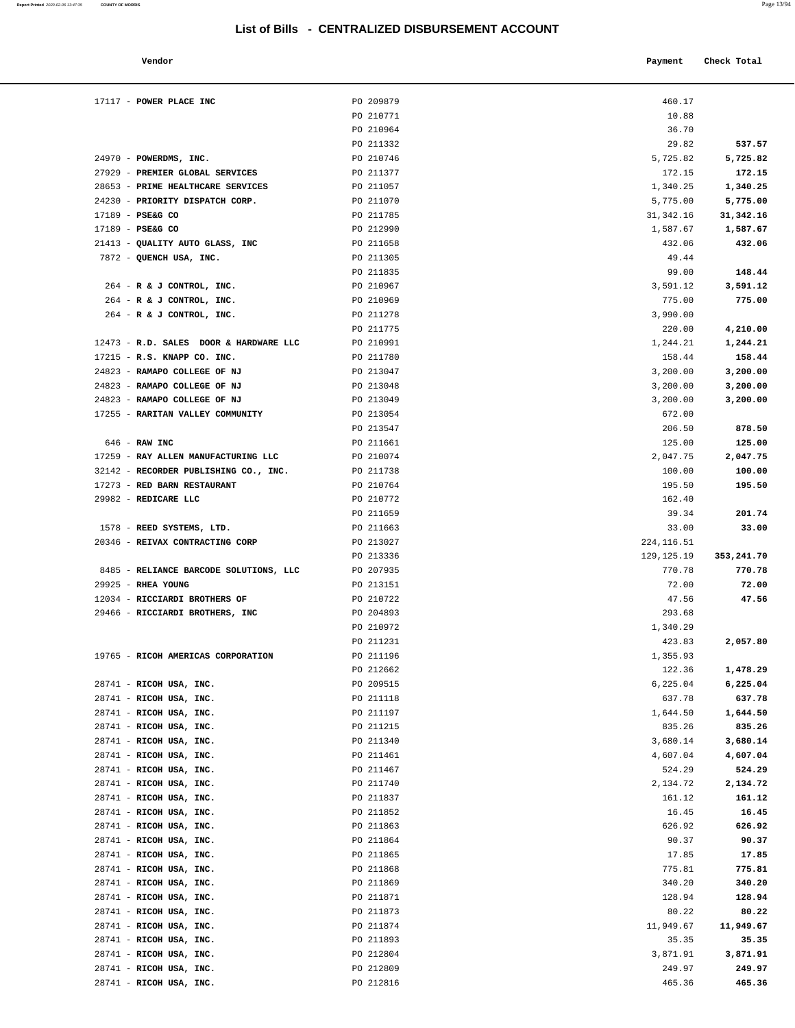| Vendor                                              |                        | Payment            | Check Total        |
|-----------------------------------------------------|------------------------|--------------------|--------------------|
|                                                     |                        |                    |                    |
| 17117 - POWER PLACE INC                             | PO 209879              | 460.17             |                    |
|                                                     | PO 210771              | 10.88              |                    |
|                                                     | PO 210964              | 36.70              |                    |
|                                                     | PO 211332              | 29.82              | 537.57             |
| 24970 - POWERDMS, INC.                              | PO 210746              | 5,725.82           | 5,725.82           |
| 27929 - PREMIER GLOBAL SERVICES                     | PO 211377              | 172.15             | 172.15             |
| 28653 - PRIME HEALTHCARE SERVICES                   | PO 211057              | 1,340.25           | 1,340.25           |
| 24230 - PRIORITY DISPATCH CORP.                     | PO 211070              | 5,775.00           | 5,775.00           |
| 17189 - PSE&G CO                                    | PO 211785              | 31,342.16          | 31, 342.16         |
| 17189 - PSE&G CO<br>21413 - QUALITY AUTO GLASS, INC | PO 212990<br>PO 211658 | 1,587.67<br>432.06 | 1,587.67<br>432.06 |
| 7872 - QUENCH USA, INC.                             | PO 211305              |                    |                    |
|                                                     | PO 211835              | 49.44<br>99.00     | 148.44             |
| 264 - R & J CONTROL, INC.                           | PO 210967              | 3,591.12           | 3,591.12           |
| 264 - R & J CONTROL, INC.                           | PO 210969              | 775.00             | 775.00             |
| 264 - R & J CONTROL, INC.                           | PO 211278              | 3,990.00           |                    |
|                                                     | PO 211775              | 220.00             | 4,210.00           |
| 12473 - R.D. SALES DOOR & HARDWARE LLC              | PO 210991              | 1,244.21           | 1,244.21           |
| 17215 - R.S. KNAPP CO. INC.                         | PO 211780              | 158.44             | 158.44             |
| 24823 - RAMAPO COLLEGE OF NJ                        | PO 213047              | 3,200.00           | 3,200.00           |
| 24823 - RAMAPO COLLEGE OF NJ                        | PO 213048              | 3,200.00           | 3,200.00           |
| 24823 - RAMAPO COLLEGE OF NJ                        | PO 213049              | 3,200.00           | 3,200.00           |
| 17255 - RARITAN VALLEY COMMUNITY                    | PO 213054              | 672.00             |                    |
|                                                     | PO 213547              | 206.50             | 878.50             |
| $646$ - RAW INC                                     | PO 211661              | 125.00             | 125.00             |
| 17259 - RAY ALLEN MANUFACTURING LLC                 | PO 210074              | 2,047.75           | 2,047.75           |
| 32142 - RECORDER PUBLISHING CO., INC.               | PO 211738              | 100.00             | 100.00             |
| 17273 - RED BARN RESTAURANT                         | PO 210764              | 195.50             | 195.50             |
| 29982 - REDICARE LLC                                | PO 210772              | 162.40             |                    |
|                                                     | PO 211659              | 39.34              | 201.74             |
| 1578 - REED SYSTEMS, LTD.                           | PO 211663              | 33.00              | 33.00              |
| 20346 - REIVAX CONTRACTING CORP                     | PO 213027              | 224, 116.51        |                    |
|                                                     | PO 213336              | 129,125.19         | 353,241.70         |
| 8485 - RELIANCE BARCODE SOLUTIONS, LLC              | PO 207935              | 770.78             | 770.78             |
| 29925 - RHEA YOUNG                                  | PO 213151              | 72.00              | 72.00              |
| 12034 - RICCIARDI BROTHERS OF                       | PO 210722              | 47.56              | 47.56              |
| 29466 - RICCIARDI BROTHERS, INC                     | PO 204893              | 293.68             |                    |
|                                                     | PO 210972              | 1,340.29           |                    |
|                                                     | PO 211231              | 423.83             | 2,057.80           |
| 19765 - RICOH AMERICAS CORPORATION                  | PO 211196              | 1,355.93           |                    |
|                                                     | PO 212662              | 122.36             | 1,478.29           |
| 28741 - RICOH USA, INC.                             | PO 209515              | 6,225.04           | 6,225.04           |
| 28741 - RICOH USA, INC.                             | PO 211118              | 637.78             | 637.78             |
| 28741 - RICOH USA, INC.                             | PO 211197              | 1,644.50           | 1,644.50           |
| 28741 - RICOH USA, INC.                             | PO 211215              | 835.26             | 835.26             |
| 28741 - RICOH USA, INC.                             | PO 211340              | 3,680.14           | 3,680.14           |
| 28741 - RICOH USA, INC.                             | PO 211461              | 4,607.04           | 4,607.04           |
| 28741 - RICOH USA, INC.                             | PO 211467              | 524.29             | 524.29             |
| 28741 - RICOH USA, INC.                             | PO 211740              | 2,134.72           | 2,134.72           |
| 28741 - RICOH USA, INC.                             | PO 211837              | 161.12             | 161.12             |
| 28741 - RICOH USA, INC.                             | PO 211852              | 16.45              | 16.45              |
| 28741 - RICOH USA, INC.                             | PO 211863              | 626.92             | 626.92             |
|                                                     |                        |                    |                    |
| 28741 - RICOH USA, INC.<br>28741 - RICOH USA, INC.  | PO 211864<br>PO 211865 | 90.37<br>17.85     | 90.37<br>17.85     |

| 21413 - QUALITY AUTO GLASS, INC                    | PO 211658              | 432.06               | 432.06               |
|----------------------------------------------------|------------------------|----------------------|----------------------|
| 7872 - QUENCH USA, INC.                            | PO 211305              | 49.44                |                      |
|                                                    | PO 211835              | 99.00                | 148.44               |
| 264 - R & J CONTROL, INC.                          | PO 210967              | 3,591.12             | 3,591.12             |
| 264 - R & J CONTROL, INC.                          | PO 210969              | 775.00               | 775.00               |
| 264 - R & J CONTROL, INC.                          | PO 211278              | 3,990.00             |                      |
|                                                    | PO 211775              | 220.00               | 4,210.00             |
| 12473 - R.D. SALES DOOR & HARDWARE LLC             | PO 210991              | 1,244.21             | 1,244.21             |
| 17215 - R.S. KNAPP CO. INC.                        | PO 211780              | 158.44               | 158.44               |
| 24823 - RAMAPO COLLEGE OF NJ                       | PO 213047              | 3,200.00             | 3,200.00             |
| 24823 - RAMAPO COLLEGE OF NJ                       | PO 213048              | 3,200.00             | 3,200.00             |
| 24823 - RAMAPO COLLEGE OF NJ                       | PO 213049              | 3,200.00             | 3,200.00             |
| 17255 - RARITAN VALLEY COMMUNITY                   | PO 213054              | 672.00               |                      |
|                                                    | PO 213547              | 206.50               | 878.50               |
| 646 - RAW INC                                      | PO 211661              | 125.00               | 125.00               |
| 17259 - RAY ALLEN MANUFACTURING LLC                | PO 210074              | 2,047.75             | 2,047.75             |
| 32142 - RECORDER PUBLISHING CO., INC.              | PO 211738              | 100.00               | 100.00               |
| 17273 - RED BARN RESTAURANT                        | PO 210764              | 195.50               | 195.50               |
| 29982 - REDICARE LLC                               | PO 210772              | 162.40               |                      |
|                                                    | PO 211659              | 39.34                | 201.74               |
| 1578 - REED SYSTEMS, LTD.                          | PO 211663              | 33.00                | 33.00                |
| 20346 - REIVAX CONTRACTING CORP                    | PO 213027              | 224, 116.51          |                      |
|                                                    | PO 213336              | 129,125.19           | 353,241.70           |
| 8485 - RELIANCE BARCODE SOLUTIONS, LLC             | PO 207935              | 770.78               | 770.78               |
| 29925 - RHEA YOUNG                                 | PO 213151              | 72.00                | 72.00                |
| 12034 - RICCIARDI BROTHERS OF                      | PO 210722              | 47.56                | 47.56                |
| 29466 - RICCIARDI BROTHERS, INC                    | PO 204893              | 293.68               |                      |
|                                                    | PO 210972              | 1,340.29             |                      |
|                                                    | PO 211231              | 423.83               | 2,057.80             |
| 19765 - RICOH AMERICAS CORPORATION                 | PO 211196              | 1,355.93             |                      |
|                                                    | PO 212662              | 122.36               | 1,478.29             |
| 28741 - RICOH USA, INC.                            | PO 209515              | 6,225.04             | 6,225.04             |
| 28741 - RICOH USA, INC.                            | PO 211118              | 637.78               | 637.78               |
| 28741 - RICOH USA, INC.                            | PO 211197              | 1,644.50             | 1,644.50             |
| 28741 - RICOH USA, INC.                            | PO 211215              | 835.26               | 835.26               |
| 28741 - RICOH USA, INC.                            | PO 211340              |                      |                      |
| 28741 - RICOH USA, INC.                            | PO 211461              | 3,680.14<br>4,607.04 | 3,680.14<br>4,607.04 |
|                                                    |                        |                      |                      |
| 28741 - RICOH USA, INC.<br>28741 - RICOH USA, INC. | PO 211467              | 524.29               | 524.29               |
|                                                    | PO 211740              | 2,134.72<br>161.12   | 2,134.72             |
| 28741 - RICOH USA, INC.<br>28741 - RICOH USA, INC. | PO 211837<br>PO 211852 | 16.45                | 161.12<br>16.45      |
|                                                    |                        |                      |                      |
| 28741 - RICOH USA, INC.                            | PO 211863              | 626.92               | 626.92               |
| 28741 - RICOH USA, INC.                            | PO 211864              | 90.37                | 90.37                |
| 28741 - RICOH USA, INC.                            | PO 211865              | 17.85                | 17.85                |
| 28741 - RICOH USA, INC.                            | PO 211868              | 775.81               | 775.81               |
| 28741 - RICOH USA, INC.                            | PO 211869              | 340.20               | 340.20               |
| 28741 - RICOH USA, INC.                            | PO 211871              | 128.94               | 128.94               |
| 28741 - RICOH USA, INC.                            | PO 211873              | 80.22                | 80.22                |
| 28741 - RICOH USA, INC.                            | PO 211874              | 11,949.67            | 11,949.67            |
| 28741 - RICOH USA, INC.                            | PO 211893              | 35.35                | 35.35                |
| 28741 - RICOH USA, INC.                            | PO 212804              | 3,871.91             | 3,871.91             |
| 28741 - RICOH USA, INC.                            | PO 212809              | 249.97               | 249.97               |
| 28741 - RICOH USA, INC.                            | PO 212816              | 465.36               | 465.36               |
|                                                    |                        |                      |                      |
|                                                    |                        |                      |                      |
|                                                    |                        |                      |                      |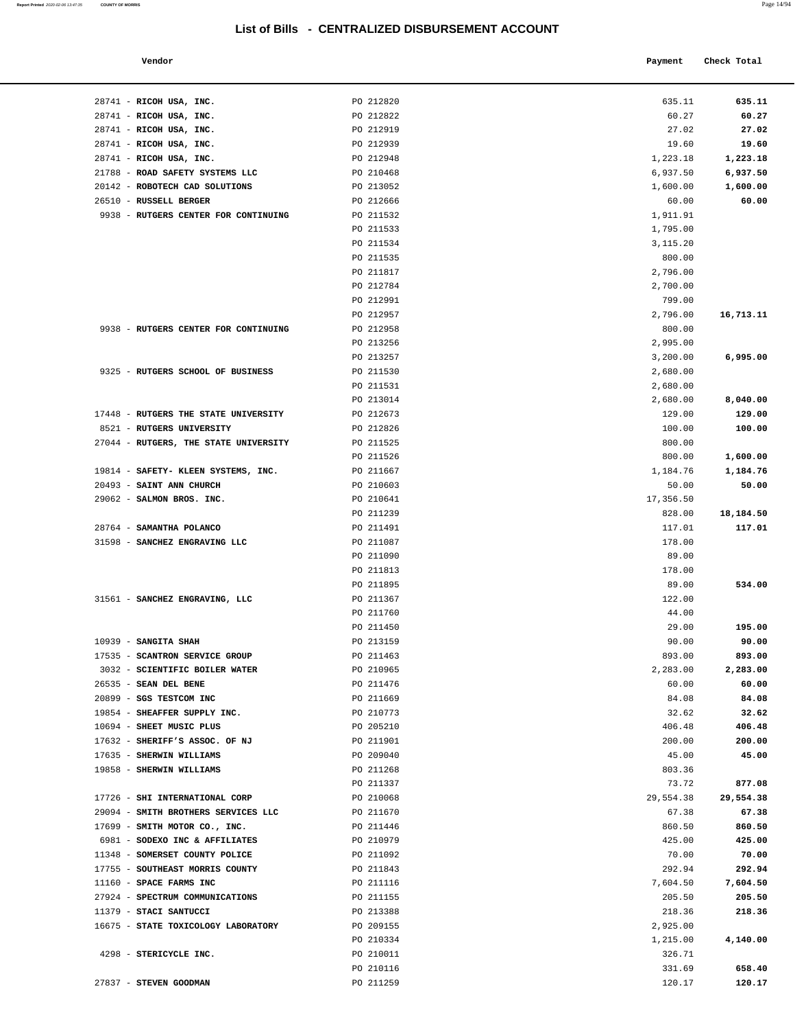| Vendor                                                   |                        | Payment           | Check Total       |
|----------------------------------------------------------|------------------------|-------------------|-------------------|
| 28741 - RICOH USA, INC.                                  | PO 212820              | 635.11            | 635.11            |
| 28741 - RICOH USA, INC.                                  | PO 212822              | 60.27             | 60.27             |
| 28741 - RICOH USA, INC.                                  | PO 212919              | 27.02             | 27.02             |
| 28741 - RICOH USA, INC.                                  | PO 212939              | 19.60             | 19.60             |
| 28741 - RICOH USA, INC.                                  | PO 212948              | 1,223.18          | 1,223.18          |
| 21788 - ROAD SAFETY SYSTEMS LLC                          | PO 210468              | 6,937.50          | 6,937.50          |
| 20142 - ROBOTECH CAD SOLUTIONS<br>26510 - RUSSELL BERGER | PO 213052<br>PO 212666 | 1,600.00<br>60.00 | 1,600.00<br>60.00 |
| 9938 - RUTGERS CENTER FOR CONTINUING                     | PO 211532              | 1,911.91          |                   |
|                                                          | PO 211533              | 1,795.00          |                   |
|                                                          | PO 211534              | 3,115.20          |                   |
|                                                          | PO 211535              | 800.00            |                   |
|                                                          | PO 211817              | 2,796.00          |                   |
|                                                          | PO 212784              | 2,700.00          |                   |
|                                                          | PO 212991              | 799.00            |                   |
|                                                          | PO 212957              | 2,796.00          | 16,713.11         |
| 9938 - RUTGERS CENTER FOR CONTINUING                     | PO 212958              | 800.00            |                   |
|                                                          | PO 213256              | 2,995.00          |                   |
|                                                          | PO 213257              | 3,200.00          | 6,995.00          |
| 9325 - RUTGERS SCHOOL OF BUSINESS                        | PO 211530              | 2,680.00          |                   |
|                                                          | PO 211531              | 2,680.00          |                   |
|                                                          | PO 213014              | 2,680.00          | 8,040.00          |
| 17448 - RUTGERS THE STATE UNIVERSITY                     | PO 212673              | 129.00            | 129.00            |
| 8521 - RUTGERS UNIVERSITY                                | PO 212826              | 100.00            | 100.00            |
| 27044 - RUTGERS, THE STATE UNIVERSITY                    | PO 211525              | 800.00            |                   |
|                                                          | PO 211526              | 800.00            | 1,600.00          |
| 19814 - SAFETY- KLEEN SYSTEMS, INC.                      | PO 211667              | 1,184.76          | 1,184.76          |
| 20493 - SAINT ANN CHURCH                                 | PO 210603              | 50.00             | 50.00             |
| 29062 - SALMON BROS. INC.                                | PO 210641              | 17,356.50         |                   |
|                                                          | PO 211239              | 828.00            | 18,184.50         |
| 28764 - SAMANTHA POLANCO                                 | PO 211491              | 117.01            | 117.01            |
| 31598 - SANCHEZ ENGRAVING LLC                            | PO 211087              | 178.00            |                   |
|                                                          | PO 211090<br>PO 211813 | 89.00<br>178.00   |                   |
|                                                          | PO 211895              | 89.00             | 534.00            |
| 31561 - SANCHEZ ENGRAVING, LLC                           | PO 211367              | 122.00            |                   |
|                                                          | PO 211760              | 44.00             |                   |
|                                                          | PO 211450              | 29.00             | 195.00            |
| 10939 - SANGITA SHAH                                     | PO 213159              | 90.00             | 90.00             |
| 17535 - SCANTRON SERVICE GROUP                           | PO 211463              | 893.00            | 893.00            |
| 3032 - SCIENTIFIC BOILER WATER                           | PO 210965              | 2,283.00          | 2,283.00          |
| 26535 - SEAN DEL BENE                                    | PO 211476              | 60.00             | 60.00             |
| 20899 - SGS TESTCOM INC                                  | PO 211669              | 84.08             | 84.08             |
| 19854 - SHEAFFER SUPPLY INC.                             | PO 210773              | 32.62             | 32.62             |
| 10694 - SHEET MUSIC PLUS                                 | PO 205210              | 406.48            | 406.48            |
| 17632 - SHERIFF'S ASSOC. OF NJ                           | PO 211901              | 200.00            | 200.00            |
| 17635 - SHERWIN WILLIAMS                                 | PO 209040              | 45.00             | 45.00             |
| 19858 - SHERWIN WILLIAMS                                 | PO 211268              | 803.36            |                   |
|                                                          | PO 211337              | 73.72             | 877.08            |
| 17726 - SHI INTERNATIONAL CORP                           | PO 210068              | 29,554.38         | 29,554.38         |
| 29094 - SMITH BROTHERS SERVICES LLC                      | PO 211670              | 67.38             | 67.38             |
| 17699 - SMITH MOTOR CO., INC.                            | PO 211446              | 860.50            | 860.50            |
| 6981 - SODEXO INC & AFFILIATES                           | PO 210979              | 425.00            | 425.00            |
| 11348 - SOMERSET COUNTY POLICE                           | PO 211092              | 70.00             | 70.00             |
| 17755 - SOUTHEAST MORRIS COUNTY                          | PO 211843              | 292.94            | 292.94            |
| $11160 -$ SPACE FARMS INC                                | PO 211116              | 7 604 50          | 7.604.50          |

| 28741 - RICOH USA, INC.               | PO 212820 | 635.11    | 635.11    |
|---------------------------------------|-----------|-----------|-----------|
| 28741 - RICOH USA, INC.               | PO 212822 | 60.27     | 60.27     |
| 28741 - RICOH USA, INC.               | PO 212919 | 27.02     | 27.02     |
| 28741 - RICOH USA, INC.               | PO 212939 | 19.60     | 19.60     |
| 28741 - RICOH USA, INC.               | PO 212948 | 1,223.18  | 1,223.18  |
| 21788 - ROAD SAFETY SYSTEMS LLC       | PO 210468 | 6,937.50  | 6,937.50  |
| 20142 - ROBOTECH CAD SOLUTIONS        | PO 213052 | 1,600.00  | 1,600.00  |
| 26510 - RUSSELL BERGER                | PO 212666 | 60.00     | 60.00     |
| 9938 - RUTGERS CENTER FOR CONTINUING  | PO 211532 | 1,911.91  |           |
|                                       | PO 211533 | 1,795.00  |           |
|                                       | PO 211534 | 3,115.20  |           |
|                                       | PO 211535 | 800.00    |           |
|                                       | PO 211817 | 2,796.00  |           |
|                                       | PO 212784 | 2,700.00  |           |
|                                       | PO 212991 | 799.00    |           |
|                                       | PO 212957 | 2,796.00  | 16,713.11 |
| 9938 - RUTGERS CENTER FOR CONTINUING  | PO 212958 | 800.00    |           |
|                                       | PO 213256 | 2,995.00  |           |
|                                       | PO 213257 | 3,200.00  | 6,995.00  |
| 9325 - RUTGERS SCHOOL OF BUSINESS     | PO 211530 | 2,680.00  |           |
|                                       | PO 211531 | 2,680.00  |           |
|                                       | PO 213014 | 2,680.00  | 8,040.00  |
| 17448 - RUTGERS THE STATE UNIVERSITY  | PO 212673 | 129.00    | 129.00    |
| 8521 - RUTGERS UNIVERSITY             | PO 212826 | 100.00    | 100.00    |
| 27044 - RUTGERS, THE STATE UNIVERSITY | PO 211525 | 800.00    |           |
|                                       | PO 211526 | 800.00    | 1,600.00  |
| 19814 - SAFETY- KLEEN SYSTEMS, INC.   | PO 211667 | 1,184.76  | 1,184.76  |
| 20493 - SAINT ANN CHURCH              | PO 210603 | 50.00     | 50.00     |
| 29062 - SALMON BROS. INC.             | PO 210641 | 17,356.50 |           |
|                                       | PO 211239 | 828.00    | 18,184.50 |
| 28764 - SAMANTHA POLANCO              | PO 211491 | 117.01    | 117.01    |
| 31598 - SANCHEZ ENGRAVING LLC         | PO 211087 | 178.00    |           |
|                                       | PO 211090 | 89.00     |           |
|                                       | PO 211813 | 178.00    |           |
|                                       | PO 211895 | 89.00     | 534.00    |
| 31561 - SANCHEZ ENGRAVING, LLC        | PO 211367 | 122.00    |           |
|                                       | PO 211760 | 44.00     |           |
|                                       | PO 211450 | 29.00     | 195.00    |
| $10939$ - SANGITA SHAH                | PO 213159 | 90.00     | 90.00     |
| 17535 - SCANTRON SERVICE GROUP        | PO 211463 | 893.00    | 893.00    |
| 3032 - SCIENTIFIC BOILER WATER        | PO 210965 | 2,283.00  | 2,283.00  |
| 26535 - SEAN DEL BENE                 | PO 211476 | 60.00     | 60.00     |
| 20899 - SGS TESTCOM INC               | PO 211669 | 84.08     | 84.08     |
| 19854 - SHEAFFER SUPPLY INC.          | PO 210773 | 32.62     | 32.62     |
| 10694 - SHEET MUSIC PLUS              | PO 205210 | 406.48    | 406.48    |
| 17632 - SHERIFF'S ASSOC. OF NJ        | PO 211901 | 200.00    | 200.00    |
| 17635 - SHERWIN WILLIAMS              | PO 209040 | 45.00     | 45.00     |
| 19858 - SHERWIN WILLIAMS              | PO 211268 | 803.36    |           |
|                                       | PO 211337 | 73.72     | 877.08    |
| 17726 - SHI INTERNATIONAL CORP        | PO 210068 | 29,554.38 | 29,554.38 |
| 29094 - SMITH BROTHERS SERVICES LLC   | PO 211670 | 67.38     | 67.38     |
| 17699 - SMITH MOTOR CO., INC.         | PO 211446 | 860.50    | 860.50    |
| 6981 - SODEXO INC & AFFILIATES        | PO 210979 | 425.00    | 425.00    |
| 11348 - SOMERSET COUNTY POLICE        | PO 211092 | 70.00     | 70.00     |
| 17755 - SOUTHEAST MORRIS COUNTY       | PO 211843 | 292.94    | 292.94    |
| 11160 - SPACE FARMS INC               | PO 211116 | 7,604.50  | 7,604.50  |
| 27924 - SPECTRUM COMMUNICATIONS       | PO 211155 | 205.50    | 205.50    |
| 11379 - STACI SANTUCCI                | PO 213388 | 218.36    | 218.36    |
| 16675 - STATE TOXICOLOGY LABORATORY   | PO 209155 | 2,925.00  |           |
|                                       | PO 210334 | 1,215.00  | 4,140.00  |
| 4298 - STERICYCLE INC.                | PO 210011 | 326.71    |           |
|                                       |           |           |           |

27837 - **STEVEN GOODMAN** PO 211259 120.17 **120.17** 

PO 210116 331.69 **658.40**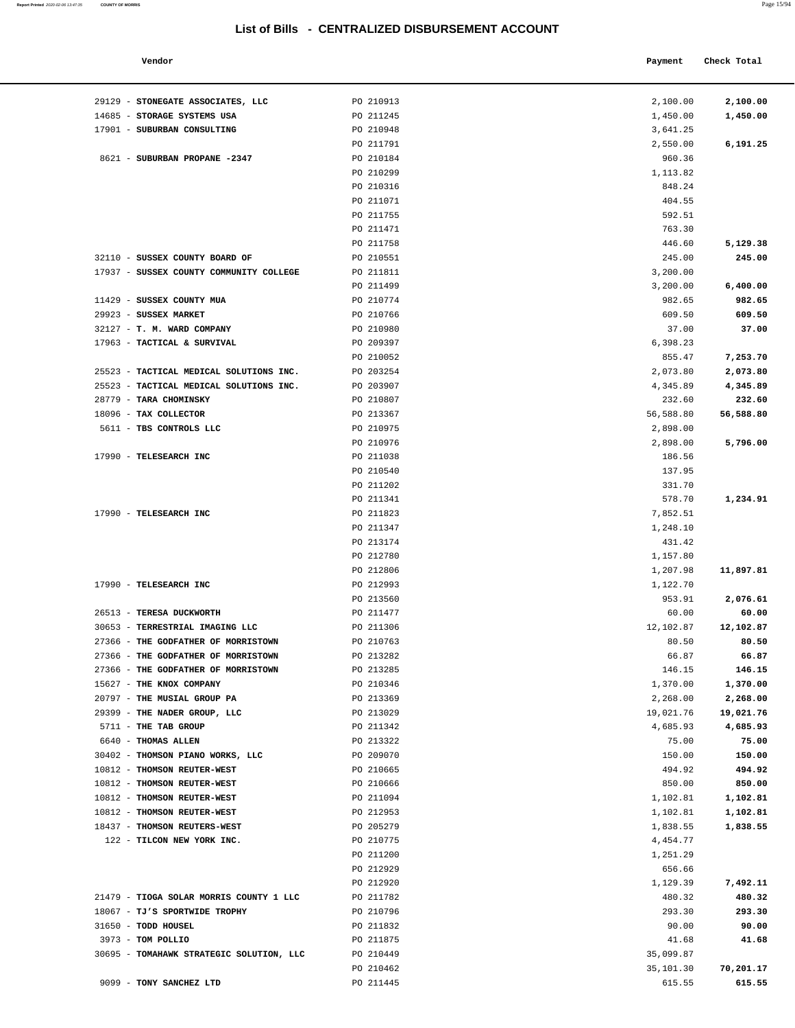| Vendor |  | Payment Check Total |
|--------|--|---------------------|

| 29129 - STONEGATE ASSOCIATES, LLC        | PO 210913              | 2,100.00         | 2,100.00  |
|------------------------------------------|------------------------|------------------|-----------|
| 14685 - STORAGE SYSTEMS USA              | PO 211245              | 1,450.00         | 1,450.00  |
| 17901 - SUBURBAN CONSULTING              | PO 210948              | 3,641.25         |           |
|                                          | PO 211791              | 2,550.00         | 6,191.25  |
| 8621 - SUBURBAN PROPANE -2347            | PO 210184              | 960.36           |           |
|                                          | PO 210299              | 1,113.82         |           |
|                                          | PO 210316              | 848.24           |           |
|                                          | PO 211071              | 404.55           |           |
|                                          | PO 211755              | 592.51           |           |
|                                          | PO 211471              | 763.30           |           |
|                                          | PO 211758              | 446.60           | 5,129.38  |
| 32110 - SUSSEX COUNTY BOARD OF           | PO 210551              | 245.00           | 245.00    |
| 17937 - SUSSEX COUNTY COMMUNITY COLLEGE  | PO 211811              | 3,200.00         |           |
|                                          | PO 211499              | 3,200.00         | 6,400.00  |
| 11429 - SUSSEX COUNTY MUA                | PO 210774              | 982.65           | 982.65    |
| 29923 - SUSSEX MARKET                    | PO 210766              | 609.50           | 609.50    |
| 32127 - T. M. WARD COMPANY               | PO 210980              | 37.00            | 37.00     |
| 17963 - TACTICAL & SURVIVAL              | PO 209397              | 6,398.23         |           |
|                                          | PO 210052              | 855.47           | 7,253.70  |
| 25523 - TACTICAL MEDICAL SOLUTIONS INC.  | PO 203254              | 2,073.80         | 2,073.80  |
| 25523 - TACTICAL MEDICAL SOLUTIONS INC.  | PO 203907              | 4,345.89         | 4,345.89  |
| 28779 - TARA CHOMINSKY                   | PO 210807              | 232.60           | 232.60    |
| 18096 - TAX COLLECTOR                    | PO 213367              | 56,588.80        | 56,588.80 |
| 5611 - TBS CONTROLS LLC                  | PO 210975              | 2,898.00         |           |
|                                          | PO 210976              | 2,898.00         | 5,796.00  |
| 17990 - TELESEARCH INC                   | PO 211038              | 186.56           |           |
|                                          | PO 210540<br>PO 211202 | 137.95           |           |
|                                          | PO 211341              | 331.70<br>578.70 | 1,234.91  |
| 17990 - TELESEARCH INC                   | PO 211823              | 7,852.51         |           |
|                                          | PO 211347              | 1,248.10         |           |
|                                          | PO 213174              | 431.42           |           |
|                                          | PO 212780              | 1,157.80         |           |
|                                          | PO 212806              | 1,207.98         | 11,897.81 |
| 17990 - TELESEARCH INC                   | PO 212993              | 1,122.70         |           |
|                                          | PO 213560              | 953.91           | 2,076.61  |
| 26513 - TERESA DUCKWORTH                 | PO 211477              | 60.00            | 60.00     |
| 30653 - TERRESTRIAL IMAGING LLC          | PO 211306              | 12,102.87        | 12,102.87 |
| 27366 - THE GODFATHER OF MORRISTOWN      | PO 210763              | 80.50            | 80.50     |
| 27366 - THE GODFATHER OF MORRISTOWN      | PO 213282              | 66.87            | 66.87     |
| 27366 - THE GODFATHER OF MORRISTOWN      | PO 213285              | 146.15           | 146.15    |
| 15627 - THE KNOX COMPANY                 | PO 210346              | 1,370.00         | 1,370.00  |
| 20797 - THE MUSIAL GROUP PA              | PO 213369              | 2,268.00         | 2,268.00  |
| 29399 - THE NADER GROUP, LLC             | PO 213029              | 19,021.76        | 19,021.76 |
| 5711 - THE TAB GROUP                     | PO 211342              | 4,685.93         | 4,685.93  |
| 6640 - THOMAS ALLEN                      | PO 213322              | 75.00            | 75.00     |
| 30402 - THOMSON PIANO WORKS, LLC         | PO 209070              | 150.00           | 150.00    |
| 10812 - THOMSON REUTER-WEST              | PO 210665              | 494.92           | 494.92    |
| 10812 - THOMSON REUTER-WEST              | PO 210666              | 850.00           | 850.00    |
| 10812 - THOMSON REUTER-WEST              | PO 211094              | 1,102.81         | 1,102.81  |
| 10812 - THOMSON REUTER-WEST              | PO 212953              | 1,102.81         | 1,102.81  |
| 18437 - THOMSON REUTERS-WEST             | PO 205279              | 1,838.55         | 1,838.55  |
| 122 - TILCON NEW YORK INC.               | PO 210775              | 4,454.77         |           |
|                                          | PO 211200              | 1,251.29         |           |
|                                          | PO 212929              | 656.66           |           |
|                                          | PO 212920              | 1,129.39         | 7,492.11  |
| 21479 - TIOGA SOLAR MORRIS COUNTY 1 LLC  | PO 211782              | 480.32           | 480.32    |
| 18067 - TJ'S SPORTWIDE TROPHY            | PO 210796              | 293.30           | 293.30    |
| 31650 - TODD HOUSEL                      | PO 211832              | 90.00            | 90.00     |
| 3973 - TOM POLLIO                        | PO 211875              | 41.68            | 41.68     |
| 30695 - TOMAHAWK STRATEGIC SOLUTION, LLC | PO 210449              | 35,099.87        |           |
|                                          | PO 210462              | 35,101.30        | 70,201.17 |
| 9099 - TONY SANCHEZ LTD                  | PO 211445              | 615.55           | 615.55    |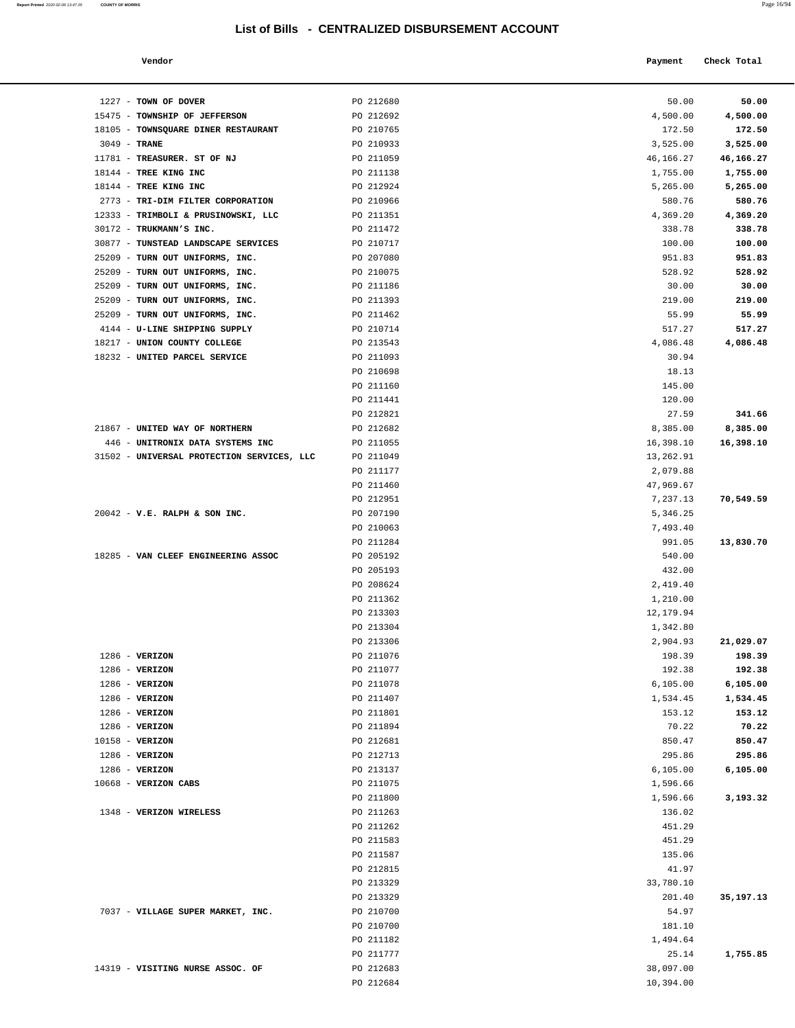| Page 16/94 |
|------------|
|            |

| Vendor                              |           | Payment   | Check Total |
|-------------------------------------|-----------|-----------|-------------|
| $1227$ - TOWN OF DOVER              | PO 212680 | 50.00     | 50.00       |
| 15475 - TOWNSHIP OF JEFFERSON       | PO 212692 | 4,500.00  | 4,500.00    |
| 18105 - TOWNSQUARE DINER RESTAURANT | PO 210765 | 172.50    | 172.50      |
| $3049$ - TRANE                      | PO 210933 | 3,525.00  | 3,525.00    |
| 11781 - TREASURER. ST OF NJ         | PO 211059 | 46,166.27 | 46,166.27   |
| $18144$ - TREE KING INC             | PO 211138 | 1,755.00  | 1,755.00    |
| 18144 - TREE KING INC               | PO 212924 | 5,265.00  | 5,265.00    |
|                                     |           |           |             |

| 50.00<br>1227 - TOWN OF DOVER<br>PO 212680<br>15475 - TOWNSHIP OF JEFFERSON<br>PO 212692<br>4,500.00<br>18105 - TOWNSQUARE DINER RESTAURANT<br>PO 210765<br>172.50<br>3049 - TRANE<br>PO 210933<br>3,525.00<br>11781 - TREASURER. ST OF NJ<br>PO 211059<br>46,166.27<br>18144 - TREE KING INC<br>PO 211138<br>1,755.00<br>18144 - TREE KING INC<br>PO 212924<br>5,265.00<br>2773 - TRI-DIM FILTER CORPORATION<br>PO 210966<br>580.76<br>12333 - TRIMBOLI & PRUSINOWSKI, LLC<br>PO 211351<br>4,369.20<br>30172 - TRUKMANN'S INC.<br>PO 211472<br>338.78<br>30877 - TUNSTEAD LANDSCAPE SERVICES<br>PO 210717<br>100.00<br>25209 - TURN OUT UNIFORMS, INC.<br>PO 207080<br>951.83<br>25209 - TURN OUT UNIFORMS, INC.<br>PO 210075<br>528.92<br>30.00<br>25209 - TURN OUT UNIFORMS, INC.<br>PO 211186<br>25209 - TURN OUT UNIFORMS, INC.<br>PO 211393<br>219.00<br>25209 - TURN OUT UNIFORMS, INC.<br>PO 211462<br>55.99<br>4144 - U-LINE SHIPPING SUPPLY<br>PO 210714<br>517.27<br>18217 - UNION COUNTY COLLEGE<br>PO 213543<br>4,086.48<br>18232 - UNITED PARCEL SERVICE<br>PO 211093<br>30.94<br>PO 210698<br>18.13<br>PO 211160<br>145.00<br>PO 211441<br>120.00<br>27.59<br>PO 212821<br>21867 - UNITED WAY OF NORTHERN<br>PO 212682<br>8,385.00<br>8,385.00<br>446 - UNITRONIX DATA SYSTEMS INC<br>PO 211055<br>16,398.10<br>16,398.10<br>31502 - UNIVERSAL PROTECTION SERVICES, LLC<br>PO 211049<br>13,262.91<br>PO 211177<br>2,079.88<br>PO 211460<br>47,969.67<br>PO 212951<br>7,237.13<br>$20042 - V.E. RALPH & SON INC.$<br>PO 207190<br>5,346.25<br>PO 210063<br>7,493.40<br>PO 211284<br>991.05<br>18285 - VAN CLEEF ENGINEERING ASSOC<br>PO 205192<br>540.00<br>432.00<br>PO 205193<br>PO 208624<br>2,419.40<br>PO 211362<br>1,210.00<br>PO 213303<br>12,179.94<br>PO 213304<br>1,342.80<br>PO 213306<br>2,904.93<br>198.39<br>$1286$ - VERIZON<br>PO 211076<br>$1286$ - VERIZON<br>PO 211077<br>192.38<br>1286 - VERIZON<br>PO 211078<br>6, 105.00<br>$1286 - VERIZON$<br>PO 211407<br>1,534.45<br>$1286 - VERIZON$<br>PO 211801<br>153.12<br>$1286 - VERIZON$<br>PO 211894<br>70.22<br>10158 - VERIZON<br>PO 212681<br>850.47<br>$1286$ - VERIZON<br>PO 212713<br>295.86<br>1286 - VERIZON<br>PO 213137<br>6, 105.00<br>10668 - VERIZON CABS<br>PO 211075<br>1,596.66<br>PO 211800<br>1,596.66<br>1348 - VERIZON WIRELESS<br>PO 211263<br>136.02<br>PO 211262<br>451.29<br>PO 211583<br>451.29<br>135.06<br>PO 211587<br>PO 212815<br>41.97<br>PO 213329<br>33,780.10<br>201.40<br>PO 213329<br>35,197.13<br>54.97<br>7037 - VILLAGE SUPER MARKET, INC.<br>PO 210700<br>PO 210700<br>181.10<br>PO 211182<br>1,494.64<br>PO 211777<br>25.14<br>14319 - VISITING NURSE ASSOC. OF<br>PO 212683<br>38,097.00<br>PO 212684<br>10,394.00 |  |           |
|------------------------------------------------------------------------------------------------------------------------------------------------------------------------------------------------------------------------------------------------------------------------------------------------------------------------------------------------------------------------------------------------------------------------------------------------------------------------------------------------------------------------------------------------------------------------------------------------------------------------------------------------------------------------------------------------------------------------------------------------------------------------------------------------------------------------------------------------------------------------------------------------------------------------------------------------------------------------------------------------------------------------------------------------------------------------------------------------------------------------------------------------------------------------------------------------------------------------------------------------------------------------------------------------------------------------------------------------------------------------------------------------------------------------------------------------------------------------------------------------------------------------------------------------------------------------------------------------------------------------------------------------------------------------------------------------------------------------------------------------------------------------------------------------------------------------------------------------------------------------------------------------------------------------------------------------------------------------------------------------------------------------------------------------------------------------------------------------------------------------------------------------------------------------------------------------------------------------------------------------------------------------------------------------------------------------------------------------------------------------------------------------------------------------------------------------------------------------------------------------------------------------------------------------------------------------------------------------------------------------------------------------------------------------------------------------------------------------------------------------|--|-----------|
|                                                                                                                                                                                                                                                                                                                                                                                                                                                                                                                                                                                                                                                                                                                                                                                                                                                                                                                                                                                                                                                                                                                                                                                                                                                                                                                                                                                                                                                                                                                                                                                                                                                                                                                                                                                                                                                                                                                                                                                                                                                                                                                                                                                                                                                                                                                                                                                                                                                                                                                                                                                                                                                                                                                                                |  | 50.00     |
|                                                                                                                                                                                                                                                                                                                                                                                                                                                                                                                                                                                                                                                                                                                                                                                                                                                                                                                                                                                                                                                                                                                                                                                                                                                                                                                                                                                                                                                                                                                                                                                                                                                                                                                                                                                                                                                                                                                                                                                                                                                                                                                                                                                                                                                                                                                                                                                                                                                                                                                                                                                                                                                                                                                                                |  | 4,500.00  |
|                                                                                                                                                                                                                                                                                                                                                                                                                                                                                                                                                                                                                                                                                                                                                                                                                                                                                                                                                                                                                                                                                                                                                                                                                                                                                                                                                                                                                                                                                                                                                                                                                                                                                                                                                                                                                                                                                                                                                                                                                                                                                                                                                                                                                                                                                                                                                                                                                                                                                                                                                                                                                                                                                                                                                |  | 172.50    |
|                                                                                                                                                                                                                                                                                                                                                                                                                                                                                                                                                                                                                                                                                                                                                                                                                                                                                                                                                                                                                                                                                                                                                                                                                                                                                                                                                                                                                                                                                                                                                                                                                                                                                                                                                                                                                                                                                                                                                                                                                                                                                                                                                                                                                                                                                                                                                                                                                                                                                                                                                                                                                                                                                                                                                |  | 3,525.00  |
|                                                                                                                                                                                                                                                                                                                                                                                                                                                                                                                                                                                                                                                                                                                                                                                                                                                                                                                                                                                                                                                                                                                                                                                                                                                                                                                                                                                                                                                                                                                                                                                                                                                                                                                                                                                                                                                                                                                                                                                                                                                                                                                                                                                                                                                                                                                                                                                                                                                                                                                                                                                                                                                                                                                                                |  | 46,166.27 |
|                                                                                                                                                                                                                                                                                                                                                                                                                                                                                                                                                                                                                                                                                                                                                                                                                                                                                                                                                                                                                                                                                                                                                                                                                                                                                                                                                                                                                                                                                                                                                                                                                                                                                                                                                                                                                                                                                                                                                                                                                                                                                                                                                                                                                                                                                                                                                                                                                                                                                                                                                                                                                                                                                                                                                |  | 1,755.00  |
|                                                                                                                                                                                                                                                                                                                                                                                                                                                                                                                                                                                                                                                                                                                                                                                                                                                                                                                                                                                                                                                                                                                                                                                                                                                                                                                                                                                                                                                                                                                                                                                                                                                                                                                                                                                                                                                                                                                                                                                                                                                                                                                                                                                                                                                                                                                                                                                                                                                                                                                                                                                                                                                                                                                                                |  | 5,265.00  |
|                                                                                                                                                                                                                                                                                                                                                                                                                                                                                                                                                                                                                                                                                                                                                                                                                                                                                                                                                                                                                                                                                                                                                                                                                                                                                                                                                                                                                                                                                                                                                                                                                                                                                                                                                                                                                                                                                                                                                                                                                                                                                                                                                                                                                                                                                                                                                                                                                                                                                                                                                                                                                                                                                                                                                |  | 580.76    |
|                                                                                                                                                                                                                                                                                                                                                                                                                                                                                                                                                                                                                                                                                                                                                                                                                                                                                                                                                                                                                                                                                                                                                                                                                                                                                                                                                                                                                                                                                                                                                                                                                                                                                                                                                                                                                                                                                                                                                                                                                                                                                                                                                                                                                                                                                                                                                                                                                                                                                                                                                                                                                                                                                                                                                |  | 4,369.20  |
|                                                                                                                                                                                                                                                                                                                                                                                                                                                                                                                                                                                                                                                                                                                                                                                                                                                                                                                                                                                                                                                                                                                                                                                                                                                                                                                                                                                                                                                                                                                                                                                                                                                                                                                                                                                                                                                                                                                                                                                                                                                                                                                                                                                                                                                                                                                                                                                                                                                                                                                                                                                                                                                                                                                                                |  | 338.78    |
|                                                                                                                                                                                                                                                                                                                                                                                                                                                                                                                                                                                                                                                                                                                                                                                                                                                                                                                                                                                                                                                                                                                                                                                                                                                                                                                                                                                                                                                                                                                                                                                                                                                                                                                                                                                                                                                                                                                                                                                                                                                                                                                                                                                                                                                                                                                                                                                                                                                                                                                                                                                                                                                                                                                                                |  | 100.00    |
|                                                                                                                                                                                                                                                                                                                                                                                                                                                                                                                                                                                                                                                                                                                                                                                                                                                                                                                                                                                                                                                                                                                                                                                                                                                                                                                                                                                                                                                                                                                                                                                                                                                                                                                                                                                                                                                                                                                                                                                                                                                                                                                                                                                                                                                                                                                                                                                                                                                                                                                                                                                                                                                                                                                                                |  | 951.83    |
|                                                                                                                                                                                                                                                                                                                                                                                                                                                                                                                                                                                                                                                                                                                                                                                                                                                                                                                                                                                                                                                                                                                                                                                                                                                                                                                                                                                                                                                                                                                                                                                                                                                                                                                                                                                                                                                                                                                                                                                                                                                                                                                                                                                                                                                                                                                                                                                                                                                                                                                                                                                                                                                                                                                                                |  | 528.92    |
|                                                                                                                                                                                                                                                                                                                                                                                                                                                                                                                                                                                                                                                                                                                                                                                                                                                                                                                                                                                                                                                                                                                                                                                                                                                                                                                                                                                                                                                                                                                                                                                                                                                                                                                                                                                                                                                                                                                                                                                                                                                                                                                                                                                                                                                                                                                                                                                                                                                                                                                                                                                                                                                                                                                                                |  | 30.00     |
|                                                                                                                                                                                                                                                                                                                                                                                                                                                                                                                                                                                                                                                                                                                                                                                                                                                                                                                                                                                                                                                                                                                                                                                                                                                                                                                                                                                                                                                                                                                                                                                                                                                                                                                                                                                                                                                                                                                                                                                                                                                                                                                                                                                                                                                                                                                                                                                                                                                                                                                                                                                                                                                                                                                                                |  | 219.00    |
|                                                                                                                                                                                                                                                                                                                                                                                                                                                                                                                                                                                                                                                                                                                                                                                                                                                                                                                                                                                                                                                                                                                                                                                                                                                                                                                                                                                                                                                                                                                                                                                                                                                                                                                                                                                                                                                                                                                                                                                                                                                                                                                                                                                                                                                                                                                                                                                                                                                                                                                                                                                                                                                                                                                                                |  | 55.99     |
|                                                                                                                                                                                                                                                                                                                                                                                                                                                                                                                                                                                                                                                                                                                                                                                                                                                                                                                                                                                                                                                                                                                                                                                                                                                                                                                                                                                                                                                                                                                                                                                                                                                                                                                                                                                                                                                                                                                                                                                                                                                                                                                                                                                                                                                                                                                                                                                                                                                                                                                                                                                                                                                                                                                                                |  | 517.27    |
|                                                                                                                                                                                                                                                                                                                                                                                                                                                                                                                                                                                                                                                                                                                                                                                                                                                                                                                                                                                                                                                                                                                                                                                                                                                                                                                                                                                                                                                                                                                                                                                                                                                                                                                                                                                                                                                                                                                                                                                                                                                                                                                                                                                                                                                                                                                                                                                                                                                                                                                                                                                                                                                                                                                                                |  | 4,086.48  |
|                                                                                                                                                                                                                                                                                                                                                                                                                                                                                                                                                                                                                                                                                                                                                                                                                                                                                                                                                                                                                                                                                                                                                                                                                                                                                                                                                                                                                                                                                                                                                                                                                                                                                                                                                                                                                                                                                                                                                                                                                                                                                                                                                                                                                                                                                                                                                                                                                                                                                                                                                                                                                                                                                                                                                |  |           |
|                                                                                                                                                                                                                                                                                                                                                                                                                                                                                                                                                                                                                                                                                                                                                                                                                                                                                                                                                                                                                                                                                                                                                                                                                                                                                                                                                                                                                                                                                                                                                                                                                                                                                                                                                                                                                                                                                                                                                                                                                                                                                                                                                                                                                                                                                                                                                                                                                                                                                                                                                                                                                                                                                                                                                |  |           |
|                                                                                                                                                                                                                                                                                                                                                                                                                                                                                                                                                                                                                                                                                                                                                                                                                                                                                                                                                                                                                                                                                                                                                                                                                                                                                                                                                                                                                                                                                                                                                                                                                                                                                                                                                                                                                                                                                                                                                                                                                                                                                                                                                                                                                                                                                                                                                                                                                                                                                                                                                                                                                                                                                                                                                |  |           |
|                                                                                                                                                                                                                                                                                                                                                                                                                                                                                                                                                                                                                                                                                                                                                                                                                                                                                                                                                                                                                                                                                                                                                                                                                                                                                                                                                                                                                                                                                                                                                                                                                                                                                                                                                                                                                                                                                                                                                                                                                                                                                                                                                                                                                                                                                                                                                                                                                                                                                                                                                                                                                                                                                                                                                |  |           |
|                                                                                                                                                                                                                                                                                                                                                                                                                                                                                                                                                                                                                                                                                                                                                                                                                                                                                                                                                                                                                                                                                                                                                                                                                                                                                                                                                                                                                                                                                                                                                                                                                                                                                                                                                                                                                                                                                                                                                                                                                                                                                                                                                                                                                                                                                                                                                                                                                                                                                                                                                                                                                                                                                                                                                |  | 341.66    |
|                                                                                                                                                                                                                                                                                                                                                                                                                                                                                                                                                                                                                                                                                                                                                                                                                                                                                                                                                                                                                                                                                                                                                                                                                                                                                                                                                                                                                                                                                                                                                                                                                                                                                                                                                                                                                                                                                                                                                                                                                                                                                                                                                                                                                                                                                                                                                                                                                                                                                                                                                                                                                                                                                                                                                |  |           |
|                                                                                                                                                                                                                                                                                                                                                                                                                                                                                                                                                                                                                                                                                                                                                                                                                                                                                                                                                                                                                                                                                                                                                                                                                                                                                                                                                                                                                                                                                                                                                                                                                                                                                                                                                                                                                                                                                                                                                                                                                                                                                                                                                                                                                                                                                                                                                                                                                                                                                                                                                                                                                                                                                                                                                |  |           |
|                                                                                                                                                                                                                                                                                                                                                                                                                                                                                                                                                                                                                                                                                                                                                                                                                                                                                                                                                                                                                                                                                                                                                                                                                                                                                                                                                                                                                                                                                                                                                                                                                                                                                                                                                                                                                                                                                                                                                                                                                                                                                                                                                                                                                                                                                                                                                                                                                                                                                                                                                                                                                                                                                                                                                |  |           |
|                                                                                                                                                                                                                                                                                                                                                                                                                                                                                                                                                                                                                                                                                                                                                                                                                                                                                                                                                                                                                                                                                                                                                                                                                                                                                                                                                                                                                                                                                                                                                                                                                                                                                                                                                                                                                                                                                                                                                                                                                                                                                                                                                                                                                                                                                                                                                                                                                                                                                                                                                                                                                                                                                                                                                |  |           |
|                                                                                                                                                                                                                                                                                                                                                                                                                                                                                                                                                                                                                                                                                                                                                                                                                                                                                                                                                                                                                                                                                                                                                                                                                                                                                                                                                                                                                                                                                                                                                                                                                                                                                                                                                                                                                                                                                                                                                                                                                                                                                                                                                                                                                                                                                                                                                                                                                                                                                                                                                                                                                                                                                                                                                |  |           |
|                                                                                                                                                                                                                                                                                                                                                                                                                                                                                                                                                                                                                                                                                                                                                                                                                                                                                                                                                                                                                                                                                                                                                                                                                                                                                                                                                                                                                                                                                                                                                                                                                                                                                                                                                                                                                                                                                                                                                                                                                                                                                                                                                                                                                                                                                                                                                                                                                                                                                                                                                                                                                                                                                                                                                |  |           |
|                                                                                                                                                                                                                                                                                                                                                                                                                                                                                                                                                                                                                                                                                                                                                                                                                                                                                                                                                                                                                                                                                                                                                                                                                                                                                                                                                                                                                                                                                                                                                                                                                                                                                                                                                                                                                                                                                                                                                                                                                                                                                                                                                                                                                                                                                                                                                                                                                                                                                                                                                                                                                                                                                                                                                |  | 70,549.59 |
|                                                                                                                                                                                                                                                                                                                                                                                                                                                                                                                                                                                                                                                                                                                                                                                                                                                                                                                                                                                                                                                                                                                                                                                                                                                                                                                                                                                                                                                                                                                                                                                                                                                                                                                                                                                                                                                                                                                                                                                                                                                                                                                                                                                                                                                                                                                                                                                                                                                                                                                                                                                                                                                                                                                                                |  |           |
|                                                                                                                                                                                                                                                                                                                                                                                                                                                                                                                                                                                                                                                                                                                                                                                                                                                                                                                                                                                                                                                                                                                                                                                                                                                                                                                                                                                                                                                                                                                                                                                                                                                                                                                                                                                                                                                                                                                                                                                                                                                                                                                                                                                                                                                                                                                                                                                                                                                                                                                                                                                                                                                                                                                                                |  |           |
|                                                                                                                                                                                                                                                                                                                                                                                                                                                                                                                                                                                                                                                                                                                                                                                                                                                                                                                                                                                                                                                                                                                                                                                                                                                                                                                                                                                                                                                                                                                                                                                                                                                                                                                                                                                                                                                                                                                                                                                                                                                                                                                                                                                                                                                                                                                                                                                                                                                                                                                                                                                                                                                                                                                                                |  | 13,830.70 |
|                                                                                                                                                                                                                                                                                                                                                                                                                                                                                                                                                                                                                                                                                                                                                                                                                                                                                                                                                                                                                                                                                                                                                                                                                                                                                                                                                                                                                                                                                                                                                                                                                                                                                                                                                                                                                                                                                                                                                                                                                                                                                                                                                                                                                                                                                                                                                                                                                                                                                                                                                                                                                                                                                                                                                |  |           |
|                                                                                                                                                                                                                                                                                                                                                                                                                                                                                                                                                                                                                                                                                                                                                                                                                                                                                                                                                                                                                                                                                                                                                                                                                                                                                                                                                                                                                                                                                                                                                                                                                                                                                                                                                                                                                                                                                                                                                                                                                                                                                                                                                                                                                                                                                                                                                                                                                                                                                                                                                                                                                                                                                                                                                |  |           |
|                                                                                                                                                                                                                                                                                                                                                                                                                                                                                                                                                                                                                                                                                                                                                                                                                                                                                                                                                                                                                                                                                                                                                                                                                                                                                                                                                                                                                                                                                                                                                                                                                                                                                                                                                                                                                                                                                                                                                                                                                                                                                                                                                                                                                                                                                                                                                                                                                                                                                                                                                                                                                                                                                                                                                |  |           |
|                                                                                                                                                                                                                                                                                                                                                                                                                                                                                                                                                                                                                                                                                                                                                                                                                                                                                                                                                                                                                                                                                                                                                                                                                                                                                                                                                                                                                                                                                                                                                                                                                                                                                                                                                                                                                                                                                                                                                                                                                                                                                                                                                                                                                                                                                                                                                                                                                                                                                                                                                                                                                                                                                                                                                |  |           |
|                                                                                                                                                                                                                                                                                                                                                                                                                                                                                                                                                                                                                                                                                                                                                                                                                                                                                                                                                                                                                                                                                                                                                                                                                                                                                                                                                                                                                                                                                                                                                                                                                                                                                                                                                                                                                                                                                                                                                                                                                                                                                                                                                                                                                                                                                                                                                                                                                                                                                                                                                                                                                                                                                                                                                |  |           |
|                                                                                                                                                                                                                                                                                                                                                                                                                                                                                                                                                                                                                                                                                                                                                                                                                                                                                                                                                                                                                                                                                                                                                                                                                                                                                                                                                                                                                                                                                                                                                                                                                                                                                                                                                                                                                                                                                                                                                                                                                                                                                                                                                                                                                                                                                                                                                                                                                                                                                                                                                                                                                                                                                                                                                |  |           |
|                                                                                                                                                                                                                                                                                                                                                                                                                                                                                                                                                                                                                                                                                                                                                                                                                                                                                                                                                                                                                                                                                                                                                                                                                                                                                                                                                                                                                                                                                                                                                                                                                                                                                                                                                                                                                                                                                                                                                                                                                                                                                                                                                                                                                                                                                                                                                                                                                                                                                                                                                                                                                                                                                                                                                |  | 21,029.07 |
|                                                                                                                                                                                                                                                                                                                                                                                                                                                                                                                                                                                                                                                                                                                                                                                                                                                                                                                                                                                                                                                                                                                                                                                                                                                                                                                                                                                                                                                                                                                                                                                                                                                                                                                                                                                                                                                                                                                                                                                                                                                                                                                                                                                                                                                                                                                                                                                                                                                                                                                                                                                                                                                                                                                                                |  | 198.39    |
|                                                                                                                                                                                                                                                                                                                                                                                                                                                                                                                                                                                                                                                                                                                                                                                                                                                                                                                                                                                                                                                                                                                                                                                                                                                                                                                                                                                                                                                                                                                                                                                                                                                                                                                                                                                                                                                                                                                                                                                                                                                                                                                                                                                                                                                                                                                                                                                                                                                                                                                                                                                                                                                                                                                                                |  | 192.38    |
|                                                                                                                                                                                                                                                                                                                                                                                                                                                                                                                                                                                                                                                                                                                                                                                                                                                                                                                                                                                                                                                                                                                                                                                                                                                                                                                                                                                                                                                                                                                                                                                                                                                                                                                                                                                                                                                                                                                                                                                                                                                                                                                                                                                                                                                                                                                                                                                                                                                                                                                                                                                                                                                                                                                                                |  | 6,105.00  |
|                                                                                                                                                                                                                                                                                                                                                                                                                                                                                                                                                                                                                                                                                                                                                                                                                                                                                                                                                                                                                                                                                                                                                                                                                                                                                                                                                                                                                                                                                                                                                                                                                                                                                                                                                                                                                                                                                                                                                                                                                                                                                                                                                                                                                                                                                                                                                                                                                                                                                                                                                                                                                                                                                                                                                |  | 1,534.45  |
|                                                                                                                                                                                                                                                                                                                                                                                                                                                                                                                                                                                                                                                                                                                                                                                                                                                                                                                                                                                                                                                                                                                                                                                                                                                                                                                                                                                                                                                                                                                                                                                                                                                                                                                                                                                                                                                                                                                                                                                                                                                                                                                                                                                                                                                                                                                                                                                                                                                                                                                                                                                                                                                                                                                                                |  | 153.12    |
|                                                                                                                                                                                                                                                                                                                                                                                                                                                                                                                                                                                                                                                                                                                                                                                                                                                                                                                                                                                                                                                                                                                                                                                                                                                                                                                                                                                                                                                                                                                                                                                                                                                                                                                                                                                                                                                                                                                                                                                                                                                                                                                                                                                                                                                                                                                                                                                                                                                                                                                                                                                                                                                                                                                                                |  | 70.22     |
|                                                                                                                                                                                                                                                                                                                                                                                                                                                                                                                                                                                                                                                                                                                                                                                                                                                                                                                                                                                                                                                                                                                                                                                                                                                                                                                                                                                                                                                                                                                                                                                                                                                                                                                                                                                                                                                                                                                                                                                                                                                                                                                                                                                                                                                                                                                                                                                                                                                                                                                                                                                                                                                                                                                                                |  | 850.47    |
|                                                                                                                                                                                                                                                                                                                                                                                                                                                                                                                                                                                                                                                                                                                                                                                                                                                                                                                                                                                                                                                                                                                                                                                                                                                                                                                                                                                                                                                                                                                                                                                                                                                                                                                                                                                                                                                                                                                                                                                                                                                                                                                                                                                                                                                                                                                                                                                                                                                                                                                                                                                                                                                                                                                                                |  | 295.86    |
|                                                                                                                                                                                                                                                                                                                                                                                                                                                                                                                                                                                                                                                                                                                                                                                                                                                                                                                                                                                                                                                                                                                                                                                                                                                                                                                                                                                                                                                                                                                                                                                                                                                                                                                                                                                                                                                                                                                                                                                                                                                                                                                                                                                                                                                                                                                                                                                                                                                                                                                                                                                                                                                                                                                                                |  | 6,105.00  |
|                                                                                                                                                                                                                                                                                                                                                                                                                                                                                                                                                                                                                                                                                                                                                                                                                                                                                                                                                                                                                                                                                                                                                                                                                                                                                                                                                                                                                                                                                                                                                                                                                                                                                                                                                                                                                                                                                                                                                                                                                                                                                                                                                                                                                                                                                                                                                                                                                                                                                                                                                                                                                                                                                                                                                |  |           |
|                                                                                                                                                                                                                                                                                                                                                                                                                                                                                                                                                                                                                                                                                                                                                                                                                                                                                                                                                                                                                                                                                                                                                                                                                                                                                                                                                                                                                                                                                                                                                                                                                                                                                                                                                                                                                                                                                                                                                                                                                                                                                                                                                                                                                                                                                                                                                                                                                                                                                                                                                                                                                                                                                                                                                |  | 3,193.32  |
|                                                                                                                                                                                                                                                                                                                                                                                                                                                                                                                                                                                                                                                                                                                                                                                                                                                                                                                                                                                                                                                                                                                                                                                                                                                                                                                                                                                                                                                                                                                                                                                                                                                                                                                                                                                                                                                                                                                                                                                                                                                                                                                                                                                                                                                                                                                                                                                                                                                                                                                                                                                                                                                                                                                                                |  |           |
|                                                                                                                                                                                                                                                                                                                                                                                                                                                                                                                                                                                                                                                                                                                                                                                                                                                                                                                                                                                                                                                                                                                                                                                                                                                                                                                                                                                                                                                                                                                                                                                                                                                                                                                                                                                                                                                                                                                                                                                                                                                                                                                                                                                                                                                                                                                                                                                                                                                                                                                                                                                                                                                                                                                                                |  |           |
|                                                                                                                                                                                                                                                                                                                                                                                                                                                                                                                                                                                                                                                                                                                                                                                                                                                                                                                                                                                                                                                                                                                                                                                                                                                                                                                                                                                                                                                                                                                                                                                                                                                                                                                                                                                                                                                                                                                                                                                                                                                                                                                                                                                                                                                                                                                                                                                                                                                                                                                                                                                                                                                                                                                                                |  |           |
|                                                                                                                                                                                                                                                                                                                                                                                                                                                                                                                                                                                                                                                                                                                                                                                                                                                                                                                                                                                                                                                                                                                                                                                                                                                                                                                                                                                                                                                                                                                                                                                                                                                                                                                                                                                                                                                                                                                                                                                                                                                                                                                                                                                                                                                                                                                                                                                                                                                                                                                                                                                                                                                                                                                                                |  |           |
|                                                                                                                                                                                                                                                                                                                                                                                                                                                                                                                                                                                                                                                                                                                                                                                                                                                                                                                                                                                                                                                                                                                                                                                                                                                                                                                                                                                                                                                                                                                                                                                                                                                                                                                                                                                                                                                                                                                                                                                                                                                                                                                                                                                                                                                                                                                                                                                                                                                                                                                                                                                                                                                                                                                                                |  |           |
|                                                                                                                                                                                                                                                                                                                                                                                                                                                                                                                                                                                                                                                                                                                                                                                                                                                                                                                                                                                                                                                                                                                                                                                                                                                                                                                                                                                                                                                                                                                                                                                                                                                                                                                                                                                                                                                                                                                                                                                                                                                                                                                                                                                                                                                                                                                                                                                                                                                                                                                                                                                                                                                                                                                                                |  |           |
|                                                                                                                                                                                                                                                                                                                                                                                                                                                                                                                                                                                                                                                                                                                                                                                                                                                                                                                                                                                                                                                                                                                                                                                                                                                                                                                                                                                                                                                                                                                                                                                                                                                                                                                                                                                                                                                                                                                                                                                                                                                                                                                                                                                                                                                                                                                                                                                                                                                                                                                                                                                                                                                                                                                                                |  |           |
|                                                                                                                                                                                                                                                                                                                                                                                                                                                                                                                                                                                                                                                                                                                                                                                                                                                                                                                                                                                                                                                                                                                                                                                                                                                                                                                                                                                                                                                                                                                                                                                                                                                                                                                                                                                                                                                                                                                                                                                                                                                                                                                                                                                                                                                                                                                                                                                                                                                                                                                                                                                                                                                                                                                                                |  |           |
|                                                                                                                                                                                                                                                                                                                                                                                                                                                                                                                                                                                                                                                                                                                                                                                                                                                                                                                                                                                                                                                                                                                                                                                                                                                                                                                                                                                                                                                                                                                                                                                                                                                                                                                                                                                                                                                                                                                                                                                                                                                                                                                                                                                                                                                                                                                                                                                                                                                                                                                                                                                                                                                                                                                                                |  |           |
|                                                                                                                                                                                                                                                                                                                                                                                                                                                                                                                                                                                                                                                                                                                                                                                                                                                                                                                                                                                                                                                                                                                                                                                                                                                                                                                                                                                                                                                                                                                                                                                                                                                                                                                                                                                                                                                                                                                                                                                                                                                                                                                                                                                                                                                                                                                                                                                                                                                                                                                                                                                                                                                                                                                                                |  |           |
|                                                                                                                                                                                                                                                                                                                                                                                                                                                                                                                                                                                                                                                                                                                                                                                                                                                                                                                                                                                                                                                                                                                                                                                                                                                                                                                                                                                                                                                                                                                                                                                                                                                                                                                                                                                                                                                                                                                                                                                                                                                                                                                                                                                                                                                                                                                                                                                                                                                                                                                                                                                                                                                                                                                                                |  |           |
|                                                                                                                                                                                                                                                                                                                                                                                                                                                                                                                                                                                                                                                                                                                                                                                                                                                                                                                                                                                                                                                                                                                                                                                                                                                                                                                                                                                                                                                                                                                                                                                                                                                                                                                                                                                                                                                                                                                                                                                                                                                                                                                                                                                                                                                                                                                                                                                                                                                                                                                                                                                                                                                                                                                                                |  | 1,755.85  |
|                                                                                                                                                                                                                                                                                                                                                                                                                                                                                                                                                                                                                                                                                                                                                                                                                                                                                                                                                                                                                                                                                                                                                                                                                                                                                                                                                                                                                                                                                                                                                                                                                                                                                                                                                                                                                                                                                                                                                                                                                                                                                                                                                                                                                                                                                                                                                                                                                                                                                                                                                                                                                                                                                                                                                |  |           |
|                                                                                                                                                                                                                                                                                                                                                                                                                                                                                                                                                                                                                                                                                                                                                                                                                                                                                                                                                                                                                                                                                                                                                                                                                                                                                                                                                                                                                                                                                                                                                                                                                                                                                                                                                                                                                                                                                                                                                                                                                                                                                                                                                                                                                                                                                                                                                                                                                                                                                                                                                                                                                                                                                                                                                |  |           |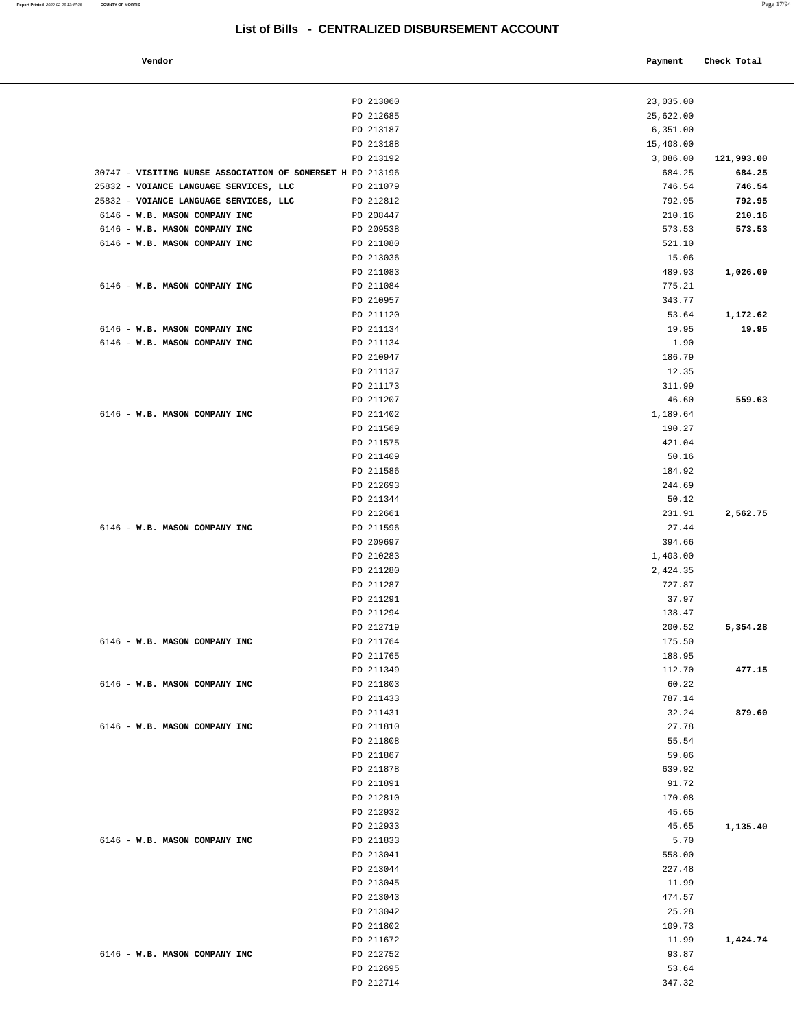Payment Check Total

# **List of Bills - CENTRALIZED DISBURSEMENT ACCOUNT**

| - | c |  |
|---|---|--|
|   |   |  |

|                                                                | PO 213060              | 23,035.00       |            |
|----------------------------------------------------------------|------------------------|-----------------|------------|
|                                                                | PO 212685              | 25,622.00       |            |
|                                                                | PO 213187              | 6,351.00        |            |
|                                                                | PO 213188              | 15,408.00       |            |
|                                                                | PO 213192              | 3,086.00        | 121,993.00 |
| 30747 - VISITING NURSE ASSOCIATION OF SOMERSET H PO 213196     |                        | 684.25          | 684.25     |
| 25832 - VOIANCE LANGUAGE SERVICES, LLC                         | PO 211079              | 746.54          | 746.54     |
| 25832 - VOIANCE LANGUAGE SERVICES, LLC                         | PO 212812              | 792.95          | 792.95     |
| 6146 - W.B. MASON COMPANY INC                                  | PO 208447              | 210.16          | 210.16     |
| 6146 - W.B. MASON COMPANY INC<br>6146 - W.B. MASON COMPANY INC | PO 209538              | 573.53          | 573.53     |
|                                                                | PO 211080              | 521.10          |            |
|                                                                | PO 213036<br>PO 211083 | 15.06<br>489.93 | 1,026.09   |
| 6146 - W.B. MASON COMPANY INC                                  | PO 211084              | 775.21          |            |
|                                                                | PO 210957              | 343.77          |            |
|                                                                | PO 211120              | 53.64           | 1,172.62   |
| 6146 - W.B. MASON COMPANY INC                                  | PO 211134              | 19.95           | 19.95      |
| 6146 - W.B. MASON COMPANY INC                                  | PO 211134              | 1.90            |            |
|                                                                | PO 210947              | 186.79          |            |
|                                                                | PO 211137              | 12.35           |            |
|                                                                | PO 211173              | 311.99          |            |
|                                                                | PO 211207              | 46.60           | 559.63     |
| 6146 - W.B. MASON COMPANY INC                                  | PO 211402              | 1,189.64        |            |
|                                                                | PO 211569              | 190.27          |            |
|                                                                | PO 211575              | 421.04          |            |
|                                                                | PO 211409              | 50.16           |            |
|                                                                | PO 211586              | 184.92          |            |
|                                                                | PO 212693              | 244.69          |            |
|                                                                | PO 211344<br>PO 212661 | 50.12<br>231.91 | 2,562.75   |
| 6146 - W.B. MASON COMPANY INC                                  | PO 211596              | 27.44           |            |
|                                                                | PO 209697              | 394.66          |            |
|                                                                | PO 210283              | 1,403.00        |            |
|                                                                | PO 211280              | 2,424.35        |            |
|                                                                | PO 211287              | 727.87          |            |
|                                                                | PO 211291              | 37.97           |            |
|                                                                | PO 211294              | 138.47          |            |
|                                                                | PO 212719              | 200.52          | 5,354.28   |
| 6146 - W.B. MASON COMPANY INC                                  | PO 211764              | 175.50          |            |
|                                                                | PO 211765              | 188.95          |            |
|                                                                | PO 211349              | 112.70          | 477.15     |
| 6146 - W.B. MASON COMPANY INC                                  | PO 211803              | 60.22           |            |
|                                                                | PO 211433              | 787.14          |            |
| 6146 - W.B. MASON COMPANY INC                                  | PO 211431<br>PO 211810 | 32.24<br>27.78  | 879.60     |
|                                                                | PO 211808              | 55.54           |            |
|                                                                | PO 211867              | 59.06           |            |
|                                                                | PO 211878              | 639.92          |            |
|                                                                | PO 211891              | 91.72           |            |
|                                                                | PO 212810              | 170.08          |            |
|                                                                | PO 212932              | 45.65           |            |
|                                                                | PO 212933              | 45.65           | 1,135.40   |
| 6146 - W.B. MASON COMPANY INC                                  | PO 211833              | 5.70            |            |
|                                                                | PO 213041              | 558.00          |            |
|                                                                | PO 213044              | 227.48          |            |
|                                                                | PO 213045              | 11.99           |            |
|                                                                | PO 213043              | 474.57          |            |
|                                                                | PO 213042              | 25.28           |            |
|                                                                | PO 211802              | 109.73          |            |
| 6146 - W.B. MASON COMPANY INC                                  | PO 211672              | 11.99           | 1,424.74   |
|                                                                | PO 212752<br>PO 212695 | 93.87<br>53.64  |            |
|                                                                | PO 212714              | 347.32          |            |
|                                                                |                        |                 |            |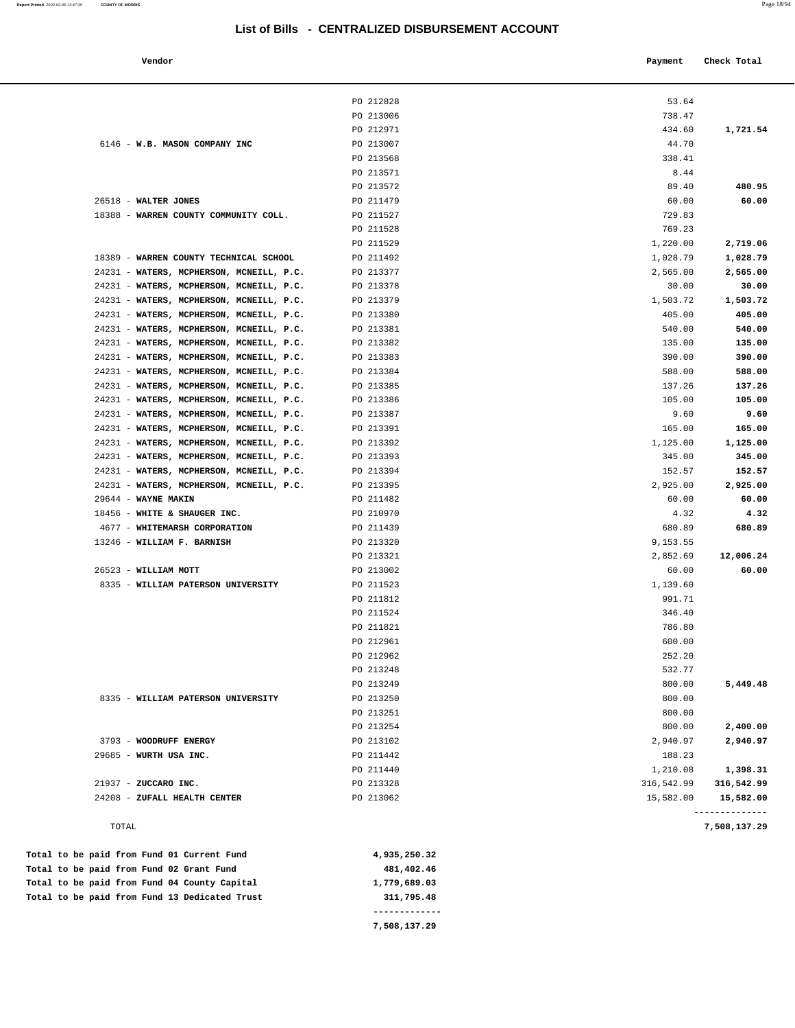| Vendor |  | Payment Check Total |
|--------|--|---------------------|

| TOTAL                                                                                |                        |                   | --------------<br>7,508,137.29 |
|--------------------------------------------------------------------------------------|------------------------|-------------------|--------------------------------|
| 24208 - ZUFALL HEALTH CENTER                                                         | PO 213062              | 15,582.00         | 15,582.00                      |
| 21937 - ZUCCARO INC.                                                                 | PO 213328              | 316,542.99        | 316,542.99                     |
|                                                                                      | PO 211440              | 1,210.08          | 1,398.31                       |
| 29685 - WURTH USA INC.                                                               | PO 211442              | 188.23            |                                |
| 3793 - WOODRUFF ENERGY                                                               | PO 213102              | 2,940.97          | 2,940.97                       |
|                                                                                      | PO 213254              | 800.00            | 2,400.00                       |
|                                                                                      | PO 213251              | 800.00            |                                |
| 8335 - WILLIAM PATERSON UNIVERSITY                                                   | PO 213250              | 800.00            |                                |
|                                                                                      | PO 213249              | 532.77<br>800.00  | 5,449.48                       |
|                                                                                      | PO 212962<br>PO 213248 | 252.20            |                                |
|                                                                                      | PO 212961              | 600.00            |                                |
|                                                                                      | PO 211821              | 786.80            |                                |
|                                                                                      | PO 211524              | 346.40            |                                |
|                                                                                      | PO 211812              | 991.71            |                                |
| 8335 - WILLIAM PATERSON UNIVERSITY                                                   | PO 211523              | 1,139.60          |                                |
| 26523 - WILLIAM MOTT                                                                 | PO 213002              | 60.00             | 60.00                          |
|                                                                                      | PO 213321              | 2,852.69          | 12,006.24                      |
| 13246 - WILLIAM F. BARNISH                                                           | PO 213320              | 9,153.55          |                                |
| 4677 - WHITEMARSH CORPORATION                                                        | PO 211439              | 680.89            | 680.89                         |
| 18456 - WHITE & SHAUGER INC.                                                         | PO 210970              | 4.32              | 4.32                           |
| $29644 - WAYNE MAXIN$                                                                | PO 211482              | 60.00             | 60.00                          |
| 24231 - WATERS, MCPHERSON, MCNEILL, P.C.                                             | PO 213395              | 2,925.00          | 2,925.00                       |
| 24231 - WATERS, MCPHERSON, MCNEILL, P.C.                                             | PO 213394              | 152.57            | 152.57                         |
| 24231 - WATERS, MCPHERSON, MCNEILL, P.C.                                             | PO 213393              | 345.00            | 345.00                         |
| 24231 - WATERS, MCPHERSON, MCNEILL, P.C.                                             | PO 213392              | 1,125.00          | 1,125.00                       |
| 24231 - WATERS, MCPHERSON, MCNEILL, P.C.                                             | PO 213391              | 165.00            | 165.00                         |
| 24231 - WATERS, MCPHERSON, MCNEILL, P.C.                                             | PO 213387              | 9.60              | 9.60                           |
| 24231 - WATERS, MCPHERSON, MCNEILL, P.C.                                             | PO 213386              | 105.00            | 105.00                         |
| 24231 - WATERS, MCPHERSON, MCNEILL, P.C.                                             | PO 213385              | 137.26            | 137.26                         |
| 24231 - WATERS, MCPHERSON, MCNEILL, P.C.                                             | PO 213384              | 588.00            | 588.00                         |
| 24231 - WATERS, MCPHERSON, MCNEILL, P.C.                                             | PO 213383              | 390.00            | 390.00                         |
| 24231 - WATERS, MCPHERSON, MCNEILL, P.C.                                             | PO 213382              | 135.00            | 135.00                         |
| 24231 - WATERS, MCPHERSON, MCNEILL, P.C.                                             | PO 213381              | 540.00            | 540.00                         |
| 24231 - WATERS, MCPHERSON, MCNEILL, P.C.                                             | PO 213380              | 405.00            | 405.00                         |
| 24231 - WATERS, MCPHERSON, MCNEILL, P.C.                                             | PO 213379              | 1,503.72          | 1,503.72                       |
| 24231 - WATERS, MCPHERSON, MCNEILL, P.C.<br>24231 - WATERS, MCPHERSON, MCNEILL, P.C. | PO 213377<br>PO 213378 | 2,565.00<br>30.00 | 2,565.00<br>30.00              |
| 18389 - WARREN COUNTY TECHNICAL SCHOOL                                               | PO 211492              | 1,028.79          | 1,028.79                       |
|                                                                                      | PO 211529              | 1,220.00          | 2,719.06                       |
|                                                                                      | PO 211528              | 769.23            |                                |
| 18388 - WARREN COUNTY COMMUNITY COLL.                                                | PO 211527              | 729.83            |                                |
| 26518 - WALTER JONES                                                                 | PO 211479              | 60.00             | 60.00                          |
|                                                                                      | PO 213572              | 89.40             | 480.95                         |
|                                                                                      | PO 213571              | 8.44              |                                |
|                                                                                      | PO 213568              | 338.41            |                                |
| 6146 - W.B. MASON COMPANY INC                                                        | PO 213007              | 44.70             |                                |
|                                                                                      | PO 212971              | 434.60            | 1,721.54                       |
|                                                                                      | PO 213006              | 738.47            |                                |

|  |  |  |  | Total to be paid from Fund 13 Dedicated Trust | 311,795.48   |
|--|--|--|--|-----------------------------------------------|--------------|
|  |  |  |  | Total to be paid from Fund 04 County Capital  | 1,779,689.03 |
|  |  |  |  | Total to be paid from Fund 02 Grant Fund      | 481,402.46   |
|  |  |  |  | Total to be paid from Fund 01 Current Fund    | 4,933,430.34 |

 **7,508,137.29**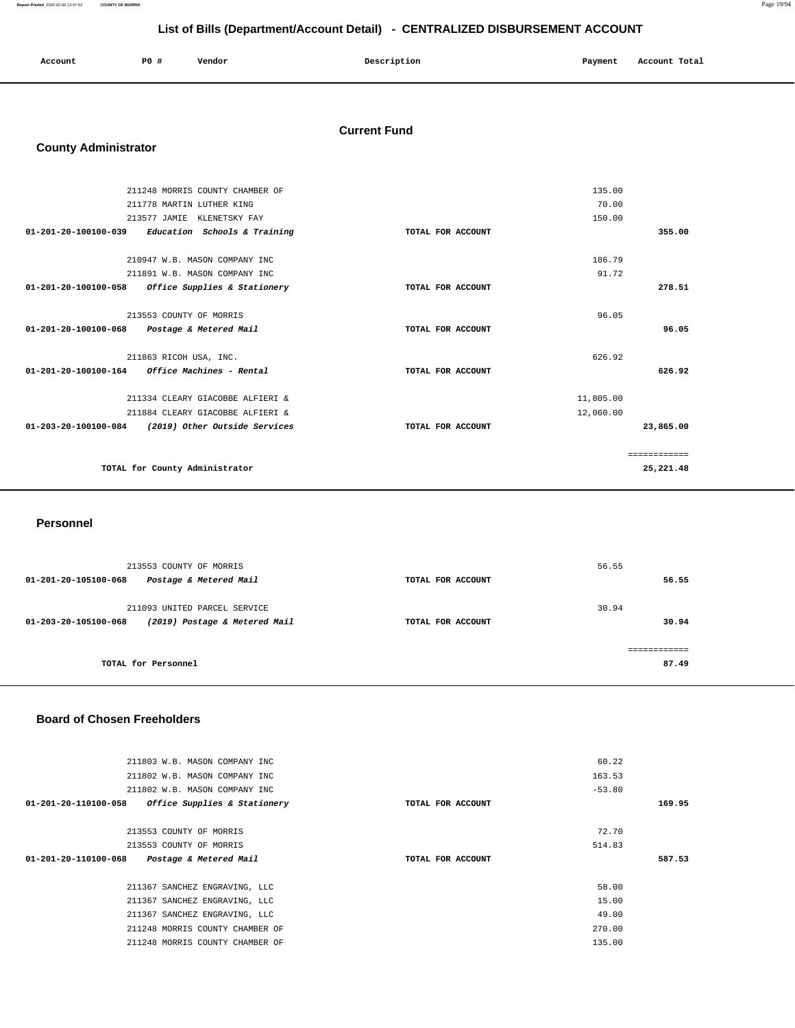| Account | P0 # | Vendor | Description | Payment | Account Total |
|---------|------|--------|-------------|---------|---------------|
|         |      |        |             |         |               |

### **Current Fund**

### **County Administrator**

|                                | 211248 MORRIS COUNTY CHAMBER OF  |                   | 135.00    |              |
|--------------------------------|----------------------------------|-------------------|-----------|--------------|
|                                | 211778 MARTIN LUTHER KING        |                   | 70.00     |              |
| 213577 JAMIE                   | KLENETSKY FAY                    |                   | 150.00    |              |
| $01 - 201 - 20 - 100100 - 039$ | Education Schools & Training     | TOTAL FOR ACCOUNT |           | 355.00       |
|                                | 210947 W.B. MASON COMPANY INC    |                   | 186.79    |              |
|                                | 211891 W.B. MASON COMPANY INC    |                   | 91.72     |              |
| 01-201-20-100100-058           | Office Supplies & Stationery     | TOTAL FOR ACCOUNT |           | 278.51       |
|                                | 213553 COUNTY OF MORRIS          |                   | 96.05     |              |
| 01-201-20-100100-068           | Postage & Metered Mail           | TOTAL FOR ACCOUNT |           | 96.05        |
|                                | 211863 RICOH USA, INC.           |                   | 626.92    |              |
| 01-201-20-100100-164           | <i>Office Machines - Rental</i>  | TOTAL FOR ACCOUNT |           | 626.92       |
|                                | 211334 CLEARY GIACOBBE ALFIERI & |                   | 11,805.00 |              |
|                                | 211884 CLEARY GIACOBBE ALFIERI & |                   | 12,060.00 |              |
| 01-203-20-100100-084           | (2019) Other Outside Services    | TOTAL FOR ACCOUNT |           | 23,865.00    |
|                                |                                  |                   |           | ============ |
|                                | TOTAL for County Administrator   |                   |           | 25, 221.48   |

#### **Personnel**

| 213553 COUNTY OF MORRIS<br>Postage & Metered Mail<br>01-201-20-105100-068             | TOTAL FOR ACCOUNT | 56.55<br>56.55 |
|---------------------------------------------------------------------------------------|-------------------|----------------|
| 211093 UNITED PARCEL SERVICE<br>(2019) Postage & Metered Mail<br>01-203-20-105100-068 | TOTAL FOR ACCOUNT | 30.94<br>30.94 |
| TOTAL for Personnel                                                                   |                   | 87.49          |

#### **Board of Chosen Freeholders**

| 211803 W.B. MASON COMPANY INC                                   |                   | 60.22    |        |
|-----------------------------------------------------------------|-------------------|----------|--------|
| 211802 W.B. MASON COMPANY INC                                   |                   | 163.53   |        |
| 211802 W.B. MASON COMPANY INC                                   |                   | $-53.80$ |        |
| <i>Office Supplies &amp; Stationery</i><br>01-201-20-110100-058 | TOTAL FOR ACCOUNT |          | 169.95 |
|                                                                 |                   |          |        |
| 213553 COUNTY OF MORRIS                                         |                   | 72.70    |        |
| 213553 COUNTY OF MORRIS                                         |                   | 514.83   |        |
|                                                                 |                   |          |        |
| $01 - 201 - 20 - 110100 - 068$<br>Postage & Metered Mail        | TOTAL FOR ACCOUNT |          | 587.53 |
|                                                                 |                   |          |        |
| 211367 SANCHEZ ENGRAVING, LLC                                   |                   | 58.00    |        |
| 211367 SANCHEZ ENGRAVING, LLC                                   |                   | 15.00    |        |
| 211367 SANCHEZ ENGRAVING, LLC                                   |                   | 49.00    |        |
| 211248 MORRIS COUNTY CHAMBER OF                                 |                   | 270.00   |        |
| 211248 MORRIS COUNTY CHAMBER OF                                 |                   | 135.00   |        |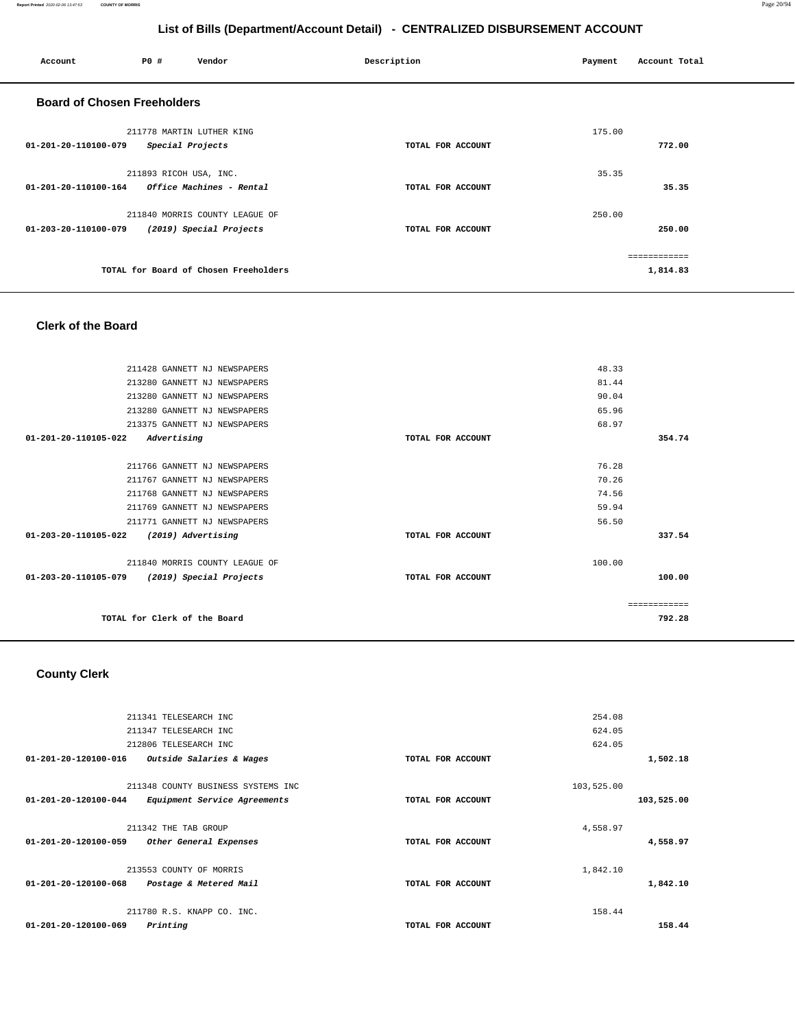#### **Report Printed** 2020-02-06 13:47:53 **COUNTY OF MORRIS** Page 20/94

# **List of Bills (Department/Account Detail) - CENTRALIZED DISBURSEMENT ACCOUNT**

| Account                            | <b>PO #</b>            | Vendor                                 | Description       | Payment | Account Total |
|------------------------------------|------------------------|----------------------------------------|-------------------|---------|---------------|
| <b>Board of Chosen Freeholders</b> |                        |                                        |                   |         |               |
|                                    |                        | 211778 MARTIN LUTHER KING              |                   | 175.00  |               |
| 01-201-20-110100-079               |                        | Special Projects                       | TOTAL FOR ACCOUNT |         | 772.00        |
|                                    | 211893 RICOH USA, INC. |                                        |                   | 35.35   |               |
| 01-201-20-110100-164               |                        | <i><b>Office Machines - Rental</b></i> | TOTAL FOR ACCOUNT |         | 35.35         |
|                                    |                        | 211840 MORRIS COUNTY LEAGUE OF         |                   | 250.00  |               |
| 01-203-20-110100-079               |                        | (2019) Special Projects                | TOTAL FOR ACCOUNT |         | 250.00        |
|                                    |                        |                                        |                   |         | ============  |
|                                    |                        | TOTAL for Board of Chosen Freeholders  |                   |         | 1,814.83      |

### **Clerk of the Board**

|              | 48.33  |                   | 211428 GANNETT NJ NEWSPAPERS                    |
|--------------|--------|-------------------|-------------------------------------------------|
|              | 81.44  |                   | 213280 GANNETT NJ NEWSPAPERS                    |
|              | 90.04  |                   | 213280 GANNETT NJ NEWSPAPERS                    |
|              | 65.96  |                   | 213280 GANNETT NJ NEWSPAPERS                    |
|              | 68.97  |                   | 213375 GANNETT NJ NEWSPAPERS                    |
| 354.74       |        | TOTAL FOR ACCOUNT | Advertising<br>$01 - 201 - 20 - 110105 - 022$   |
|              |        |                   |                                                 |
|              | 76.28  |                   | 211766 GANNETT NJ NEWSPAPERS                    |
|              | 70.26  |                   | 211767 GANNETT NJ NEWSPAPERS                    |
|              | 74.56  |                   | 211768 GANNETT NJ NEWSPAPERS                    |
|              | 59.94  |                   | 211769 GANNETT NJ NEWSPAPERS                    |
|              | 56.50  |                   | 211771 GANNETT NJ NEWSPAPERS                    |
| 337.54       |        | TOTAL FOR ACCOUNT | (2019) Advertising<br>01-203-20-110105-022      |
|              |        |                   |                                                 |
|              | 100.00 |                   | 211840 MORRIS COUNTY LEAGUE OF                  |
| 100.00       |        | TOTAL FOR ACCOUNT | 01-203-20-110105-079<br>(2019) Special Projects |
|              |        |                   |                                                 |
| ============ |        |                   |                                                 |
| 792.28       |        |                   | TOTAL for Clerk of the Board                    |
|              |        |                   |                                                 |

# **County Clerk**

|            | 254.08     |                   | 211341 TELESEARCH INC              |                                |
|------------|------------|-------------------|------------------------------------|--------------------------------|
|            | 624.05     |                   | 211347 TELESEARCH INC              |                                |
|            | 624.05     |                   | 212806 TELESEARCH INC              |                                |
| 1,502.18   |            | TOTAL FOR ACCOUNT | Outside Salaries & Wages           | $01 - 201 - 20 - 120100 - 016$ |
|            | 103,525.00 |                   | 211348 COUNTY BUSINESS SYSTEMS INC |                                |
| 103,525.00 |            | TOTAL FOR ACCOUNT | Equipment Service Agreements       | 01-201-20-120100-044           |
|            | 4,558.97   |                   | 211342 THE TAB GROUP               |                                |
| 4,558.97   |            | TOTAL FOR ACCOUNT | Other General Expenses             | $01 - 201 - 20 - 120100 - 059$ |
|            | 1,842.10   |                   | 213553 COUNTY OF MORRIS            |                                |
| 1,842.10   |            | TOTAL FOR ACCOUNT | Postage & Metered Mail             | $01 - 201 - 20 - 120100 - 068$ |
|            | 158.44     |                   | 211780 R.S. KNAPP CO. INC.         |                                |
| 158.44     |            | TOTAL FOR ACCOUNT | Printing                           | 01-201-20-120100-069           |
|            |            |                   |                                    |                                |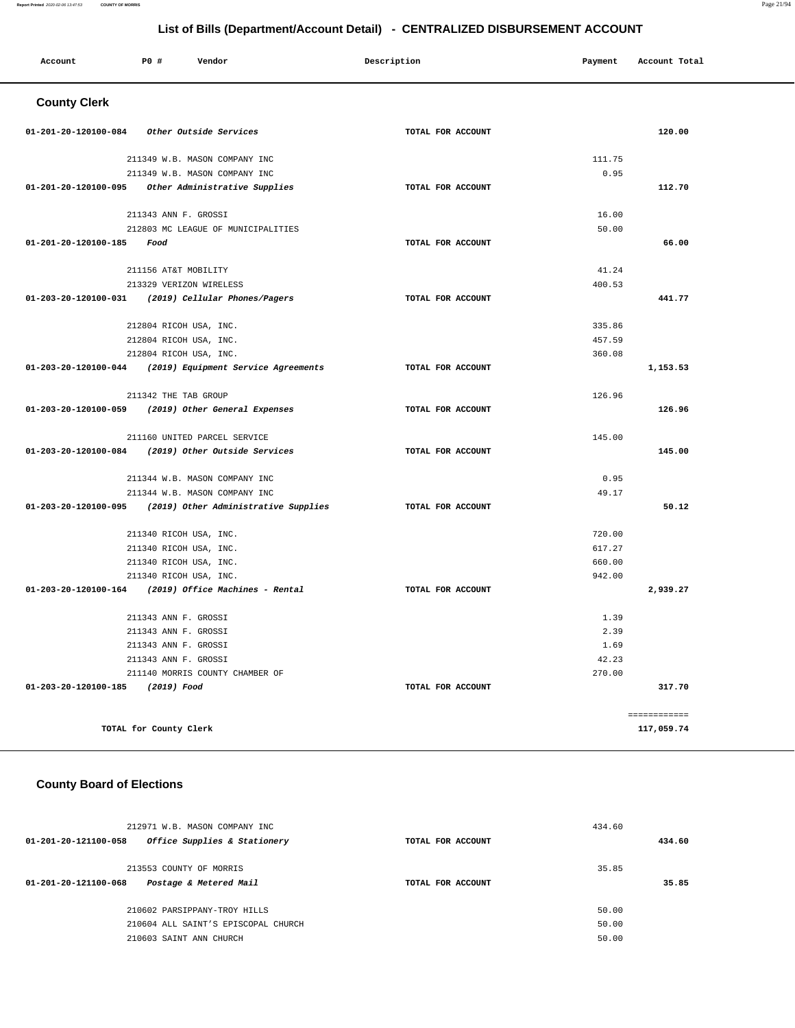#### **Report Printed** 2020-02-06 13:47:53 **COUNTY OF MORRIS** Page 21/94

# **List of Bills (Department/Account Detail) - CENTRALIZED DISBURSEMENT ACCOUNT**

| Account              | P0 #<br>Vendor                                           | Description       | Payment | Account Total |
|----------------------|----------------------------------------------------------|-------------------|---------|---------------|
| <b>County Clerk</b>  |                                                          |                   |         |               |
|                      | 01-201-20-120100-084 Other Outside Services              | TOTAL FOR ACCOUNT |         | 120.00        |
|                      | 211349 W.B. MASON COMPANY INC                            |                   | 111.75  |               |
|                      | 211349 W.B. MASON COMPANY INC                            |                   | 0.95    |               |
| 01-201-20-120100-095 | Other Administrative Supplies                            | TOTAL FOR ACCOUNT |         | 112.70        |
|                      | 211343 ANN F. GROSSI                                     |                   | 16.00   |               |
|                      | 212803 MC LEAGUE OF MUNICIPALITIES                       |                   | 50.00   |               |
| 01-201-20-120100-185 | Food                                                     | TOTAL FOR ACCOUNT |         | 66.00         |
|                      | 211156 AT&T MOBILITY                                     |                   | 41.24   |               |
|                      | 213329 VERIZON WIRELESS                                  |                   | 400.53  |               |
|                      | 01-203-20-120100-031 (2019) Cellular Phones/Pagers       | TOTAL FOR ACCOUNT |         | 441.77        |
|                      | 212804 RICOH USA, INC.                                   |                   | 335.86  |               |
|                      | 212804 RICOH USA, INC.                                   |                   | 457.59  |               |
|                      | 212804 RICOH USA, INC.                                   |                   | 360.08  |               |
|                      | 01-203-20-120100-044 (2019) Equipment Service Agreements | TOTAL FOR ACCOUNT |         | 1,153.53      |
|                      | 211342 THE TAB GROUP                                     |                   | 126.96  |               |
|                      | 01-203-20-120100-059 (2019) Other General Expenses       | TOTAL FOR ACCOUNT |         | 126.96        |
|                      | 211160 UNITED PARCEL SERVICE                             |                   | 145.00  |               |
|                      | 01-203-20-120100-084 (2019) Other Outside Services       | TOTAL FOR ACCOUNT |         | 145.00        |
|                      | 211344 W.B. MASON COMPANY INC                            |                   | 0.95    |               |
|                      | 211344 W.B. MASON COMPANY INC                            |                   | 49.17   |               |
| 01-203-20-120100-095 | (2019) Other Administrative Supplies                     | TOTAL FOR ACCOUNT |         | 50.12         |
|                      | 211340 RICOH USA, INC.                                   |                   | 720.00  |               |
|                      | 211340 RICOH USA, INC.                                   |                   | 617.27  |               |
|                      | 211340 RICOH USA, INC.                                   |                   | 660.00  |               |
|                      | 211340 RICOH USA, INC.                                   |                   | 942.00  |               |
|                      | 01-203-20-120100-164 (2019) Office Machines - Rental     | TOTAL FOR ACCOUNT |         | 2,939.27      |
|                      | 211343 ANN F. GROSSI                                     |                   | 1.39    |               |
|                      | 211343 ANN F. GROSSI                                     |                   | 2.39    |               |
|                      | 211343 ANN F. GROSSI                                     |                   | 1.69    |               |
|                      | 211343 ANN F. GROSSI                                     |                   | 42.23   |               |
|                      | 211140 MORRIS COUNTY CHAMBER OF                          |                   | 270.00  |               |
| 01-203-20-120100-185 | (2019) Food                                              | TOTAL FOR ACCOUNT |         | 317.70        |
|                      |                                                          |                   |         | ============  |
|                      | TOTAL for County Clerk                                   |                   |         | 117,059.74    |

# **County Board of Elections**

| 212971 W.B. MASON COMPANY INC<br>Office Supplies & Stationery<br>01-201-20-121100-058          | TOTAL FOR ACCOUNT | 434.60<br>434.60        |
|------------------------------------------------------------------------------------------------|-------------------|-------------------------|
| 213553 COUNTY OF MORRIS<br>Postage & Metered Mail<br>01-201-20-121100-068                      | TOTAL FOR ACCOUNT | 35.85<br>35.85          |
| 210602 PARSIPPANY-TROY HILLS<br>210604 ALL SAINT'S EPISCOPAL CHURCH<br>210603 SAINT ANN CHURCH |                   | 50.00<br>50.00<br>50.00 |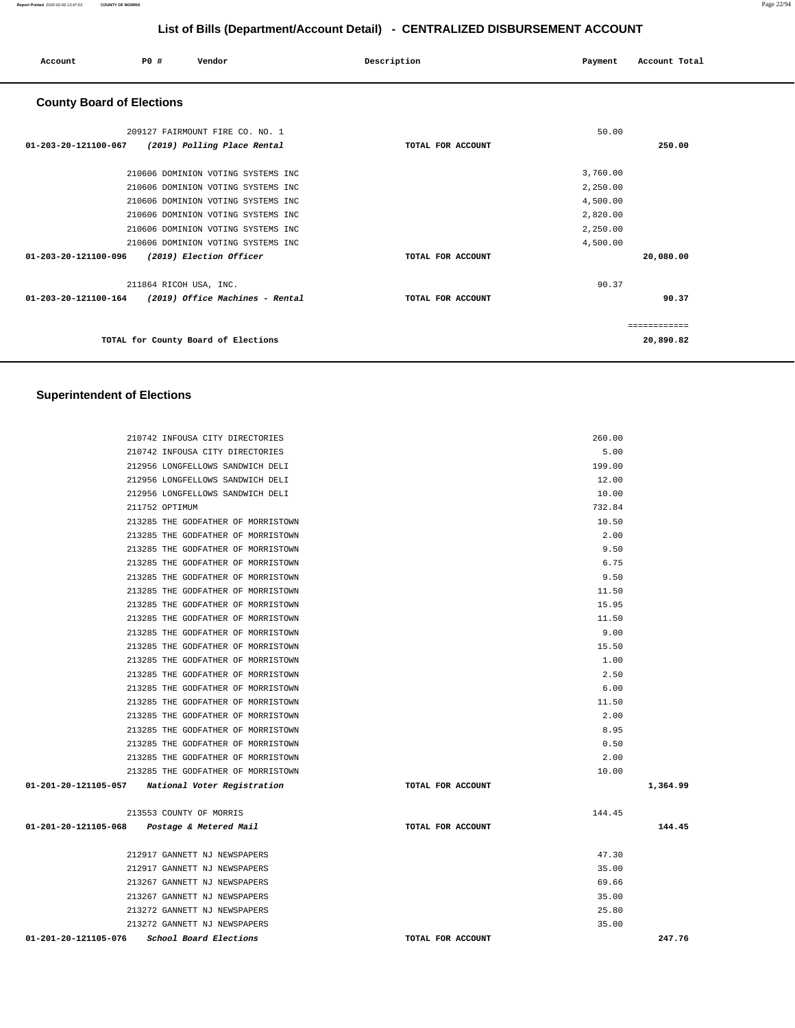| Account                          | P0 # | Vendor                              | Description       | Payment  | Account Total |
|----------------------------------|------|-------------------------------------|-------------------|----------|---------------|
| <b>County Board of Elections</b> |      |                                     |                   |          |               |
|                                  |      | 209127 FAIRMOUNT FIRE CO. NO. 1     |                   | 50.00    |               |
| 01-203-20-121100-067             |      | (2019) Polling Place Rental         | TOTAL FOR ACCOUNT |          | 250.00        |
|                                  |      | 210606 DOMINION VOTING SYSTEMS INC  |                   | 3,760.00 |               |
|                                  |      | 210606 DOMINION VOTING SYSTEMS INC  |                   | 2,250.00 |               |
|                                  |      | 210606 DOMINION VOTING SYSTEMS INC  |                   | 4,500.00 |               |
|                                  |      | 210606 DOMINION VOTING SYSTEMS INC  |                   | 2,820.00 |               |
|                                  |      | 210606 DOMINION VOTING SYSTEMS INC  |                   | 2,250.00 |               |
|                                  |      | 210606 DOMINION VOTING SYSTEMS INC  |                   | 4,500.00 |               |
| 01-203-20-121100-096             |      | (2019) Election Officer             | TOTAL FOR ACCOUNT |          | 20,080.00     |
|                                  |      | 211864 RICOH USA, INC.              |                   | 90.37    |               |
| $01 - 203 - 20 - 121100 - 164$   |      | (2019) Office Machines - Rental     | TOTAL FOR ACCOUNT |          | 90.37         |
|                                  |      |                                     |                   |          | ============  |
|                                  |      | TOTAL for County Board of Elections |                   |          | 20,890.82     |

### **Superintendent of Elections**

| 210742 INFOUSA CITY DIRECTORIES                  | 260.00            |          |
|--------------------------------------------------|-------------------|----------|
| 210742 INFOUSA CITY DIRECTORIES                  | 5.00              |          |
| 212956 LONGFELLOWS SANDWICH DELI                 | 199.00            |          |
| 212956 LONGFELLOWS SANDWICH DELI                 | 12.00             |          |
| 212956 LONGFELLOWS SANDWICH DELI                 | 10.00             |          |
| 211752 OPTIMUM                                   | 732.84            |          |
| 213285 THE GODFATHER OF MORRISTOWN               | 10.50             |          |
| 213285 THE GODFATHER OF MORRISTOWN               | 2.00              |          |
| 213285 THE GODFATHER OF MORRISTOWN               | 9.50              |          |
| 213285 THE GODFATHER OF MORRISTOWN               | 6.75              |          |
| 213285 THE GODFATHER OF MORRISTOWN               | 9.50              |          |
| 213285 THE GODFATHER OF MORRISTOWN               | 11.50             |          |
| 213285 THE GODFATHER OF MORRISTOWN               | 15.95             |          |
| 213285 THE GODFATHER OF MORRISTOWN               | 11.50             |          |
| 213285 THE GODFATHER OF MORRISTOWN               | 9.00              |          |
| 213285 THE GODFATHER OF MORRISTOWN               | 15.50             |          |
| 213285 THE GODFATHER OF MORRISTOWN               | 1.00              |          |
| 213285 THE GODFATHER OF MORRISTOWN               | 2.50              |          |
| 213285 THE GODFATHER OF MORRISTOWN               | 6.00              |          |
| 213285 THE GODFATHER OF MORRISTOWN               | 11.50             |          |
| 213285 THE GODFATHER OF MORRISTOWN               | 2.00              |          |
| 213285 THE GODFATHER OF MORRISTOWN               | 8.95              |          |
| 213285 THE GODFATHER OF MORRISTOWN               | 0.50              |          |
| 213285 THE GODFATHER OF MORRISTOWN               | 2.00              |          |
| 213285 THE GODFATHER OF MORRISTOWN               | 10.00             |          |
| 01-201-20-121105-057 National Voter Registration | TOTAL FOR ACCOUNT | 1,364.99 |
| 213553 COUNTY OF MORRIS                          | 144.45            |          |
| 01-201-20-121105-068 Postage & Metered Mail      | TOTAL FOR ACCOUNT | 144.45   |
| 212917 GANNETT NJ NEWSPAPERS                     | 47.30             |          |
| 212917 GANNETT NJ NEWSPAPERS                     | 35.00             |          |
| 213267 GANNETT NJ NEWSPAPERS                     | 69.66             |          |
| 213267 GANNETT NJ NEWSPAPERS                     | 35.00             |          |
| 213272 GANNETT NJ NEWSPAPERS                     | 25.80             |          |
| 213272 GANNETT NJ NEWSPAPERS                     | 35.00             |          |
| 01-201-20-121105-076<br>School Board Elections   | TOTAL FOR ACCOUNT | 247.76   |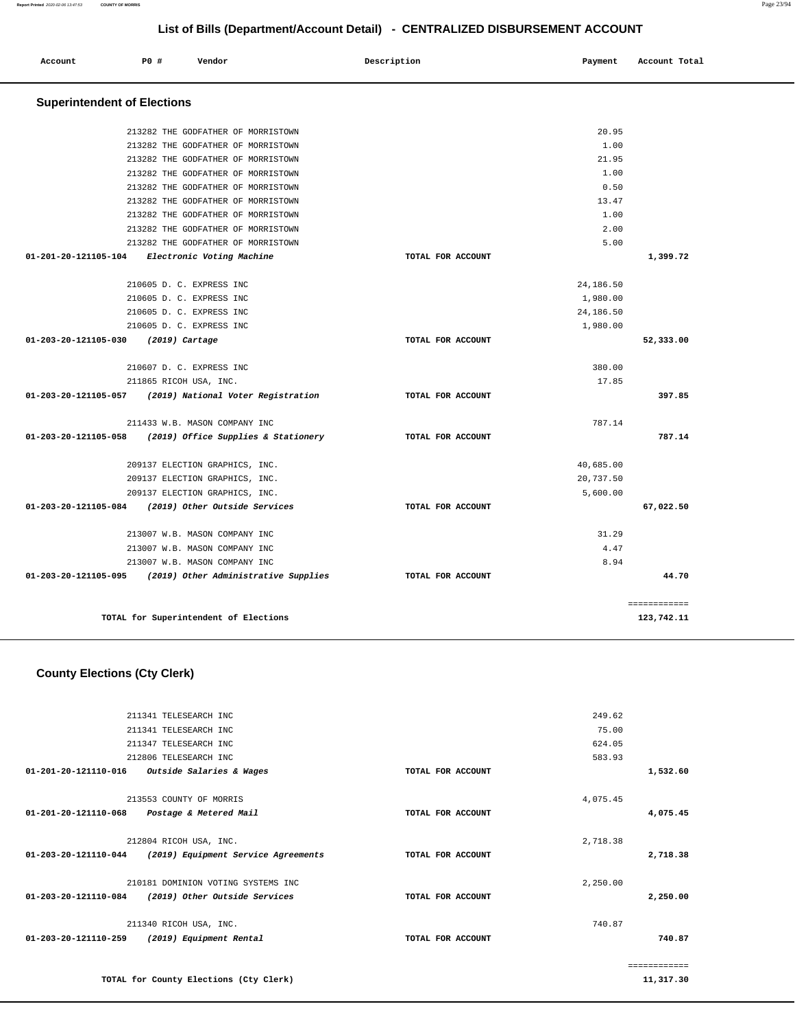| Report Printed 2020-02-06 13:47:53 | <b>COUNTY OF MORRIS</b>            |                                      |                                                                              |           |               | Page 23/94 |
|------------------------------------|------------------------------------|--------------------------------------|------------------------------------------------------------------------------|-----------|---------------|------------|
|                                    |                                    |                                      | List of Bills (Department/Account Detail) - CENTRALIZED DISBURSEMENT ACCOUNT |           |               |            |
| Account                            | <b>PO #</b>                        | Vendor                               | Description                                                                  | Payment   | Account Total |            |
|                                    | <b>Superintendent of Elections</b> |                                      |                                                                              |           |               |            |
|                                    |                                    | 213282 THE GODFATHER OF MORRISTOWN   |                                                                              | 20.95     |               |            |
|                                    |                                    | 213282 THE GODFATHER OF MORRISTOWN   |                                                                              | 1.00      |               |            |
|                                    |                                    | 213282 THE GODFATHER OF MORRISTOWN   |                                                                              | 21.95     |               |            |
|                                    |                                    | 213282 THE GODFATHER OF MORRISTOWN   |                                                                              | 1.00      |               |            |
|                                    |                                    | 213282 THE GODFATHER OF MORRISTOWN   |                                                                              | 0.50      |               |            |
|                                    |                                    | 213282 THE GODFATHER OF MORRISTOWN   |                                                                              | 13.47     |               |            |
|                                    |                                    | 213282 THE GODFATHER OF MORRISTOWN   |                                                                              | 1.00      |               |            |
|                                    |                                    | 213282 THE GODFATHER OF MORRISTOWN   |                                                                              | 2.00      |               |            |
|                                    |                                    | 213282 THE GODFATHER OF MORRISTOWN   |                                                                              | 5.00      |               |            |
| 01-201-20-121105-104               |                                    | Electronic Voting Machine            | TOTAL FOR ACCOUNT                                                            |           | 1,399.72      |            |
|                                    |                                    | 210605 D. C. EXPRESS INC             |                                                                              | 24,186.50 |               |            |
|                                    |                                    | 210605 D. C. EXPRESS INC             |                                                                              | 1,980.00  |               |            |
|                                    |                                    | 210605 D. C. EXPRESS INC             |                                                                              | 24,186.50 |               |            |
|                                    |                                    | 210605 D. C. EXPRESS INC             |                                                                              | 1,980.00  |               |            |
| 01-203-20-121105-030               | (2019) Cartage                     |                                      | TOTAL FOR ACCOUNT                                                            |           | 52,333.00     |            |
|                                    |                                    | 210607 D. C. EXPRESS INC             |                                                                              | 380.00    |               |            |
|                                    |                                    | 211865 RICOH USA, INC.               |                                                                              | 17.85     |               |            |
| 01-203-20-121105-057               |                                    | (2019) National Voter Registration   | TOTAL FOR ACCOUNT                                                            |           | 397.85        |            |
|                                    |                                    | 211433 W.B. MASON COMPANY INC        |                                                                              | 787.14    |               |            |
| 01-203-20-121105-058               |                                    | (2019) Office Supplies & Stationery  | TOTAL FOR ACCOUNT                                                            |           | 787.14        |            |
|                                    |                                    | 209137 ELECTION GRAPHICS, INC.       |                                                                              | 40,685.00 |               |            |
|                                    |                                    | 209137 ELECTION GRAPHICS, INC.       |                                                                              | 20,737.50 |               |            |
|                                    |                                    | 209137 ELECTION GRAPHICS, INC.       |                                                                              | 5,600.00  |               |            |
| 01-203-20-121105-084               |                                    | (2019) Other Outside Services        | TOTAL FOR ACCOUNT                                                            |           | 67,022.50     |            |
|                                    |                                    | 213007 W.B. MASON COMPANY INC        |                                                                              | 31.29     |               |            |
|                                    |                                    | 213007 W.B. MASON COMPANY INC        |                                                                              | 4.47      |               |            |
|                                    |                                    | 213007 W.B. MASON COMPANY INC        |                                                                              | 8.94      |               |            |
| 01-203-20-121105-095               |                                    | (2019) Other Administrative Supplies | TOTAL FOR ACCOUNT                                                            |           | 44.70         |            |

**TOTAL for Superintendent of Elections** 

# **County Elections (Cty Clerk)**

|               | 249.62   |                   | 211341 TELESEARCH INC                  |                                |
|---------------|----------|-------------------|----------------------------------------|--------------------------------|
|               | 75.00    |                   | 211341 TELESEARCH INC                  |                                |
|               | 624.05   |                   | 211347 TELESEARCH INC                  |                                |
|               | 583.93   |                   | 212806 TELESEARCH INC                  |                                |
| 1,532.60      |          | TOTAL FOR ACCOUNT | <i>Outside Salaries &amp; Wages</i>    | $01 - 201 - 20 - 121110 - 016$ |
|               | 4,075.45 |                   | 213553 COUNTY OF MORRIS                |                                |
| 4,075.45      |          | TOTAL FOR ACCOUNT | Postage & Metered Mail                 | 01-201-20-121110-068           |
|               | 2,718.38 |                   | 212804 RICOH USA, INC.                 |                                |
| 2,718.38      |          | TOTAL FOR ACCOUNT | (2019) Equipment Service Agreements    | 01-203-20-121110-044           |
|               | 2,250.00 |                   | 210181 DOMINION VOTING SYSTEMS INC     |                                |
| 2,250.00      |          | TOTAL FOR ACCOUNT | (2019) Other Outside Services          | 01-203-20-121110-084           |
|               | 740.87   |                   | 211340 RICOH USA, INC.                 |                                |
| 740.87        |          | TOTAL FOR ACCOUNT | (2019) Equipment Rental                | $01 - 203 - 20 - 121110 - 259$ |
| ------------- |          |                   |                                        |                                |
| 11,317.30     |          |                   | TOTAL for County Elections (Cty Clerk) |                                |

============

**123,742.11**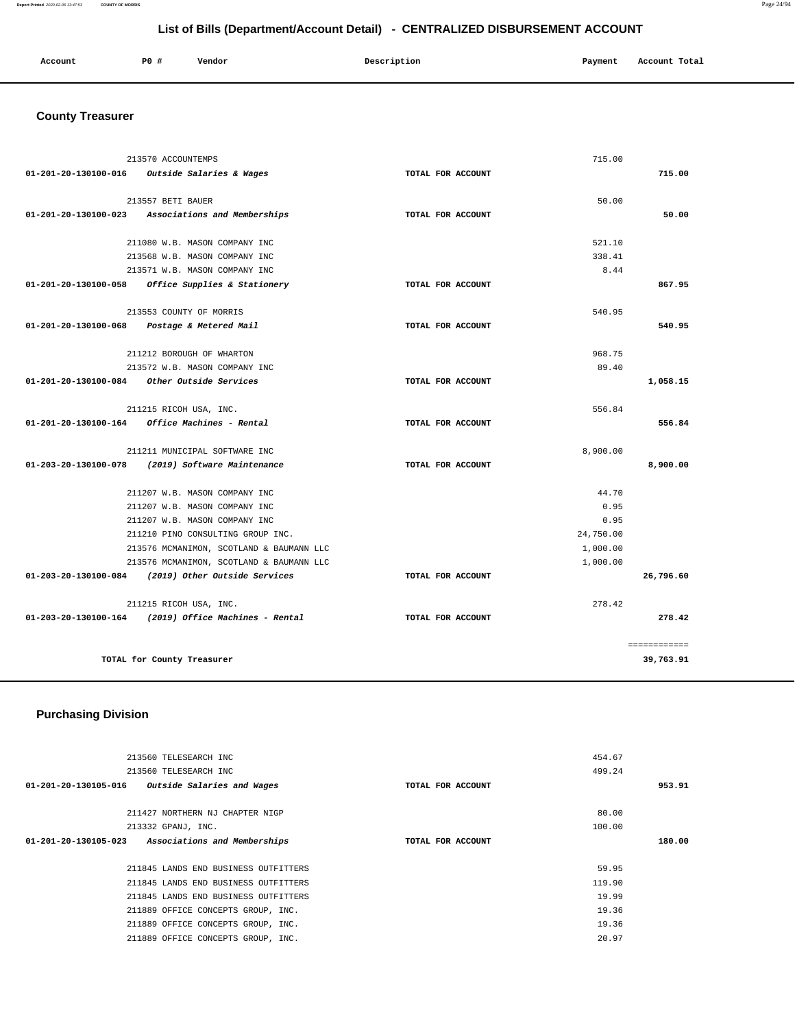| Account | P0# | Vendor | Description | Payment | Account Total |
|---------|-----|--------|-------------|---------|---------------|
|         |     |        |             |         |               |

# **County Treasurer**

| 213570 ACCOUNTEMPS                                     |                   | 715.00    |              |
|--------------------------------------------------------|-------------------|-----------|--------------|
| 01-201-20-130100-016 Outside Salaries & Wages          | TOTAL FOR ACCOUNT |           | 715.00       |
|                                                        |                   |           |              |
| 213557 BETI BAUER                                      |                   | 50.00     |              |
| 01-201-20-130100-023 Associations and Memberships      | TOTAL FOR ACCOUNT |           | 50.00        |
|                                                        |                   |           |              |
| 211080 W.B. MASON COMPANY INC                          |                   | 521.10    |              |
| 213568 W.B. MASON COMPANY INC                          |                   | 338.41    |              |
| 213571 W.B. MASON COMPANY INC                          |                   | 8.44      |              |
| 01-201-20-130100-058 Office Supplies & Stationery      | TOTAL FOR ACCOUNT |           | 867.95       |
|                                                        |                   |           |              |
| 213553 COUNTY OF MORRIS                                |                   | 540.95    |              |
| 01-201-20-130100-068 Postage & Metered Mail            | TOTAL FOR ACCOUNT |           | 540.95       |
|                                                        |                   |           |              |
| 211212 BOROUGH OF WHARTON                              |                   | 968.75    |              |
| 213572 W.B. MASON COMPANY INC                          |                   | 89.40     |              |
| $01-201-20-130100-084$ Other Outside Services          | TOTAL FOR ACCOUNT |           | 1,058.15     |
| 211215 RICOH USA, INC.                                 |                   | 556.84    |              |
| 01-201-20-130100-164 Office Machines - Rental          | TOTAL FOR ACCOUNT |           | 556.84       |
|                                                        |                   |           |              |
| 211211 MUNICIPAL SOFTWARE INC                          |                   | 8,900.00  |              |
| 01-203-20-130100-078 (2019) Software Maintenance       | TOTAL FOR ACCOUNT |           | 8,900.00     |
|                                                        |                   |           |              |
| 211207 W.B. MASON COMPANY INC                          |                   | 44.70     |              |
| 211207 W.B. MASON COMPANY INC                          |                   | 0.95      |              |
| 211207 W.B. MASON COMPANY INC                          |                   | 0.95      |              |
| 211210 PINO CONSULTING GROUP INC.                      |                   | 24,750.00 |              |
| 213576 MCMANIMON, SCOTLAND & BAUMANN LLC               |                   | 1,000.00  |              |
| 213576 MCMANIMON, SCOTLAND & BAUMANN LLC               |                   | 1,000.00  |              |
| 01-203-20-130100-084 (2019) Other Outside Services     | TOTAL FOR ACCOUNT |           | 26,796.60    |
|                                                        |                   |           |              |
| 211215 RICOH USA, INC.                                 |                   | 278.42    |              |
| $01-203-20-130100-164$ (2019) Office Machines - Rental | TOTAL FOR ACCOUNT |           | 278.42       |
|                                                        |                   |           | ============ |
| TOTAL for County Treasurer                             |                   |           | 39,763.91    |
|                                                        |                   |           |              |

# **Purchasing Division**

| 213560 TELESEARCH INC                                                     | 454.67 |  |
|---------------------------------------------------------------------------|--------|--|
| 213560 TELESEARCH INC                                                     | 499.24 |  |
| 01-201-20-130105-016<br>Outside Salaries and Wages<br>TOTAL FOR ACCOUNT   | 953.91 |  |
|                                                                           |        |  |
| 211427 NORTHERN NJ CHAPTER NIGP                                           | 80.00  |  |
| 213332 GPANJ, INC.                                                        | 100.00 |  |
| 01-201-20-130105-023<br>Associations and Memberships<br>TOTAL FOR ACCOUNT | 180.00 |  |
|                                                                           |        |  |
| 211845 LANDS END BUSINESS OUTFITTERS                                      | 59.95  |  |
| 211845 LANDS END BUSINESS OUTFITTERS                                      | 119.90 |  |
| 211845 LANDS END BUSINESS OUTFITTERS                                      | 19.99  |  |
| 211889 OFFICE CONCEPTS GROUP, INC.                                        | 19.36  |  |
| 211889 OFFICE CONCEPTS GROUP, INC.                                        | 19.36  |  |
| 211889 OFFICE CONCEPTS GROUP, INC.                                        | 20.97  |  |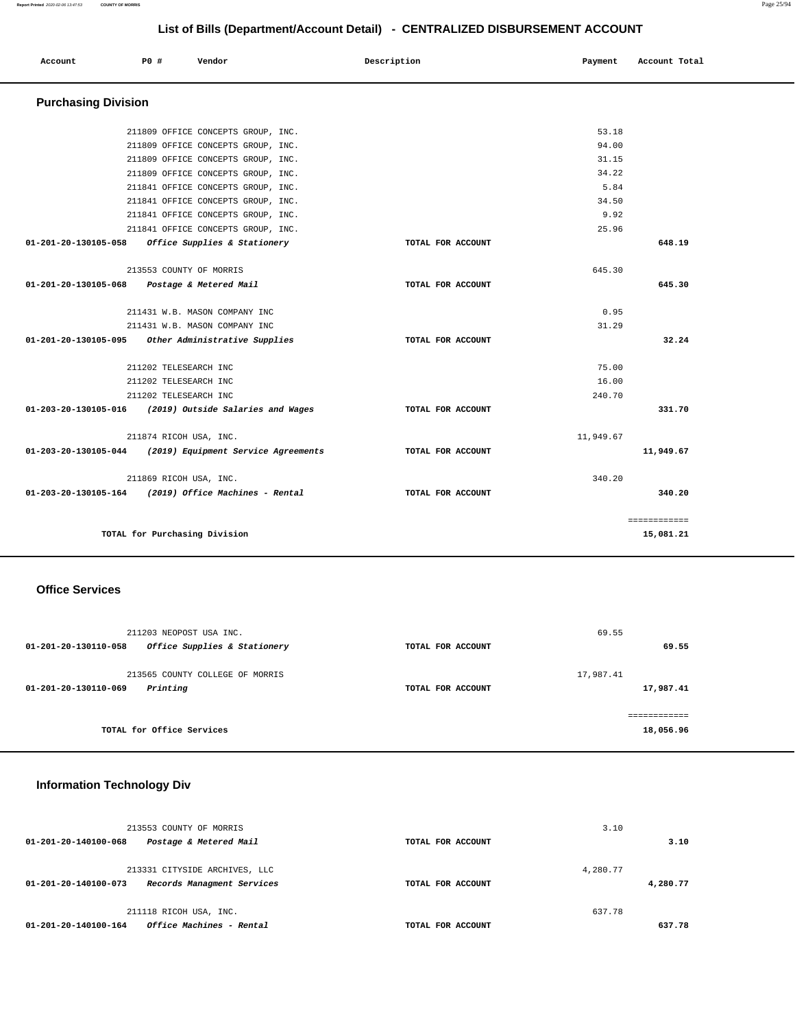| Account                    | PO# | Vendor                              | Description       | Payment   | Account Total |  |
|----------------------------|-----|-------------------------------------|-------------------|-----------|---------------|--|
|                            |     |                                     |                   |           |               |  |
| <b>Purchasing Division</b> |     |                                     |                   |           |               |  |
|                            |     | 211809 OFFICE CONCEPTS GROUP, INC.  |                   | 53.18     |               |  |
|                            |     | 211809 OFFICE CONCEPTS GROUP, INC.  |                   | 94.00     |               |  |
|                            |     | 211809 OFFICE CONCEPTS GROUP, INC.  |                   | 31.15     |               |  |
|                            |     | 211809 OFFICE CONCEPTS GROUP, INC.  |                   | 34.22     |               |  |
|                            |     | 211841 OFFICE CONCEPTS GROUP, INC.  |                   | 5.84      |               |  |
|                            |     | 211841 OFFICE CONCEPTS GROUP, INC.  |                   | 34.50     |               |  |
|                            |     | 211841 OFFICE CONCEPTS GROUP, INC.  |                   | 9.92      |               |  |
|                            |     | 211841 OFFICE CONCEPTS GROUP, INC.  |                   | 25.96     |               |  |
| 01-201-20-130105-058       |     | Office Supplies & Stationery        | TOTAL FOR ACCOUNT |           | 648.19        |  |
|                            |     | 213553 COUNTY OF MORRIS             |                   | 645.30    |               |  |
| 01-201-20-130105-068       |     | Postage & Metered Mail              | TOTAL FOR ACCOUNT |           | 645.30        |  |
|                            |     | 211431 W.B. MASON COMPANY INC       |                   | 0.95      |               |  |
|                            |     | 211431 W.B. MASON COMPANY INC       |                   | 31.29     |               |  |
| 01-201-20-130105-095       |     | Other Administrative Supplies       | TOTAL FOR ACCOUNT |           | 32.24         |  |
|                            |     | 211202 TELESEARCH INC               |                   | 75.00     |               |  |
|                            |     | 211202 TELESEARCH INC               |                   | 16.00     |               |  |
|                            |     | 211202 TELESEARCH INC               |                   | 240.70    |               |  |
| 01-203-20-130105-016       |     | (2019) Outside Salaries and Wages   | TOTAL FOR ACCOUNT |           | 331.70        |  |
|                            |     | 211874 RICOH USA, INC.              |                   | 11,949.67 |               |  |
| 01-203-20-130105-044       |     | (2019) Equipment Service Agreements | TOTAL FOR ACCOUNT |           | 11,949.67     |  |
|                            |     | 211869 RICOH USA, INC.              |                   | 340.20    |               |  |
| 01-203-20-130105-164       |     | (2019) Office Machines - Rental     | TOTAL FOR ACCOUNT |           | 340.20        |  |
|                            |     |                                     |                   |           | ============  |  |
|                            |     | TOTAL for Purchasing Division       |                   |           | 15,081.21     |  |

#### **Office Services**

| 211203 NEOPOST USA INC.                                             |                   | 69.55                      |
|---------------------------------------------------------------------|-------------------|----------------------------|
| Office Supplies & Stationery<br>01-201-20-130110-058                | TOTAL FOR ACCOUNT | 69.55                      |
| 213565 COUNTY COLLEGE OF MORRIS<br>Printing<br>01-201-20-130110-069 | TOTAL FOR ACCOUNT | 17,987.41<br>17,987.41     |
| TOTAL for Office Services                                           |                   | -------------<br>18,056.96 |

### **Information Technology Div**

| 213553 COUNTY OF MORRIS                                                             |                   | 3.10                 |
|-------------------------------------------------------------------------------------|-------------------|----------------------|
| Postage & Metered Mail<br>01-201-20-140100-068                                      | TOTAL FOR ACCOUNT | 3.10                 |
| 213331 CITYSIDE ARCHIVES, LLC<br>Records Managment Services<br>01-201-20-140100-073 | TOTAL FOR ACCOUNT | 4.280.77<br>4,280.77 |
| 211118 RICOH USA, INC.                                                              |                   | 637.78               |
| Office Machines - Rental<br>01-201-20-140100-164                                    | TOTAL FOR ACCOUNT | 637.78               |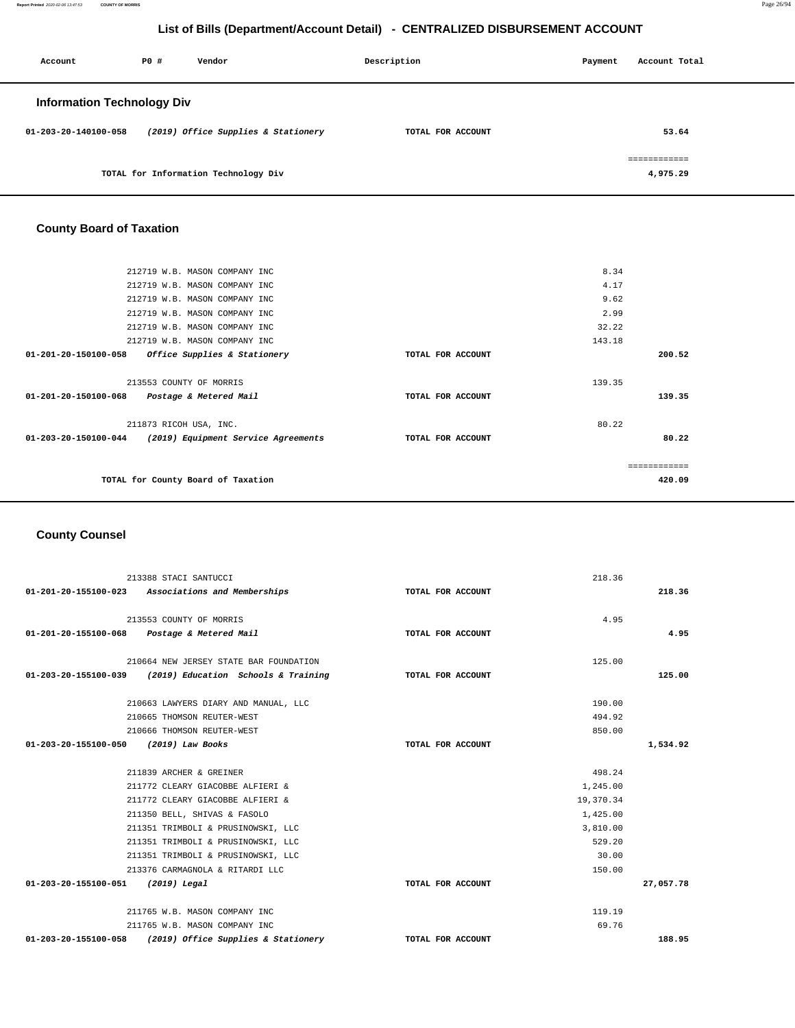| Account                           | P0 # | Vendor                               | Description       | Payment | Account Total |
|-----------------------------------|------|--------------------------------------|-------------------|---------|---------------|
| <b>Information Technology Div</b> |      |                                      |                   |         |               |
| 01-203-20-140100-058              |      | (2019) Office Supplies & Stationery  | TOTAL FOR ACCOUNT |         | 53.64         |
|                                   |      |                                      |                   |         | ============  |
|                                   |      | TOTAL for Information Technology Div |                   |         | 4,975.29      |

# **County Board of Taxation**

|                                             | 212719 W.B. MASON COMPANY INC           |                   | 8.34         |  |
|---------------------------------------------|-----------------------------------------|-------------------|--------------|--|
|                                             | 212719 W.B. MASON COMPANY INC           |                   | 4.17         |  |
|                                             | 212719 W.B. MASON COMPANY INC           |                   | 9.62         |  |
|                                             | 212719 W.B. MASON COMPANY INC           |                   | 2.99         |  |
|                                             | 212719 W.B. MASON COMPANY INC           |                   | 32.22        |  |
|                                             | 212719 W.B. MASON COMPANY INC           |                   | 143.18       |  |
| 01-201-20-150100-058                        | <i>Office Supplies &amp; Stationery</i> | TOTAL FOR ACCOUNT | 200.52       |  |
|                                             |                                         |                   |              |  |
| 213553 COUNTY OF MORRIS                     |                                         |                   | 139.35       |  |
| 01-201-20-150100-068 Postage & Metered Mail |                                         | TOTAL FOR ACCOUNT | 139.35       |  |
| 211873 RICOH USA, INC.                      |                                         |                   | 80.22        |  |
| 01-203-20-150100-044                        | (2019) Equipment Service Agreements     | TOTAL FOR ACCOUNT | 80.22        |  |
|                                             |                                         |                   |              |  |
|                                             |                                         |                   | ============ |  |
| TOTAL for County Board of Taxation          |                                         |                   | 420.09       |  |
|                                             |                                         |                   |              |  |

# **County Counsel**

|                                       | 213388 STACI SANTUCCI                                      |                   | 218.36    |           |
|---------------------------------------|------------------------------------------------------------|-------------------|-----------|-----------|
|                                       | 01-201-20-155100-023 Associations and Memberships          | TOTAL FOR ACCOUNT |           | 218.36    |
|                                       |                                                            |                   |           |           |
|                                       | 213553 COUNTY OF MORRIS                                    |                   | 4.95      |           |
|                                       | 01-201-20-155100-068 Postage & Metered Mail                | TOTAL FOR ACCOUNT |           | 4.95      |
|                                       | 210664 NEW JERSEY STATE BAR FOUNDATION                     |                   | 125.00    |           |
|                                       | $01-203-20-155100-039$ (2019) Education Schools & Training | TOTAL FOR ACCOUNT |           | 125.00    |
|                                       | 210663 LAWYERS DIARY AND MANUAL, LLC                       |                   | 190.00    |           |
|                                       | 210665 THOMSON REUTER-WEST                                 |                   | 494.92    |           |
|                                       | 210666 THOMSON REUTER-WEST                                 |                   | 850.00    |           |
| 01-203-20-155100-050 (2019) Law Books |                                                            | TOTAL FOR ACCOUNT |           | 1,534.92  |
|                                       |                                                            |                   |           |           |
|                                       | 211839 ARCHER & GREINER                                    |                   | 498.24    |           |
|                                       | 211772 CLEARY GIACOBBE ALFIERI &                           |                   | 1,245.00  |           |
|                                       | 211772 CLEARY GIACOBBE ALFIERI &                           |                   | 19,370.34 |           |
|                                       | 211350 BELL, SHIVAS & FASOLO                               |                   | 1,425.00  |           |
|                                       | 211351 TRIMBOLI & PRUSINOWSKI, LLC                         |                   | 3,810.00  |           |
|                                       | 211351 TRIMBOLI & PRUSINOWSKI, LLC                         |                   | 529.20    |           |
|                                       | 211351 TRIMBOLI & PRUSINOWSKI, LLC                         |                   | 30.00     |           |
|                                       | 213376 CARMAGNOLA & RITARDI LLC                            |                   | 150.00    |           |
| 01-203-20-155100-051                  | (2019) Legal                                               | TOTAL FOR ACCOUNT |           | 27,057.78 |
|                                       | 211765 W.B. MASON COMPANY INC                              |                   | 119.19    |           |
|                                       | 211765 W.B. MASON COMPANY INC                              |                   | 69.76     |           |
| 01-203-20-155100-058                  | (2019) Office Supplies & Stationery                        | TOTAL FOR ACCOUNT |           | 188.95    |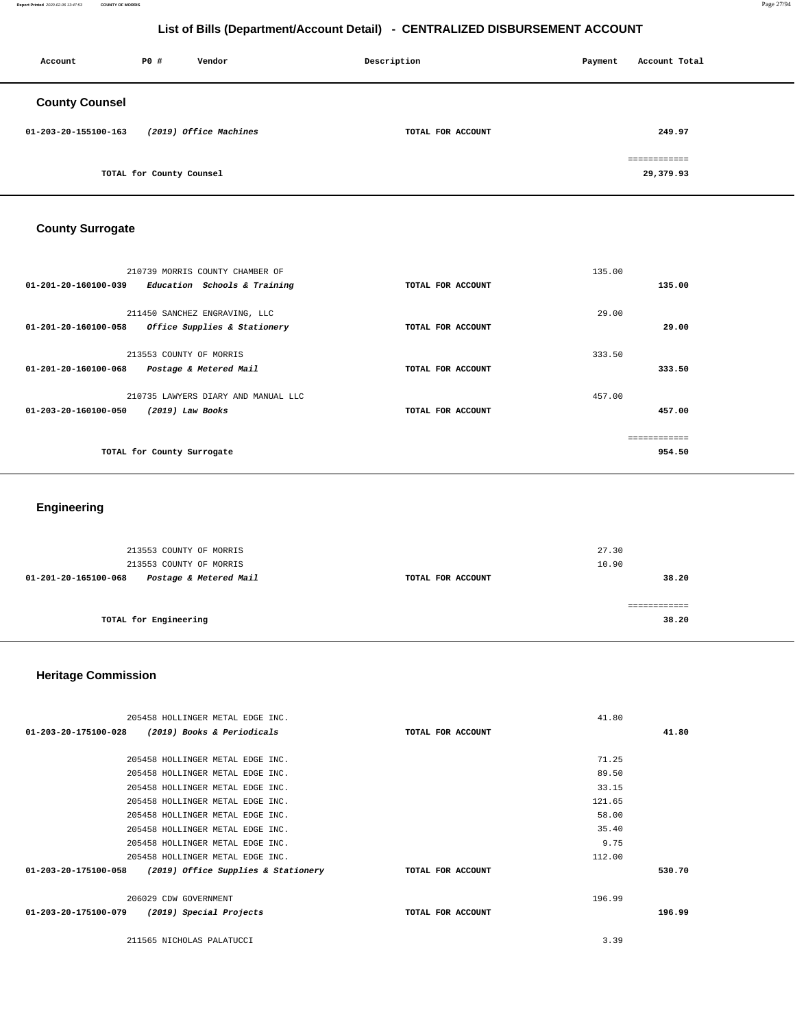| Account               | <b>PO #</b>              | Vendor                 | Description       | Payment | Account Total             |
|-----------------------|--------------------------|------------------------|-------------------|---------|---------------------------|
| <b>County Counsel</b> |                          |                        |                   |         |                           |
| 01-203-20-155100-163  |                          | (2019) Office Machines | TOTAL FOR ACCOUNT |         | 249.97                    |
|                       | TOTAL for County Counsel |                        |                   |         | ============<br>29,379.93 |

# **County Surrogate**

| 210739 MORRIS COUNTY CHAMBER OF<br>01-201-20-160100-039<br>Education Schools & Training         | TOTAL FOR ACCOUNT | 135.00<br>135.00        |
|-------------------------------------------------------------------------------------------------|-------------------|-------------------------|
| 211450 SANCHEZ ENGRAVING, LLC<br>$01 - 201 - 20 - 160100 - 058$<br>Office Supplies & Stationery | TOTAL FOR ACCOUNT | 29.00<br>29.00          |
| 213553 COUNTY OF MORRIS<br>01-201-20-160100-068<br>Postage & Metered Mail                       | TOTAL FOR ACCOUNT | 333.50<br>333.50        |
| 210735 LAWYERS DIARY AND MANUAL LLC<br>$01 - 203 - 20 - 160100 - 050$<br>$(2019)$ Law Books     | TOTAL FOR ACCOUNT | 457.00<br>457.00        |
| TOTAL for County Surrogate                                                                      |                   | -------------<br>954.50 |

# **Engineering**

| 213553 COUNTY OF MORRIS<br>213553 COUNTY OF MORRIS |                   | 27.30<br>10.90 |
|----------------------------------------------------|-------------------|----------------|
| Postage & Metered Mail<br>01-201-20-165100-068     | TOTAL FOR ACCOUNT | 38.20          |
| TOTAL for Engineering                              |                   | 38.20          |

# **Heritage Commission**

|                                                 | 205458 HOLLINGER METAL EDGE INC.    |                   | 41.80  |
|-------------------------------------------------|-------------------------------------|-------------------|--------|
| 01-203-20-175100-028                            | (2019) Books & Periodicals          | TOTAL FOR ACCOUNT | 41.80  |
|                                                 |                                     |                   |        |
|                                                 | 205458 HOLLINGER METAL EDGE INC.    |                   | 71.25  |
|                                                 | 205458 HOLLINGER METAL EDGE INC.    |                   | 89.50  |
|                                                 | 205458 HOLLINGER METAL EDGE INC.    |                   | 33.15  |
|                                                 | 205458 HOLLINGER METAL EDGE INC.    |                   | 121.65 |
|                                                 | 205458 HOLLINGER METAL EDGE INC.    |                   | 58.00  |
|                                                 | 205458 HOLLINGER METAL EDGE INC.    |                   | 35.40  |
|                                                 | 205458 HOLLINGER METAL EDGE INC.    |                   | 9.75   |
|                                                 | 205458 HOLLINGER METAL EDGE INC.    |                   | 112.00 |
| 01-203-20-175100-058                            | (2019) Office Supplies & Stationery | TOTAL FOR ACCOUNT | 530.70 |
|                                                 |                                     |                   |        |
| 206029 CDW GOVERNMENT                           |                                     |                   | 196.99 |
| 01-203-20-175100-079<br>(2019) Special Projects |                                     | TOTAL FOR ACCOUNT | 196.99 |
|                                                 |                                     |                   |        |
| 211565 NICHOLAS PALATUCCI                       |                                     |                   | 3.39   |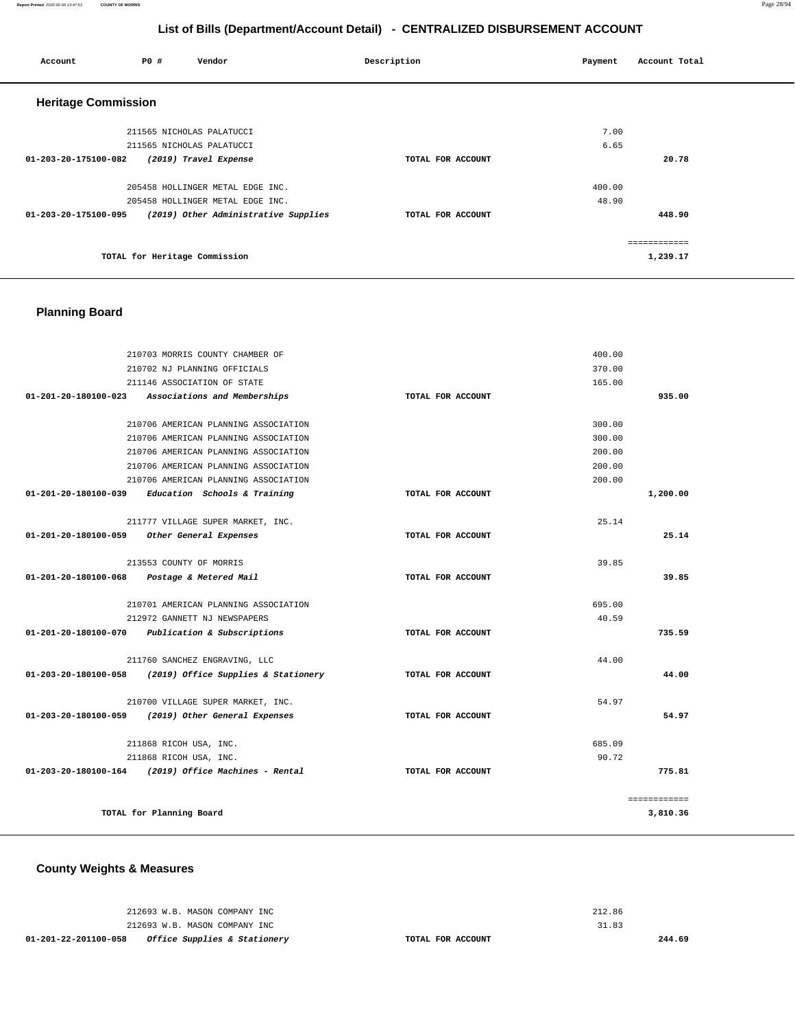| Account                    | <b>PO #</b> | Vendor                               | Description       | Payment | Account Total |
|----------------------------|-------------|--------------------------------------|-------------------|---------|---------------|
| <b>Heritage Commission</b> |             |                                      |                   |         |               |
|                            |             | 211565 NICHOLAS PALATUCCI            |                   | 7.00    |               |
|                            |             | 211565 NICHOLAS PALATUCCI            |                   | 6.65    |               |
| 01-203-20-175100-082       |             | (2019) Travel Expense                | TOTAL FOR ACCOUNT |         | 20.78         |
|                            |             | 205458 HOLLINGER METAL EDGE INC.     |                   | 400.00  |               |
|                            |             | 205458 HOLLINGER METAL EDGE INC.     |                   | 48.90   |               |
| 01-203-20-175100-095       |             | (2019) Other Administrative Supplies | TOTAL FOR ACCOUNT |         | 448.90        |
|                            |             |                                      |                   |         | ------------  |
|                            |             | TOTAL for Heritage Commission        |                   |         | 1,239.17      |

# **Planning Board**

|                      | 210703 MORRIS COUNTY CHAMBER OF                        |                   | 400.00 |              |
|----------------------|--------------------------------------------------------|-------------------|--------|--------------|
|                      | 210702 NJ PLANNING OFFICIALS                           |                   | 370.00 |              |
|                      | 211146 ASSOCIATION OF STATE                            |                   | 165.00 |              |
| 01-201-20-180100-023 | Associations and Memberships                           | TOTAL FOR ACCOUNT |        | 935.00       |
|                      | 210706 AMERICAN PLANNING ASSOCIATION                   |                   | 300.00 |              |
|                      | 210706 AMERICAN PLANNING ASSOCIATION                   |                   | 300.00 |              |
|                      | 210706 AMERICAN PLANNING ASSOCIATION                   |                   | 200.00 |              |
|                      | 210706 AMERICAN PLANNING ASSOCIATION                   |                   | 200.00 |              |
|                      | 210706 AMERICAN PLANNING ASSOCIATION                   |                   | 200.00 |              |
| 01-201-20-180100-039 | Education Schools & Training                           | TOTAL FOR ACCOUNT |        | 1,200.00     |
|                      | 211777 VILLAGE SUPER MARKET, INC.                      |                   | 25.14  |              |
| 01-201-20-180100-059 | Other General Expenses                                 | TOTAL FOR ACCOUNT |        | 25.14        |
|                      | 213553 COUNTY OF MORRIS                                |                   | 39.85  |              |
| 01-201-20-180100-068 | Postage & Metered Mail                                 | TOTAL FOR ACCOUNT |        | 39.85        |
|                      | 210701 AMERICAN PLANNING ASSOCIATION                   |                   | 695.00 |              |
|                      | 212972 GANNETT NJ NEWSPAPERS                           |                   | 40.59  |              |
| 01-201-20-180100-070 | Publication & Subscriptions                            | TOTAL FOR ACCOUNT |        | 735.59       |
|                      | 211760 SANCHEZ ENGRAVING, LLC                          |                   | 44.00  |              |
| 01-203-20-180100-058 | (2019) Office Supplies & Stationery                    | TOTAL FOR ACCOUNT |        | 44.00        |
|                      | 210700 VILLAGE SUPER MARKET, INC.                      |                   | 54.97  |              |
| 01-203-20-180100-059 | (2019) Other General Expenses                          | TOTAL FOR ACCOUNT |        | 54.97        |
|                      | 211868 RICOH USA, INC.                                 |                   | 685.09 |              |
|                      | 211868 RICOH USA, INC.                                 |                   | 90.72  |              |
|                      | $01-203-20-180100-164$ (2019) Office Machines - Rental | TOTAL FOR ACCOUNT |        | 775.81       |
|                      |                                                        |                   |        | ============ |
|                      | TOTAL for Planning Board                               |                   |        | 3,810.36     |

**County Weights & Measures**

| <i>Office Supplies &amp; Stationery</i><br>01-201-22-201100-058 | TOTAL FOR ACCOUNT |        | 244.69 |
|-----------------------------------------------------------------|-------------------|--------|--------|
| 212693 W.B. MASON COMPANY INC                                   |                   | 31.83  |        |
| 212693 W.B. MASON COMPANY INC                                   |                   | 212.86 |        |
|                                                                 |                   |        |        |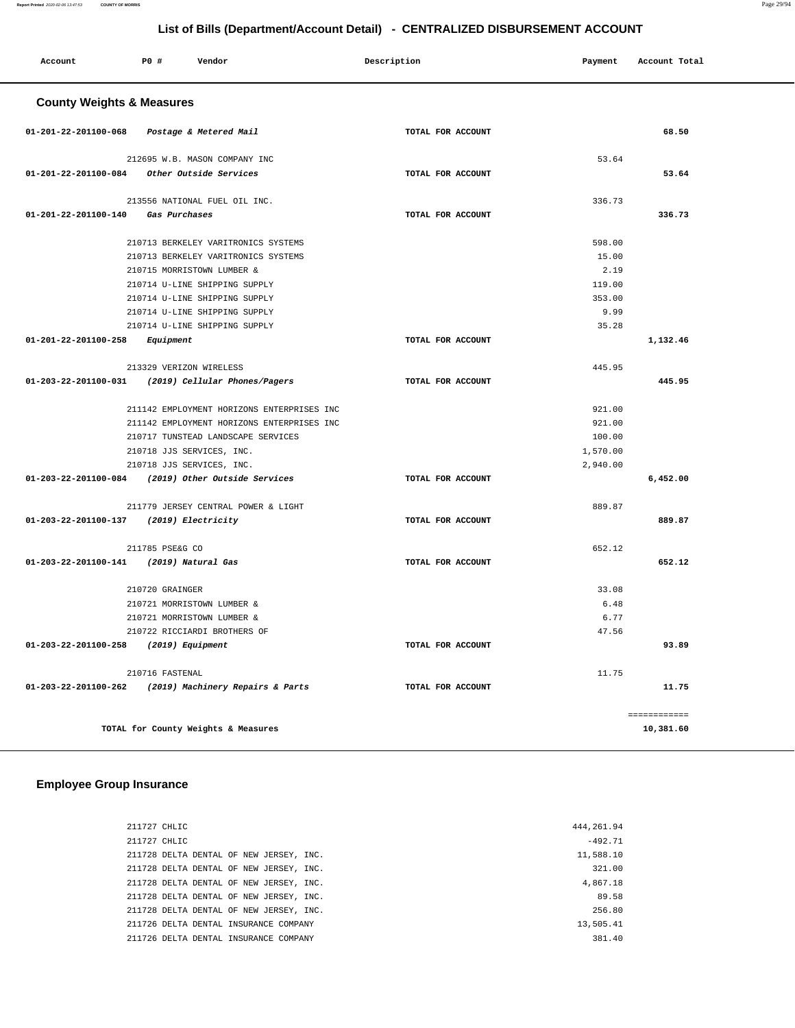| Account                              | P0#                         | Vendor                                             | Description       | Payment  | Account Total |
|--------------------------------------|-----------------------------|----------------------------------------------------|-------------------|----------|---------------|
| <b>County Weights &amp; Measures</b> |                             |                                                    |                   |          |               |
| 01-201-22-201100-068                 |                             | Postage & Metered Mail                             | TOTAL FOR ACCOUNT |          | 68.50         |
|                                      |                             | 212695 W.B. MASON COMPANY INC                      |                   | 53.64    |               |
| 01-201-22-201100-084                 |                             | Other Outside Services                             | TOTAL FOR ACCOUNT |          | 53.64         |
|                                      |                             | 213556 NATIONAL FUEL OIL INC.                      |                   | 336.73   |               |
| 01-201-22-201100-140                 | <i><b>Gas Purchases</b></i> |                                                    | TOTAL FOR ACCOUNT |          | 336.73        |
|                                      |                             | 210713 BERKELEY VARITRONICS SYSTEMS                |                   | 598.00   |               |
|                                      |                             | 210713 BERKELEY VARITRONICS SYSTEMS                |                   | 15.00    |               |
|                                      |                             | 210715 MORRISTOWN LUMBER &                         |                   | 2.19     |               |
|                                      |                             | 210714 U-LINE SHIPPING SUPPLY                      |                   | 119.00   |               |
|                                      |                             | 210714 U-LINE SHIPPING SUPPLY                      |                   | 353.00   |               |
|                                      |                             | 210714 U-LINE SHIPPING SUPPLY                      |                   | 9.99     |               |
|                                      |                             | 210714 U-LINE SHIPPING SUPPLY                      |                   | 35.28    |               |
| 01-201-22-201100-258                 | Equipment                   |                                                    | TOTAL FOR ACCOUNT |          | 1,132.46      |
|                                      |                             | 213329 VERIZON WIRELESS                            |                   | 445.95   |               |
| 01-203-22-201100-031                 |                             | (2019) Cellular Phones/Pagers                      | TOTAL FOR ACCOUNT |          | 445.95        |
|                                      |                             | 211142 EMPLOYMENT HORIZONS ENTERPRISES INC         |                   | 921.00   |               |
|                                      |                             | 211142 EMPLOYMENT HORIZONS ENTERPRISES INC         |                   | 921.00   |               |
|                                      |                             | 210717 TUNSTEAD LANDSCAPE SERVICES                 |                   | 100.00   |               |
|                                      |                             | 210718 JJS SERVICES, INC.                          |                   | 1,570.00 |               |
|                                      |                             | 210718 JJS SERVICES, INC.                          |                   | 2,940.00 |               |
|                                      |                             | 01-203-22-201100-084 (2019) Other Outside Services | TOTAL FOR ACCOUNT |          | 6,452.00      |
|                                      |                             | 211779 JERSEY CENTRAL POWER & LIGHT                |                   | 889.87   |               |
| 01-203-22-201100-137                 |                             | (2019) Electricity                                 | TOTAL FOR ACCOUNT |          | 889.87        |
|                                      | 211785 PSE&G CO             |                                                    |                   | 652.12   |               |
| 01-203-22-201100-141                 |                             | (2019) Natural Gas                                 | TOTAL FOR ACCOUNT |          | 652.12        |
|                                      | 210720 GRAINGER             |                                                    |                   | 33.08    |               |
|                                      |                             | 210721 MORRISTOWN LUMBER &                         |                   | 6.48     |               |
|                                      |                             | 210721 MORRISTOWN LUMBER &                         |                   | 6.77     |               |
|                                      |                             | 210722 RICCIARDI BROTHERS OF                       |                   | 47.56    |               |
| 01-203-22-201100-258                 |                             | (2019) Equipment                                   | TOTAL FOR ACCOUNT |          | 93.89         |
|                                      | 210716 FASTENAL             |                                                    |                   | 11.75    |               |
| 01-203-22-201100-262                 |                             | (2019) Machinery Repairs & Parts                   | TOTAL FOR ACCOUNT |          | 11.75         |
|                                      |                             |                                                    |                   |          | ============  |
|                                      |                             | TOTAL for County Weights & Measures                |                   |          | 10,381.60     |

# **Employee Group Insurance**

| 211727 CHLIC                            |  |
|-----------------------------------------|--|
| 211727 CHLIC                            |  |
| 211728 DELTA DENTAL OF NEW JERSEY, INC. |  |
| 211728 DELTA DENTAL OF NEW JERSEY, INC. |  |
| 211728 DELTA DENTAL OF NEW JERSEY, INC. |  |
| 211728 DELTA DENTAL OF NEW JERSEY, INC. |  |
| 211728 DELTA DENTAL OF NEW JERSEY, INC. |  |
| 211726 DELTA DENTAL INSURANCE COMPANY   |  |
| 211726 DELTA DENTAL INSURANCE COMPANY   |  |
|                                         |  |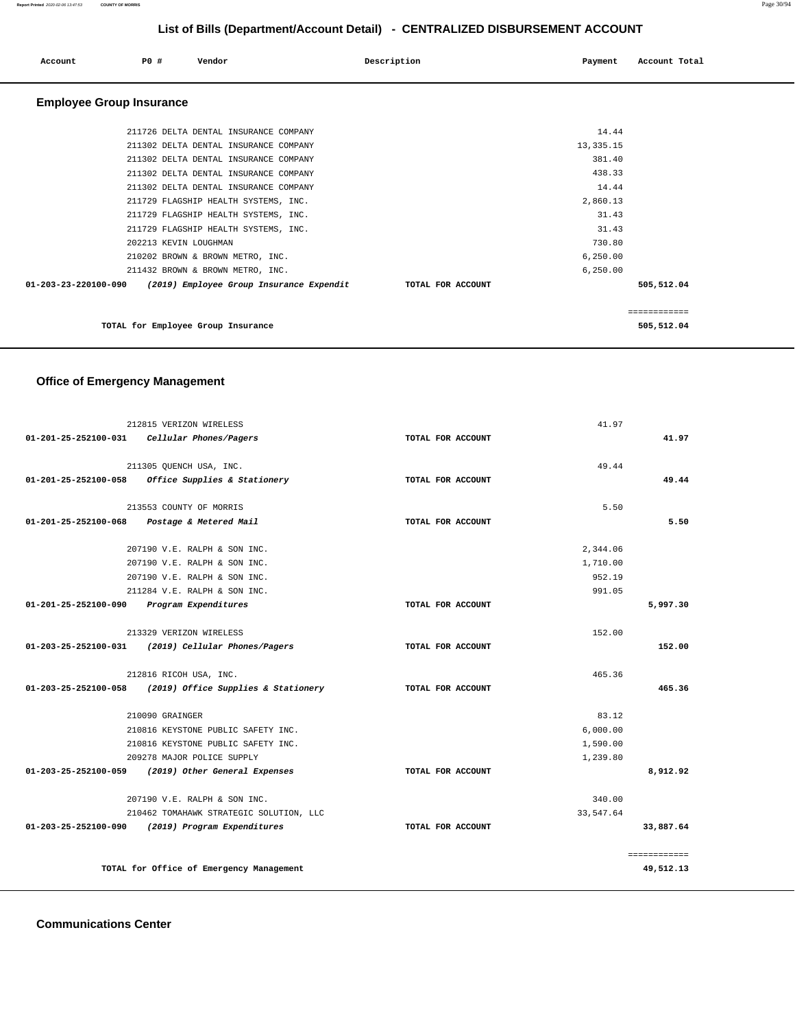#### **Report Printed** 2020-02-06 13:47:53 **COUNTY OF MORRIS** Page 30/94

# **List of Bills (Department/Account Detail) - CENTRALIZED DISBURSEMENT ACCOUNT**

| Account                         | PO#                   | Vendor                                   | Description | Payment           | Account Total |
|---------------------------------|-----------------------|------------------------------------------|-------------|-------------------|---------------|
| <b>Employee Group Insurance</b> |                       |                                          |             |                   |               |
|                                 |                       | 211726 DELTA DENTAL INSURANCE COMPANY    |             | 14.44             |               |
|                                 |                       | 211302 DELTA DENTAL INSURANCE COMPANY    |             | 13, 335. 15       |               |
|                                 |                       | 211302 DELTA DENTAL INSURANCE COMPANY    |             | 381.40            |               |
|                                 |                       | 211302 DELTA DENTAL INSURANCE COMPANY    |             | 438.33            |               |
|                                 |                       | 211302 DELTA DENTAL INSURANCE COMPANY    |             | 14.44             |               |
|                                 |                       | 211729 FLAGSHIP HEALTH SYSTEMS, INC.     |             | 2,860.13          |               |
|                                 |                       | 211729 FLAGSHIP HEALTH SYSTEMS, INC.     |             | 31.43             |               |
|                                 |                       | 211729 FLAGSHIP HEALTH SYSTEMS, INC.     |             | 31.43             |               |
|                                 | 202213 KEVIN LOUGHMAN |                                          |             | 730.80            |               |
|                                 |                       | 210202 BROWN & BROWN METRO, INC.         |             | 6, 250.00         |               |
|                                 |                       | 211432 BROWN & BROWN METRO, INC.         |             | 6, 250.00         |               |
| $01 - 203 - 23 - 220100 - 090$  |                       | (2019) Employee Group Insurance Expendit |             | TOTAL FOR ACCOUNT | 505,512.04    |
|                                 |                       |                                          |             |                   | ------------  |
|                                 |                       | TOTAL for Employee Group Insurance       |             |                   | 505,512.04    |

# **Office of Emergency Management**

|                                           | 212815 VERIZON WIRELESS                          |                   | 41.97      |              |
|-------------------------------------------|--------------------------------------------------|-------------------|------------|--------------|
| 01-201-25-252100-031                      | Cellular Phones/Pagers                           | TOTAL FOR ACCOUNT |            | 41.97        |
|                                           | 211305 OUENCH USA, INC.                          |                   | 49.44      |              |
| $01 - 201 - 25 - 252100 - 058$            | Office Supplies & Stationery                     | TOTAL FOR ACCOUNT |            | 49.44        |
|                                           | 213553 COUNTY OF MORRIS                          |                   | 5.50       |              |
| 01-201-25-252100-068                      | Postage & Metered Mail                           | TOTAL FOR ACCOUNT |            | 5.50         |
|                                           | 207190 V.E. RALPH & SON INC.                     |                   | 2,344.06   |              |
|                                           | 207190 V.E. RALPH & SON INC.                     |                   | 1,710.00   |              |
|                                           | 207190 V.E. RALPH & SON INC.                     |                   | 952.19     |              |
|                                           | 211284 V.E. RALPH & SON INC.                     |                   | 991.05     |              |
| 01-201-25-252100-090 Program Expenditures |                                                  | TOTAL FOR ACCOUNT |            | 5,997.30     |
|                                           | 213329 VERIZON WIRELESS                          |                   | 152.00     |              |
| $01 - 203 - 25 - 252100 - 031$            | (2019) Cellular Phones/Pagers                    | TOTAL FOR ACCOUNT |            | 152.00       |
|                                           | 212816 RICOH USA, INC.                           |                   | 465.36     |              |
| 01-203-25-252100-058                      | (2019) Office Supplies & Stationery              | TOTAL FOR ACCOUNT |            | 465.36       |
|                                           | 210090 GRAINGER                                  |                   | 83.12      |              |
|                                           | 210816 KEYSTONE PUBLIC SAFETY INC.               |                   | 6,000.00   |              |
|                                           | 210816 KEYSTONE PUBLIC SAFETY INC.               |                   | 1,590.00   |              |
|                                           | 209278 MAJOR POLICE SUPPLY                       |                   | 1,239.80   |              |
| $01 - 203 - 25 - 252100 - 059$            | (2019) Other General Expenses                    | TOTAL FOR ACCOUNT |            | 8,912.92     |
|                                           | 207190 V.E. RALPH & SON INC.                     |                   | 340.00     |              |
|                                           | 210462 TOMAHAWK STRATEGIC SOLUTION, LLC          |                   | 33, 547.64 |              |
|                                           | 01-203-25-252100-090 (2019) Program Expenditures | TOTAL FOR ACCOUNT |            | 33,887.64    |
|                                           |                                                  |                   |            | ============ |
|                                           | TOTAL for Office of Emergency Management         |                   |            | 49,512.13    |

**Communications Center**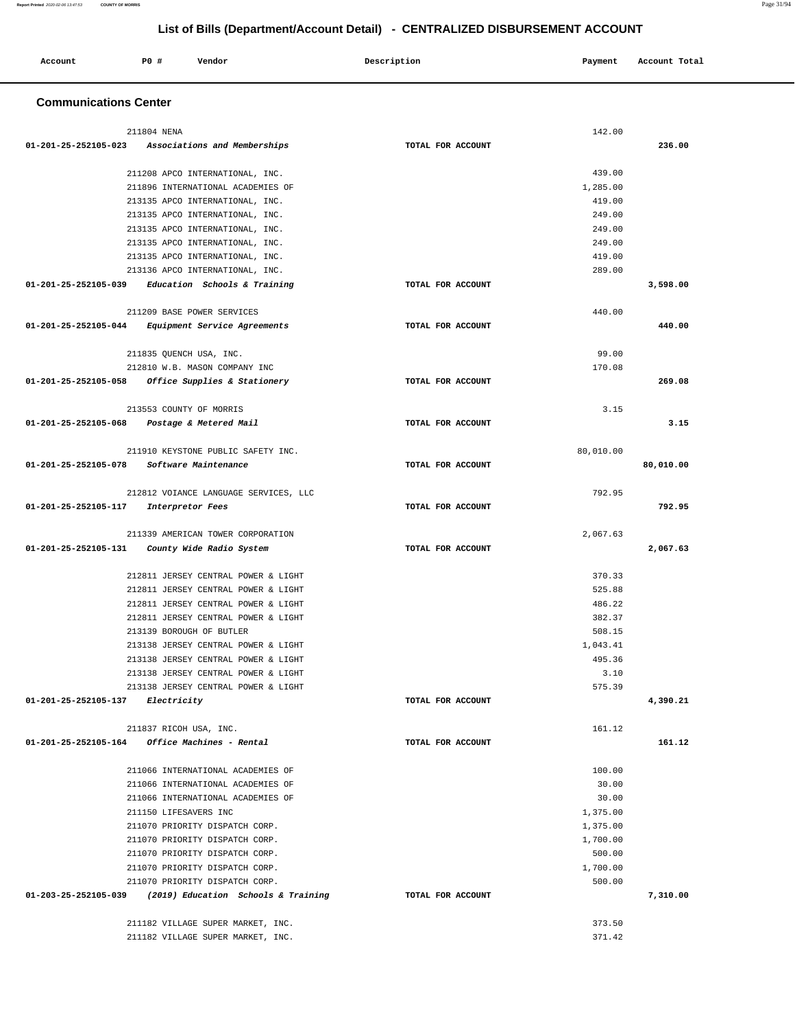| Account | <b>PO #</b> | Vendor | Description | Payment | Total<br>Account |
|---------|-------------|--------|-------------|---------|------------------|
|         |             |        |             |         |                  |

# **Communications Center**

|                      | 211804 NENA                                                               |                   | 142.00    |           |
|----------------------|---------------------------------------------------------------------------|-------------------|-----------|-----------|
| 01-201-25-252105-023 | Associations and Memberships                                              | TOTAL FOR ACCOUNT |           | 236.00    |
|                      |                                                                           |                   |           |           |
|                      | 211208 APCO INTERNATIONAL, INC.                                           |                   | 439.00    |           |
|                      | 211896 INTERNATIONAL ACADEMIES OF                                         |                   | 1,285.00  |           |
|                      | 213135 APCO INTERNATIONAL, INC.                                           |                   | 419.00    |           |
|                      | 213135 APCO INTERNATIONAL, INC.                                           |                   | 249.00    |           |
|                      | 213135 APCO INTERNATIONAL, INC.                                           |                   | 249.00    |           |
|                      | 213135 APCO INTERNATIONAL, INC.                                           |                   | 249.00    |           |
|                      | 213135 APCO INTERNATIONAL, INC.                                           |                   | 419.00    |           |
|                      | 213136 APCO INTERNATIONAL, INC.                                           |                   | 289.00    |           |
|                      | $01-201-25-252105-039$ Education Schools & Training                       | TOTAL FOR ACCOUNT |           | 3,598.00  |
|                      | 211209 BASE POWER SERVICES                                                |                   | 440.00    |           |
| 01-201-25-252105-044 | <i>Equipment Service Agreements</i>                                       | TOTAL FOR ACCOUNT |           | 440.00    |
|                      |                                                                           |                   |           |           |
|                      | 211835 QUENCH USA, INC.                                                   |                   | 99.00     |           |
|                      | 212810 W.B. MASON COMPANY INC                                             |                   | 170.08    |           |
| 01-201-25-252105-058 | <i>Office Supplies &amp; Stationery</i>                                   | TOTAL FOR ACCOUNT |           | 269.08    |
|                      |                                                                           |                   |           |           |
|                      | 213553 COUNTY OF MORRIS                                                   |                   | 3.15      |           |
| 01-201-25-252105-068 | Postage & Metered Mail                                                    | TOTAL FOR ACCOUNT |           | 3.15      |
|                      | 211910 KEYSTONE PUBLIC SAFETY INC.                                        |                   | 80,010.00 |           |
| 01-201-25-252105-078 | Software Maintenance                                                      | TOTAL FOR ACCOUNT |           | 80,010.00 |
|                      |                                                                           |                   |           |           |
|                      | 212812 VOIANCE LANGUAGE SERVICES, LLC                                     |                   | 792.95    |           |
| 01-201-25-252105-117 | Interpretor Fees                                                          | TOTAL FOR ACCOUNT |           | 792.95    |
|                      |                                                                           |                   |           |           |
|                      | 211339 AMERICAN TOWER CORPORATION                                         |                   | 2,067.63  |           |
| 01-201-25-252105-131 | County Wide Radio System                                                  | TOTAL FOR ACCOUNT |           | 2,067.63  |
|                      | 212811 JERSEY CENTRAL POWER & LIGHT                                       |                   | 370.33    |           |
|                      | 212811 JERSEY CENTRAL POWER & LIGHT                                       |                   | 525.88    |           |
|                      | 212811 JERSEY CENTRAL POWER & LIGHT                                       |                   | 486.22    |           |
|                      | 212811 JERSEY CENTRAL POWER & LIGHT                                       |                   | 382.37    |           |
|                      | 213139 BOROUGH OF BUTLER                                                  |                   | 508.15    |           |
|                      | 213138 JERSEY CENTRAL POWER & LIGHT                                       |                   | 1,043.41  |           |
|                      | 213138 JERSEY CENTRAL POWER & LIGHT                                       |                   | 495.36    |           |
|                      | 213138 JERSEY CENTRAL POWER & LIGHT                                       |                   | 3.10      |           |
|                      | 213138 JERSEY CENTRAL POWER & LIGHT                                       |                   | 575.39    |           |
| 01-201-25-252105-137 | Electricity                                                               | TOTAL FOR ACCOUNT |           | 4,390.21  |
|                      |                                                                           |                   |           |           |
|                      | 211837 RICOH USA, INC.<br>$01-201-25-252105-164$ Office Machines - Rental | TOTAL FOR ACCOUNT | 161.12    | 161.12    |
|                      |                                                                           |                   |           |           |
|                      | 211066 INTERNATIONAL ACADEMIES OF                                         |                   | 100.00    |           |
|                      | 211066 INTERNATIONAL ACADEMIES OF                                         |                   | 30.00     |           |
|                      | 211066 INTERNATIONAL ACADEMIES OF                                         |                   | 30.00     |           |
|                      | 211150 LIFESAVERS INC                                                     |                   | 1,375.00  |           |
|                      | 211070 PRIORITY DISPATCH CORP.                                            |                   | 1,375.00  |           |
|                      | 211070 PRIORITY DISPATCH CORP.                                            |                   | 1,700.00  |           |
|                      | 211070 PRIORITY DISPATCH CORP.                                            |                   | 500.00    |           |
|                      | 211070 PRIORITY DISPATCH CORP.                                            |                   | 1,700.00  |           |
|                      | 211070 PRIORITY DISPATCH CORP.                                            |                   | 500.00    |           |
| 01-203-25-252105-039 | (2019) Education Schools & Training                                       | TOTAL FOR ACCOUNT |           | 7,310.00  |
|                      |                                                                           |                   |           |           |
|                      | 211182 VILLAGE SUPER MARKET, INC.                                         |                   | 373.50    |           |
|                      | 211182 VILLAGE SUPER MARKET, INC.                                         |                   | 371.42    |           |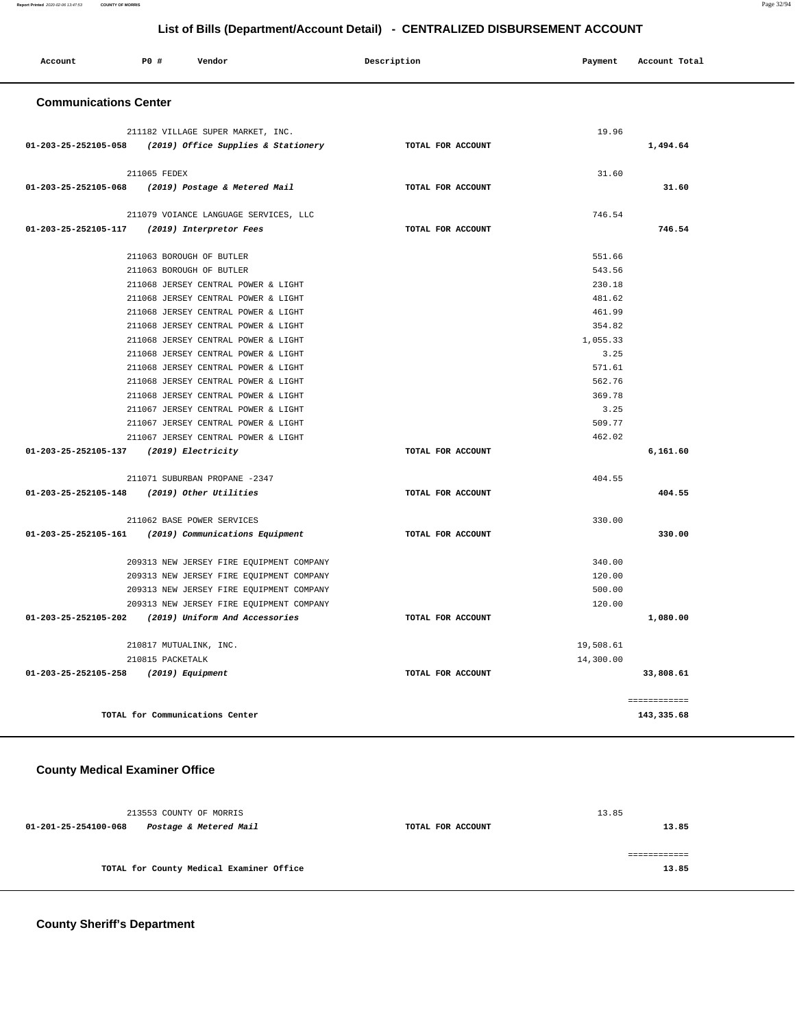#### **Report Printed** 2020-02-06 13:47:53 **COUNTY OF MORRIS** Page 32/94

 **List of Bills (Department/Account Detail) - CENTRALIZED DISBURSEMENT ACCOUNT**

| P0 #<br>Account<br>Vendor                                | Description       | Payment   | Account Total |
|----------------------------------------------------------|-------------------|-----------|---------------|
| <b>Communications Center</b>                             |                   |           |               |
| 211182 VILLAGE SUPER MARKET, INC.                        |                   | 19.96     |               |
| 01-203-25-252105-058 (2019) Office Supplies & Stationery | TOTAL FOR ACCOUNT |           | 1,494.64      |
| 211065 FEDEX                                             |                   | 31.60     |               |
| 01-203-25-252105-068<br>(2019) Postage & Metered Mail    | TOTAL FOR ACCOUNT |           | 31.60         |
| 211079 VOIANCE LANGUAGE SERVICES, LLC                    |                   | 746.54    |               |
| 01-203-25-252105-117 (2019) Interpretor Fees             | TOTAL FOR ACCOUNT |           | 746.54        |
| 211063 BOROUGH OF BUTLER                                 |                   | 551.66    |               |
| 211063 BOROUGH OF BUTLER                                 |                   | 543.56    |               |
| 211068 JERSEY CENTRAL POWER & LIGHT                      |                   | 230.18    |               |
| 211068 JERSEY CENTRAL POWER & LIGHT                      |                   | 481.62    |               |
| 211068 JERSEY CENTRAL POWER & LIGHT                      |                   | 461.99    |               |
| 211068 JERSEY CENTRAL POWER & LIGHT                      |                   | 354.82    |               |
| 211068 JERSEY CENTRAL POWER & LIGHT                      |                   | 1,055.33  |               |
| 211068 JERSEY CENTRAL POWER & LIGHT                      |                   | 3.25      |               |
| 211068 JERSEY CENTRAL POWER & LIGHT                      |                   | 571.61    |               |
| 211068 JERSEY CENTRAL POWER & LIGHT                      |                   | 562.76    |               |
| 211068 JERSEY CENTRAL POWER & LIGHT                      |                   | 369.78    |               |
| 211067 JERSEY CENTRAL POWER & LIGHT                      |                   | 3.25      |               |
| 211067 JERSEY CENTRAL POWER & LIGHT                      |                   | 509.77    |               |
| 211067 JERSEY CENTRAL POWER & LIGHT                      |                   | 462.02    |               |
| 01-203-25-252105-137 (2019) Electricity                  | TOTAL FOR ACCOUNT |           | 6,161.60      |
| 211071 SUBURBAN PROPANE -2347                            |                   | 404.55    |               |
| 01-203-25-252105-148 (2019) Other Utilities              | TOTAL FOR ACCOUNT |           | 404.55        |
| 211062 BASE POWER SERVICES                               |                   | 330.00    |               |
| 01-203-25-252105-161 (2019) Communications Equipment     | TOTAL FOR ACCOUNT |           | 330.00        |
| 209313 NEW JERSEY FIRE EQUIPMENT COMPANY                 |                   | 340.00    |               |
| 209313 NEW JERSEY FIRE EQUIPMENT COMPANY                 |                   | 120.00    |               |
| 209313 NEW JERSEY FIRE EQUIPMENT COMPANY                 |                   | 500.00    |               |
| 209313 NEW JERSEY FIRE EQUIPMENT COMPANY                 |                   | 120.00    |               |
| 01-203-25-252105-202<br>(2019) Uniform And Accessories   | TOTAL FOR ACCOUNT |           | 1,080.00      |
| 210817 MUTUALINK, INC.                                   |                   | 19,508.61 |               |
| 210815 PACKETALK                                         |                   | 14,300.00 |               |
| 01-203-25-252105-258<br>(2019) Equipment                 | TOTAL FOR ACCOUNT |           | 33,808.61     |
|                                                          |                   |           | ============  |
| TOTAL for Communications Center                          |                   |           | 143,335.68    |

# **County Medical Examiner Office**

| 213553 COUNTY OF MORRIS                        |                   | 13.85 |
|------------------------------------------------|-------------------|-------|
| Postage & Metered Mail<br>01-201-25-254100-068 | TOTAL FOR ACCOUNT | 13.85 |
|                                                |                   |       |
|                                                |                   |       |
| TOTAL for County Medical Examiner Office       |                   | 13.85 |
|                                                |                   |       |

**County Sheriff's Department**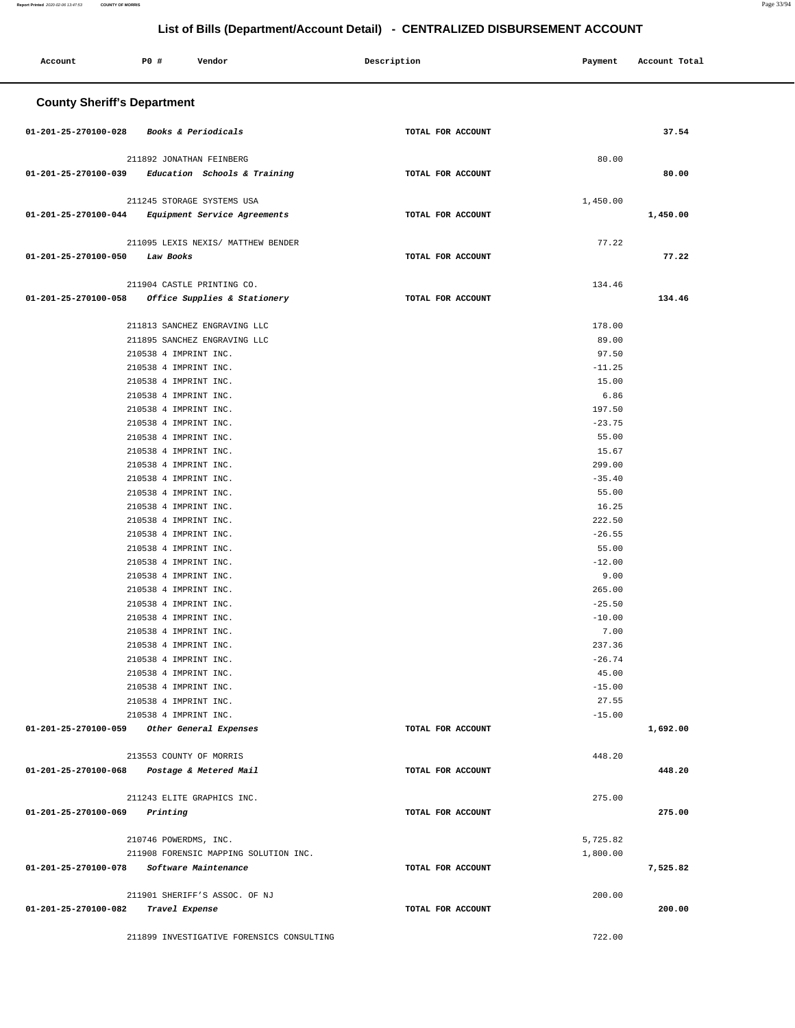۳

| Account                            | P0 #                                           | Vendor                                    | Description       | Payment           | Account Total |
|------------------------------------|------------------------------------------------|-------------------------------------------|-------------------|-------------------|---------------|
| <b>County Sheriff's Department</b> |                                                |                                           |                   |                   |               |
| 01-201-25-270100-028               | Books & Periodicals                            |                                           | TOTAL FOR ACCOUNT |                   | 37.54         |
|                                    | 211892 JONATHAN FEINBERG                       |                                           |                   | 80.00             |               |
| 01-201-25-270100-039               |                                                | Education Schools & Training              | TOTAL FOR ACCOUNT |                   | 80.00         |
|                                    |                                                |                                           |                   |                   |               |
|                                    | 211245 STORAGE SYSTEMS USA                     |                                           |                   | 1,450.00          |               |
| 01-201-25-270100-044               |                                                | Equipment Service Agreements              | TOTAL FOR ACCOUNT |                   | 1,450.00      |
|                                    |                                                | 211095 LEXIS NEXIS/ MATTHEW BENDER        |                   | 77.22             |               |
| 01-201-25-270100-050               | Law Books                                      |                                           | TOTAL FOR ACCOUNT |                   | 77.22         |
|                                    |                                                |                                           |                   |                   |               |
|                                    | 211904 CASTLE PRINTING CO.                     |                                           |                   | 134.46            |               |
| $01 - 201 - 25 - 270100 - 058$     |                                                | Office Supplies & Stationery              | TOTAL FOR ACCOUNT |                   | 134.46        |
|                                    |                                                | 211813 SANCHEZ ENGRAVING LLC              |                   |                   |               |
|                                    |                                                | 211895 SANCHEZ ENGRAVING LLC              |                   | 178.00<br>89.00   |               |
|                                    | 210538 4 IMPRINT INC.                          |                                           |                   | 97.50             |               |
|                                    | 210538 4 IMPRINT INC.                          |                                           |                   | $-11.25$          |               |
|                                    | 210538 4 IMPRINT INC.                          |                                           |                   | 15.00             |               |
|                                    | 210538 4 IMPRINT INC.                          |                                           |                   | 6.86              |               |
|                                    | 210538 4 IMPRINT INC.                          |                                           |                   | 197.50            |               |
|                                    | 210538 4 IMPRINT INC.                          |                                           |                   | $-23.75$          |               |
|                                    | 210538 4 IMPRINT INC.                          |                                           |                   | 55.00             |               |
|                                    | 210538 4 IMPRINT INC.                          |                                           |                   | 15.67             |               |
|                                    | 210538 4 IMPRINT INC.                          |                                           |                   | 299.00            |               |
|                                    | 210538 4 IMPRINT INC.<br>210538 4 IMPRINT INC. |                                           |                   | $-35.40$<br>55.00 |               |
|                                    | 210538 4 IMPRINT INC.                          |                                           |                   | 16.25             |               |
|                                    | 210538 4 IMPRINT INC.                          |                                           |                   | 222.50            |               |
|                                    | 210538 4 IMPRINT INC.                          |                                           |                   | $-26.55$          |               |
|                                    | 210538 4 IMPRINT INC.                          |                                           |                   | 55.00             |               |
|                                    | 210538 4 IMPRINT INC.                          |                                           |                   | $-12.00$          |               |
|                                    | 210538 4 IMPRINT INC.                          |                                           |                   | 9.00              |               |
|                                    | 210538 4 IMPRINT INC.                          |                                           |                   | 265.00            |               |
|                                    | 210538 4 IMPRINT INC.                          |                                           |                   | $-25.50$          |               |
|                                    | 210538 4 IMPRINT INC.                          |                                           |                   | $-10.00$          |               |
|                                    | 210538 4 IMPRINT INC.<br>210538 4 IMPRINT INC. |                                           |                   | 7.00<br>237.36    |               |
|                                    | 210538 4 IMPRINT INC.                          |                                           |                   | $-26.74$          |               |
|                                    | 210538 4 IMPRINT INC.                          |                                           |                   | 45.00             |               |
|                                    | 210538 4 IMPRINT INC.                          |                                           |                   | $-15.00$          |               |
|                                    | 210538 4 IMPRINT INC.                          |                                           |                   | 27.55             |               |
|                                    | 210538 4 IMPRINT INC.                          |                                           |                   | $-15.00$          |               |
| 01-201-25-270100-059               |                                                | Other General Expenses                    | TOTAL FOR ACCOUNT |                   | 1,692.00      |
|                                    | 213553 COUNTY OF MORRIS                        |                                           |                   | 448.20            |               |
| 01-201-25-270100-068               |                                                | Postage & Metered Mail                    | TOTAL FOR ACCOUNT |                   | 448.20        |
|                                    |                                                |                                           |                   |                   |               |
|                                    | 211243 ELITE GRAPHICS INC.                     |                                           |                   | 275.00            |               |
| 01-201-25-270100-069               | Printing                                       |                                           | TOTAL FOR ACCOUNT |                   | 275.00        |
|                                    |                                                |                                           |                   |                   |               |
|                                    | 210746 POWERDMS, INC.                          |                                           |                   | 5,725.82          |               |
|                                    |                                                | 211908 FORENSIC MAPPING SOLUTION INC.     |                   | 1,800.00          |               |
| 01-201-25-270100-078               | Software Maintenance                           |                                           | TOTAL FOR ACCOUNT |                   | 7,525.82      |
|                                    |                                                | 211901 SHERIFF'S ASSOC. OF NJ             |                   | 200.00            |               |
| 01-201-25-270100-082               | Travel Expense                                 |                                           | TOTAL FOR ACCOUNT |                   | 200.00        |
|                                    |                                                |                                           |                   |                   |               |
|                                    |                                                | 211899 INVESTIGATIVE FORENSICS CONSULTING |                   | 722.00            |               |

**Report Printed** 2020-02-06 13:47:53 **COUNTY OF MORRIS** Page 33/94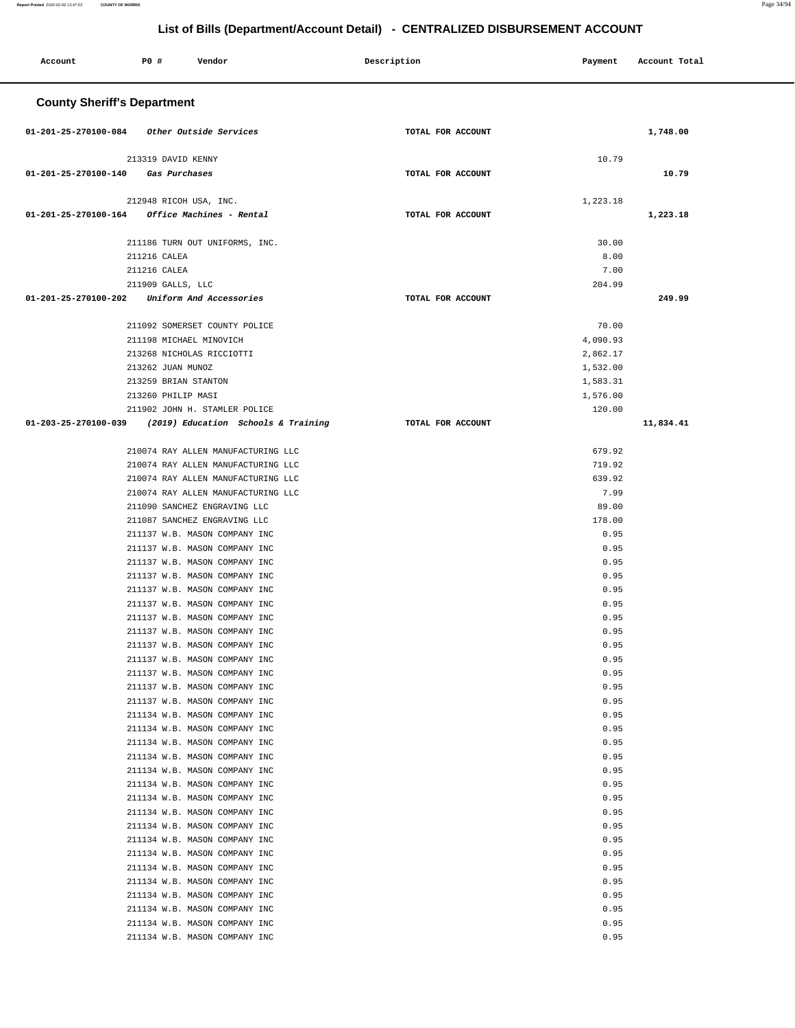| Account                                     | P0 #                                           | Vendor                                                         | Description       | Payment              | Account Total |
|---------------------------------------------|------------------------------------------------|----------------------------------------------------------------|-------------------|----------------------|---------------|
| <b>County Sheriff's Department</b>          |                                                |                                                                |                   |                      |               |
| 01-201-25-270100-084 Other Outside Services |                                                |                                                                | TOTAL FOR ACCOUNT |                      | 1,748.00      |
|                                             | 213319 DAVID KENNY                             |                                                                |                   | 10.79                |               |
| 01-201-25-270100-140                        | Gas Purchases                                  |                                                                | TOTAL FOR ACCOUNT |                      | 10.79         |
|                                             |                                                |                                                                |                   | 1,223.18             |               |
| 01-201-25-270100-164                        | 212948 RICOH USA, INC.                         | Office Machines - Rental                                       | TOTAL FOR ACCOUNT |                      | 1,223.18      |
|                                             |                                                |                                                                |                   |                      |               |
|                                             |                                                | 211186 TURN OUT UNIFORMS, INC.                                 |                   | 30.00                |               |
|                                             | 211216 CALEA                                   |                                                                |                   | 8.00                 |               |
|                                             | 211216 CALEA<br>211909 GALLS, LLC              |                                                                |                   | 7.00<br>204.99       |               |
| 01-201-25-270100-202                        |                                                | Uniform And Accessories                                        | TOTAL FOR ACCOUNT |                      | 249.99        |
|                                             |                                                |                                                                |                   |                      |               |
|                                             |                                                | 211092 SOMERSET COUNTY POLICE                                  |                   | 70.00                |               |
|                                             | 211198 MICHAEL MINOVICH                        |                                                                |                   | 4,090.93             |               |
|                                             | 213268 NICHOLAS RICCIOTTI<br>213262 JUAN MUNOZ |                                                                |                   | 2,862.17<br>1,532.00 |               |
|                                             | 213259 BRIAN STANTON                           |                                                                |                   | 1,583.31             |               |
|                                             | 213260 PHILIP MASI                             |                                                                |                   | 1,576.00             |               |
|                                             |                                                | 211902 JOHN H. STAMLER POLICE                                  |                   | 120.00               |               |
| 01-203-25-270100-039                        |                                                | (2019) Education Schools & Training                            | TOTAL FOR ACCOUNT |                      | 11,834.41     |
|                                             |                                                | 210074 RAY ALLEN MANUFACTURING LLC                             |                   | 679.92               |               |
|                                             |                                                | 210074 RAY ALLEN MANUFACTURING LLC                             |                   | 719.92               |               |
|                                             |                                                | 210074 RAY ALLEN MANUFACTURING LLC                             |                   | 639.92               |               |
|                                             |                                                | 210074 RAY ALLEN MANUFACTURING LLC                             |                   | 7.99                 |               |
|                                             |                                                | 211090 SANCHEZ ENGRAVING LLC                                   |                   | 89.00                |               |
|                                             |                                                | 211087 SANCHEZ ENGRAVING LLC<br>211137 W.B. MASON COMPANY INC  |                   | 178.00<br>0.95       |               |
|                                             |                                                | 211137 W.B. MASON COMPANY INC                                  |                   | 0.95                 |               |
|                                             |                                                | 211137 W.B. MASON COMPANY INC                                  |                   | 0.95                 |               |
|                                             |                                                | 211137 W.B. MASON COMPANY INC                                  |                   | 0.95                 |               |
|                                             |                                                | 211137 W.B. MASON COMPANY INC                                  |                   | 0.95                 |               |
|                                             |                                                | 211137 W.B. MASON COMPANY INC<br>211137 W.B. MASON COMPANY INC |                   | 0.95<br>0.95         |               |
|                                             |                                                | 211137 W.B. MASON COMPANY INC                                  |                   | 0.95                 |               |
|                                             |                                                | 211137 W.B. MASON COMPANY INC                                  |                   | 0.95                 |               |
|                                             |                                                | 211137 W.B. MASON COMPANY INC                                  |                   | 0.95                 |               |
|                                             |                                                | 211137 W.B. MASON COMPANY INC                                  |                   | 0.95                 |               |
|                                             |                                                | 211137 W.B. MASON COMPANY INC<br>211137 W.B. MASON COMPANY INC |                   | 0.95                 |               |
|                                             |                                                | 211134 W.B. MASON COMPANY INC                                  |                   | 0.95<br>0.95         |               |
|                                             |                                                | 211134 W.B. MASON COMPANY INC                                  |                   | 0.95                 |               |
|                                             |                                                | 211134 W.B. MASON COMPANY INC                                  |                   | 0.95                 |               |
|                                             |                                                | 211134 W.B. MASON COMPANY INC                                  |                   | 0.95                 |               |
|                                             |                                                | 211134 W.B. MASON COMPANY INC                                  |                   | 0.95                 |               |
|                                             |                                                | 211134 W.B. MASON COMPANY INC<br>211134 W.B. MASON COMPANY INC |                   | 0.95<br>0.95         |               |
|                                             |                                                | 211134 W.B. MASON COMPANY INC                                  |                   | 0.95                 |               |
|                                             |                                                | 211134 W.B. MASON COMPANY INC                                  |                   | 0.95                 |               |
|                                             |                                                | 211134 W.B. MASON COMPANY INC                                  |                   | 0.95                 |               |
|                                             |                                                | 211134 W.B. MASON COMPANY INC                                  |                   | 0.95                 |               |
|                                             |                                                | 211134 W.B. MASON COMPANY INC                                  |                   | 0.95                 |               |
|                                             |                                                | 211134 W.B. MASON COMPANY INC<br>211134 W.B. MASON COMPANY INC |                   | 0.95<br>0.95         |               |
|                                             |                                                | 211134 W.B. MASON COMPANY INC                                  |                   | 0.95                 |               |
|                                             |                                                | 211134 W.B. MASON COMPANY INC                                  |                   | 0.95                 |               |
|                                             |                                                | 211134 W.B. MASON COMPANY INC                                  |                   | 0.95                 |               |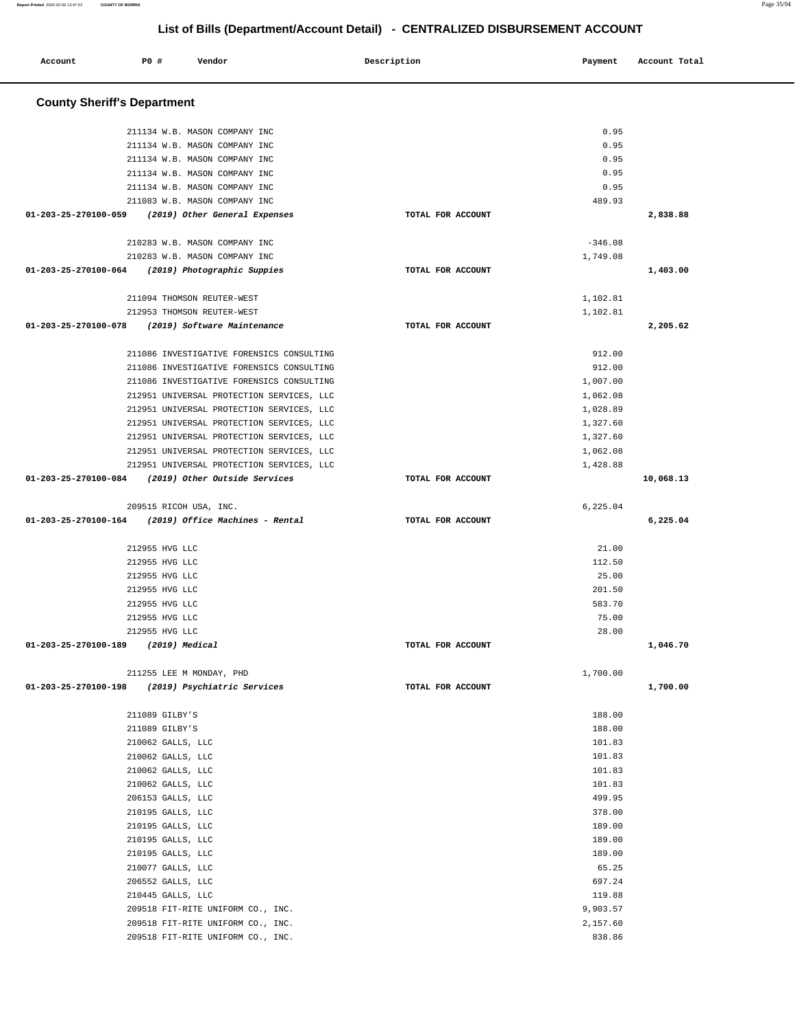| <b>County Sheriff's Department</b>                                                     |                   |                      |           |
|----------------------------------------------------------------------------------------|-------------------|----------------------|-----------|
| 211134 W.B. MASON COMPANY INC                                                          |                   | 0.95                 |           |
| 211134 W.B. MASON COMPANY INC                                                          |                   | 0.95                 |           |
| 211134 W.B. MASON COMPANY INC                                                          |                   | 0.95                 |           |
| 211134 W.B. MASON COMPANY INC                                                          |                   | 0.95                 |           |
| 211134 W.B. MASON COMPANY INC                                                          |                   | 0.95                 |           |
| 211083 W.B. MASON COMPANY INC                                                          |                   | 489.93               |           |
| 01-203-25-270100-059<br>(2019) Other General Expenses                                  | TOTAL FOR ACCOUNT |                      | 2,838.88  |
| 210283 W.B. MASON COMPANY INC                                                          |                   | $-346.08$            |           |
| 210283 W.B. MASON COMPANY INC                                                          |                   | 1,749.08             |           |
| 01-203-25-270100-064<br>(2019) Photographic Suppies                                    | TOTAL FOR ACCOUNT |                      | 1,403.00  |
| 211094 THOMSON REUTER-WEST                                                             |                   | 1,102.81             |           |
| 212953 THOMSON REUTER-WEST                                                             |                   | 1,102.81             |           |
| 01-203-25-270100-078<br>(2019) Software Maintenance                                    | TOTAL FOR ACCOUNT |                      | 2,205.62  |
| 211086 INVESTIGATIVE FORENSICS CONSULTING                                              |                   | 912.00               |           |
| 211086 INVESTIGATIVE FORENSICS CONSULTING                                              |                   | 912.00               |           |
| 211086 INVESTIGATIVE FORENSICS CONSULTING                                              |                   | 1,007.00             |           |
| 212951 UNIVERSAL PROTECTION SERVICES, LLC                                              |                   | 1,062.08             |           |
| 212951 UNIVERSAL PROTECTION SERVICES, LLC<br>212951 UNIVERSAL PROTECTION SERVICES, LLC |                   | 1,028.89<br>1,327.60 |           |
| 212951 UNIVERSAL PROTECTION SERVICES, LLC                                              |                   | 1,327.60             |           |
| 212951 UNIVERSAL PROTECTION SERVICES, LLC                                              |                   | 1,062.08             |           |
| 212951 UNIVERSAL PROTECTION SERVICES, LLC                                              |                   | 1,428.88             |           |
| (2019) Other Outside Services<br>01-203-25-270100-084                                  | TOTAL FOR ACCOUNT |                      | 10,068.13 |
| 209515 RICOH USA, INC.                                                                 |                   | 6,225.04             |           |
| $01-203-25-270100-164$ (2019) Office Machines - Rental                                 |                   |                      |           |
|                                                                                        | TOTAL FOR ACCOUNT |                      | 6,225.04  |
| 212955 HVG LLC                                                                         |                   | 21.00                |           |
| 212955 HVG LLC                                                                         |                   | 112.50               |           |
| 212955 HVG LLC                                                                         |                   | 25.00                |           |
| 212955 HVG LLC                                                                         |                   | 201.50               |           |
| 212955 HVG LLC                                                                         |                   | 583.70               |           |
| 212955 HVG LLC                                                                         |                   | 75.00                |           |
| 212955 HVG LLC                                                                         |                   | 28.00                |           |
| 01-203-25-270100-189<br>(2019) Medical                                                 | TOTAL FOR ACCOUNT |                      | 1,046.70  |
| 211255 LEE M MONDAY, PHD                                                               |                   | 1,700.00             |           |
| 01-203-25-270100-198 (2019) Psychiatric Services                                       | TOTAL FOR ACCOUNT |                      | 1,700.00  |
| 211089 GILBY'S                                                                         |                   | 188.00               |           |
| 211089 GILBY'S                                                                         |                   | 188.00               |           |
| 210062 GALLS, LLC                                                                      |                   | 101.83               |           |
| 210062 GALLS, LLC                                                                      |                   | 101.83               |           |
| 210062 GALLS, LLC                                                                      |                   | 101.83               |           |
| 210062 GALLS, LLC                                                                      |                   | 101.83               |           |
| 206153 GALLS, LLC                                                                      |                   | 499.95               |           |
| 210195 GALLS, LLC                                                                      |                   | 378.00               |           |
| 210195 GALLS, LLC                                                                      |                   | 189.00               |           |
| 210195 GALLS, LLC<br>210195 GALLS, LLC                                                 |                   | 189.00<br>189.00     |           |
| 210077 GALLS, LLC                                                                      |                   | 65.25                |           |
| 206552 GALLS, LLC                                                                      |                   | 697.24               |           |
| 210445 GALLS, LLC                                                                      |                   | 119.88               |           |
| 209518 FIT-RITE UNIFORM CO., INC.                                                      |                   | 9,903.57             |           |
| 209518 FIT-RITE UNIFORM CO., INC.                                                      |                   | 2,157.60             |           |

**Report Printed** 2020-02-06 13:47:53 **COUNTY OF MORRIS** Page 35/94

Account P<sub>0</sub> **P**  $\uparrow$  Pendor Payment Payment Account Total **Payment** Account Total **Payment**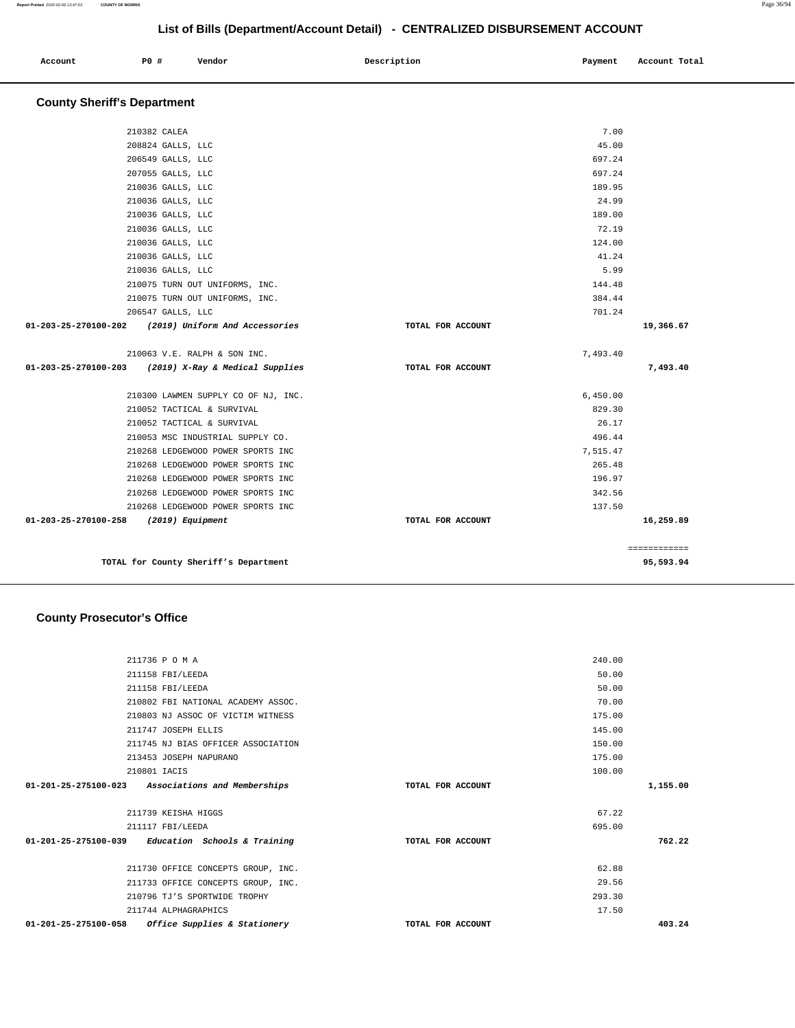| Account | P0 # | Vendor | Description | Payment | Account Total |
|---------|------|--------|-------------|---------|---------------|
|         |      |        |             |         |               |

# **County Sheriff's Department**

|                                       | TOTAL for County Sheriff's Department                                                |                   |                    | 95,593.94    |
|---------------------------------------|--------------------------------------------------------------------------------------|-------------------|--------------------|--------------|
|                                       |                                                                                      |                   |                    | ============ |
| 01-203-25-270100-258 (2019) Equipment |                                                                                      | TOTAL FOR ACCOUNT |                    | 16,259.89    |
|                                       | 210268 LEDGEWOOD POWER SPORTS INC                                                    |                   | 137.50             |              |
|                                       | 210268 LEDGEWOOD POWER SPORTS INC                                                    |                   | 342.56             |              |
|                                       | 210268 LEDGEWOOD POWER SPORTS INC                                                    |                   | 196.97             |              |
|                                       | 210268 LEDGEWOOD POWER SPORTS INC                                                    |                   | 265.48             |              |
|                                       | 210053 MSC INDUSTRIAL SUPPLY CO.<br>210268 LEDGEWOOD POWER SPORTS INC                |                   | 496.44<br>7,515.47 |              |
|                                       | 210052 TACTICAL & SURVIVAL                                                           |                   | 26.17              |              |
|                                       | 210052 TACTICAL & SURVIVAL                                                           |                   | 829.30             |              |
|                                       | 210300 LAWMEN SUPPLY CO OF NJ, INC.                                                  |                   | 6,450.00           |              |
|                                       |                                                                                      |                   |                    |              |
|                                       | 210063 V.E. RALPH & SON INC.<br>01-203-25-270100-203 (2019) X-Ray & Medical Supplies | TOTAL FOR ACCOUNT | 7,493.40           | 7,493.40     |
|                                       |                                                                                      |                   |                    |              |
|                                       | 01-203-25-270100-202 (2019) Uniform And Accessories                                  | TOTAL FOR ACCOUNT |                    | 19,366.67    |
|                                       | 206547 GALLS, LLC                                                                    |                   | 701.24             |              |
|                                       | 210075 TURN OUT UNIFORMS, INC.                                                       |                   | 384.44             |              |
|                                       | 210075 TURN OUT UNIFORMS, INC.                                                       |                   | 144.48             |              |
|                                       | 210036 GALLS, LLC                                                                    |                   | 5.99               |              |
|                                       | 210036 GALLS, LLC                                                                    |                   | 41.24              |              |
|                                       | 210036 GALLS, LLC                                                                    |                   | 124.00             |              |
|                                       | 210036 GALLS, LLC<br>210036 GALLS, LLC                                               |                   | 189.00<br>72.19    |              |
|                                       | 210036 GALLS, LLC                                                                    |                   | 24.99              |              |
|                                       | 210036 GALLS, LLC                                                                    |                   | 189.95             |              |
|                                       | 207055 GALLS, LLC                                                                    |                   | 697.24             |              |
|                                       | 206549 GALLS, LLC                                                                    |                   | 697.24             |              |
|                                       | 208824 GALLS, LLC                                                                    |                   | 45.00              |              |
|                                       |                                                                                      |                   |                    |              |

### **County Prosecutor's Office**

| 211158 FBI/LEEDA                                    |                   | 50.00  |          |
|-----------------------------------------------------|-------------------|--------|----------|
| 210802 FBI NATIONAL ACADEMY ASSOC.                  |                   | 70.00  |          |
| 210803 NJ ASSOC OF VICTIM WITNESS                   |                   | 175.00 |          |
| 211747 JOSEPH ELLIS                                 |                   | 145.00 |          |
| 211745 NJ BIAS OFFICER ASSOCIATION                  |                   | 150.00 |          |
| 213453 JOSEPH NAPURANO                              |                   | 175.00 |          |
| 210801 IACIS                                        |                   | 100.00 |          |
| 01-201-25-275100-023 Associations and Memberships   | TOTAL FOR ACCOUNT |        | 1,155.00 |
|                                                     |                   |        |          |
|                                                     |                   |        |          |
| 211739 KEISHA HIGGS                                 |                   | 67.22  |          |
| 211117 FBI/LEEDA                                    |                   | 695.00 |          |
| $01-201-25-275100-039$ Education Schools & Training | TOTAL FOR ACCOUNT |        | 762.22   |
|                                                     |                   |        |          |
| 211730 OFFICE CONCEPTS GROUP, INC.                  |                   | 62.88  |          |
| 211733 OFFICE CONCEPTS GROUP, INC.                  |                   | 29.56  |          |
| 210796 TJ'S SPORTWIDE TROPHY                        |                   | 293.30 |          |
| 211744 ALPHAGRAPHICS                                |                   | 17.50  |          |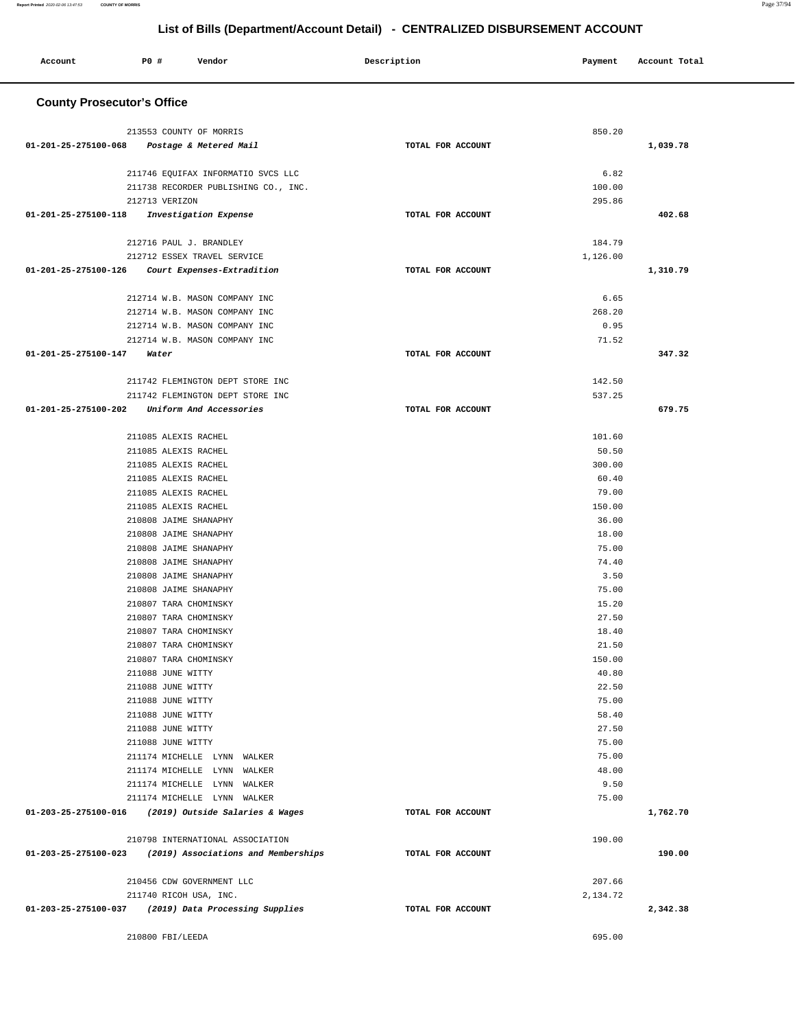#### **Account P0 # Vendor Description Payment Account Total County Prosecutor's Office** 213553 COUNTY OF MORRIS  **01-201-25-275100-068 Postage & Metered Mail TOTAL FOR ACCOUNT**  850.20 **1,039.78** 211746 EQUIFAX INFORMATIO SVCS LLC 211738 RECORDER PUBLISHING CO., INC. 212713 VERIZON  **01-201-25-275100-118 Investigation Expense TOTAL FOR ACCOUNT**  6.82 100.00 295.86 **402.68** 212716 PAUL J. BRANDLEY 212712 ESSEX TRAVEL SERVICE  **01-201-25-275100-126 Court Expenses-Extradition TOTAL FOR ACCOUNT**  184.79 1,126.00 **1,310.79** 212714 W.B. MASON COMPANY INC 212714 W.B. MASON COMPANY INC 212714 W.B. MASON COMPANY INC 212714 W.B. MASON COMPANY INC  **01-201-25-275100-147 Water TOTAL FOR ACCOUNT**  6.65 268.20 0.95 71.52 **347.32** 211742 FLEMINGTON DEPT STORE INC 211742 FLEMINGTON DEPT STORE INC  **01-201-25-275100-202 Uniform And Accessories TOTAL FOR ACCOUNT**  142.50 537.25 **679.75** 211085 ALEXIS RACHEL 211085 ALEXIS RACHEL 211085 ALEXIS RACHEL 211085 ALEXIS RACHEL 211085 ALEXIS RACHEL 211085 ALEXIS RACHEL 210808 JAIME SHANAPHY 210808 JAIME SHANAPHY 210808 JAIME SHANAPHY 210808 JAIME SHANAPHY 210808 JAIME SHANAPHY 210808 JAIME SHANAPHY 210807 TARA CHOMINSKY 210807 TARA CHOMINSKY 210807 TARA CHOMINSKY 210807 TARA CHOMINSKY 210807 TARA CHOMINSKY 211088 JUNE WITTY 211088 JUNE WITTY 211088 JUNE WITTY 211088 JUNE WITTY 211088 JUNE WITTY 211088 JUNE WITTY 211174 MICHELLE LYNN WALKER 211174 MICHELLE LYNN WALKER 211174 MICHELLE LYNN WALKER 211174 MICHELLE LYNN WALKER  **01-203-25-275100-016 (2019) Outside Salaries & Wages TOTAL FOR ACCOUNT**  101.60 50.50 300.00 60.40 79.00 150.00 36.00 18.00 75.00 74.40 3.50 75.00 15.20 27.50 18.40 21.50 150.00 40.80 22.50 75.00 58.40 27.50 75.00 75.00 48.00 9.50 75.00 **1,762.70** 210798 INTERNATIONAL ASSOCIATION  **01-203-25-275100-023 (2019) Associations and Memberships TOTAL FOR ACCOUNT**  190.00 **190.00** 210456 CDW GOVERNMENT LLC 211740 RICOH USA, INC.  **01-203-25-275100-037 (2019) Data Processing Supplies TOTAL FOR ACCOUNT**  207.66 2,134.72 **2,342.38**

210800 FBI/LEEDA 695.00

### **List of Bills (Department/Account Detail) - CENTRALIZED DISBURSEMENT ACCOUNT**

**Report Printed** 2020-02-06 13:47:53 **COUNTY OF MORRIS** Page 37/94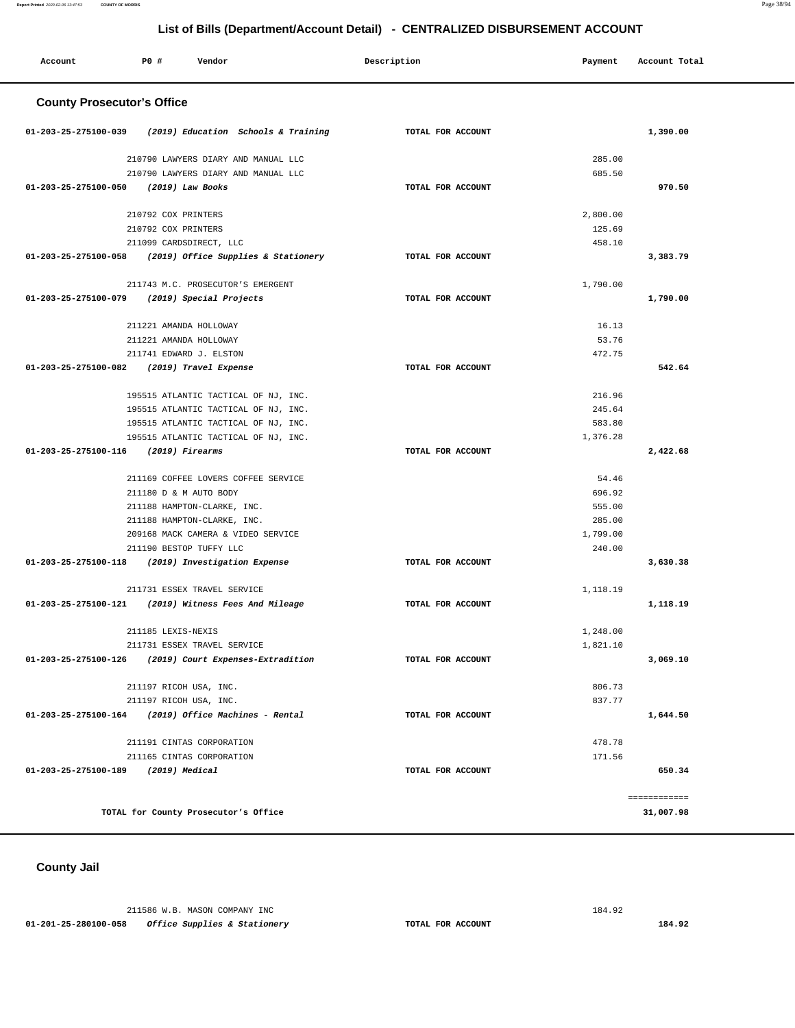# **Report Printed** 2020-02-06 13:47:53 **COUNTY OF MORRIS** Page 38/94

### **List of Bills (Department/Account Detail) - CENTRALIZED DISBURSEMENT ACCOUNT**

| Account                              | P0 #               | Vendor                               | Description       | Payment  | Account Total |
|--------------------------------------|--------------------|--------------------------------------|-------------------|----------|---------------|
| <b>County Prosecutor's Office</b>    |                    |                                      |                   |          |               |
| 01-203-25-275100-039                 |                    | (2019) Education Schools & Training  | TOTAL FOR ACCOUNT |          | 1,390.00      |
|                                      |                    | 210790 LAWYERS DIARY AND MANUAL LLC  |                   | 285.00   |               |
|                                      |                    | 210790 LAWYERS DIARY AND MANUAL LLC  |                   | 685.50   |               |
| 01-203-25-275100-050                 |                    | (2019) Law Books                     | TOTAL FOR ACCOUNT |          | 970.50        |
|                                      |                    | 210792 COX PRINTERS                  |                   | 2,800.00 |               |
|                                      |                    | 210792 COX PRINTERS                  |                   | 125.69   |               |
|                                      |                    | 211099 CARDSDIRECT, LLC              |                   | 458.10   |               |
| 01-203-25-275100-058                 |                    | (2019) Office Supplies & Stationery  | TOTAL FOR ACCOUNT |          | 3,383.79      |
|                                      |                    | 211743 M.C. PROSECUTOR'S EMERGENT    |                   | 1,790.00 |               |
| 01-203-25-275100-079                 |                    | (2019) Special Projects              | TOTAL FOR ACCOUNT |          | 1,790.00      |
|                                      |                    | 211221 AMANDA HOLLOWAY               |                   | 16.13    |               |
|                                      |                    | 211221 AMANDA HOLLOWAY               |                   | 53.76    |               |
|                                      |                    | 211741 EDWARD J. ELSTON              |                   | 472.75   |               |
| 01-203-25-275100-082                 |                    | (2019) Travel Expense                | TOTAL FOR ACCOUNT |          | 542.64        |
|                                      |                    | 195515 ATLANTIC TACTICAL OF NJ, INC. |                   | 216.96   |               |
|                                      |                    | 195515 ATLANTIC TACTICAL OF NJ, INC. |                   | 245.64   |               |
|                                      |                    | 195515 ATLANTIC TACTICAL OF NJ, INC. |                   | 583.80   |               |
|                                      |                    | 195515 ATLANTIC TACTICAL OF NJ, INC. |                   | 1,376.28 |               |
| 01-203-25-275100-116 (2019) Firearms |                    |                                      | TOTAL FOR ACCOUNT |          | 2,422.68      |
|                                      |                    | 211169 COFFEE LOVERS COFFEE SERVICE  |                   | 54.46    |               |
|                                      |                    | 211180 D & M AUTO BODY               |                   | 696.92   |               |
|                                      |                    | 211188 HAMPTON-CLARKE, INC.          |                   | 555.00   |               |
|                                      |                    | 211188 HAMPTON-CLARKE, INC.          |                   | 285.00   |               |
|                                      |                    | 209168 MACK CAMERA & VIDEO SERVICE   |                   | 1,799.00 |               |
|                                      |                    | 211190 BESTOP TUFFY LLC              |                   | 240.00   |               |
| 01-203-25-275100-118                 |                    | (2019) Investigation Expense         | TOTAL FOR ACCOUNT |          | 3,630.38      |
|                                      |                    | 211731 ESSEX TRAVEL SERVICE          |                   | 1,118.19 |               |
| 01-203-25-275100-121                 |                    | (2019) Witness Fees And Mileage      | TOTAL FOR ACCOUNT |          | 1,118.19      |
|                                      | 211185 LEXIS-NEXIS |                                      |                   | 1,248.00 |               |
|                                      |                    | 211731 ESSEX TRAVEL SERVICE          |                   | 1,821.10 |               |
| 01-203-25-275100-126                 |                    | (2019) Court Expenses-Extradition    | TOTAL FOR ACCOUNT |          | 3,069.10      |
|                                      |                    | 211197 RICOH USA, INC.               |                   | 806.73   |               |
|                                      |                    | 211197 RICOH USA, INC.               |                   | 837.77   |               |
| 01-203-25-275100-164                 |                    | (2019) Office Machines - Rental      | TOTAL FOR ACCOUNT |          | 1,644.50      |
|                                      |                    | 211191 CINTAS CORPORATION            |                   | 478.78   |               |
|                                      |                    | 211165 CINTAS CORPORATION            |                   | 171.56   |               |
| 01-203-25-275100-189                 |                    | (2019) Medical                       | TOTAL FOR ACCOUNT |          | 650.34        |
|                                      |                    |                                      |                   |          | ------------  |
|                                      |                    | TOTAL for County Prosecutor's Office |                   |          | 31,007.98     |

**County Jail** 

 211586 W.B. MASON COMPANY INC 184.92  **01-201-25-280100-058 Office Supplies & Stationery TOTAL FOR ACCOUNT 184.92**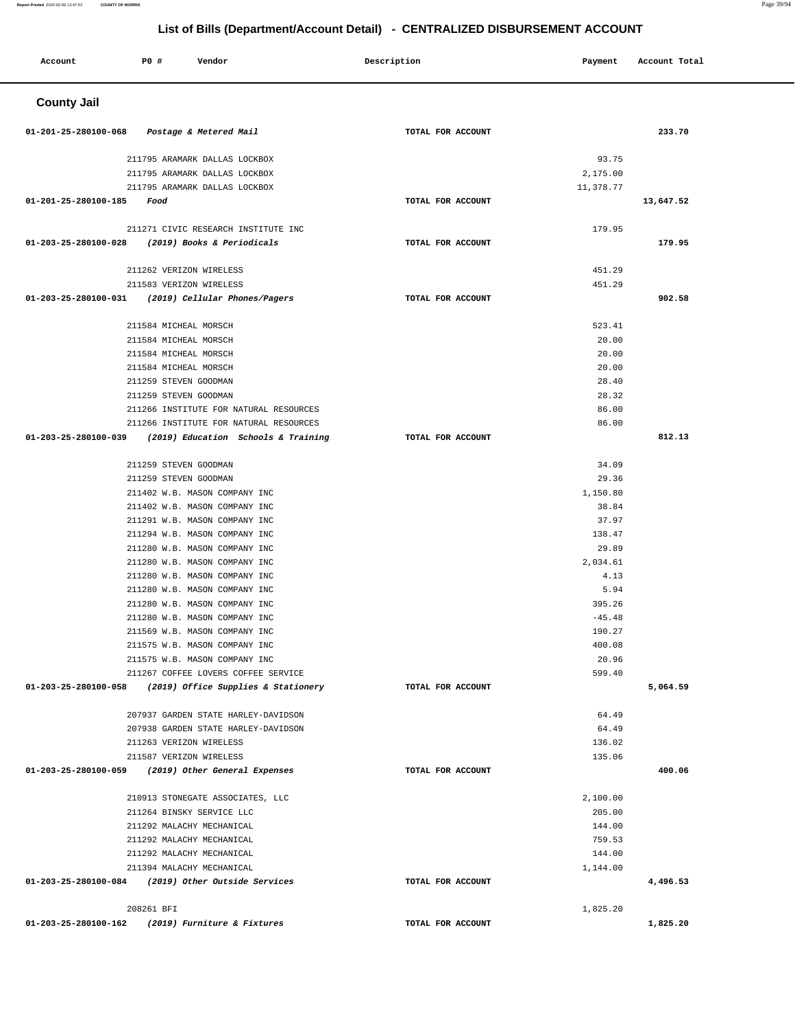| Account              | P0 #                  | Vendor                                                                     | Description       | Payment           | Account Total |
|----------------------|-----------------------|----------------------------------------------------------------------------|-------------------|-------------------|---------------|
| <b>County Jail</b>   |                       |                                                                            |                   |                   |               |
| 01-201-25-280100-068 |                       | Postage & Metered Mail                                                     | TOTAL FOR ACCOUNT |                   | 233.70        |
|                      |                       |                                                                            |                   |                   |               |
|                      |                       | 211795 ARAMARK DALLAS LOCKBOX<br>211795 ARAMARK DALLAS LOCKBOX             |                   | 93.75<br>2,175.00 |               |
|                      |                       | 211795 ARAMARK DALLAS LOCKBOX                                              |                   | 11,378.77         |               |
| 01-201-25-280100-185 | Food                  |                                                                            | TOTAL FOR ACCOUNT |                   | 13,647.52     |
|                      |                       | 211271 CIVIC RESEARCH INSTITUTE INC                                        |                   | 179.95            |               |
|                      |                       | 01-203-25-280100-028 (2019) Books & Periodicals                            | TOTAL FOR ACCOUNT |                   | 179.95        |
|                      |                       |                                                                            |                   |                   |               |
|                      |                       | 211262 VERIZON WIRELESS<br>211583 VERIZON WIRELESS                         |                   | 451.29<br>451.29  |               |
|                      |                       | 01-203-25-280100-031 (2019) Cellular Phones/Pagers                         | TOTAL FOR ACCOUNT |                   | 902.58        |
|                      |                       |                                                                            |                   |                   |               |
|                      | 211584 MICHEAL MORSCH |                                                                            |                   | 523.41            |               |
|                      | 211584 MICHEAL MORSCH |                                                                            |                   | 20.00             |               |
|                      | 211584 MICHEAL MORSCH |                                                                            |                   | 20.00             |               |
|                      | 211584 MICHEAL MORSCH |                                                                            |                   | 20.00             |               |
|                      | 211259 STEVEN GOODMAN |                                                                            |                   | 28.40             |               |
|                      | 211259 STEVEN GOODMAN | 211266 INSTITUTE FOR NATURAL RESOURCES                                     |                   | 28.32<br>86.00    |               |
|                      |                       | 211266 INSTITUTE FOR NATURAL RESOURCES                                     |                   | 86.00             |               |
| 01-203-25-280100-039 |                       | (2019) Education Schools & Training                                        | TOTAL FOR ACCOUNT |                   | 812.13        |
|                      |                       |                                                                            |                   |                   |               |
|                      | 211259 STEVEN GOODMAN |                                                                            |                   | 34.09             |               |
|                      | 211259 STEVEN GOODMAN |                                                                            |                   | 29.36             |               |
|                      |                       | 211402 W.B. MASON COMPANY INC                                              |                   | 1,150.80          |               |
|                      |                       | 211402 W.B. MASON COMPANY INC                                              |                   | 38.84             |               |
|                      |                       | 211291 W.B. MASON COMPANY INC<br>211294 W.B. MASON COMPANY INC             |                   | 37.97<br>138.47   |               |
|                      |                       | 211280 W.B. MASON COMPANY INC                                              |                   | 29.89             |               |
|                      |                       | 211280 W.B. MASON COMPANY INC                                              |                   | 2,034.61          |               |
|                      |                       | 211280 W.B. MASON COMPANY INC                                              |                   | 4.13              |               |
|                      |                       | 211280 W.B. MASON COMPANY INC                                              |                   | 5.94              |               |
|                      |                       | 211280 W.B. MASON COMPANY INC                                              |                   | 395.26            |               |
|                      |                       | 211280 W.B. MASON COMPANY INC                                              |                   | $-45.48$          |               |
|                      |                       | 211569 W.B. MASON COMPANY INC                                              |                   | 190.27            |               |
|                      |                       | 211575 W.B. MASON COMPANY INC                                              |                   | 400.08            |               |
|                      |                       | 211575 W.B. MASON COMPANY INC<br>211267 COFFEE LOVERS COFFEE SERVICE       |                   | 20.96<br>599.40   |               |
|                      |                       | 01-203-25-280100-058 (2019) Office Supplies & Stationery                   | TOTAL FOR ACCOUNT |                   | 5,064.59      |
|                      |                       |                                                                            |                   |                   |               |
|                      |                       | 207937 GARDEN STATE HARLEY-DAVIDSON<br>207938 GARDEN STATE HARLEY-DAVIDSON |                   | 64.49<br>64.49    |               |
|                      |                       | 211263 VERIZON WIRELESS                                                    |                   | 136.02            |               |
|                      |                       | 211587 VERIZON WIRELESS                                                    |                   | 135.06            |               |
|                      |                       | 01-203-25-280100-059 (2019) Other General Expenses                         | TOTAL FOR ACCOUNT |                   | 400.06        |
|                      |                       | 210913 STONEGATE ASSOCIATES, LLC                                           |                   | 2,100.00          |               |
|                      |                       | 211264 BINSKY SERVICE LLC                                                  |                   | 205.00            |               |
|                      |                       | 211292 MALACHY MECHANICAL                                                  |                   | 144.00            |               |
|                      |                       | 211292 MALACHY MECHANICAL                                                  |                   | 759.53            |               |
|                      |                       | 211292 MALACHY MECHANICAL                                                  |                   | 144.00            |               |
|                      |                       | 211394 MALACHY MECHANICAL                                                  |                   | 1,144.00          |               |
|                      |                       | 01-203-25-280100-084 (2019) Other Outside Services                         | TOTAL FOR ACCOUNT |                   | 4,496.53      |
|                      | 208261 BFI            |                                                                            |                   | 1,825.20          |               |
|                      |                       | 01-203-25-280100-162 (2019) Furniture & Fixtures                           | TOTAL FOR ACCOUNT |                   | 1,825.20      |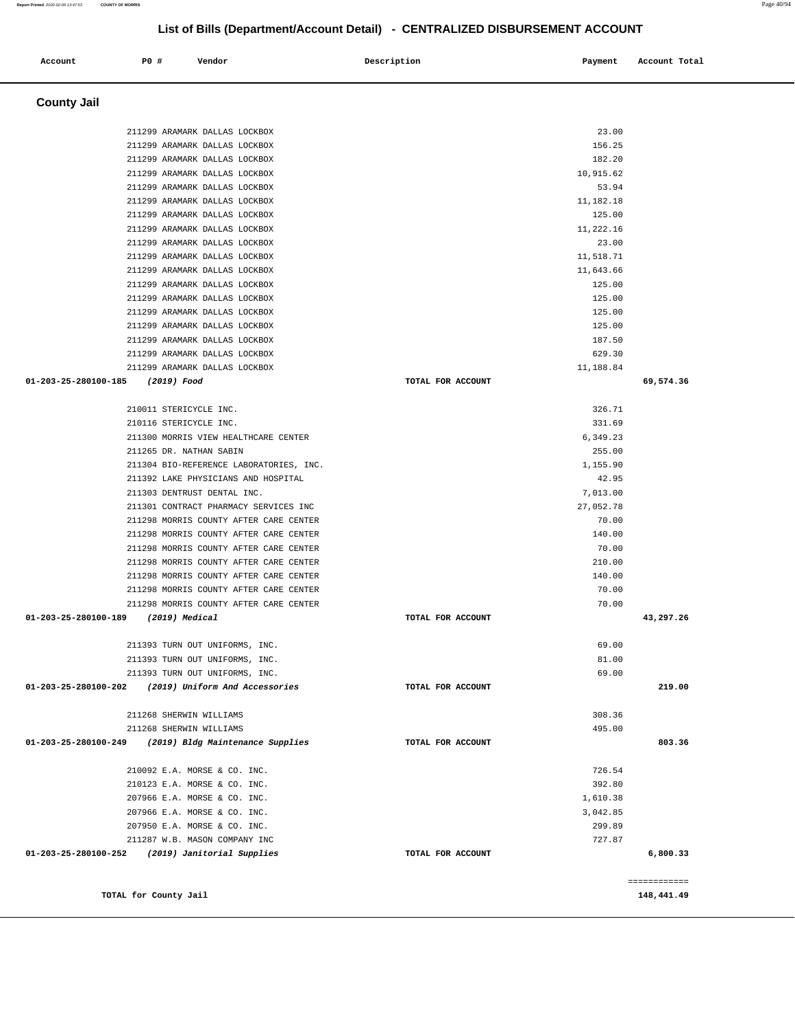**County Jail**  211299 ARAMARK DALLAS LOCKBOX 23.00 211299 ARAMARK DALLAS LOCKBOX 156.25 211299 ARAMARK DALLAS LOCKBOX 182.20 211299 ARAMARK DALLAS LOCKBOX 10,915.62 211299 ARAMARK DALLAS LOCKBOX 53.94 211299 ARAMARK DALLAS LOCKBOX 11,182.18 211299 ARAMARK DALLAS LOCKBOX 125.00 211299 ARAMARK DALLAS LOCKBOX 11,222.16 211299 ARAMARK DALLAS LOCKBOX 23.00 211299 ARAMARK DALLAS LOCKBOX 11,518.71 211299 ARAMARK DALLAS LOCKBOX 11,643.66 211299 ARAMARK DALLAS LOCKBOX 125.00 211299 ARAMARK DALLAS LOCKBOX 125.00 211299 ARAMARK DALLAS LOCKBOX 125.00 211299 ARAMARK DALLAS LOCKBOX 125.00 211299 ARAMARK DALLAS LOCKBOX 187.50 211299 ARAMARK DALLAS LOCKBOX 629.30 211299 ARAMARK DALLAS LOCKBOX 11,188.84  **01-203-25-280100-185 (2019) Food TOTAL FOR ACCOUNT 69,574.36** 210011 STERICYCLE INC. 326.71 210116 STERICYCLE INC. 331.69 211300 MORRIS VIEW HEALTHCARE CENTER 6,349.23 211265 DR. NATHAN SABIN 255.00 211304 BIO-REFERENCE LABORATORIES, INC. 1,155.90 211392 LAKE PHYSICIANS AND HOSPITAL 42.95 211303 DENTRUST DENTAL INC. 7,013.00 211301 CONTRACT PHARMACY SERVICES INC 27,052.78 211298 MORRIS COUNTY AFTER CARE CENTER **FOUND AT A CONTRACT COUNTY** AFTER CARE CENTER 211298 MORRIS COUNTY AFTER CARE CENTER 140.00 211298 MORRIS COUNTY AFTER CARE CENTER 70.00 211298 MORRIS COUNTY AFTER CARE CENTER 210.00 211298 MORRIS COUNTY AFTER CARE CENTER 140.00 211298 MORRIS COUNTY AFTER CARE CENTER 70.00 211298 MORRIS COUNTY AFTER CARE CENTER 70.00  **01-203-25-280100-189 (2019) Medical TOTAL FOR ACCOUNT 43,297.26** 211393 TURN OUT UNIFORMS, INC. 69.00 211393 TURN OUT UNIFORMS, INC. 81.00 211393 TURN OUT UNIFORMS, INC. 69.00  **01-203-25-280100-202 (2019) Uniform And Accessories TOTAL FOR ACCOUNT 219.00** 211268 SHERWIN WILLIAMS 308.36 211268 SHERWIN WILLIAMS 495.00  **01-203-25-280100-249 (2019) Bldg Maintenance Supplies TOTAL FOR ACCOUNT 803.36** 210092 E.A. MORSE & CO. INC. 726.54 210123 E.A. MORSE & CO. INC. 392.80 207966 E.A. MORSE & CO. INC. 1,610.38 207966 E.A. MORSE & CO. INC. 3,042.85 207950 E.A. MORSE & CO. INC. 299.89 211287 W.B. MASON COMPANY INC 727.87  **01-203-25-280100-252 (2019) Janitorial Supplies TOTAL FOR ACCOUNT 6,800.33** ============ **TOTAL for County Jail 148,441.49** 

 **Account P0 # Vendor Description Payment Account Total**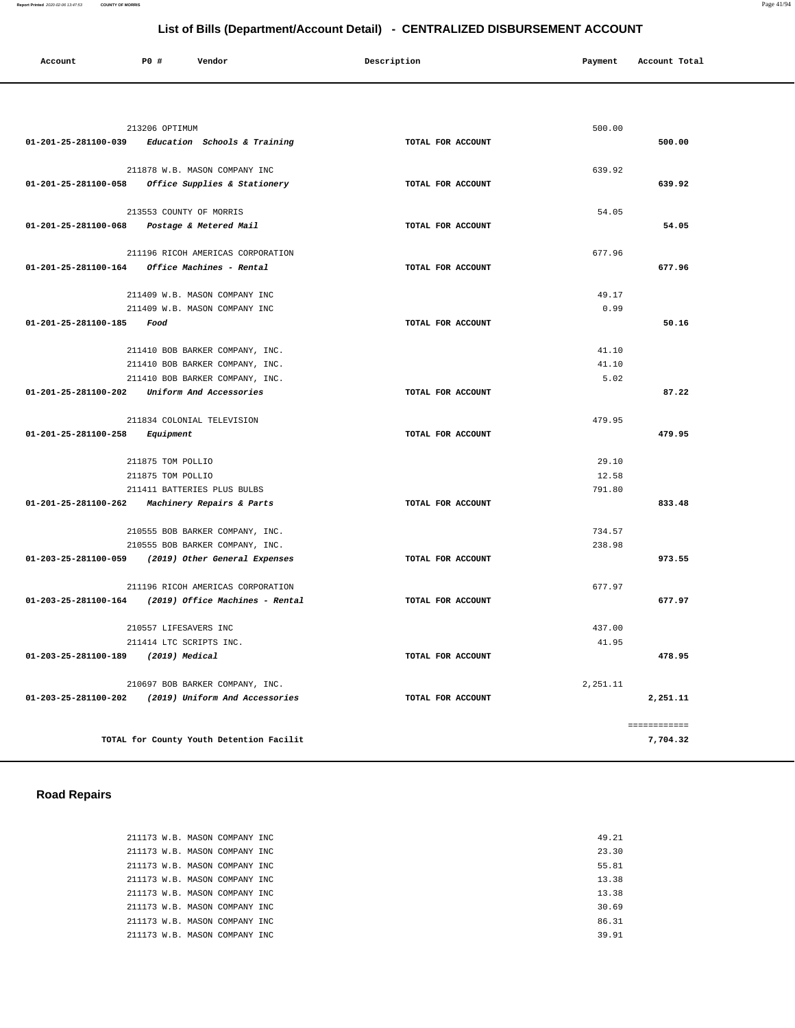| Account              | <b>PO #</b><br>Vendor                    | Description       | Payment  | Account Total |
|----------------------|------------------------------------------|-------------------|----------|---------------|
|                      |                                          |                   |          |               |
|                      | 213206 OPTIMUM                           |                   | 500.00   |               |
| 01-201-25-281100-039 | Education Schools & Training             | TOTAL FOR ACCOUNT |          | 500.00        |
|                      | 211878 W.B. MASON COMPANY INC            |                   | 639.92   |               |
| 01-201-25-281100-058 | Office Supplies & Stationery             | TOTAL FOR ACCOUNT |          | 639.92        |
|                      |                                          |                   |          |               |
|                      | 213553 COUNTY OF MORRIS                  |                   | 54.05    |               |
| 01-201-25-281100-068 | Postage & Metered Mail                   | TOTAL FOR ACCOUNT |          | 54.05         |
|                      | 211196 RICOH AMERICAS CORPORATION        |                   | 677.96   |               |
| 01-201-25-281100-164 | Office Machines - Rental                 | TOTAL FOR ACCOUNT |          | 677.96        |
|                      | 211409 W.B. MASON COMPANY INC            |                   | 49.17    |               |
|                      | 211409 W.B. MASON COMPANY INC            |                   | 0.99     |               |
| 01-201-25-281100-185 | Food                                     | TOTAL FOR ACCOUNT |          | 50.16         |
|                      | 211410 BOB BARKER COMPANY, INC.          |                   | 41.10    |               |
|                      | 211410 BOB BARKER COMPANY, INC.          |                   | 41.10    |               |
|                      | 211410 BOB BARKER COMPANY, INC.          |                   | 5.02     |               |
| 01-201-25-281100-202 | Uniform And Accessories                  | TOTAL FOR ACCOUNT |          | 87.22         |
|                      | 211834 COLONIAL TELEVISION               |                   | 479.95   |               |
| 01-201-25-281100-258 | Equipment                                | TOTAL FOR ACCOUNT |          | 479.95        |
|                      |                                          |                   |          |               |
|                      | 211875 TOM POLLIO                        |                   | 29.10    |               |
|                      | 211875 TOM POLLIO                        |                   | 12.58    |               |
|                      | 211411 BATTERIES PLUS BULBS              |                   | 791.80   |               |
| 01-201-25-281100-262 | <i>Machinery Repairs &amp; Parts</i>     | TOTAL FOR ACCOUNT |          | 833.48        |
|                      | 210555 BOB BARKER COMPANY, INC.          |                   | 734.57   |               |
|                      | 210555 BOB BARKER COMPANY, INC.          |                   | 238.98   |               |
| 01-203-25-281100-059 | (2019) Other General Expenses            | TOTAL FOR ACCOUNT |          | 973.55        |
|                      | 211196 RICOH AMERICAS CORPORATION        |                   | 677.97   |               |
| 01-203-25-281100-164 | (2019) Office Machines - Rental          | TOTAL FOR ACCOUNT |          | 677.97        |
|                      | 210557 LIFESAVERS INC                    |                   | 437.00   |               |
|                      | 211414 LTC SCRIPTS INC.                  |                   | 41.95    |               |
| 01-203-25-281100-189 | (2019) Medical                           | TOTAL FOR ACCOUNT |          | 478.95        |
|                      | 210697 BOB BARKER COMPANY, INC.          |                   | 2,251.11 |               |
| 01-203-25-281100-202 | (2019) Uniform And Accessories           | TOTAL FOR ACCOUNT |          | 2,251.11      |
|                      |                                          |                   |          | ============  |
|                      | TOTAL for County Youth Detention Facilit |                   |          | 7,704.32      |
|                      |                                          |                   |          |               |

# **Road Repairs**

|  |  | 211173 W.B. MASON COMPANY INC  | 49.21 |
|--|--|--------------------------------|-------|
|  |  | 211173 W.B. MASON COMPANY INC. | 23.30 |
|  |  | 211173 W.B. MASON COMPANY INC  | 55.81 |
|  |  | 211173 W.B. MASON COMPANY INC  | 13.38 |
|  |  | 211173 W.B. MASON COMPANY INC. | 13.38 |
|  |  | 211173 W.B. MASON COMPANY INC. | 30.69 |
|  |  | 211173 W.B. MASON COMPANY INC. | 86.31 |
|  |  | 211173 W.B. MASON COMPANY INC  | 39.91 |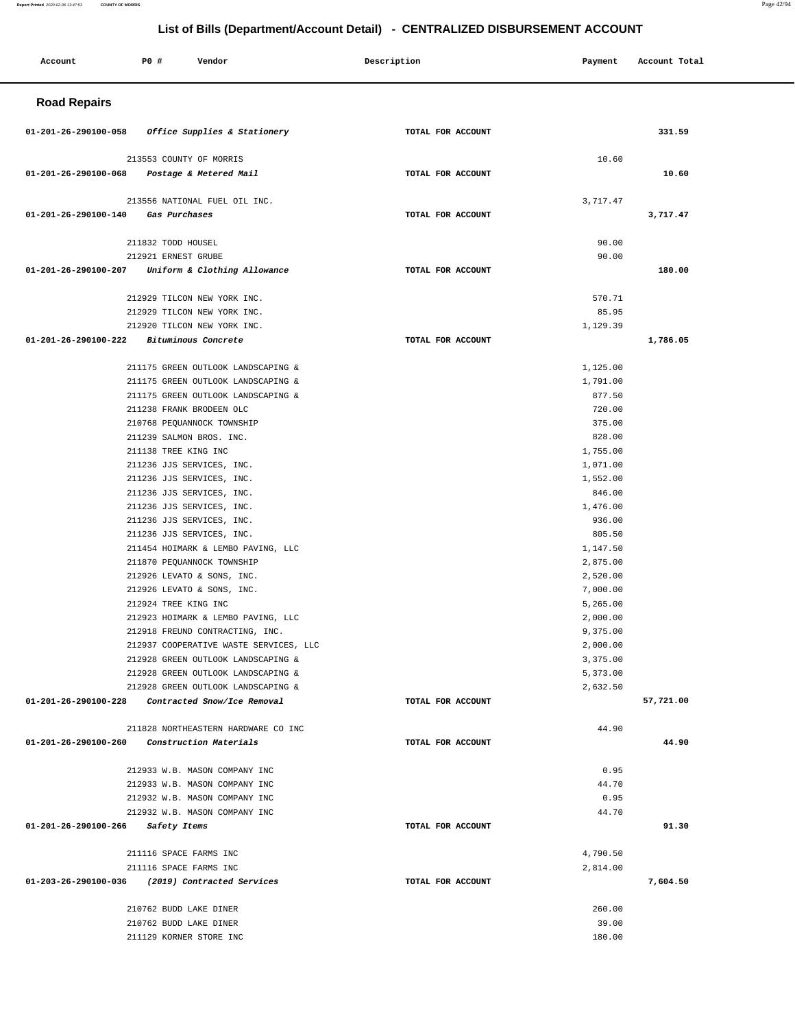#### **Account P0 # Vendor Description Payment Account Total Road Repairs 01-201-26-290100-058 Office Supplies & Stationery TOTAL FOR ACCOUNT 331.59** 213553 COUNTY OF MORRIS  **01-201-26-290100-068 Postage & Metered Mail TOTAL FOR ACCOUNT**  10.60 **10.60** 213556 NATIONAL FUEL OIL INC.  **01-201-26-290100-140 Gas Purchases TOTAL FOR ACCOUNT**  3,717.47 **3,717.47** 211832 TODD HOUSEL 212921 ERNEST GRUBE  **01-201-26-290100-207 Uniform & Clothing Allowance TOTAL FOR ACCOUNT**  90.00 90.00 **180.00** 212929 TILCON NEW YORK INC. 212929 TILCON NEW YORK INC. 212920 TILCON NEW YORK INC.  **01-201-26-290100-222 Bituminous Concrete TOTAL FOR ACCOUNT**  570.71 85.95 1,129.39 **1,786.05** 211175 GREEN OUTLOOK LANDSCAPING & 211175 GREEN OUTLOOK LANDSCAPING & 211175 GREEN OUTLOOK LANDSCAPING & 211238 FRANK BRODEEN OLC 210768 PEQUANNOCK TOWNSHIP 211239 SALMON BROS. INC. 211138 TREE KING INC 211236 JJS SERVICES, INC. 211236 JJS SERVICES, INC. 211236 JJS SERVICES, INC. 211236 JJS SERVICES, INC. 211236 JJS SERVICES, INC. 211236 JJS SERVICES, INC. 211454 HOIMARK & LEMBO PAVING, LLC 211870 PEQUANNOCK TOWNSHIP 212926 LEVATO & SONS, INC. 212926 LEVATO & SONS, INC. 212924 TREE KING INC 212923 HOIMARK & LEMBO PAVING, LLC 212918 FREUND CONTRACTING, INC. 212937 COOPERATIVE WASTE SERVICES, LLC 212928 GREEN OUTLOOK LANDSCAPING & 212928 GREEN OUTLOOK LANDSCAPING & 212928 GREEN OUTLOOK LANDSCAPING &  **01-201-26-290100-228 Contracted Snow/Ice Removal TOTAL FOR ACCOUNT**  1,125.00 1,791.00 877.50 720.00 375.00 828.00 1,755.00 1,071.00 1,552.00 846.00 1,476.00 936.00 805.50 1,147.50 2,875.00 2,520.00 7,000.00 5,265.00 2,000.00 9,375.00 2,000.00 3,375.00 5,373.00 2,632.50 **57,721.00** 211828 NORTHEASTERN HARDWARE CO INC  **01-201-26-290100-260 Construction Materials TOTAL FOR ACCOUNT**  44.90 **44.90** 212933 W.B. MASON COMPANY INC 212933 W.B. MASON COMPANY INC 212932 W.B. MASON COMPANY INC 212932 W.B. MASON COMPANY INC  **01-201-26-290100-266 Safety Items TOTAL FOR ACCOUNT**  0.95 44.70 0.95 44.70 **91.30** 211116 SPACE FARMS INC 211116 SPACE FARMS INC  **01-203-26-290100-036 (2019) Contracted Services TOTAL FOR ACCOUNT**  4,790.50 2,814.00 **7,604.50** 210762 BUDD LAKE DINER 210762 BUDD LAKE DINER 211129 KORNER STORE INC 260.00 39.00 180.00

**Report Printed** 2020-02-06 13:47:53 **COUNTY OF MORRIS** Page 42/94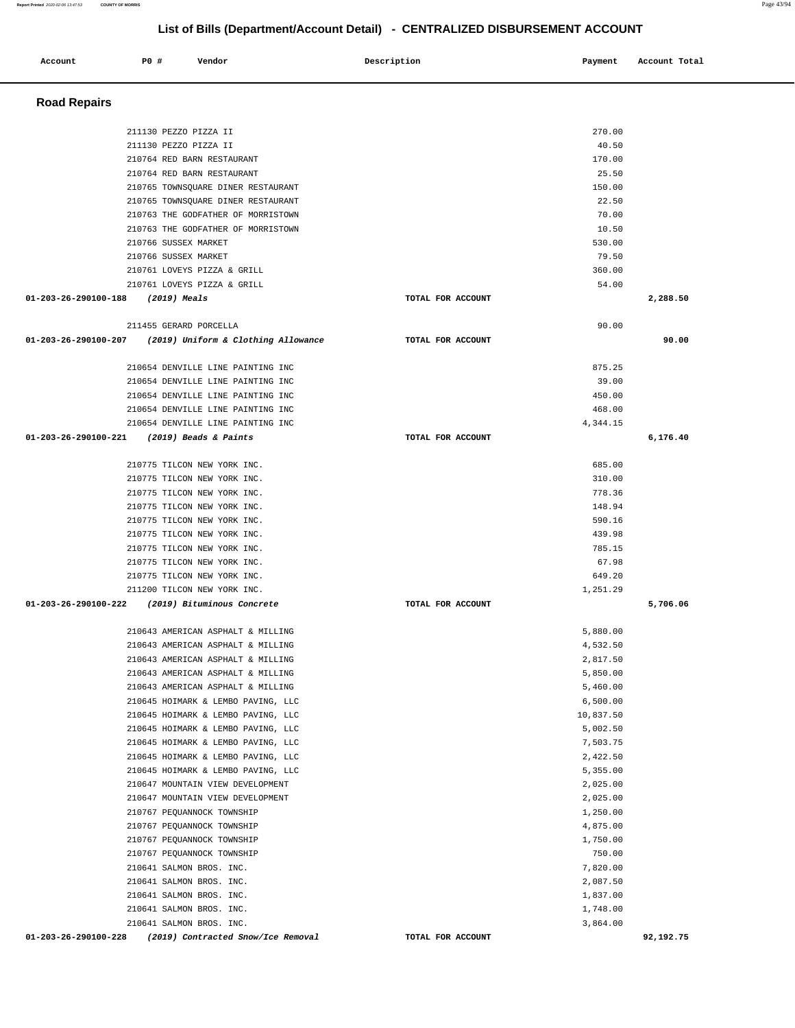| <b>Road Repairs</b>               |                                                                                    |                   |                      |          |
|-----------------------------------|------------------------------------------------------------------------------------|-------------------|----------------------|----------|
|                                   | 211130 PEZZO PIZZA II                                                              |                   | 270.00               |          |
|                                   | 211130 PEZZO PIZZA II                                                              |                   | 40.50                |          |
|                                   | 210764 RED BARN RESTAURANT                                                         |                   | 170.00               |          |
|                                   | 210764 RED BARN RESTAURANT                                                         |                   | 25.50                |          |
|                                   | 210765 TOWNSQUARE DINER RESTAURANT                                                 |                   | 150.00               |          |
|                                   | 210765 TOWNSQUARE DINER RESTAURANT                                                 |                   | 22.50                |          |
|                                   | 210763 THE GODFATHER OF MORRISTOWN                                                 |                   | 70.00                |          |
|                                   | 210763 THE GODFATHER OF MORRISTOWN                                                 |                   | 10.50                |          |
|                                   | 210766 SUSSEX MARKET                                                               |                   | 530.00               |          |
|                                   | 210766 SUSSEX MARKET                                                               |                   | 79.50                |          |
|                                   | 210761 LOVEYS PIZZA & GRILL                                                        |                   | 360.00               |          |
|                                   | 210761 LOVEYS PIZZA & GRILL                                                        |                   | 54.00                |          |
| 01-203-26-290100-188 (2019) Meals |                                                                                    | TOTAL FOR ACCOUNT |                      | 2,288.50 |
|                                   |                                                                                    |                   |                      |          |
|                                   | 211455 GERARD PORCELLA<br>01-203-26-290100-207 (2019) Uniform & Clothing Allowance | TOTAL FOR ACCOUNT | 90.00                | 90.00    |
|                                   |                                                                                    |                   |                      |          |
|                                   | 210654 DENVILLE LINE PAINTING INC                                                  |                   | 875.25               |          |
|                                   | 210654 DENVILLE LINE PAINTING INC                                                  |                   | 39.00                |          |
|                                   | 210654 DENVILLE LINE PAINTING INC                                                  |                   | 450.00               |          |
|                                   | 210654 DENVILLE LINE PAINTING INC                                                  |                   | 468.00               |          |
|                                   | 210654 DENVILLE LINE PAINTING INC                                                  |                   | 4,344.15             |          |
|                                   | 01-203-26-290100-221 (2019) Beads & Paints                                         | TOTAL FOR ACCOUNT |                      | 6,176.40 |
|                                   | 210775 TILCON NEW YORK INC.                                                        |                   | 685.00               |          |
|                                   | 210775 TILCON NEW YORK INC.                                                        |                   | 310.00               |          |
|                                   | 210775 TILCON NEW YORK INC.                                                        |                   | 778.36               |          |
|                                   | 210775 TILCON NEW YORK INC.                                                        |                   | 148.94               |          |
|                                   | 210775 TILCON NEW YORK INC.                                                        |                   | 590.16               |          |
|                                   | 210775 TILCON NEW YORK INC.                                                        |                   | 439.98               |          |
|                                   | 210775 TILCON NEW YORK INC.                                                        |                   | 785.15               |          |
|                                   | 210775 TILCON NEW YORK INC.                                                        |                   | 67.98                |          |
|                                   | 210775 TILCON NEW YORK INC.                                                        |                   | 649.20               |          |
|                                   | 211200 TILCON NEW YORK INC.                                                        |                   | 1,251.29             |          |
|                                   | 01-203-26-290100-222 (2019) Bituminous Concrete                                    | TOTAL FOR ACCOUNT |                      | 5,706.06 |
|                                   |                                                                                    |                   |                      |          |
|                                   | 210643 AMERICAN ASPHALT & MILLING                                                  |                   | 5,880.00             |          |
|                                   | 210643 AMERICAN ASPHALT & MILLING                                                  |                   | 4,532.50             |          |
|                                   | 210643 AMERICAN ASPHALT & MILLING                                                  |                   | 2,817.50             |          |
|                                   | 210643 AMERICAN ASPHALT & MILLING                                                  |                   | 5,850.00             |          |
|                                   | 210643 AMERICAN ASPHALT & MILLING                                                  |                   | 5,460.00             |          |
|                                   |                                                                                    |                   | 6,500.00             |          |
|                                   | 210645 HOIMARK & LEMBO PAVING, LLC                                                 |                   |                      |          |
|                                   | 210645 HOIMARK & LEMBO PAVING, LLC                                                 |                   | 10,837.50            |          |
|                                   | 210645 HOIMARK & LEMBO PAVING, LLC                                                 |                   | 5,002.50             |          |
|                                   | 210645 HOIMARK & LEMBO PAVING, LLC                                                 |                   | 7,503.75             |          |
|                                   | 210645 HOIMARK & LEMBO PAVING, LLC                                                 |                   | 2,422.50             |          |
|                                   | 210645 HOIMARK & LEMBO PAVING, LLC                                                 |                   | 5,355.00             |          |
|                                   | 210647 MOUNTAIN VIEW DEVELOPMENT                                                   |                   | 2,025.00             |          |
|                                   | 210647 MOUNTAIN VIEW DEVELOPMENT                                                   |                   | 2,025.00             |          |
|                                   | 210767 PEQUANNOCK TOWNSHIP                                                         |                   | 1,250.00             |          |
|                                   | 210767 PEQUANNOCK TOWNSHIP                                                         |                   | 4,875.00             |          |
|                                   | 210767 PEQUANNOCK TOWNSHIP                                                         |                   | 1,750.00             |          |
|                                   | 210767 PEQUANNOCK TOWNSHIP                                                         |                   | 750.00               |          |
|                                   | 210641 SALMON BROS. INC.                                                           |                   | 7,820.00             |          |
|                                   | 210641 SALMON BROS. INC.                                                           |                   | 2,087.50             |          |
|                                   | 210641 SALMON BROS. INC.                                                           |                   | 1,837.00             |          |
|                                   | 210641 SALMON BROS. INC.<br>210641 SALMON BROS. INC.                               |                   | 1,748.00<br>3,864.00 |          |

 **Account** 20 **#** Vendor **Description Description Payment** Account Total **Payment**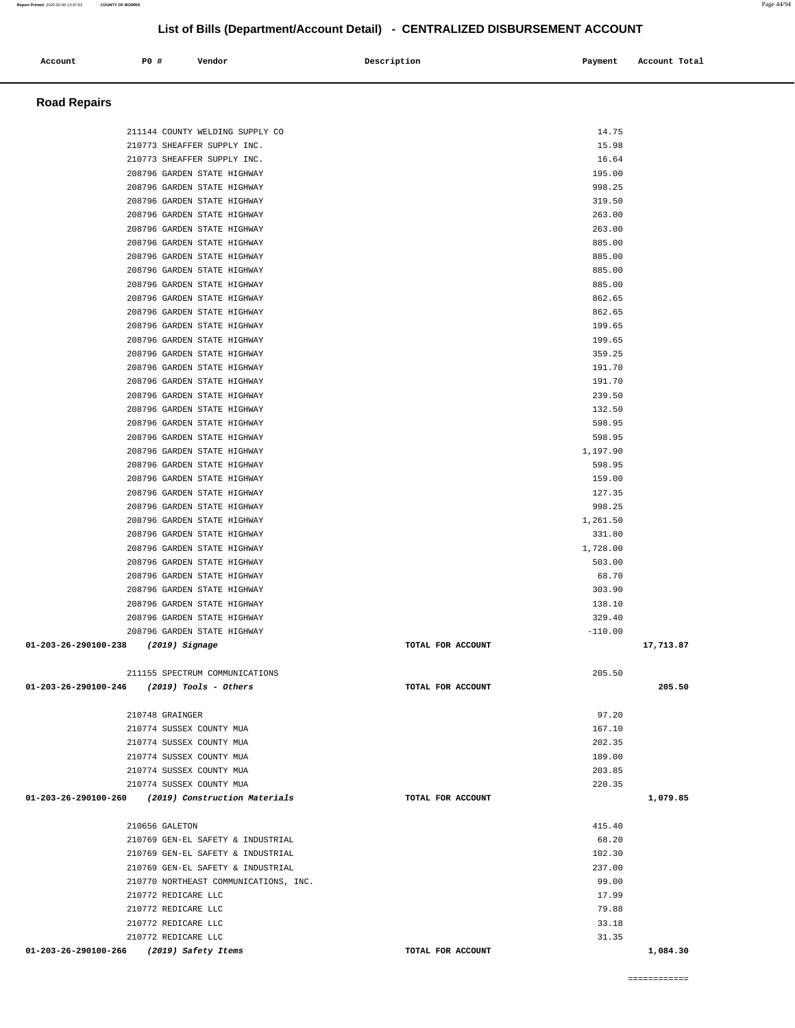| Account                                      | P0 #                                                 | Vendor                                                     | Description       | Payment            | Account Total |
|----------------------------------------------|------------------------------------------------------|------------------------------------------------------------|-------------------|--------------------|---------------|
|                                              |                                                      |                                                            |                   |                    |               |
| <b>Road Repairs</b>                          |                                                      |                                                            |                   |                    |               |
|                                              |                                                      | 211144 COUNTY WELDING SUPPLY CO                            |                   | 14.75              |               |
|                                              |                                                      | 210773 SHEAFFER SUPPLY INC.                                |                   | 15.98              |               |
|                                              |                                                      | 210773 SHEAFFER SUPPLY INC.                                |                   | 16.64              |               |
|                                              |                                                      | 208796 GARDEN STATE HIGHWAY                                |                   | 195.00             |               |
|                                              |                                                      | 208796 GARDEN STATE HIGHWAY                                |                   | 998.25             |               |
|                                              |                                                      | 208796 GARDEN STATE HIGHWAY<br>208796 GARDEN STATE HIGHWAY |                   | 319.50<br>263.00   |               |
|                                              |                                                      | 208796 GARDEN STATE HIGHWAY                                |                   | 263.00             |               |
|                                              |                                                      | 208796 GARDEN STATE HIGHWAY                                |                   | 885.00             |               |
|                                              |                                                      | 208796 GARDEN STATE HIGHWAY                                |                   | 885.00             |               |
|                                              |                                                      | 208796 GARDEN STATE HIGHWAY                                |                   | 885.00             |               |
|                                              |                                                      | 208796 GARDEN STATE HIGHWAY                                |                   | 885.00             |               |
|                                              |                                                      | 208796 GARDEN STATE HIGHWAY                                |                   | 862.65             |               |
|                                              |                                                      | 208796 GARDEN STATE HIGHWAY<br>208796 GARDEN STATE HIGHWAY |                   | 862.65<br>199.65   |               |
|                                              |                                                      | 208796 GARDEN STATE HIGHWAY                                |                   | 199.65             |               |
|                                              |                                                      | 208796 GARDEN STATE HIGHWAY                                |                   | 359.25             |               |
|                                              |                                                      | 208796 GARDEN STATE HIGHWAY                                |                   | 191.70             |               |
|                                              |                                                      | 208796 GARDEN STATE HIGHWAY                                |                   | 191.70             |               |
|                                              |                                                      | 208796 GARDEN STATE HIGHWAY                                |                   | 239.50             |               |
|                                              |                                                      | 208796 GARDEN STATE HIGHWAY                                |                   | 132.50             |               |
|                                              |                                                      | 208796 GARDEN STATE HIGHWAY<br>208796 GARDEN STATE HIGHWAY |                   | 598.95<br>598.95   |               |
|                                              |                                                      | 208796 GARDEN STATE HIGHWAY                                |                   | 1,197.90           |               |
|                                              |                                                      | 208796 GARDEN STATE HIGHWAY                                |                   | 598.95             |               |
|                                              |                                                      | 208796 GARDEN STATE HIGHWAY                                |                   | 159.00             |               |
|                                              |                                                      | 208796 GARDEN STATE HIGHWAY                                |                   | 127.35             |               |
|                                              |                                                      | 208796 GARDEN STATE HIGHWAY                                |                   | 998.25             |               |
|                                              |                                                      | 208796 GARDEN STATE HIGHWAY                                |                   | 1,261.50           |               |
|                                              |                                                      | 208796 GARDEN STATE HIGHWAY<br>208796 GARDEN STATE HIGHWAY |                   | 331.80<br>1,728.00 |               |
|                                              |                                                      | 208796 GARDEN STATE HIGHWAY                                |                   | 503.00             |               |
|                                              |                                                      | 208796 GARDEN STATE HIGHWAY                                |                   | 68.70              |               |
|                                              |                                                      | 208796 GARDEN STATE HIGHWAY                                |                   | 303.90             |               |
|                                              |                                                      | 208796 GARDEN STATE HIGHWAY                                |                   | 138.10             |               |
|                                              |                                                      | 208796 GARDEN STATE HIGHWAY                                |                   | 329.40             |               |
|                                              |                                                      | 208796 GARDEN STATE HIGHWAY                                |                   | $-110.00$          |               |
| 01-203-26-290100-238 (2019) Signage          |                                                      |                                                            | TOTAL FOR ACCOUNT |                    | 17,713.87     |
|                                              |                                                      | 211155 SPECTRUM COMMUNICATIONS                             |                   | 205.50             |               |
| $01-203-26-290100-246$ (2019) Tools - Others |                                                      |                                                            | TOTAL FOR ACCOUNT |                    | 205.50        |
|                                              | 210748 GRAINGER                                      |                                                            |                   | 97.20              |               |
|                                              | 210774 SUSSEX COUNTY MUA                             |                                                            |                   | 167.10             |               |
|                                              | 210774 SUSSEX COUNTY MUA                             |                                                            |                   | 202.35             |               |
|                                              | 210774 SUSSEX COUNTY MUA                             |                                                            |                   | 189.00             |               |
|                                              | 210774 SUSSEX COUNTY MUA<br>210774 SUSSEX COUNTY MUA |                                                            |                   | 203.85<br>220.35   |               |
|                                              |                                                      | 01-203-26-290100-260 (2019) Construction Materials         | TOTAL FOR ACCOUNT |                    | 1,079.85      |
|                                              | 210656 GALETON                                       |                                                            |                   | 415.40             |               |
|                                              |                                                      | 210769 GEN-EL SAFETY & INDUSTRIAL                          |                   | 68.20              |               |
|                                              |                                                      | 210769 GEN-EL SAFETY & INDUSTRIAL                          |                   | 102.30             |               |
|                                              |                                                      | 210769 GEN-EL SAFETY & INDUSTRIAL                          |                   | 237.00             |               |
|                                              |                                                      | 210770 NORTHEAST COMMUNICATIONS, INC.                      |                   | 99.00              |               |
|                                              | 210772 REDICARE LLC                                  |                                                            |                   | 17.99              |               |
|                                              | 210772 REDICARE LLC                                  |                                                            |                   | 79.88              |               |
|                                              | 210772 REDICARE LLC<br>210772 REDICARE LLC           |                                                            |                   | 33.18<br>31.35     |               |
| 01-203-26-290100-266 (2019) Safety Items     |                                                      |                                                            | TOTAL FOR ACCOUNT |                    | 1,084.30      |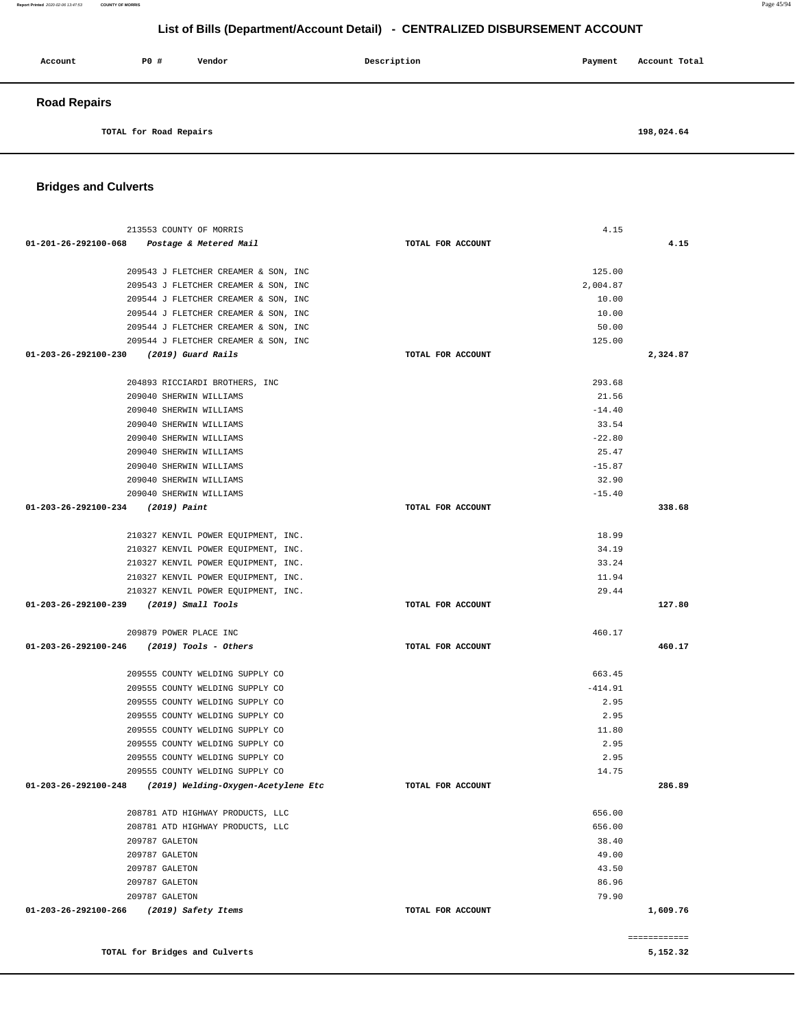**Report Printed** 2020-02-06 13:47:53 **COUNTY OF MORRIS** Page 45/94

### **List of Bills (Department/Account Detail) - CENTRALIZED DISBURSEMENT ACCOUNT**

| Account             | <b>PO #</b> | Vendor | Description | Payment | Account Total |
|---------------------|-------------|--------|-------------|---------|---------------|
| <b>Road Repairs</b> |             |        |             |         |               |

**TOTAL for Road Repairs 198,024.64** 

#### **Bridges and Culverts**

| 213553 COUNTY OF MORRIS                                                      |                   | 4.15            |                          |
|------------------------------------------------------------------------------|-------------------|-----------------|--------------------------|
| 01-201-26-292100-068 Postage & Metered Mail                                  | TOTAL FOR ACCOUNT |                 | 4.15                     |
|                                                                              |                   |                 |                          |
| 209543 J FLETCHER CREAMER & SON, INC                                         |                   | 125.00          |                          |
| 209543 J FLETCHER CREAMER & SON, INC                                         |                   | 2,004.87        |                          |
| 209544 J FLETCHER CREAMER & SON, INC                                         |                   | 10.00           |                          |
| 209544 J FLETCHER CREAMER & SON, INC                                         |                   | 10.00           |                          |
| 209544 J FLETCHER CREAMER & SON, INC<br>209544 J FLETCHER CREAMER & SON, INC |                   | 50.00<br>125.00 |                          |
| 01-203-26-292100-230 (2019) Guard Rails                                      | TOTAL FOR ACCOUNT |                 | 2,324.87                 |
|                                                                              |                   |                 |                          |
| 204893 RICCIARDI BROTHERS, INC                                               |                   | 293.68          |                          |
| 209040 SHERWIN WILLIAMS                                                      |                   | 21.56           |                          |
| 209040 SHERWIN WILLIAMS                                                      |                   | $-14.40$        |                          |
| 209040 SHERWIN WILLIAMS                                                      |                   | 33.54           |                          |
| 209040 SHERWIN WILLIAMS                                                      |                   | $-22.80$        |                          |
| 209040 SHERWIN WILLIAMS                                                      |                   | 25.47           |                          |
| 209040 SHERWIN WILLIAMS                                                      |                   | $-15.87$        |                          |
| 209040 SHERWIN WILLIAMS                                                      |                   | 32.90           |                          |
| 209040 SHERWIN WILLIAMS                                                      |                   | $-15.40$        |                          |
| 01-203-26-292100-234 (2019) Paint                                            | TOTAL FOR ACCOUNT |                 | 338.68                   |
| 210327 KENVIL POWER EOUIPMENT, INC.                                          |                   | 18.99           |                          |
| 210327 KENVIL POWER EOUIPMENT, INC.                                          |                   | 34.19           |                          |
| 210327 KENVIL POWER EQUIPMENT, INC.                                          |                   | 33.24           |                          |
| 210327 KENVIL POWER EQUIPMENT, INC.                                          |                   | 11.94           |                          |
| 210327 KENVIL POWER EQUIPMENT, INC.                                          |                   | 29.44           |                          |
| 01-203-26-292100-239 (2019) Small Tools                                      | TOTAL FOR ACCOUNT |                 | 127.80                   |
|                                                                              |                   |                 |                          |
| 209879 POWER PLACE INC                                                       |                   | 460.17          |                          |
| $01-203-26-292100-246$ (2019) Tools - Others                                 | TOTAL FOR ACCOUNT |                 | 460.17                   |
| 209555 COUNTY WELDING SUPPLY CO                                              |                   | 663.45          |                          |
| 209555 COUNTY WELDING SUPPLY CO                                              |                   | $-414.91$       |                          |
| 209555 COUNTY WELDING SUPPLY CO                                              |                   | 2.95            |                          |
| 209555 COUNTY WELDING SUPPLY CO                                              |                   | 2.95            |                          |
| 209555 COUNTY WELDING SUPPLY CO                                              |                   | 11.80           |                          |
| 209555 COUNTY WELDING SUPPLY CO                                              |                   | 2.95            |                          |
| 209555 COUNTY WELDING SUPPLY CO                                              |                   | 2.95            |                          |
| 209555 COUNTY WELDING SUPPLY CO                                              |                   | 14.75           |                          |
| 01-203-26-292100-248<br>(2019) Welding-Oxygen-Acetylene Etc                  | TOTAL FOR ACCOUNT |                 | 286.89                   |
| 208781 ATD HIGHWAY PRODUCTS, LLC                                             |                   | 656.00          |                          |
| 208781 ATD HIGHWAY PRODUCTS, LLC                                             |                   | 656.00          |                          |
| 209787 GALETON                                                               |                   | 38.40           |                          |
| 209787 GALETON                                                               |                   | 49.00           |                          |
| 209787 GALETON                                                               |                   | 43.50           |                          |
| 209787 GALETON                                                               |                   | 86.96           |                          |
| 209787 GALETON                                                               |                   | 79.90           |                          |
| 01-203-26-292100-266<br>(2019) Safety Items                                  | TOTAL FOR ACCOUNT |                 | 1,609.76                 |
|                                                                              |                   |                 |                          |
| TOTAL for Bridges and Culverts                                               |                   |                 | ------------<br>5,152.32 |
|                                                                              |                   |                 |                          |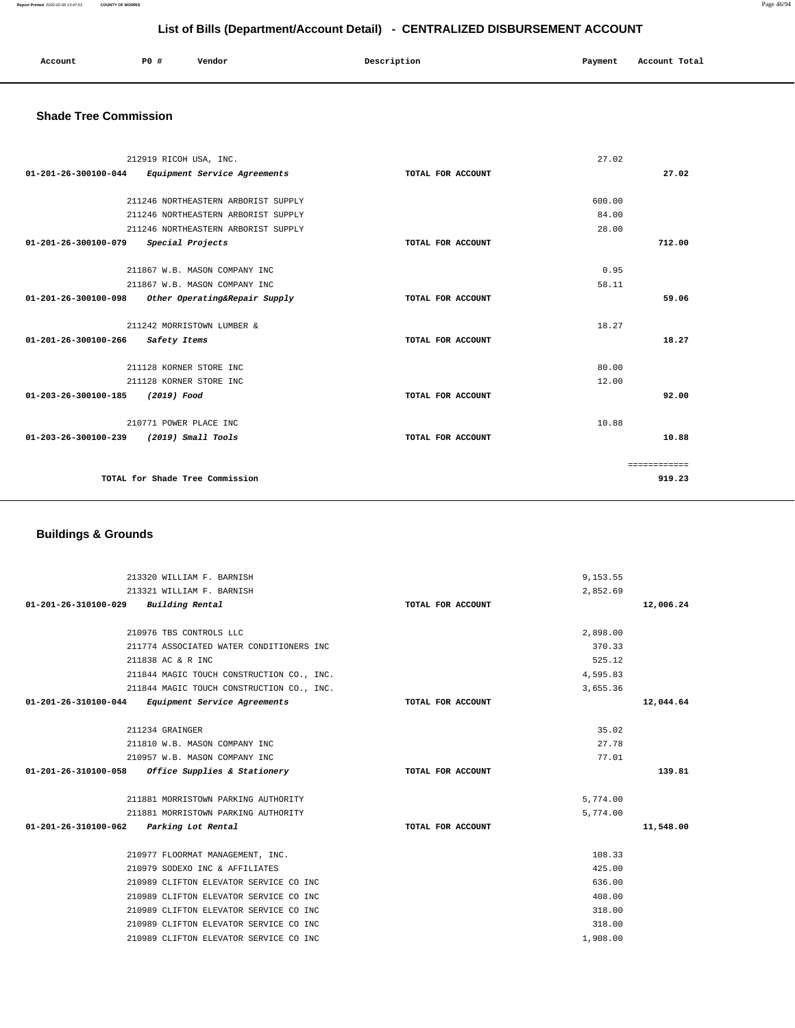#### **Report Printed** 2020-02-06 13:47:53 **COUNTY OF MORRIS** Page 46/94

 **List of Bills (Department/Account Detail) - CENTRALIZED DISBURSEMENT ACCOUNT**

| Account | PO # | Vendor | Description | Payment<br>$\sim$ $\sim$ | Account Total |
|---------|------|--------|-------------|--------------------------|---------------|
|         |      |        |             |                          |               |

#### **Shade Tree Commission**

| 212919 RICOH USA, INC.                                |                   | 27.02  |              |
|-------------------------------------------------------|-------------------|--------|--------------|
| 01-201-26-300100-044<br>Equipment Service Agreements  | TOTAL FOR ACCOUNT |        | 27.02        |
|                                                       |                   |        |              |
| 211246 NORTHEASTERN ARBORIST SUPPLY                   |                   | 600.00 |              |
| 211246 NORTHEASTERN ARBORIST SUPPLY                   |                   | 84.00  |              |
| 211246 NORTHEASTERN ARBORIST SUPPLY                   |                   | 28.00  |              |
| $01 - 201 - 26 - 300100 - 079$<br>Special Projects    | TOTAL FOR ACCOUNT |        | 712.00       |
|                                                       |                   |        |              |
| 211867 W.B. MASON COMPANY INC                         |                   | 0.95   |              |
| 211867 W.B. MASON COMPANY INC                         |                   | 58.11  |              |
| 01-201-26-300100-098<br>Other Operating&Repair Supply | TOTAL FOR ACCOUNT |        | 59.06        |
|                                                       |                   |        |              |
| 211242 MORRISTOWN LUMBER &                            |                   | 18.27  |              |
| 01-201-26-300100-266<br>Safety Items                  | TOTAL FOR ACCOUNT |        | 18.27        |
|                                                       |                   |        |              |
| 211128 KORNER STORE INC                               |                   | 80.00  |              |
| 211128 KORNER STORE INC                               |                   | 12.00  |              |
| 01-203-26-300100-185<br>(2019) Food                   | TOTAL FOR ACCOUNT |        | 92.00        |
|                                                       |                   |        |              |
| 210771 POWER PLACE INC                                |                   | 10.88  |              |
| $01 - 203 - 26 - 300100 - 239$<br>(2019) Small Tools  | TOTAL FOR ACCOUNT |        | 10.88        |
|                                                       |                   |        |              |
|                                                       |                   |        | ============ |
| TOTAL for Shade Tree Commission                       |                   |        | 919.23       |
|                                                       |                   |        |              |

### **Buildings & Grounds**

| 213320 WILLIAM F. BARNISH                            |                   | 9,153.55 |           |
|------------------------------------------------------|-------------------|----------|-----------|
| 213321 WILLIAM F. BARNISH                            |                   | 2,852.69 |           |
| 01-201-26-310100-029<br>Building Rental              | TOTAL FOR ACCOUNT |          | 12,006.24 |
|                                                      |                   |          |           |
| 210976 TBS CONTROLS LLC                              |                   | 2,898.00 |           |
| 211774 ASSOCIATED WATER CONDITIONERS INC             |                   | 370.33   |           |
| 211838 AC & R INC                                    |                   | 525.12   |           |
| 211844 MAGIC TOUCH CONSTRUCTION CO., INC.            |                   | 4,595.83 |           |
| 211844 MAGIC TOUCH CONSTRUCTION CO., INC.            |                   | 3,655.36 |           |
| 01-201-26-310100-044 Equipment Service Agreements    | TOTAL FOR ACCOUNT |          | 12,044.64 |
|                                                      |                   |          |           |
| 211234 GRAINGER                                      |                   | 35.02    |           |
| 211810 W.B. MASON COMPANY INC                        |                   | 27.78    |           |
| 210957 W.B. MASON COMPANY INC                        |                   | 77.01    |           |
| Office Supplies & Stationery<br>01-201-26-310100-058 | TOTAL FOR ACCOUNT |          | 139.81    |
|                                                      |                   |          |           |
| 211881 MORRISTOWN PARKING AUTHORITY                  |                   | 5,774.00 |           |
| 211881 MORRISTOWN PARKING AUTHORITY                  |                   | 5,774.00 |           |
| 01-201-26-310100-062<br>Parking Lot Rental           | TOTAL FOR ACCOUNT |          | 11,548.00 |
|                                                      |                   |          |           |
| 210977 FLOORMAT MANAGEMENT, INC.                     |                   | 108.33   |           |
| 210979 SODEXO INC & AFFILIATES                       |                   | 425.00   |           |
| 210989 CLIFTON ELEVATOR SERVICE CO INC               |                   | 636.00   |           |
| 210989 CLIFTON ELEVATOR SERVICE CO INC               |                   | 408.00   |           |
| 210989 CLIFTON ELEVATOR SERVICE CO INC               |                   | 318.00   |           |
| 210989 CLIFTON ELEVATOR SERVICE CO INC               |                   | 318.00   |           |
| 210989 CLIFTON ELEVATOR SERVICE CO INC               |                   | 1,908.00 |           |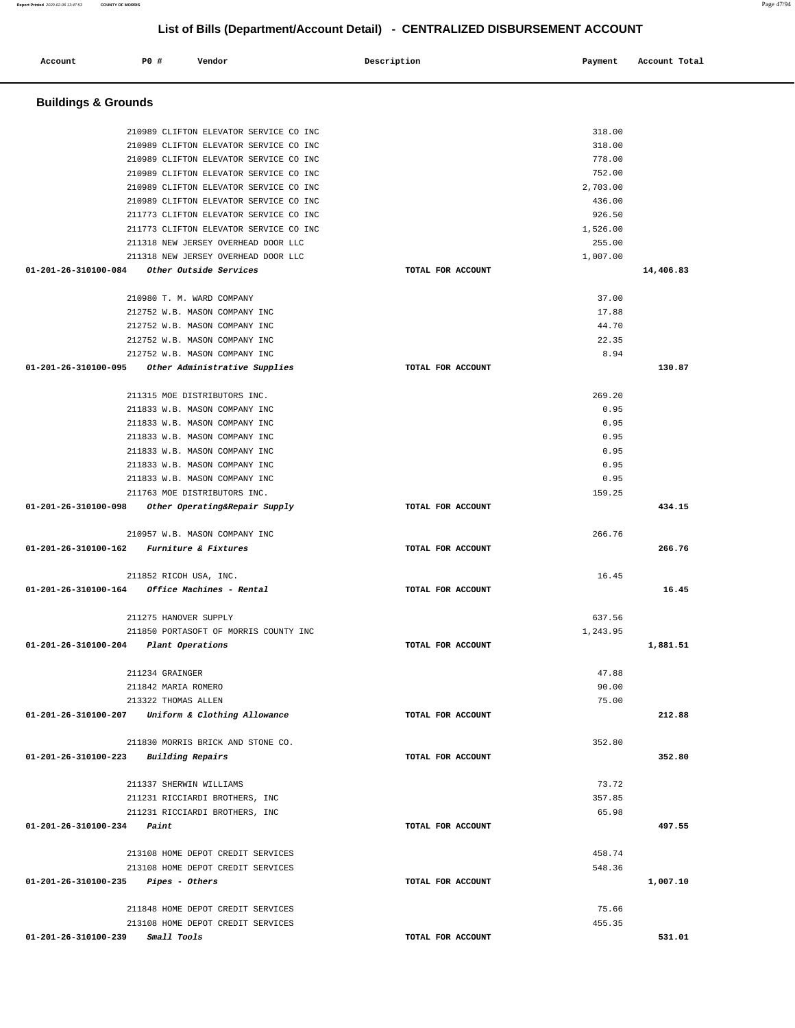| Account                        | P0 #  | Vendor                                                                 | Description       | Payment  | Account Total |
|--------------------------------|-------|------------------------------------------------------------------------|-------------------|----------|---------------|
| <b>Buildings &amp; Grounds</b> |       |                                                                        |                   |          |               |
|                                |       | 210989 CLIFTON ELEVATOR SERVICE CO INC                                 |                   | 318.00   |               |
|                                |       | 210989 CLIFTON ELEVATOR SERVICE CO INC                                 |                   | 318.00   |               |
|                                |       | 210989 CLIFTON ELEVATOR SERVICE CO INC                                 |                   | 778.00   |               |
|                                |       | 210989 CLIFTON ELEVATOR SERVICE CO INC                                 |                   | 752.00   |               |
|                                |       | 210989 CLIFTON ELEVATOR SERVICE CO INC                                 |                   | 2,703.00 |               |
|                                |       | 210989 CLIFTON ELEVATOR SERVICE CO INC                                 |                   | 436.00   |               |
|                                |       | 211773 CLIFTON ELEVATOR SERVICE CO INC                                 |                   | 926.50   |               |
|                                |       | 211773 CLIFTON ELEVATOR SERVICE CO INC                                 |                   | 1,526.00 |               |
|                                |       | 211318 NEW JERSEY OVERHEAD DOOR LLC                                    |                   | 255.00   |               |
|                                |       | 211318 NEW JERSEY OVERHEAD DOOR LLC                                    |                   | 1,007.00 |               |
| 01-201-26-310100-084           |       | Other Outside Services                                                 | TOTAL FOR ACCOUNT |          | 14,406.83     |
|                                |       |                                                                        |                   |          |               |
|                                |       | 210980 T. M. WARD COMPANY                                              |                   | 37.00    |               |
|                                |       | 212752 W.B. MASON COMPANY INC                                          |                   | 17.88    |               |
|                                |       | 212752 W.B. MASON COMPANY INC                                          |                   | 44.70    |               |
|                                |       | 212752 W.B. MASON COMPANY INC                                          |                   | 22.35    |               |
|                                |       | 212752 W.B. MASON COMPANY INC                                          |                   | 8.94     |               |
| 01-201-26-310100-095           |       | Other Administrative Supplies                                          | TOTAL FOR ACCOUNT |          | 130.87        |
|                                |       | 211315 MOE DISTRIBUTORS INC.                                           |                   | 269.20   |               |
|                                |       | 211833 W.B. MASON COMPANY INC                                          |                   | 0.95     |               |
|                                |       | 211833 W.B. MASON COMPANY INC                                          |                   | 0.95     |               |
|                                |       | 211833 W.B. MASON COMPANY INC                                          |                   | 0.95     |               |
|                                |       | 211833 W.B. MASON COMPANY INC                                          |                   | 0.95     |               |
|                                |       | 211833 W.B. MASON COMPANY INC                                          |                   | 0.95     |               |
|                                |       | 211833 W.B. MASON COMPANY INC                                          |                   | 0.95     |               |
|                                |       | 211763 MOE DISTRIBUTORS INC.                                           |                   | 159.25   |               |
| 01-201-26-310100-098           |       | Other Operating&Repair Supply                                          | TOTAL FOR ACCOUNT |          | 434.15        |
|                                |       | 210957 W.B. MASON COMPANY INC                                          |                   | 266.76   |               |
| 01-201-26-310100-162           |       | Furniture & Fixtures                                                   | TOTAL FOR ACCOUNT |          | 266.76        |
|                                |       |                                                                        |                   |          |               |
|                                |       | 211852 RICOH USA, INC.                                                 |                   | 16.45    |               |
| 01-201-26-310100-164           |       | Office Machines - Rental                                               | TOTAL FOR ACCOUNT |          | 16.45         |
|                                |       | 211275 HANOVER SUPPLY                                                  |                   | 637.56   |               |
|                                |       | 211850 PORTASOFT OF MORRIS COUNTY INC                                  |                   | 1,243.95 |               |
| 01-201-26-310100-204           |       | Plant Operations                                                       | TOTAL FOR ACCOUNT |          | 1,881.51      |
|                                |       |                                                                        |                   |          |               |
|                                |       | 211234 GRAINGER                                                        |                   | 47.88    |               |
|                                |       | 211842 MARIA ROMERO                                                    |                   | 90.00    |               |
|                                |       | 213322 THOMAS ALLEN                                                    |                   | 75.00    |               |
| 01-201-26-310100-207           |       | Uniform & Clothing Allowance                                           | TOTAL FOR ACCOUNT |          | 212.88        |
|                                |       | 211830 MORRIS BRICK AND STONE CO.                                      |                   | 352.80   |               |
| 01-201-26-310100-223           |       | <b>Building Repairs</b>                                                | TOTAL FOR ACCOUNT |          | 352.80        |
|                                |       |                                                                        |                   |          |               |
|                                |       | 211337 SHERWIN WILLIAMS                                                |                   | 73.72    |               |
|                                |       | 211231 RICCIARDI BROTHERS, INC                                         |                   | 357.85   |               |
|                                |       | 211231 RICCIARDI BROTHERS, INC                                         |                   | 65.98    |               |
| 01-201-26-310100-234           | Paint |                                                                        | TOTAL FOR ACCOUNT |          | 497.55        |
|                                |       |                                                                        |                   | 458.74   |               |
|                                |       | 213108 HOME DEPOT CREDIT SERVICES<br>213108 HOME DEPOT CREDIT SERVICES |                   | 548.36   |               |
| 01-201-26-310100-235           |       | <i>Pipes - Others</i>                                                  | TOTAL FOR ACCOUNT |          | 1,007.10      |
|                                |       |                                                                        |                   |          |               |
|                                |       | 211848 HOME DEPOT CREDIT SERVICES                                      |                   | 75.66    |               |
|                                |       | 213108 HOME DEPOT CREDIT SERVICES                                      |                   | 455.35   |               |
| 01-201-26-310100-239           |       | Small Tools                                                            | TOTAL FOR ACCOUNT |          | 531.01        |

**Report Printed** 2020-02-06 13:47:53 **COUNTY OF MORRIS** Page 47/94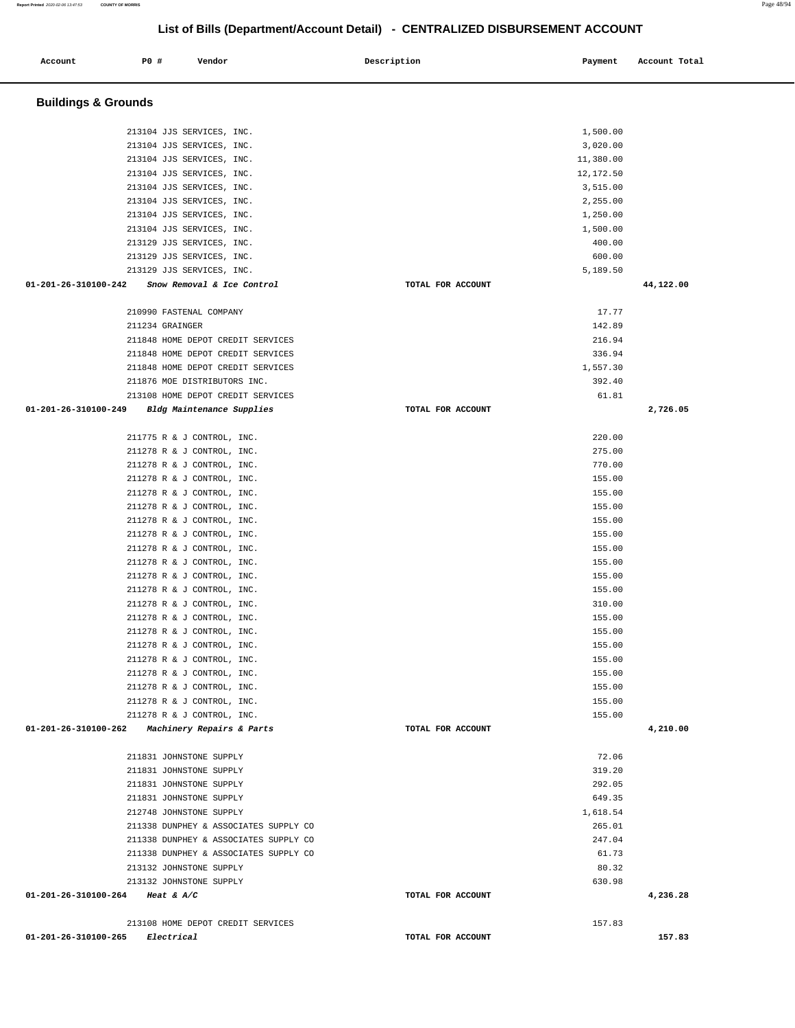| Account                        | P0 #<br>Vendor                                                    | Description       | Payment            | Account Total |
|--------------------------------|-------------------------------------------------------------------|-------------------|--------------------|---------------|
| <b>Buildings &amp; Grounds</b> |                                                                   |                   |                    |               |
|                                | 213104 JJS SERVICES, INC.                                         |                   | 1,500.00           |               |
|                                | 213104 JJS SERVICES, INC.                                         |                   | 3,020.00           |               |
|                                | 213104 JJS SERVICES, INC.                                         |                   | 11,380.00          |               |
|                                | 213104 JJS SERVICES, INC.                                         |                   | 12,172.50          |               |
|                                | 213104 JJS SERVICES, INC.                                         |                   | 3,515.00           |               |
|                                | 213104 JJS SERVICES, INC.                                         |                   | 2,255.00           |               |
|                                | 213104 JJS SERVICES, INC.                                         |                   | 1,250.00           |               |
|                                | 213104 JJS SERVICES, INC.                                         |                   | 1,500.00           |               |
|                                | 213129 JJS SERVICES, INC.                                         |                   | 400.00             |               |
|                                | 213129 JJS SERVICES, INC.                                         |                   | 600.00<br>5,189.50 |               |
| 01-201-26-310100-242           | 213129 JJS SERVICES, INC.<br>Snow Removal & Ice Control           | TOTAL FOR ACCOUNT |                    | 44,122.00     |
|                                |                                                                   |                   |                    |               |
|                                | 210990 FASTENAL COMPANY                                           |                   | 17.77              |               |
|                                | 211234 GRAINGER                                                   |                   | 142.89             |               |
|                                | 211848 HOME DEPOT CREDIT SERVICES                                 |                   | 216.94             |               |
|                                | 211848 HOME DEPOT CREDIT SERVICES                                 |                   | 336.94             |               |
|                                | 211848 HOME DEPOT CREDIT SERVICES                                 |                   | 1,557.30           |               |
|                                | 211876 MOE DISTRIBUTORS INC.<br>213108 HOME DEPOT CREDIT SERVICES |                   | 392.40             |               |
| 01-201-26-310100-249           | Bldg Maintenance Supplies                                         | TOTAL FOR ACCOUNT | 61.81              | 2,726.05      |
|                                |                                                                   |                   |                    |               |
|                                | 211775 R & J CONTROL, INC.                                        |                   | 220.00             |               |
|                                | 211278 R & J CONTROL, INC.                                        |                   | 275.00             |               |
|                                | 211278 R & J CONTROL, INC.                                        |                   | 770.00             |               |
|                                | 211278 R & J CONTROL, INC.                                        |                   | 155.00             |               |
|                                | 211278 R & J CONTROL, INC.                                        |                   | 155.00             |               |
|                                | 211278 R & J CONTROL, INC.                                        |                   | 155.00<br>155.00   |               |
|                                | 211278 R & J CONTROL, INC.<br>211278 R & J CONTROL, INC.          |                   | 155.00             |               |
|                                | 211278 R & J CONTROL, INC.                                        |                   | 155.00             |               |
|                                | 211278 R & J CONTROL, INC.                                        |                   | 155.00             |               |
|                                | 211278 R & J CONTROL, INC.                                        |                   | 155.00             |               |
|                                | 211278 R & J CONTROL, INC.                                        |                   | 155.00             |               |
|                                | 211278 R & J CONTROL, INC.                                        |                   | 310.00             |               |
|                                | 211278 R & J CONTROL, INC.                                        |                   | 155.00             |               |
|                                | 211278 R & J CONTROL, INC.                                        |                   | 155.00             |               |
|                                | 211278 R & J CONTROL, INC.                                        |                   | 155.00             |               |
|                                | 211278 R & J CONTROL, INC.                                        |                   | 155.00             |               |
|                                | 211278 R & J CONTROL, INC.                                        |                   | 155.00             |               |
|                                | 211278 R & J CONTROL, INC.                                        |                   | 155.00             |               |
|                                | 211278 R & J CONTROL, INC.<br>211278 R & J CONTROL, INC.          |                   | 155.00             |               |
| 01-201-26-310100-262           | <i>Machinery Repairs &amp; Parts</i>                              | TOTAL FOR ACCOUNT | 155.00             | 4,210.00      |
|                                |                                                                   |                   |                    |               |
|                                | 211831 JOHNSTONE SUPPLY                                           |                   | 72.06              |               |
|                                | 211831 JOHNSTONE SUPPLY                                           |                   | 319.20             |               |
|                                | 211831 JOHNSTONE SUPPLY                                           |                   | 292.05             |               |
|                                | 211831 JOHNSTONE SUPPLY                                           |                   | 649.35             |               |
|                                | 212748 JOHNSTONE SUPPLY                                           |                   | 1,618.54           |               |
|                                | 211338 DUNPHEY & ASSOCIATES SUPPLY CO                             |                   | 265.01             |               |
|                                | 211338 DUNPHEY & ASSOCIATES SUPPLY CO                             |                   | 247.04<br>61.73    |               |
|                                | 211338 DUNPHEY & ASSOCIATES SUPPLY CO<br>213132 JOHNSTONE SUPPLY  |                   | 80.32              |               |
|                                | 213132 JOHNSTONE SUPPLY                                           |                   | 630.98             |               |
|                                | 01-201-26-310100-264 Heat & A/C                                   | TOTAL FOR ACCOUNT |                    | 4,236.28      |
|                                |                                                                   |                   |                    |               |
|                                | 213108 HOME DEPOT CREDIT SERVICES                                 |                   | 157.83             |               |
| 01-201-26-310100-265           | Electrical                                                        | TOTAL FOR ACCOUNT |                    | 157.83        |

**Report Printed** 2020-02-06 13:47:53 **COUNTY OF MORRIS** Page 48/94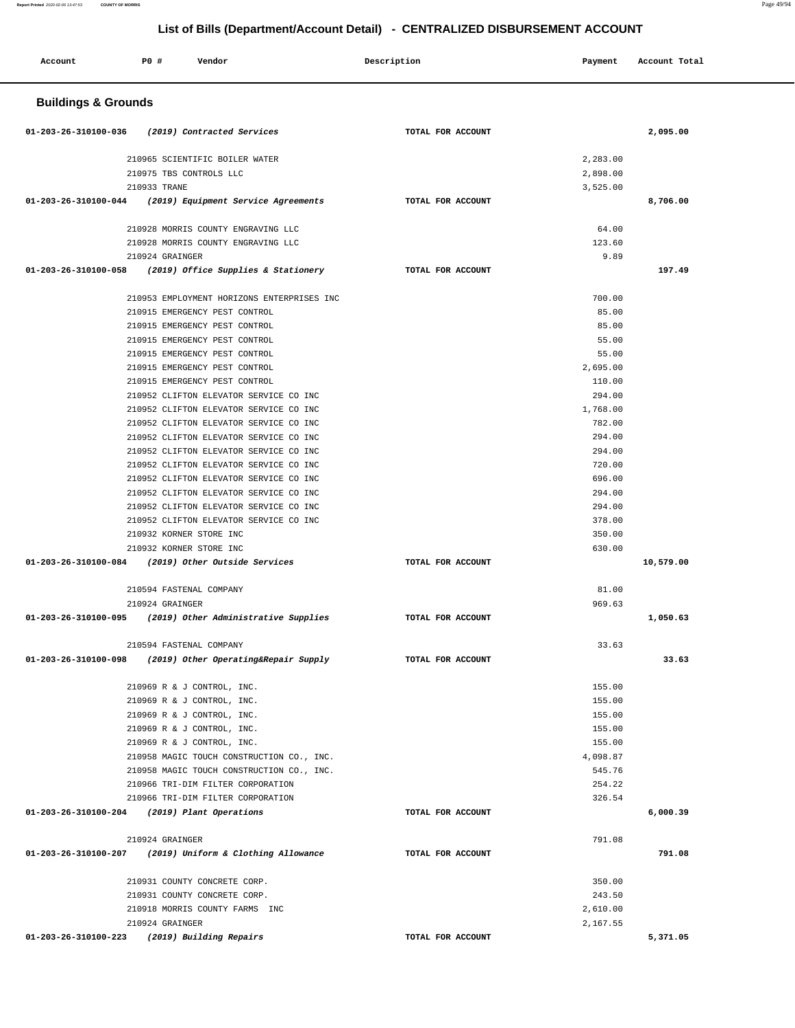| <b>Buildings &amp; Grounds</b><br>01-203-26-310100-036<br>(2019) Contracted Services<br>TOTAL FOR ACCOUNT<br>2,095.00<br>210965 SCIENTIFIC BOILER WATER<br>2,283.00<br>210975 TBS CONTROLS LLC<br>2,898.00<br>210933 TRANE<br>3,525.00<br>$01 - 203 - 26 - 310100 - 044$<br>(2019) Equipment Service Agreements<br>TOTAL FOR ACCOUNT<br>8,706.00<br>64.00<br>210928 MORRIS COUNTY ENGRAVING LLC<br>210928 MORRIS COUNTY ENGRAVING LLC<br>123.60<br>9.89<br>210924 GRAINGER<br>(2019) Office Supplies & Stationery<br>197.49<br>01-203-26-310100-058<br>TOTAL FOR ACCOUNT<br>210953 EMPLOYMENT HORIZONS ENTERPRISES INC<br>700.00<br>210915 EMERGENCY PEST CONTROL<br>85.00<br>210915 EMERGENCY PEST CONTROL<br>85.00<br>210915 EMERGENCY PEST CONTROL<br>55.00<br>210915 EMERGENCY PEST CONTROL<br>55.00<br>210915 EMERGENCY PEST CONTROL<br>2,695.00<br>210915 EMERGENCY PEST CONTROL<br>110.00<br>210952 CLIFTON ELEVATOR SERVICE CO INC<br>294.00<br>210952 CLIFTON ELEVATOR SERVICE CO INC<br>1,768.00<br>210952 CLIFTON ELEVATOR SERVICE CO INC<br>782.00<br>210952 CLIFTON ELEVATOR SERVICE CO INC<br>294.00<br>210952 CLIFTON ELEVATOR SERVICE CO INC<br>294.00<br>210952 CLIFTON ELEVATOR SERVICE CO INC<br>720.00<br>696.00<br>210952 CLIFTON ELEVATOR SERVICE CO INC<br>210952 CLIFTON ELEVATOR SERVICE CO INC<br>294.00<br>210952 CLIFTON ELEVATOR SERVICE CO INC<br>294.00<br>210952 CLIFTON ELEVATOR SERVICE CO INC<br>378.00<br>210932 KORNER STORE INC<br>350.00<br>210932 KORNER STORE INC<br>630.00<br>01-203-26-310100-084<br>(2019) Other Outside Services<br>TOTAL FOR ACCOUNT<br>10,579.00<br>81.00<br>210594 FASTENAL COMPANY<br>210924 GRAINGER<br>969.63<br>01-203-26-310100-095<br>(2019) Other Administrative Supplies<br>TOTAL FOR ACCOUNT<br>1,050.63<br>33.63<br>210594 FASTENAL COMPANY<br>01-203-26-310100-098<br>(2019) Other Operating&Repair Supply<br>TOTAL FOR ACCOUNT<br>33.63<br>155.00<br>210969 R & J CONTROL, INC.<br>210969 R & J CONTROL, INC.<br>155.00<br>210969 R & J CONTROL, INC.<br>155.00<br>210969 R & J CONTROL, INC.<br>155.00<br>210969 R & J CONTROL, INC.<br>155.00<br>210958 MAGIC TOUCH CONSTRUCTION CO., INC.<br>4,098.87<br>210958 MAGIC TOUCH CONSTRUCTION CO., INC.<br>545.76<br>254.22<br>210966 TRI-DIM FILTER CORPORATION<br>326.54<br>210966 TRI-DIM FILTER CORPORATION<br>01-203-26-310100-204 (2019) Plant Operations<br>TOTAL FOR ACCOUNT<br>6,000.39<br>210924 GRAINGER<br>791.08<br>(2019) Uniform & Clothing Allowance<br>TOTAL FOR ACCOUNT<br>791.08<br>01-203-26-310100-207<br>210931 COUNTY CONCRETE CORP.<br>350.00<br>210931 COUNTY CONCRETE CORP.<br>243.50<br>210918 MORRIS COUNTY FARMS INC<br>2,610.00<br>210924 GRAINGER<br>2,167.55<br>01-203-26-310100-223<br>(2019) Building Repairs<br>5,371.05<br>TOTAL FOR ACCOUNT | Account | <b>PO #</b><br>Vendor | Description | Payment | Account Total |  |  |  |
|------------------------------------------------------------------------------------------------------------------------------------------------------------------------------------------------------------------------------------------------------------------------------------------------------------------------------------------------------------------------------------------------------------------------------------------------------------------------------------------------------------------------------------------------------------------------------------------------------------------------------------------------------------------------------------------------------------------------------------------------------------------------------------------------------------------------------------------------------------------------------------------------------------------------------------------------------------------------------------------------------------------------------------------------------------------------------------------------------------------------------------------------------------------------------------------------------------------------------------------------------------------------------------------------------------------------------------------------------------------------------------------------------------------------------------------------------------------------------------------------------------------------------------------------------------------------------------------------------------------------------------------------------------------------------------------------------------------------------------------------------------------------------------------------------------------------------------------------------------------------------------------------------------------------------------------------------------------------------------------------------------------------------------------------------------------------------------------------------------------------------------------------------------------------------------------------------------------------------------------------------------------------------------------------------------------------------------------------------------------------------------------------------------------------------------------------------------------------------------------------------------------------------------------------------------------------------------------------------------------------------------------------------------------------------------------------------------------------------------------------------------------------------------------------------------|---------|-----------------------|-------------|---------|---------------|--|--|--|
|                                                                                                                                                                                                                                                                                                                                                                                                                                                                                                                                                                                                                                                                                                                                                                                                                                                                                                                                                                                                                                                                                                                                                                                                                                                                                                                                                                                                                                                                                                                                                                                                                                                                                                                                                                                                                                                                                                                                                                                                                                                                                                                                                                                                                                                                                                                                                                                                                                                                                                                                                                                                                                                                                                                                                                                                            |         |                       |             |         |               |  |  |  |
|                                                                                                                                                                                                                                                                                                                                                                                                                                                                                                                                                                                                                                                                                                                                                                                                                                                                                                                                                                                                                                                                                                                                                                                                                                                                                                                                                                                                                                                                                                                                                                                                                                                                                                                                                                                                                                                                                                                                                                                                                                                                                                                                                                                                                                                                                                                                                                                                                                                                                                                                                                                                                                                                                                                                                                                                            |         |                       |             |         |               |  |  |  |
|                                                                                                                                                                                                                                                                                                                                                                                                                                                                                                                                                                                                                                                                                                                                                                                                                                                                                                                                                                                                                                                                                                                                                                                                                                                                                                                                                                                                                                                                                                                                                                                                                                                                                                                                                                                                                                                                                                                                                                                                                                                                                                                                                                                                                                                                                                                                                                                                                                                                                                                                                                                                                                                                                                                                                                                                            |         |                       |             |         |               |  |  |  |
|                                                                                                                                                                                                                                                                                                                                                                                                                                                                                                                                                                                                                                                                                                                                                                                                                                                                                                                                                                                                                                                                                                                                                                                                                                                                                                                                                                                                                                                                                                                                                                                                                                                                                                                                                                                                                                                                                                                                                                                                                                                                                                                                                                                                                                                                                                                                                                                                                                                                                                                                                                                                                                                                                                                                                                                                            |         |                       |             |         |               |  |  |  |
|                                                                                                                                                                                                                                                                                                                                                                                                                                                                                                                                                                                                                                                                                                                                                                                                                                                                                                                                                                                                                                                                                                                                                                                                                                                                                                                                                                                                                                                                                                                                                                                                                                                                                                                                                                                                                                                                                                                                                                                                                                                                                                                                                                                                                                                                                                                                                                                                                                                                                                                                                                                                                                                                                                                                                                                                            |         |                       |             |         |               |  |  |  |
|                                                                                                                                                                                                                                                                                                                                                                                                                                                                                                                                                                                                                                                                                                                                                                                                                                                                                                                                                                                                                                                                                                                                                                                                                                                                                                                                                                                                                                                                                                                                                                                                                                                                                                                                                                                                                                                                                                                                                                                                                                                                                                                                                                                                                                                                                                                                                                                                                                                                                                                                                                                                                                                                                                                                                                                                            |         |                       |             |         |               |  |  |  |
|                                                                                                                                                                                                                                                                                                                                                                                                                                                                                                                                                                                                                                                                                                                                                                                                                                                                                                                                                                                                                                                                                                                                                                                                                                                                                                                                                                                                                                                                                                                                                                                                                                                                                                                                                                                                                                                                                                                                                                                                                                                                                                                                                                                                                                                                                                                                                                                                                                                                                                                                                                                                                                                                                                                                                                                                            |         |                       |             |         |               |  |  |  |
|                                                                                                                                                                                                                                                                                                                                                                                                                                                                                                                                                                                                                                                                                                                                                                                                                                                                                                                                                                                                                                                                                                                                                                                                                                                                                                                                                                                                                                                                                                                                                                                                                                                                                                                                                                                                                                                                                                                                                                                                                                                                                                                                                                                                                                                                                                                                                                                                                                                                                                                                                                                                                                                                                                                                                                                                            |         |                       |             |         |               |  |  |  |
|                                                                                                                                                                                                                                                                                                                                                                                                                                                                                                                                                                                                                                                                                                                                                                                                                                                                                                                                                                                                                                                                                                                                                                                                                                                                                                                                                                                                                                                                                                                                                                                                                                                                                                                                                                                                                                                                                                                                                                                                                                                                                                                                                                                                                                                                                                                                                                                                                                                                                                                                                                                                                                                                                                                                                                                                            |         |                       |             |         |               |  |  |  |
|                                                                                                                                                                                                                                                                                                                                                                                                                                                                                                                                                                                                                                                                                                                                                                                                                                                                                                                                                                                                                                                                                                                                                                                                                                                                                                                                                                                                                                                                                                                                                                                                                                                                                                                                                                                                                                                                                                                                                                                                                                                                                                                                                                                                                                                                                                                                                                                                                                                                                                                                                                                                                                                                                                                                                                                                            |         |                       |             |         |               |  |  |  |
|                                                                                                                                                                                                                                                                                                                                                                                                                                                                                                                                                                                                                                                                                                                                                                                                                                                                                                                                                                                                                                                                                                                                                                                                                                                                                                                                                                                                                                                                                                                                                                                                                                                                                                                                                                                                                                                                                                                                                                                                                                                                                                                                                                                                                                                                                                                                                                                                                                                                                                                                                                                                                                                                                                                                                                                                            |         |                       |             |         |               |  |  |  |
|                                                                                                                                                                                                                                                                                                                                                                                                                                                                                                                                                                                                                                                                                                                                                                                                                                                                                                                                                                                                                                                                                                                                                                                                                                                                                                                                                                                                                                                                                                                                                                                                                                                                                                                                                                                                                                                                                                                                                                                                                                                                                                                                                                                                                                                                                                                                                                                                                                                                                                                                                                                                                                                                                                                                                                                                            |         |                       |             |         |               |  |  |  |
|                                                                                                                                                                                                                                                                                                                                                                                                                                                                                                                                                                                                                                                                                                                                                                                                                                                                                                                                                                                                                                                                                                                                                                                                                                                                                                                                                                                                                                                                                                                                                                                                                                                                                                                                                                                                                                                                                                                                                                                                                                                                                                                                                                                                                                                                                                                                                                                                                                                                                                                                                                                                                                                                                                                                                                                                            |         |                       |             |         |               |  |  |  |
|                                                                                                                                                                                                                                                                                                                                                                                                                                                                                                                                                                                                                                                                                                                                                                                                                                                                                                                                                                                                                                                                                                                                                                                                                                                                                                                                                                                                                                                                                                                                                                                                                                                                                                                                                                                                                                                                                                                                                                                                                                                                                                                                                                                                                                                                                                                                                                                                                                                                                                                                                                                                                                                                                                                                                                                                            |         |                       |             |         |               |  |  |  |
|                                                                                                                                                                                                                                                                                                                                                                                                                                                                                                                                                                                                                                                                                                                                                                                                                                                                                                                                                                                                                                                                                                                                                                                                                                                                                                                                                                                                                                                                                                                                                                                                                                                                                                                                                                                                                                                                                                                                                                                                                                                                                                                                                                                                                                                                                                                                                                                                                                                                                                                                                                                                                                                                                                                                                                                                            |         |                       |             |         |               |  |  |  |
|                                                                                                                                                                                                                                                                                                                                                                                                                                                                                                                                                                                                                                                                                                                                                                                                                                                                                                                                                                                                                                                                                                                                                                                                                                                                                                                                                                                                                                                                                                                                                                                                                                                                                                                                                                                                                                                                                                                                                                                                                                                                                                                                                                                                                                                                                                                                                                                                                                                                                                                                                                                                                                                                                                                                                                                                            |         |                       |             |         |               |  |  |  |
|                                                                                                                                                                                                                                                                                                                                                                                                                                                                                                                                                                                                                                                                                                                                                                                                                                                                                                                                                                                                                                                                                                                                                                                                                                                                                                                                                                                                                                                                                                                                                                                                                                                                                                                                                                                                                                                                                                                                                                                                                                                                                                                                                                                                                                                                                                                                                                                                                                                                                                                                                                                                                                                                                                                                                                                                            |         |                       |             |         |               |  |  |  |
|                                                                                                                                                                                                                                                                                                                                                                                                                                                                                                                                                                                                                                                                                                                                                                                                                                                                                                                                                                                                                                                                                                                                                                                                                                                                                                                                                                                                                                                                                                                                                                                                                                                                                                                                                                                                                                                                                                                                                                                                                                                                                                                                                                                                                                                                                                                                                                                                                                                                                                                                                                                                                                                                                                                                                                                                            |         |                       |             |         |               |  |  |  |
|                                                                                                                                                                                                                                                                                                                                                                                                                                                                                                                                                                                                                                                                                                                                                                                                                                                                                                                                                                                                                                                                                                                                                                                                                                                                                                                                                                                                                                                                                                                                                                                                                                                                                                                                                                                                                                                                                                                                                                                                                                                                                                                                                                                                                                                                                                                                                                                                                                                                                                                                                                                                                                                                                                                                                                                                            |         |                       |             |         |               |  |  |  |
|                                                                                                                                                                                                                                                                                                                                                                                                                                                                                                                                                                                                                                                                                                                                                                                                                                                                                                                                                                                                                                                                                                                                                                                                                                                                                                                                                                                                                                                                                                                                                                                                                                                                                                                                                                                                                                                                                                                                                                                                                                                                                                                                                                                                                                                                                                                                                                                                                                                                                                                                                                                                                                                                                                                                                                                                            |         |                       |             |         |               |  |  |  |
|                                                                                                                                                                                                                                                                                                                                                                                                                                                                                                                                                                                                                                                                                                                                                                                                                                                                                                                                                                                                                                                                                                                                                                                                                                                                                                                                                                                                                                                                                                                                                                                                                                                                                                                                                                                                                                                                                                                                                                                                                                                                                                                                                                                                                                                                                                                                                                                                                                                                                                                                                                                                                                                                                                                                                                                                            |         |                       |             |         |               |  |  |  |
|                                                                                                                                                                                                                                                                                                                                                                                                                                                                                                                                                                                                                                                                                                                                                                                                                                                                                                                                                                                                                                                                                                                                                                                                                                                                                                                                                                                                                                                                                                                                                                                                                                                                                                                                                                                                                                                                                                                                                                                                                                                                                                                                                                                                                                                                                                                                                                                                                                                                                                                                                                                                                                                                                                                                                                                                            |         |                       |             |         |               |  |  |  |
|                                                                                                                                                                                                                                                                                                                                                                                                                                                                                                                                                                                                                                                                                                                                                                                                                                                                                                                                                                                                                                                                                                                                                                                                                                                                                                                                                                                                                                                                                                                                                                                                                                                                                                                                                                                                                                                                                                                                                                                                                                                                                                                                                                                                                                                                                                                                                                                                                                                                                                                                                                                                                                                                                                                                                                                                            |         |                       |             |         |               |  |  |  |
|                                                                                                                                                                                                                                                                                                                                                                                                                                                                                                                                                                                                                                                                                                                                                                                                                                                                                                                                                                                                                                                                                                                                                                                                                                                                                                                                                                                                                                                                                                                                                                                                                                                                                                                                                                                                                                                                                                                                                                                                                                                                                                                                                                                                                                                                                                                                                                                                                                                                                                                                                                                                                                                                                                                                                                                                            |         |                       |             |         |               |  |  |  |
|                                                                                                                                                                                                                                                                                                                                                                                                                                                                                                                                                                                                                                                                                                                                                                                                                                                                                                                                                                                                                                                                                                                                                                                                                                                                                                                                                                                                                                                                                                                                                                                                                                                                                                                                                                                                                                                                                                                                                                                                                                                                                                                                                                                                                                                                                                                                                                                                                                                                                                                                                                                                                                                                                                                                                                                                            |         |                       |             |         |               |  |  |  |
|                                                                                                                                                                                                                                                                                                                                                                                                                                                                                                                                                                                                                                                                                                                                                                                                                                                                                                                                                                                                                                                                                                                                                                                                                                                                                                                                                                                                                                                                                                                                                                                                                                                                                                                                                                                                                                                                                                                                                                                                                                                                                                                                                                                                                                                                                                                                                                                                                                                                                                                                                                                                                                                                                                                                                                                                            |         |                       |             |         |               |  |  |  |
|                                                                                                                                                                                                                                                                                                                                                                                                                                                                                                                                                                                                                                                                                                                                                                                                                                                                                                                                                                                                                                                                                                                                                                                                                                                                                                                                                                                                                                                                                                                                                                                                                                                                                                                                                                                                                                                                                                                                                                                                                                                                                                                                                                                                                                                                                                                                                                                                                                                                                                                                                                                                                                                                                                                                                                                                            |         |                       |             |         |               |  |  |  |
|                                                                                                                                                                                                                                                                                                                                                                                                                                                                                                                                                                                                                                                                                                                                                                                                                                                                                                                                                                                                                                                                                                                                                                                                                                                                                                                                                                                                                                                                                                                                                                                                                                                                                                                                                                                                                                                                                                                                                                                                                                                                                                                                                                                                                                                                                                                                                                                                                                                                                                                                                                                                                                                                                                                                                                                                            |         |                       |             |         |               |  |  |  |
|                                                                                                                                                                                                                                                                                                                                                                                                                                                                                                                                                                                                                                                                                                                                                                                                                                                                                                                                                                                                                                                                                                                                                                                                                                                                                                                                                                                                                                                                                                                                                                                                                                                                                                                                                                                                                                                                                                                                                                                                                                                                                                                                                                                                                                                                                                                                                                                                                                                                                                                                                                                                                                                                                                                                                                                                            |         |                       |             |         |               |  |  |  |
|                                                                                                                                                                                                                                                                                                                                                                                                                                                                                                                                                                                                                                                                                                                                                                                                                                                                                                                                                                                                                                                                                                                                                                                                                                                                                                                                                                                                                                                                                                                                                                                                                                                                                                                                                                                                                                                                                                                                                                                                                                                                                                                                                                                                                                                                                                                                                                                                                                                                                                                                                                                                                                                                                                                                                                                                            |         |                       |             |         |               |  |  |  |
|                                                                                                                                                                                                                                                                                                                                                                                                                                                                                                                                                                                                                                                                                                                                                                                                                                                                                                                                                                                                                                                                                                                                                                                                                                                                                                                                                                                                                                                                                                                                                                                                                                                                                                                                                                                                                                                                                                                                                                                                                                                                                                                                                                                                                                                                                                                                                                                                                                                                                                                                                                                                                                                                                                                                                                                                            |         |                       |             |         |               |  |  |  |
|                                                                                                                                                                                                                                                                                                                                                                                                                                                                                                                                                                                                                                                                                                                                                                                                                                                                                                                                                                                                                                                                                                                                                                                                                                                                                                                                                                                                                                                                                                                                                                                                                                                                                                                                                                                                                                                                                                                                                                                                                                                                                                                                                                                                                                                                                                                                                                                                                                                                                                                                                                                                                                                                                                                                                                                                            |         |                       |             |         |               |  |  |  |
|                                                                                                                                                                                                                                                                                                                                                                                                                                                                                                                                                                                                                                                                                                                                                                                                                                                                                                                                                                                                                                                                                                                                                                                                                                                                                                                                                                                                                                                                                                                                                                                                                                                                                                                                                                                                                                                                                                                                                                                                                                                                                                                                                                                                                                                                                                                                                                                                                                                                                                                                                                                                                                                                                                                                                                                                            |         |                       |             |         |               |  |  |  |
|                                                                                                                                                                                                                                                                                                                                                                                                                                                                                                                                                                                                                                                                                                                                                                                                                                                                                                                                                                                                                                                                                                                                                                                                                                                                                                                                                                                                                                                                                                                                                                                                                                                                                                                                                                                                                                                                                                                                                                                                                                                                                                                                                                                                                                                                                                                                                                                                                                                                                                                                                                                                                                                                                                                                                                                                            |         |                       |             |         |               |  |  |  |
|                                                                                                                                                                                                                                                                                                                                                                                                                                                                                                                                                                                                                                                                                                                                                                                                                                                                                                                                                                                                                                                                                                                                                                                                                                                                                                                                                                                                                                                                                                                                                                                                                                                                                                                                                                                                                                                                                                                                                                                                                                                                                                                                                                                                                                                                                                                                                                                                                                                                                                                                                                                                                                                                                                                                                                                                            |         |                       |             |         |               |  |  |  |
|                                                                                                                                                                                                                                                                                                                                                                                                                                                                                                                                                                                                                                                                                                                                                                                                                                                                                                                                                                                                                                                                                                                                                                                                                                                                                                                                                                                                                                                                                                                                                                                                                                                                                                                                                                                                                                                                                                                                                                                                                                                                                                                                                                                                                                                                                                                                                                                                                                                                                                                                                                                                                                                                                                                                                                                                            |         |                       |             |         |               |  |  |  |
|                                                                                                                                                                                                                                                                                                                                                                                                                                                                                                                                                                                                                                                                                                                                                                                                                                                                                                                                                                                                                                                                                                                                                                                                                                                                                                                                                                                                                                                                                                                                                                                                                                                                                                                                                                                                                                                                                                                                                                                                                                                                                                                                                                                                                                                                                                                                                                                                                                                                                                                                                                                                                                                                                                                                                                                                            |         |                       |             |         |               |  |  |  |
|                                                                                                                                                                                                                                                                                                                                                                                                                                                                                                                                                                                                                                                                                                                                                                                                                                                                                                                                                                                                                                                                                                                                                                                                                                                                                                                                                                                                                                                                                                                                                                                                                                                                                                                                                                                                                                                                                                                                                                                                                                                                                                                                                                                                                                                                                                                                                                                                                                                                                                                                                                                                                                                                                                                                                                                                            |         |                       |             |         |               |  |  |  |
|                                                                                                                                                                                                                                                                                                                                                                                                                                                                                                                                                                                                                                                                                                                                                                                                                                                                                                                                                                                                                                                                                                                                                                                                                                                                                                                                                                                                                                                                                                                                                                                                                                                                                                                                                                                                                                                                                                                                                                                                                                                                                                                                                                                                                                                                                                                                                                                                                                                                                                                                                                                                                                                                                                                                                                                                            |         |                       |             |         |               |  |  |  |
|                                                                                                                                                                                                                                                                                                                                                                                                                                                                                                                                                                                                                                                                                                                                                                                                                                                                                                                                                                                                                                                                                                                                                                                                                                                                                                                                                                                                                                                                                                                                                                                                                                                                                                                                                                                                                                                                                                                                                                                                                                                                                                                                                                                                                                                                                                                                                                                                                                                                                                                                                                                                                                                                                                                                                                                                            |         |                       |             |         |               |  |  |  |
|                                                                                                                                                                                                                                                                                                                                                                                                                                                                                                                                                                                                                                                                                                                                                                                                                                                                                                                                                                                                                                                                                                                                                                                                                                                                                                                                                                                                                                                                                                                                                                                                                                                                                                                                                                                                                                                                                                                                                                                                                                                                                                                                                                                                                                                                                                                                                                                                                                                                                                                                                                                                                                                                                                                                                                                                            |         |                       |             |         |               |  |  |  |
|                                                                                                                                                                                                                                                                                                                                                                                                                                                                                                                                                                                                                                                                                                                                                                                                                                                                                                                                                                                                                                                                                                                                                                                                                                                                                                                                                                                                                                                                                                                                                                                                                                                                                                                                                                                                                                                                                                                                                                                                                                                                                                                                                                                                                                                                                                                                                                                                                                                                                                                                                                                                                                                                                                                                                                                                            |         |                       |             |         |               |  |  |  |
|                                                                                                                                                                                                                                                                                                                                                                                                                                                                                                                                                                                                                                                                                                                                                                                                                                                                                                                                                                                                                                                                                                                                                                                                                                                                                                                                                                                                                                                                                                                                                                                                                                                                                                                                                                                                                                                                                                                                                                                                                                                                                                                                                                                                                                                                                                                                                                                                                                                                                                                                                                                                                                                                                                                                                                                                            |         |                       |             |         |               |  |  |  |
|                                                                                                                                                                                                                                                                                                                                                                                                                                                                                                                                                                                                                                                                                                                                                                                                                                                                                                                                                                                                                                                                                                                                                                                                                                                                                                                                                                                                                                                                                                                                                                                                                                                                                                                                                                                                                                                                                                                                                                                                                                                                                                                                                                                                                                                                                                                                                                                                                                                                                                                                                                                                                                                                                                                                                                                                            |         |                       |             |         |               |  |  |  |
|                                                                                                                                                                                                                                                                                                                                                                                                                                                                                                                                                                                                                                                                                                                                                                                                                                                                                                                                                                                                                                                                                                                                                                                                                                                                                                                                                                                                                                                                                                                                                                                                                                                                                                                                                                                                                                                                                                                                                                                                                                                                                                                                                                                                                                                                                                                                                                                                                                                                                                                                                                                                                                                                                                                                                                                                            |         |                       |             |         |               |  |  |  |
|                                                                                                                                                                                                                                                                                                                                                                                                                                                                                                                                                                                                                                                                                                                                                                                                                                                                                                                                                                                                                                                                                                                                                                                                                                                                                                                                                                                                                                                                                                                                                                                                                                                                                                                                                                                                                                                                                                                                                                                                                                                                                                                                                                                                                                                                                                                                                                                                                                                                                                                                                                                                                                                                                                                                                                                                            |         |                       |             |         |               |  |  |  |
|                                                                                                                                                                                                                                                                                                                                                                                                                                                                                                                                                                                                                                                                                                                                                                                                                                                                                                                                                                                                                                                                                                                                                                                                                                                                                                                                                                                                                                                                                                                                                                                                                                                                                                                                                                                                                                                                                                                                                                                                                                                                                                                                                                                                                                                                                                                                                                                                                                                                                                                                                                                                                                                                                                                                                                                                            |         |                       |             |         |               |  |  |  |
|                                                                                                                                                                                                                                                                                                                                                                                                                                                                                                                                                                                                                                                                                                                                                                                                                                                                                                                                                                                                                                                                                                                                                                                                                                                                                                                                                                                                                                                                                                                                                                                                                                                                                                                                                                                                                                                                                                                                                                                                                                                                                                                                                                                                                                                                                                                                                                                                                                                                                                                                                                                                                                                                                                                                                                                                            |         |                       |             |         |               |  |  |  |
|                                                                                                                                                                                                                                                                                                                                                                                                                                                                                                                                                                                                                                                                                                                                                                                                                                                                                                                                                                                                                                                                                                                                                                                                                                                                                                                                                                                                                                                                                                                                                                                                                                                                                                                                                                                                                                                                                                                                                                                                                                                                                                                                                                                                                                                                                                                                                                                                                                                                                                                                                                                                                                                                                                                                                                                                            |         |                       |             |         |               |  |  |  |
|                                                                                                                                                                                                                                                                                                                                                                                                                                                                                                                                                                                                                                                                                                                                                                                                                                                                                                                                                                                                                                                                                                                                                                                                                                                                                                                                                                                                                                                                                                                                                                                                                                                                                                                                                                                                                                                                                                                                                                                                                                                                                                                                                                                                                                                                                                                                                                                                                                                                                                                                                                                                                                                                                                                                                                                                            |         |                       |             |         |               |  |  |  |
|                                                                                                                                                                                                                                                                                                                                                                                                                                                                                                                                                                                                                                                                                                                                                                                                                                                                                                                                                                                                                                                                                                                                                                                                                                                                                                                                                                                                                                                                                                                                                                                                                                                                                                                                                                                                                                                                                                                                                                                                                                                                                                                                                                                                                                                                                                                                                                                                                                                                                                                                                                                                                                                                                                                                                                                                            |         |                       |             |         |               |  |  |  |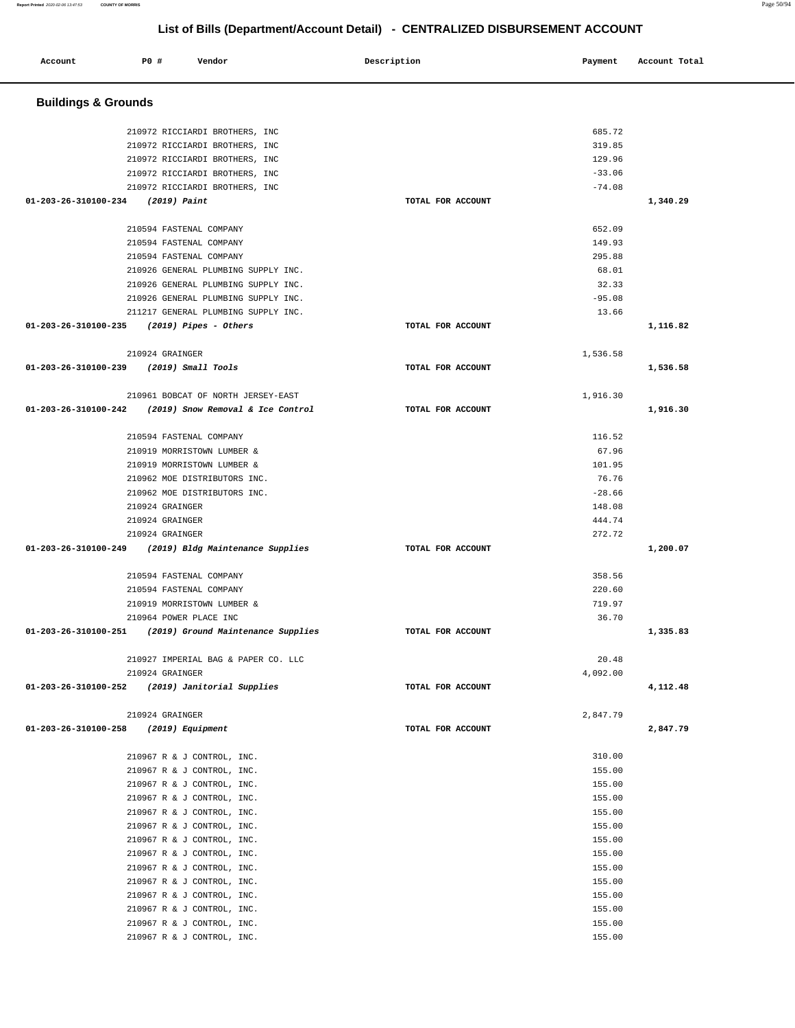| Account                                 | P0 # | Vendor                                          | Description       | Payment  | Account Total |  |  |
|-----------------------------------------|------|-------------------------------------------------|-------------------|----------|---------------|--|--|
| <b>Buildings &amp; Grounds</b>          |      |                                                 |                   |          |               |  |  |
|                                         |      | 210972 RICCIARDI BROTHERS, INC                  |                   | 685.72   |               |  |  |
|                                         |      | 210972 RICCIARDI BROTHERS, INC                  |                   | 319.85   |               |  |  |
|                                         |      | 210972 RICCIARDI BROTHERS, INC                  |                   | 129.96   |               |  |  |
|                                         |      | 210972 RICCIARDI BROTHERS, INC                  |                   | $-33.06$ |               |  |  |
|                                         |      | 210972 RICCIARDI BROTHERS, INC                  |                   | $-74.08$ |               |  |  |
| 01-203-26-310100-234                    |      | (2019) Paint                                    | TOTAL FOR ACCOUNT |          | 1,340.29      |  |  |
|                                         |      | 210594 FASTENAL COMPANY                         |                   | 652.09   |               |  |  |
|                                         |      | 210594 FASTENAL COMPANY                         |                   | 149.93   |               |  |  |
|                                         |      | 210594 FASTENAL COMPANY                         |                   | 295.88   |               |  |  |
|                                         |      | 210926 GENERAL PLUMBING SUPPLY INC.             |                   | 68.01    |               |  |  |
|                                         |      | 210926 GENERAL PLUMBING SUPPLY INC.             |                   | 32.33    |               |  |  |
|                                         |      | 210926 GENERAL PLUMBING SUPPLY INC.             |                   | $-95.08$ |               |  |  |
|                                         |      | 211217 GENERAL PLUMBING SUPPLY INC.             |                   | 13.66    |               |  |  |
| 01-203-26-310100-235                    |      | (2019) Pipes - Others                           | TOTAL FOR ACCOUNT |          | 1,116.82      |  |  |
|                                         |      | 210924 GRAINGER                                 |                   | 1,536.58 |               |  |  |
| 01-203-26-310100-239 (2019) Small Tools |      |                                                 | TOTAL FOR ACCOUNT |          | 1,536.58      |  |  |
|                                         |      |                                                 |                   |          |               |  |  |
|                                         |      | 210961 BOBCAT OF NORTH JERSEY-EAST              |                   | 1,916.30 |               |  |  |
| 01-203-26-310100-242                    |      | (2019) Snow Removal & Ice Control               | TOTAL FOR ACCOUNT |          | 1,916.30      |  |  |
|                                         |      | 210594 FASTENAL COMPANY                         |                   | 116.52   |               |  |  |
|                                         |      | 210919 MORRISTOWN LUMBER &                      |                   | 67.96    |               |  |  |
|                                         |      | 210919 MORRISTOWN LUMBER &                      |                   | 101.95   |               |  |  |
|                                         |      | 210962 MOE DISTRIBUTORS INC.                    |                   | 76.76    |               |  |  |
|                                         |      | 210962 MOE DISTRIBUTORS INC.                    |                   | $-28.66$ |               |  |  |
|                                         |      | 210924 GRAINGER                                 |                   | 148.08   |               |  |  |
|                                         |      | 210924 GRAINGER                                 |                   | 444.74   |               |  |  |
|                                         |      | 210924 GRAINGER                                 |                   | 272.72   |               |  |  |
| 01-203-26-310100-249                    |      | (2019) Bldg Maintenance Supplies                | TOTAL FOR ACCOUNT |          | 1,200.07      |  |  |
|                                         |      | 210594 FASTENAL COMPANY                         |                   | 358.56   |               |  |  |
|                                         |      | 210594 FASTENAL COMPANY                         |                   | 220.60   |               |  |  |
|                                         |      | 210919 MORRISTOWN LUMBER &                      |                   | 719.97   |               |  |  |
|                                         |      | 210964 POWER PLACE INC                          |                   | 36.70    |               |  |  |
| 01-203-26-310100-251                    |      | (2019) Ground Maintenance Supplies              | TOTAL FOR ACCOUNT |          | 1,335.83      |  |  |
|                                         |      | 210927 IMPERIAL BAG & PAPER CO. LLC             |                   | 20.48    |               |  |  |
|                                         |      | 210924 GRAINGER                                 |                   | 4,092.00 |               |  |  |
|                                         |      | 01-203-26-310100-252 (2019) Janitorial Supplies | TOTAL FOR ACCOUNT |          | 4,112.48      |  |  |
|                                         |      | 210924 GRAINGER                                 |                   | 2,847.79 |               |  |  |
| 01-203-26-310100-258                    |      | (2019) Equipment                                | TOTAL FOR ACCOUNT |          | 2,847.79      |  |  |
|                                         |      | 210967 R & J CONTROL, INC.                      |                   | 310.00   |               |  |  |
|                                         |      | 210967 R & J CONTROL, INC.                      |                   | 155.00   |               |  |  |
|                                         |      | 210967 R & J CONTROL, INC.                      |                   | 155.00   |               |  |  |
|                                         |      | 210967 R & J CONTROL, INC.                      |                   | 155.00   |               |  |  |
|                                         |      | 210967 R & J CONTROL, INC.                      |                   | 155.00   |               |  |  |
|                                         |      | 210967 R & J CONTROL, INC.                      |                   | 155.00   |               |  |  |
|                                         |      | 210967 R & J CONTROL, INC.                      |                   | 155.00   |               |  |  |
|                                         |      | 210967 R & J CONTROL, INC.                      |                   | 155.00   |               |  |  |
|                                         |      | 210967 R & J CONTROL, INC.                      |                   | 155.00   |               |  |  |
|                                         |      | 210967 R & J CONTROL, INC.                      |                   | 155.00   |               |  |  |
|                                         |      | 210967 R & J CONTROL, INC.                      |                   | 155.00   |               |  |  |
|                                         |      | 210967 R & J CONTROL, INC.                      |                   | 155.00   |               |  |  |
|                                         |      | 210967 R & J CONTROL, INC.                      |                   | 155.00   |               |  |  |
|                                         |      | 210967 R & J CONTROL, INC.                      |                   | 155.00   |               |  |  |

**Report Printed** 2020-02-06 13:47:53 **COUNTY OF MORRIS** Page 50/94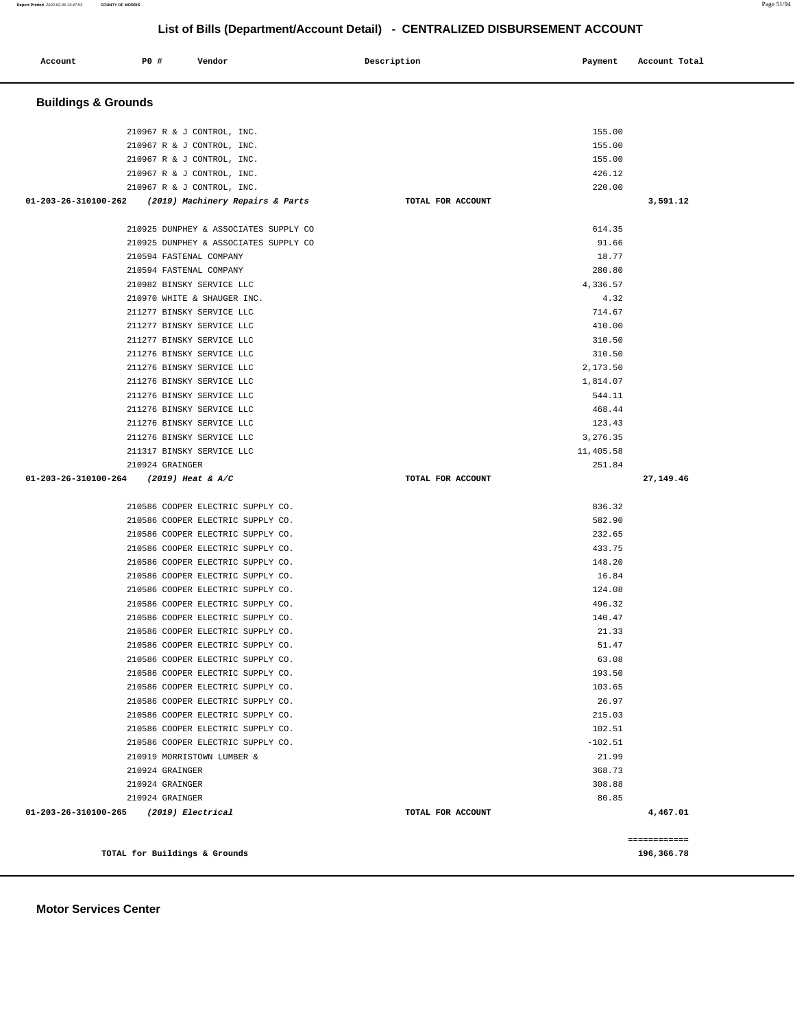| Account                        | P0 #                                                  | Vendor                                                                                                                                                                                                                                                                                                                                                                                                                                                                                                                                                                                                                                                                                                               | Description |                   | Payment                                                                                                                                                                                                              | Account Total            |
|--------------------------------|-------------------------------------------------------|----------------------------------------------------------------------------------------------------------------------------------------------------------------------------------------------------------------------------------------------------------------------------------------------------------------------------------------------------------------------------------------------------------------------------------------------------------------------------------------------------------------------------------------------------------------------------------------------------------------------------------------------------------------------------------------------------------------------|-------------|-------------------|----------------------------------------------------------------------------------------------------------------------------------------------------------------------------------------------------------------------|--------------------------|
| <b>Buildings &amp; Grounds</b> |                                                       |                                                                                                                                                                                                                                                                                                                                                                                                                                                                                                                                                                                                                                                                                                                      |             |                   |                                                                                                                                                                                                                      |                          |
|                                |                                                       | 210967 R & J CONTROL, INC.<br>210967 R & J CONTROL, INC.<br>210967 R & J CONTROL, INC.<br>210967 R & J CONTROL, INC.                                                                                                                                                                                                                                                                                                                                                                                                                                                                                                                                                                                                 |             |                   | 155.00<br>155.00<br>155.00<br>426.12                                                                                                                                                                                 |                          |
| 01-203-26-310100-262           |                                                       | 210967 R & J CONTROL, INC.<br>(2019) Machinery Repairs & Parts                                                                                                                                                                                                                                                                                                                                                                                                                                                                                                                                                                                                                                                       |             | TOTAL FOR ACCOUNT | 220.00                                                                                                                                                                                                               | 3,591.12                 |
|                                |                                                       | 210925 DUNPHEY & ASSOCIATES SUPPLY CO<br>210925 DUNPHEY & ASSOCIATES SUPPLY CO<br>210594 FASTENAL COMPANY<br>210594 FASTENAL COMPANY<br>210982 BINSKY SERVICE LLC<br>210970 WHITE & SHAUGER INC.<br>211277 BINSKY SERVICE LLC<br>211277 BINSKY SERVICE LLC<br>211277 BINSKY SERVICE LLC<br>211276 BINSKY SERVICE LLC<br>211276 BINSKY SERVICE LLC<br>211276 BINSKY SERVICE LLC<br>211276 BINSKY SERVICE LLC<br>211276 BINSKY SERVICE LLC<br>211276 BINSKY SERVICE LLC<br>211276 BINSKY SERVICE LLC<br>211317 BINSKY SERVICE LLC                                                                                                                                                                                      |             |                   | 614.35<br>91.66<br>18.77<br>280.80<br>4,336.57<br>4.32<br>714.67<br>410.00<br>310.50<br>310.50<br>2,173.50<br>1,814.07<br>544.11<br>468.44<br>123.43<br>3,276.35<br>11,405.58                                        |                          |
| 01-203-26-310100-264           | 210924 GRAINGER                                       | $(2019)$ Heat & A/C                                                                                                                                                                                                                                                                                                                                                                                                                                                                                                                                                                                                                                                                                                  |             | TOTAL FOR ACCOUNT | 251.84                                                                                                                                                                                                               | 27,149.46                |
|                                | 210924 GRAINGER<br>210924 GRAINGER<br>210924 GRAINGER | 210586 COOPER ELECTRIC SUPPLY CO.<br>210586 COOPER ELECTRIC SUPPLY CO.<br>210586 COOPER ELECTRIC SUPPLY CO.<br>210586 COOPER ELECTRIC SUPPLY CO.<br>210586 COOPER ELECTRIC SUPPLY CO.<br>210586 COOPER ELECTRIC SUPPLY CO.<br>210586 COOPER ELECTRIC SUPPLY CO.<br>210586 COOPER ELECTRIC SUPPLY CO.<br>210586 COOPER ELECTRIC SUPPLY CO.<br>210586 COOPER ELECTRIC SUPPLY CO.<br>210586 COOPER ELECTRIC SUPPLY CO.<br>210586 COOPER ELECTRIC SUPPLY CO.<br>210586 COOPER ELECTRIC SUPPLY CO.<br>210586 COOPER ELECTRIC SUPPLY CO.<br>210586 COOPER ELECTRIC SUPPLY CO.<br>210586 COOPER ELECTRIC SUPPLY CO.<br>210586 COOPER ELECTRIC SUPPLY CO.<br>210586 COOPER ELECTRIC SUPPLY CO.<br>210919 MORRISTOWN LUMBER & |             |                   | 836.32<br>582.90<br>232.65<br>433.75<br>148.20<br>16.84<br>124.08<br>496.32<br>140.47<br>21.33<br>51.47<br>63.08<br>193.50<br>103.65<br>26.97<br>215.03<br>102.51<br>$-102.51$<br>21.99<br>368.73<br>308.88<br>80.85 |                          |
| 01-203-26-310100-265           |                                                       | (2019) Electrical                                                                                                                                                                                                                                                                                                                                                                                                                                                                                                                                                                                                                                                                                                    |             | TOTAL FOR ACCOUNT |                                                                                                                                                                                                                      | 4,467.01<br>============ |
|                                |                                                       | TOTAL for Buildings & Grounds                                                                                                                                                                                                                                                                                                                                                                                                                                                                                                                                                                                                                                                                                        |             |                   |                                                                                                                                                                                                                      | 196,366.78               |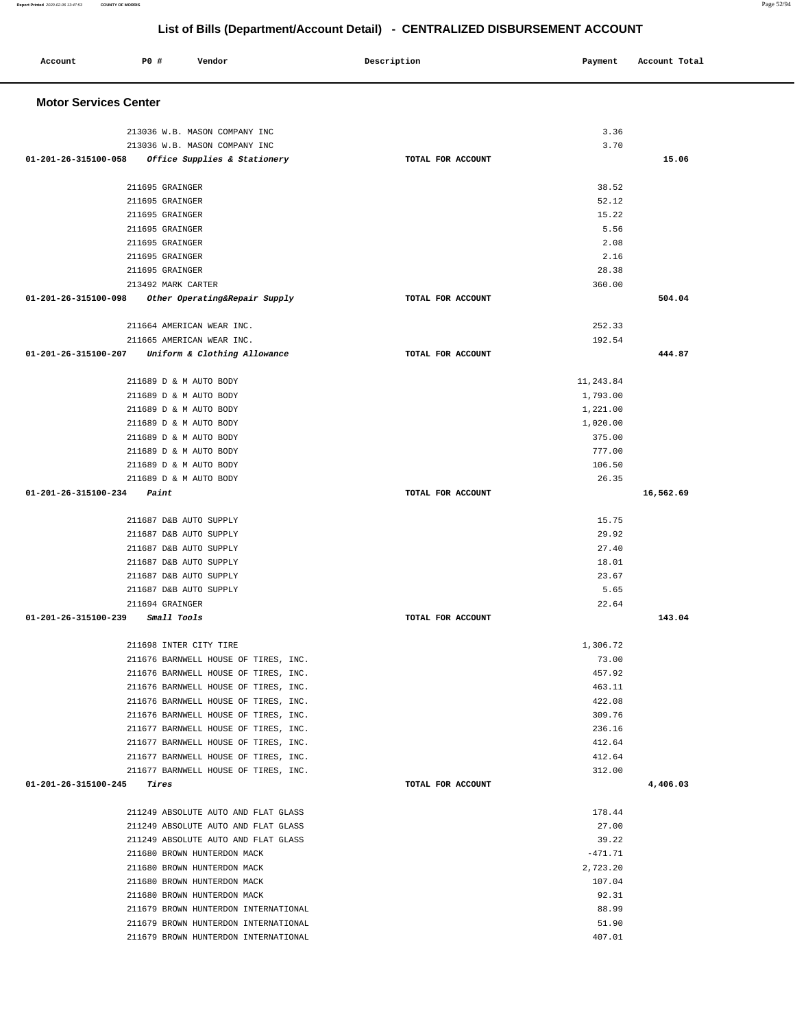### **Account P0 # Vendor Description Payment Account Total Motor Services Center**   $213036$  W.B. MASON COMPANY INC  $3.36$  $213036$  W.B. MASON COMPANY TNC  $3.70$  **01-201-26-315100-058 Office Supplies & Stationery TOTAL FOR ACCOUNT 15.06** 211695 GRAINGER 38.52 211695 GRAINGER 52.12 211695 GRAINGER 15.22 211695 GRAINGER 5.56 211695 GRAINGER 2.08 2.1695 GRAINGER 2.16 211695 GRAINGER 28.38 213492 MARK CARTER 360.00  **01-201-26-315100-098 Other Operating&Repair Supply TOTAL FOR ACCOUNT 504.04** 211664 AMERICAN WEAR INC. 252.33 211665 AMERICAN WEAR INC. 192.54  **01-201-26-315100-207 Uniform & Clothing Allowance TOTAL FOR ACCOUNT 444.87** 211689 D & M AUTO BODY 11,243.84 211689 D & M AUTO BODY 1,793.00 211689 D & M AUTO BODY 1,221.00 211689 D & M AUTO BODY 1,020.00 211689 D & M AUTO BODY 375.00 211689 D & M AUTO BODY 777.00 211689 D & M AUTO BODY 106.50 211689 D & M AUTO BODY 26.35  **01-201-26-315100-234 Paint TOTAL FOR ACCOUNT 16,562.69** 211687 D&B AUTO SUPPLY 15.75 211687 D&B AUTO SUPPLY 29.92 211687 D&B AUTO SUPPLY 27.40 211687 D&B AUTO SUPPLY 18.01 211687 D&B AUTO SUPPLY 23.67 211687 D&B AUTO SUPPLY 5.65 211694 GRAINGER 22.64  **01-201-26-315100-239 Small Tools TOTAL FOR ACCOUNT 143.04** 211698 INTER CITY TIRE 2008 122 12 1 2006.72 211676 BARNWELL HOUSE OF TIRES, INC. 73.00 211676 BARNWELL HOUSE OF TIRES, INC. 457.92 211676 BARNWELL HOUSE OF TIRES, INC. 463.11 211676 BARNWELL HOUSE OF TIRES, INC. 422.08 211676 BARNWELL HOUSE OF TIRES, INC. 211677 BARNWELL HOUSE OF TIRES, INC. 236.16 211677 BARNWELL HOUSE OF TIRES, INC. 412.64 211677 BARNWELL HOUSE OF TIRES, INC. 412.64 211677 BARNWELL HOUSE OF TIRES, INC. 312.00  **01-201-26-315100-245 Tires TOTAL FOR ACCOUNT 4,406.03** 211249 ABSOLUTE AUTO AND FLAT GLASS 178.44 211249 ABSOLUTE AUTO AND FLAT GLASS 27.00 211249 ABSOLUTE AUTO AND FLAT GLASS 39.22 211680 BROWN HUNTERDON MACK  $-471.71$  211680 BROWN HUNTERDON MACK 2,723.20 211680 BROWN HUNTERDON MACK 107.04 211680 BROWN HUNTERDON MACK 92.31 211679 BROWN HUNTERDON INTERNATIONAL 88.99 211679 BROWN HUNTERDON INTERNATIONAL 51.90

211679 BROWN HUNTERDON INTERNATIONAL 407.01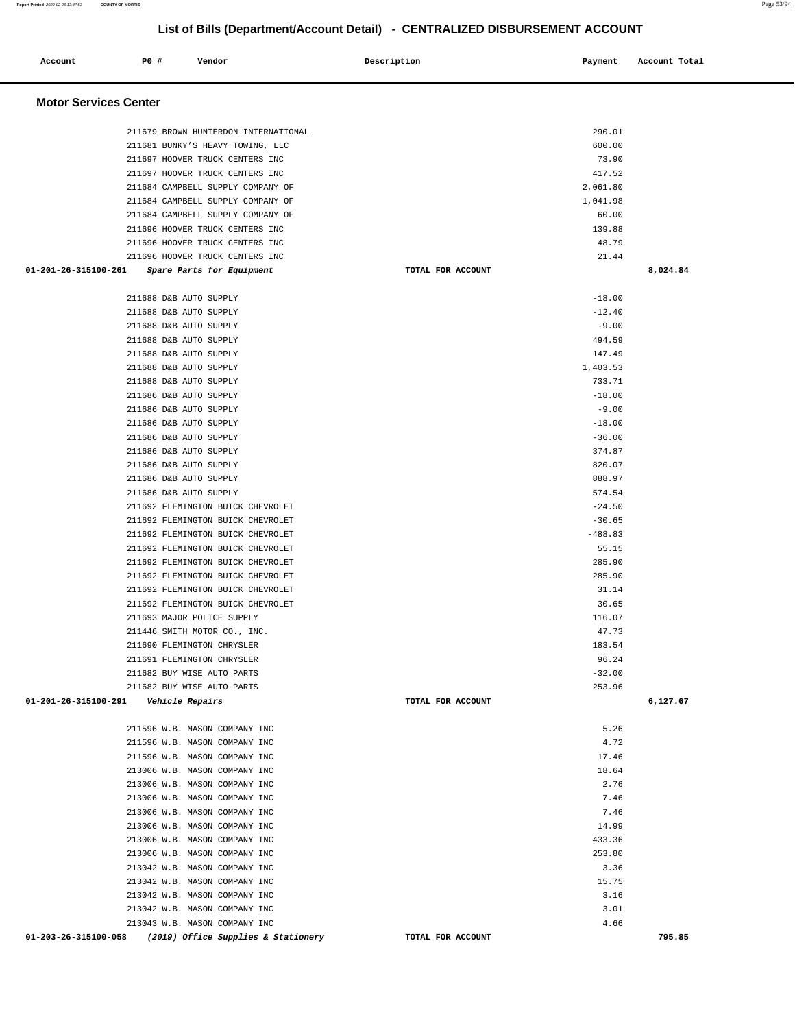| Account                      | P0 #<br>Vendor                                                 |                                                                          | Description       | Payment            | Account Total |
|------------------------------|----------------------------------------------------------------|--------------------------------------------------------------------------|-------------------|--------------------|---------------|
| <b>Motor Services Center</b> |                                                                |                                                                          |                   |                    |               |
|                              |                                                                | 211679 BROWN HUNTERDON INTERNATIONAL<br>211681 BUNKY'S HEAVY TOWING, LLC |                   | 290.01<br>600.00   |               |
|                              |                                                                | 211697 HOOVER TRUCK CENTERS INC                                          |                   | 73.90              |               |
|                              |                                                                | 211697 HOOVER TRUCK CENTERS INC                                          |                   | 417.52             |               |
|                              |                                                                | 211684 CAMPBELL SUPPLY COMPANY OF                                        |                   | 2,061.80           |               |
|                              |                                                                | 211684 CAMPBELL SUPPLY COMPANY OF                                        |                   | 1,041.98           |               |
|                              |                                                                | 211684 CAMPBELL SUPPLY COMPANY OF                                        |                   | 60.00              |               |
|                              |                                                                | 211696 HOOVER TRUCK CENTERS INC                                          |                   | 139.88             |               |
|                              |                                                                | 211696 HOOVER TRUCK CENTERS INC                                          |                   | 48.79              |               |
|                              |                                                                | 211696 HOOVER TRUCK CENTERS INC                                          |                   | 21.44              |               |
| 01-201-26-315100-261         | Spare Parts for Equipment                                      |                                                                          | TOTAL FOR ACCOUNT |                    | 8,024.84      |
|                              | 211688 D&B AUTO SUPPLY                                         |                                                                          |                   | $-18.00$           |               |
|                              | 211688 D&B AUTO SUPPLY                                         |                                                                          |                   | $-12.40$           |               |
|                              | 211688 D&B AUTO SUPPLY                                         |                                                                          |                   | $-9.00$            |               |
|                              | 211688 D&B AUTO SUPPLY                                         |                                                                          |                   | 494.59             |               |
|                              | 211688 D&B AUTO SUPPLY                                         |                                                                          |                   | 147.49             |               |
|                              | 211688 D&B AUTO SUPPLY<br>211688 D&B AUTO SUPPLY               |                                                                          |                   | 1,403.53<br>733.71 |               |
|                              | 211686 D&B AUTO SUPPLY                                         |                                                                          |                   | $-18.00$           |               |
|                              | 211686 D&B AUTO SUPPLY                                         |                                                                          |                   | $-9.00$            |               |
|                              | 211686 D&B AUTO SUPPLY                                         |                                                                          |                   | $-18.00$           |               |
|                              | 211686 D&B AUTO SUPPLY                                         |                                                                          |                   | $-36.00$           |               |
|                              | 211686 D&B AUTO SUPPLY                                         |                                                                          |                   | 374.87             |               |
|                              | 211686 D&B AUTO SUPPLY                                         |                                                                          |                   | 820.07             |               |
|                              | 211686 D&B AUTO SUPPLY                                         |                                                                          |                   | 888.97             |               |
|                              | 211686 D&B AUTO SUPPLY                                         |                                                                          |                   | 574.54             |               |
|                              |                                                                | 211692 FLEMINGTON BUICK CHEVROLET                                        |                   | $-24.50$           |               |
|                              |                                                                | 211692 FLEMINGTON BUICK CHEVROLET                                        |                   | $-30.65$           |               |
|                              |                                                                | 211692 FLEMINGTON BUICK CHEVROLET                                        |                   | $-488.83$          |               |
|                              |                                                                | 211692 FLEMINGTON BUICK CHEVROLET                                        |                   | 55.15              |               |
|                              |                                                                | 211692 FLEMINGTON BUICK CHEVROLET                                        |                   | 285.90             |               |
|                              |                                                                | 211692 FLEMINGTON BUICK CHEVROLET                                        |                   | 285.90             |               |
|                              |                                                                | 211692 FLEMINGTON BUICK CHEVROLET<br>211692 FLEMINGTON BUICK CHEVROLET   |                   | 31.14<br>30.65     |               |
|                              | 211693 MAJOR POLICE SUPPLY                                     |                                                                          |                   | 116.07             |               |
|                              | 211446 SMITH MOTOR CO., INC.                                   |                                                                          |                   | 47.73              |               |
|                              | 211690 FLEMINGTON CHRYSLER                                     |                                                                          |                   | 183.54             |               |
|                              | 211691 FLEMINGTON CHRYSLER                                     |                                                                          |                   | 96.24              |               |
|                              | 211682 BUY WISE AUTO PARTS                                     |                                                                          |                   | $-32.00$           |               |
|                              | 211682 BUY WISE AUTO PARTS                                     |                                                                          |                   | 253.96             |               |
| 01-201-26-315100-291         | <i>Vehicle Repairs</i>                                         |                                                                          | TOTAL FOR ACCOUNT |                    | 6,127.67      |
|                              | 211596 W.B. MASON COMPANY INC                                  |                                                                          |                   | 5.26               |               |
|                              | 211596 W.B. MASON COMPANY INC                                  |                                                                          |                   | 4.72               |               |
|                              | 211596 W.B. MASON COMPANY INC                                  |                                                                          |                   | 17.46              |               |
|                              | 213006 W.B. MASON COMPANY INC                                  |                                                                          |                   | 18.64              |               |
|                              | 213006 W.B. MASON COMPANY INC                                  |                                                                          |                   | 2.76               |               |
|                              | 213006 W.B. MASON COMPANY INC                                  |                                                                          |                   | 7.46               |               |
|                              | 213006 W.B. MASON COMPANY INC                                  |                                                                          |                   | 7.46               |               |
|                              | 213006 W.B. MASON COMPANY INC                                  |                                                                          |                   | 14.99              |               |
|                              | 213006 W.B. MASON COMPANY INC                                  |                                                                          |                   | 433.36             |               |
|                              | 213006 W.B. MASON COMPANY INC                                  |                                                                          |                   | 253.80             |               |
|                              | 213042 W.B. MASON COMPANY INC                                  |                                                                          |                   | 3.36               |               |
|                              | 213042 W.B. MASON COMPANY INC                                  |                                                                          |                   | 15.75              |               |
|                              | 213042 W.B. MASON COMPANY INC                                  |                                                                          |                   | 3.16               |               |
|                              | 213042 W.B. MASON COMPANY INC<br>213043 W.B. MASON COMPANY INC |                                                                          |                   | 3.01<br>4.66       |               |
| 01-203-26-315100-058         |                                                                | (2019) Office Supplies & Stationery                                      | TOTAL FOR ACCOUNT |                    | 795.85        |

**Report Printed** 2020-02-06 13:47:53 **COUNTY OF MORRIS** Page 53/94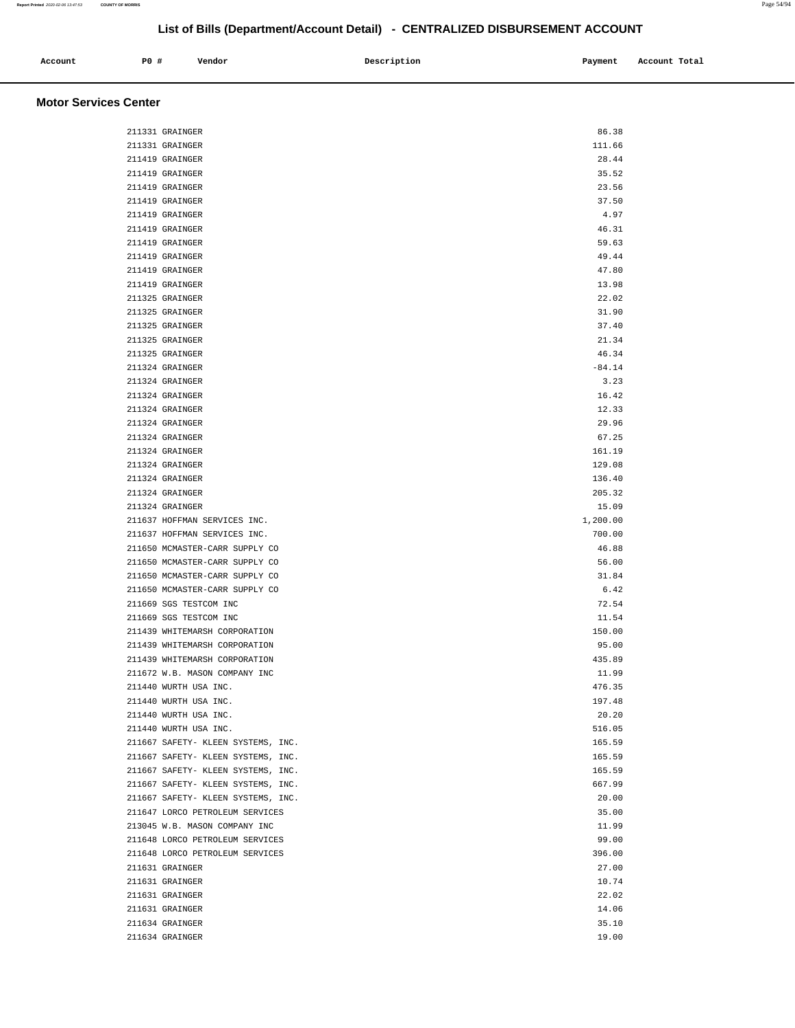| Account | P0 | Vendor | ________<br>Description | Payment | Account Total |
|---------|----|--------|-------------------------|---------|---------------|
|         |    |        |                         |         |               |

### **Motor Services Center**

| 211331 GRAINGER                    | 86.38    |  |
|------------------------------------|----------|--|
| 211331 GRAINGER                    | 111.66   |  |
| 211419 GRAINGER                    | 28.44    |  |
| 211419 GRAINGER                    | 35.52    |  |
| 211419 GRAINGER                    | 23.56    |  |
| 211419 GRAINGER                    | 37.50    |  |
| 211419 GRAINGER                    | 4.97     |  |
| 211419 GRAINGER                    | 46.31    |  |
| 211419 GRAINGER                    | 59.63    |  |
| 211419 GRAINGER                    | 49.44    |  |
|                                    |          |  |
| 211419 GRAINGER                    | 47.80    |  |
| 211419 GRAINGER                    | 13.98    |  |
| 211325 GRAINGER                    | 22.02    |  |
| 211325 GRAINGER                    | 31.90    |  |
| 211325 GRAINGER                    | 37.40    |  |
| 211325 GRAINGER                    | 21.34    |  |
| 211325 GRAINGER                    | 46.34    |  |
| 211324 GRAINGER                    | $-84.14$ |  |
| 211324 GRAINGER                    | 3.23     |  |
| 211324 GRAINGER                    | 16.42    |  |
| 211324 GRAINGER                    | 12.33    |  |
| 211324 GRAINGER                    | 29.96    |  |
| 211324 GRAINGER                    | 67.25    |  |
| 211324 GRAINGER                    | 161.19   |  |
| 211324 GRAINGER                    | 129.08   |  |
| 211324 GRAINGER                    | 136.40   |  |
| 211324 GRAINGER                    | 205.32   |  |
| 211324 GRAINGER                    | 15.09    |  |
| 211637 HOFFMAN SERVICES INC.       | 1,200.00 |  |
| 211637 HOFFMAN SERVICES INC.       | 700.00   |  |
| 211650 MCMASTER-CARR SUPPLY CO     | 46.88    |  |
| 211650 MCMASTER-CARR SUPPLY CO     | 56.00    |  |
| 211650 MCMASTER-CARR SUPPLY CO     | 31.84    |  |
| 211650 MCMASTER-CARR SUPPLY CO     | 6.42     |  |
| 211669 SGS TESTCOM INC             | 72.54    |  |
| 211669 SGS TESTCOM INC             | 11.54    |  |
| 211439 WHITEMARSH CORPORATION      | 150.00   |  |
| 211439 WHITEMARSH CORPORATION      | 95.00    |  |
| 211439 WHITEMARSH CORPORATION      | 435.89   |  |
| 211672 W.B. MASON COMPANY INC      | 11.99    |  |
| 211440 WURTH USA INC.              | 476.35   |  |
| 211440 WURTH USA INC.              | 197.48   |  |
| 211440 WURTH USA INC.              | 20.20    |  |
| 211440 WURTH USA INC.              | 516.05   |  |
| 211667 SAFETY- KLEEN SYSTEMS, INC. | 165.59   |  |
| 211667 SAFETY- KLEEN SYSTEMS, INC. | 165.59   |  |
| 211667 SAFETY- KLEEN SYSTEMS, INC. | 165.59   |  |
| 211667 SAFETY- KLEEN SYSTEMS, INC. | 667.99   |  |
| 211667 SAFETY- KLEEN SYSTEMS, INC. | 20.00    |  |
| 211647 LORCO PETROLEUM SERVICES    | 35.00    |  |
| 213045 W.B. MASON COMPANY INC      | 11.99    |  |
| 211648 LORCO PETROLEUM SERVICES    | 99.00    |  |
| 211648 LORCO PETROLEUM SERVICES    | 396.00   |  |
| 211631 GRAINGER                    | 27.00    |  |
| 211631 GRAINGER                    | 10.74    |  |
| 211631 GRAINGER                    | 22.02    |  |
| 211631 GRAINGER                    | 14.06    |  |
| 211634 GRAINGER                    | 35.10    |  |
| 211634 GRAINGER                    | 19.00    |  |
|                                    |          |  |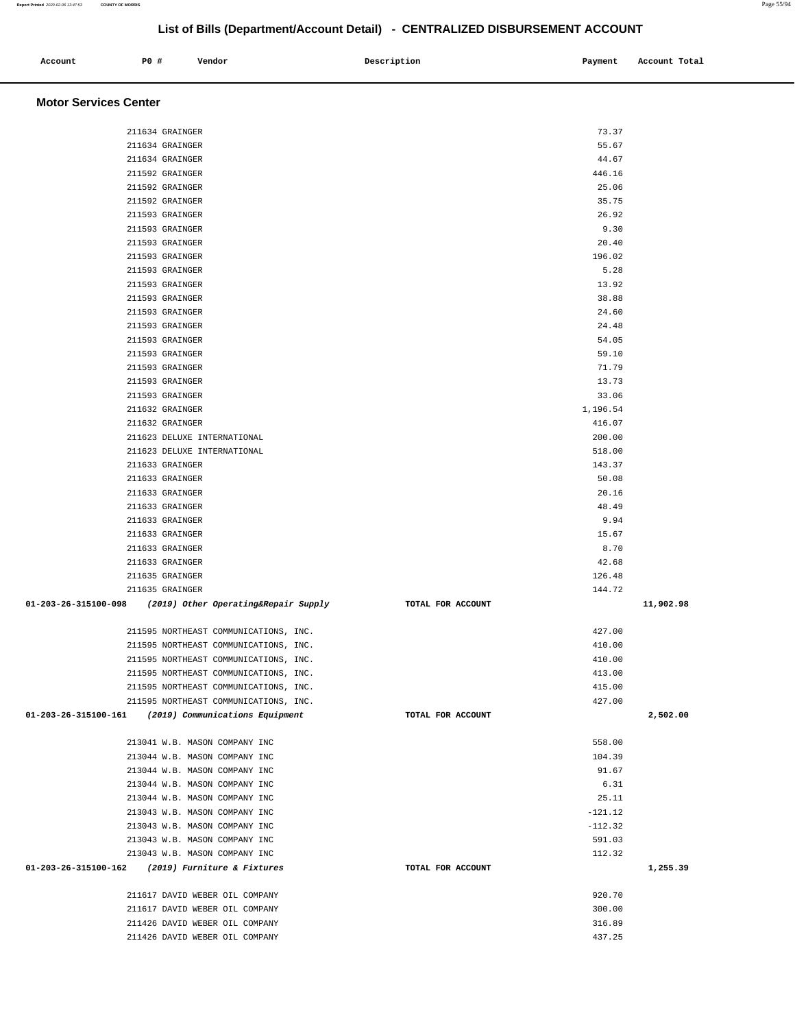211593 GRAINGER 5.28 211593 GRAINGER 13.92 211593 GRAINGER 38.88 211593 GRAINGER 24.60 211593 GRAINGER 24.48 211593 GRAINGER 54.05 211593 GRAINGER 59.10 211593 GRAINGER 71.79 211593 GRAINGER 13.73 211593 GRAINGER 33.06  $211632$  GRAINGER 1,196.54 211632 GRAINGER 416.07 211623 DELUXE INTERNATIONAL 200.00 211623 DELUXE INTERNATIONAL 518.00 211633 GRAINGER 143.37 211633 GRAINGER 50.08 211633 GRAINGER 20.16 211633 GRAINGER 48.49 211633 GRAINGER 9.94 211633 GRAINGER 15.67 211633 GRAINGER 8.70 211633 GRAINGER 42.68 211635 GRAINGER 126.48 211635 GRAINGER 144.72  **01-203-26-315100-098 (2019) Other Operating&Repair Supply TOTAL FOR ACCOUNT 11,902.98** 211595 NORTHEAST COMMUNICATIONS, INC. 427.00 211595 NORTHEAST COMMUNICATIONS, INC. 410.00 211595 NORTHEAST COMMUNICATIONS, INC. 410.00 211595 NORTHEAST COMMUNICATIONS, INC. 413.00 211595 NORTHEAST COMMUNICATIONS, INC. 415.00 211595 NORTHEAST COMMUNICATIONS, INC. 427.00  **01-203-26-315100-161 (2019) Communications Equipment TOTAL FOR ACCOUNT 2,502.00** 213041 W.B. MASON COMPANY INC 558.00 213044 W.B. MASON COMPANY INC 104.39 213044 W.B. MASON COMPANY INC 91.67 213044 W.B. MASON COMPANY INC 6.31 213044 W.B. MASON COMPANY INC 25.11 213043 W.B. MASON COMPANY INC -121.12 213043 W.B. MASON COMPANY INC -112.32 213043 W.B. MASON COMPANY INC 591.03 213043 W.B. MASON COMPANY INC 112.32  **01-203-26-315100-162 (2019) Furniture & Fixtures TOTAL FOR ACCOUNT 1,255.39** 211617 DAVID WEBER OIL COMPANY 920.70 211617 DAVID WEBER OIL COMPANY 300.00 211426 DAVID WEBER OIL COMPANY 316.89 211426 DAVID WEBER OIL COMPANY 437.25

# **List of Bills (Department/Account Detail) - CENTRALIZED DISBURSEMENT ACCOUNT**

 **Account P0 # Vendor Description Payment Account Total** 

 211634 GRAINGER 73.37 211634 GRAINGER 55.67 211634 GRAINGER 44.67 211592 GRAINGER 446.16 211592 GRAINGER 25.06 211592 GRAINGER 35.75 211593 GRAINGER 26.92 211593 GRAINGER 9.30 211593 GRAINGER 20.40 211593 GRAINGER 196.02

**Motor Services Center** 

**Report Printed** 2020-02-06 13:47:53 **COUNTY OF MORRIS** Page 55/94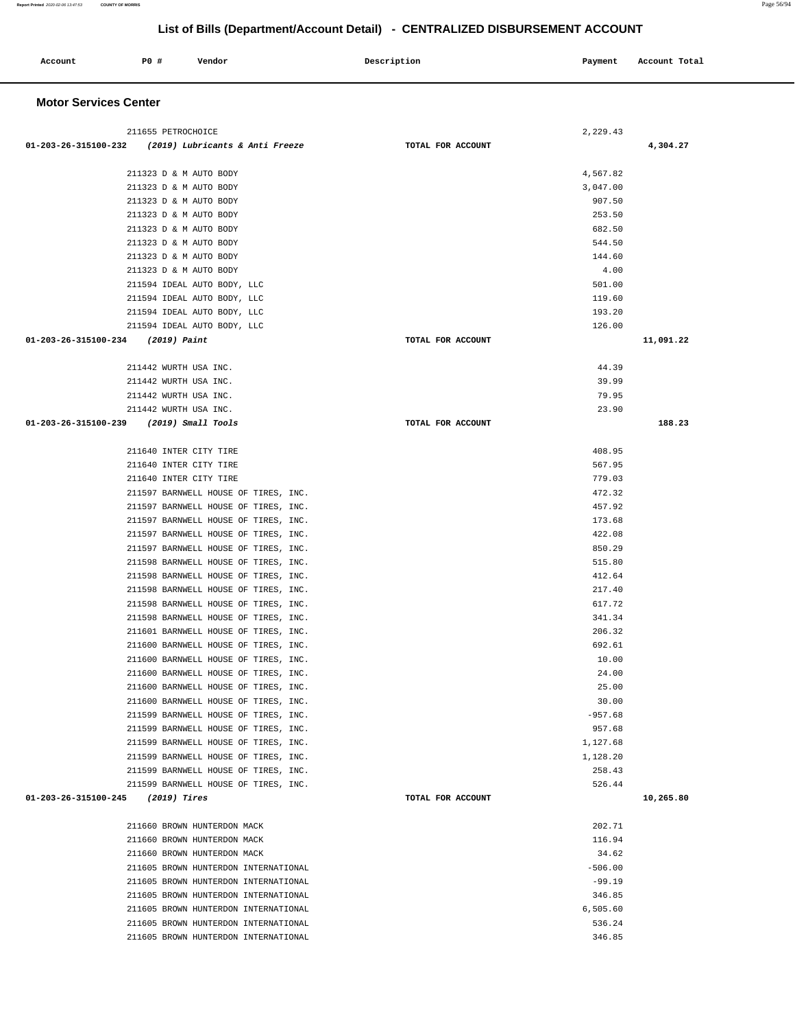| Account | <b>PO #</b> | Vendor | Description | Payment | Account Total |  |
|---------|-------------|--------|-------------|---------|---------------|--|
|         |             |        |             |         |               |  |

#### **Motor Services Center**

| 211655 PETROCHOICE                                     | 2,229.43          |           |
|--------------------------------------------------------|-------------------|-----------|
| $01-203-26-315100-232$ (2019) Lubricants & Anti Freeze | TOTAL FOR ACCOUNT | 4,304.27  |
|                                                        |                   |           |
| 211323 D & M AUTO BODY                                 | 4,567.82          |           |
| 211323 D & M AUTO BODY                                 | 3,047.00          |           |
| 211323 D & M AUTO BODY                                 | 907.50            |           |
| 211323 D & M AUTO BODY                                 | 253.50            |           |
| 211323 D & M AUTO BODY                                 | 682.50            |           |
| 211323 D & M AUTO BODY                                 | 544.50            |           |
| 211323 D & M AUTO BODY                                 | 144.60            |           |
| 211323 D & M AUTO BODY                                 | 4.00              |           |
| 211594 IDEAL AUTO BODY, LLC                            | 501.00            |           |
| 211594 IDEAL AUTO BODY, LLC                            | 119.60            |           |
| 211594 IDEAL AUTO BODY, LLC                            | 193.20            |           |
| 211594 IDEAL AUTO BODY, LLC                            | 126.00            |           |
| 01-203-26-315100-234 (2019) Paint                      | TOTAL FOR ACCOUNT | 11,091.22 |
|                                                        |                   |           |
| 211442 WURTH USA INC.                                  | 44.39             |           |
| 211442 WURTH USA INC.                                  | 39.99             |           |
| 211442 WURTH USA INC.                                  | 79.95             |           |
| 211442 WURTH USA INC.                                  | 23.90             |           |
| 01-203-26-315100-239 (2019) Small Tools                | TOTAL FOR ACCOUNT | 188.23    |
|                                                        |                   |           |
| 211640 INTER CITY TIRE                                 | 408.95            |           |
| 211640 INTER CITY TIRE                                 | 567.95            |           |
| 211640 INTER CITY TIRE                                 | 779.03            |           |
| 211597 BARNWELL HOUSE OF TIRES, INC.                   | 472.32            |           |
| 211597 BARNWELL HOUSE OF TIRES, INC.                   | 457.92            |           |
| 211597 BARNWELL HOUSE OF TIRES, INC.                   | 173.68            |           |
| 211597 BARNWELL HOUSE OF TIRES, INC.                   | 422.08            |           |
| 211597 BARNWELL HOUSE OF TIRES, INC.                   | 850.29            |           |
| 211598 BARNWELL HOUSE OF TIRES, INC.                   | 515.80            |           |
| 211598 BARNWELL HOUSE OF TIRES, INC.                   | 412.64            |           |
| 211598 BARNWELL HOUSE OF TIRES, INC.                   | 217.40            |           |
| 211598 BARNWELL HOUSE OF TIRES, INC.                   | 617.72            |           |
| 211598 BARNWELL HOUSE OF TIRES, INC.                   | 341.34            |           |
| 211601 BARNWELL HOUSE OF TIRES, INC.                   | 206.32            |           |
| 211600 BARNWELL HOUSE OF TIRES, INC.                   | 692.61            |           |
| 211600 BARNWELL HOUSE OF TIRES, INC.                   | 10.00             |           |
| 211600 BARNWELL HOUSE OF TIRES, INC.                   | 24.00             |           |
| 211600 BARNWELL HOUSE OF TIRES, INC.                   | 25.00             |           |
| 211600 BARNWELL HOUSE OF TIRES, INC.                   | 30.00             |           |
| 211599 BARNWELL HOUSE OF TIRES, INC.                   | $-957.68$         |           |
| 211599 BARNWELL HOUSE OF TIRES, INC.                   | 957.68            |           |
| 211599 BARNWELL HOUSE OF TIRES, INC.                   | 1,127.68          |           |
| 211599 BARNWELL HOUSE OF TIRES, INC.                   | 1,128.20          |           |
| 211599 BARNWELL HOUSE OF TIRES, INC.                   | 258.43            |           |
| 211599 BARNWELL HOUSE OF TIRES, INC.                   | 526.44            |           |
| $01-203-26-315100-245$ (2019) Tires                    | TOTAL FOR ACCOUNT | 10,265.80 |
|                                                        |                   |           |
| 211660 BROWN HUNTERDON MACK                            | 202.71            |           |
| 211660 BROWN HUNTERDON MACK                            | 116.94            |           |
| 211660 BROWN HUNTERDON MACK                            | 34.62             |           |
| 211605 BROWN HUNTERDON INTERNATIONAL                   | $-506.00$         |           |
| 211605 BROWN HUNTERDON INTERNATIONAL                   | $-99.19$          |           |
| 211605 BROWN HUNTERDON INTERNATIONAL                   | 346.85            |           |
| 211605 BROWN HUNTERDON INTERNATIONAL                   | 6,505.60          |           |
| 211605 BROWN HUNTERDON INTERNATIONAL                   | 536.24            |           |
| 211605 BROWN HUNTERDON INTERNATIONAL                   | 346.85            |           |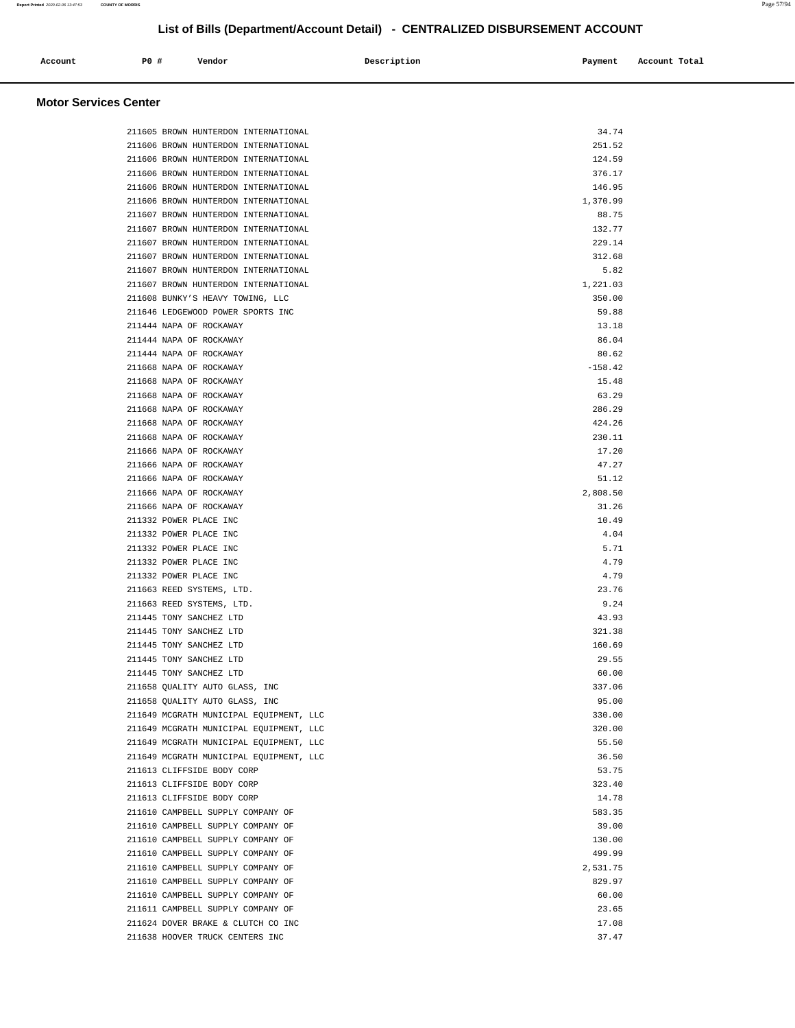| Account<br>. | P0 # | Vendor | Description | Payment | Account Total |
|--------------|------|--------|-------------|---------|---------------|
|              |      |        |             |         |               |

### **Motor Services Center**

| 211605 BROWN HUNTERDON INTERNATIONAL                                   | 34.74           |
|------------------------------------------------------------------------|-----------------|
| 211606 BROWN HUNTERDON INTERNATIONAL                                   | 251.52          |
| 211606 BROWN HUNTERDON INTERNATIONAL                                   | 124.59          |
| 211606 BROWN HUNTERDON INTERNATIONAL                                   | 376.17          |
| 211606 BROWN HUNTERDON INTERNATIONAL                                   | 146.95          |
| 211606 BROWN HUNTERDON INTERNATIONAL                                   | 1,370.99        |
| 211607 BROWN HUNTERDON INTERNATIONAL                                   | 88.75           |
| 211607 BROWN HUNTERDON INTERNATIONAL                                   | 132.77          |
| 211607 BROWN HUNTERDON INTERNATIONAL                                   | 229.14          |
| 211607 BROWN HUNTERDON INTERNATIONAL                                   | 312.68          |
| 211607 BROWN HUNTERDON INTERNATIONAL                                   | 5.82            |
| 211607 BROWN HUNTERDON INTERNATIONAL                                   | 1,221.03        |
| 211608 BUNKY'S HEAVY TOWING, LLC                                       | 350.00          |
| 211646 LEDGEWOOD POWER SPORTS INC                                      | 59.88           |
| 211444 NAPA OF ROCKAWAY                                                | 13.18           |
| 211444 NAPA OF ROCKAWAY                                                | 86.04           |
| 211444 NAPA OF ROCKAWAY                                                | 80.62           |
| 211668 NAPA OF ROCKAWAY                                                | $-158.42$       |
| 211668 NAPA OF ROCKAWAY                                                | 15.48           |
| 211668 NAPA OF ROCKAWAY                                                | 63.29           |
| 211668 NAPA OF ROCKAWAY                                                | 286.29          |
| 211668 NAPA OF ROCKAWAY                                                | 424.26          |
| 211668 NAPA OF ROCKAWAY                                                | 230.11          |
| 211666 NAPA OF ROCKAWAY                                                | 17.20           |
| 211666 NAPA OF ROCKAWAY                                                | 47.27           |
| 211666 NAPA OF ROCKAWAY                                                | 51.12           |
| 211666 NAPA OF ROCKAWAY                                                | 2,808.50        |
| 211666 NAPA OF ROCKAWAY                                                | 31.26           |
| 211332 POWER PLACE INC                                                 | 10.49           |
| 211332 POWER PLACE INC                                                 | 4.04            |
| 211332 POWER PLACE INC                                                 | 5.71            |
| 211332 POWER PLACE INC                                                 | 4.79            |
| 211332 POWER PLACE INC                                                 | 4.79            |
| 211663 REED SYSTEMS, LTD.                                              | 23.76           |
| 211663 REED SYSTEMS, LTD.                                              | 9.24            |
| 211445 TONY SANCHEZ LTD                                                | 43.93           |
| 211445 TONY SANCHEZ LTD                                                | 321.38          |
| 211445 TONY SANCHEZ LTD                                                | 160.69          |
| 211445 TONY SANCHEZ LTD                                                | 29.55           |
| 211445 TONY SANCHEZ LTD                                                | 60.00           |
| 211658 QUALITY AUTO GLASS, INC                                         | 337.06          |
| 211658 QUALITY AUTO GLASS, INC                                         | 95.00           |
| 211649 MCGRATH MUNICIPAL EQUIPMENT, LLC                                | 330.00          |
| 211649 MCGRATH MUNICIPAL EQUIPMENT, LLC                                | 320.00          |
| 211649 MCGRATH MUNICIPAL EQUIPMENT, LLC                                | 55.50           |
| 211649 MCGRATH MUNICIPAL EQUIPMENT, LLC                                | 36.50           |
| 211613 CLIFFSIDE BODY CORP                                             | 53.75           |
| 211613 CLIFFSIDE BODY CORP                                             | 323.40          |
| 211613 CLIFFSIDE BODY CORP                                             | 14.78<br>583.35 |
| 211610 CAMPBELL SUPPLY COMPANY OF                                      |                 |
| 211610 CAMPBELL SUPPLY COMPANY OF<br>211610 CAMPBELL SUPPLY COMPANY OF | 39.00<br>130.00 |
| 211610 CAMPBELL SUPPLY COMPANY OF                                      | 499.99          |
| 211610 CAMPBELL SUPPLY COMPANY OF                                      | 2,531.75        |
| 211610 CAMPBELL SUPPLY COMPANY OF                                      | 829.97          |
| 211610 CAMPBELL SUPPLY COMPANY OF                                      | 60.00           |
| 211611 CAMPBELL SUPPLY COMPANY OF                                      | 23.65           |
| 211624 DOVER BRAKE & CLUTCH CO INC                                     | 17.08           |
| 211638 HOOVER TRUCK CENTERS INC                                        | 37.47           |
|                                                                        |                 |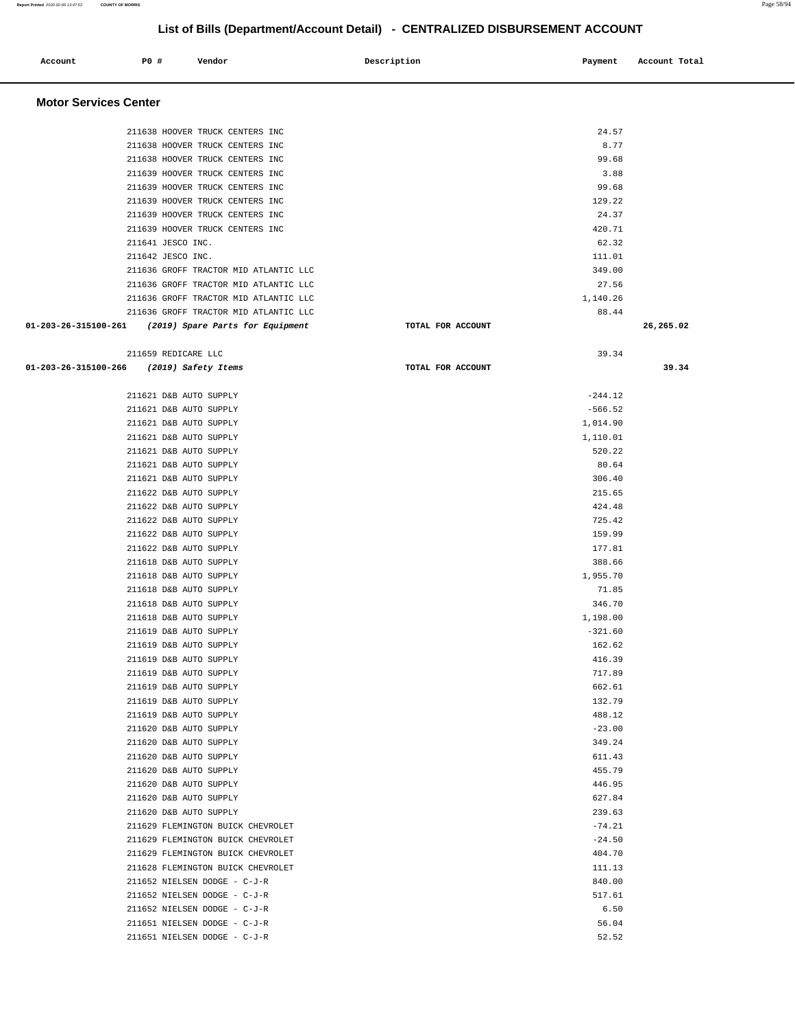| Account                      | P0 #                | Vendor                                           | Description       | Payment          | Account Total |
|------------------------------|---------------------|--------------------------------------------------|-------------------|------------------|---------------|
| <b>Motor Services Center</b> |                     |                                                  |                   |                  |               |
|                              |                     | 211638 HOOVER TRUCK CENTERS INC                  |                   | 24.57            |               |
|                              |                     | 211638 HOOVER TRUCK CENTERS INC                  |                   | 8.77             |               |
|                              |                     | 211638 HOOVER TRUCK CENTERS INC                  |                   | 99.68            |               |
|                              |                     | 211639 HOOVER TRUCK CENTERS INC                  |                   | 3.88             |               |
|                              |                     | 211639 HOOVER TRUCK CENTERS INC                  |                   | 99.68            |               |
|                              |                     | 211639 HOOVER TRUCK CENTERS INC                  |                   | 129.22           |               |
|                              |                     | 211639 HOOVER TRUCK CENTERS INC                  |                   | 24.37            |               |
|                              |                     | 211639 HOOVER TRUCK CENTERS INC                  |                   | 420.71           |               |
|                              | 211641 JESCO INC.   |                                                  |                   | 62.32            |               |
|                              | 211642 JESCO INC.   |                                                  |                   | 111.01           |               |
|                              |                     | 211636 GROFF TRACTOR MID ATLANTIC LLC            |                   | 349.00           |               |
|                              |                     | 211636 GROFF TRACTOR MID ATLANTIC LLC            |                   | 27.56            |               |
|                              |                     | 211636 GROFF TRACTOR MID ATLANTIC LLC            |                   | 1,140.26         |               |
|                              |                     | 211636 GROFF TRACTOR MID ATLANTIC LLC            |                   | 88.44            |               |
| 01-203-26-315100-261         |                     | (2019) Spare Parts for Equipment                 | TOTAL FOR ACCOUNT |                  | 26,265.02     |
|                              | 211659 REDICARE LLC |                                                  |                   | 39.34            |               |
| 01-203-26-315100-266         |                     | (2019) Safety Items                              | TOTAL FOR ACCOUNT |                  | 39.34         |
|                              |                     | 211621 D&B AUTO SUPPLY                           |                   | $-244.12$        |               |
|                              |                     | 211621 D&B AUTO SUPPLY                           |                   | $-566.52$        |               |
|                              |                     | 211621 D&B AUTO SUPPLY                           |                   | 1,014.90         |               |
|                              |                     | 211621 D&B AUTO SUPPLY                           |                   | 1,110.01         |               |
|                              |                     | 211621 D&B AUTO SUPPLY                           |                   | 520.22           |               |
|                              |                     | 211621 D&B AUTO SUPPLY                           |                   | 80.64            |               |
|                              |                     | 211621 D&B AUTO SUPPLY                           |                   | 306.40           |               |
|                              |                     | 211622 D&B AUTO SUPPLY                           |                   | 215.65           |               |
|                              |                     | 211622 D&B AUTO SUPPLY                           |                   | 424.48           |               |
|                              |                     | 211622 D&B AUTO SUPPLY                           |                   | 725.42           |               |
|                              |                     | 211622 D&B AUTO SUPPLY<br>211622 D&B AUTO SUPPLY |                   | 159.99<br>177.81 |               |
|                              |                     | 211618 D&B AUTO SUPPLY                           |                   | 388.66           |               |
|                              |                     | 211618 D&B AUTO SUPPLY                           |                   | 1,955.70         |               |
|                              |                     | 211618 D&B AUTO SUPPLY                           |                   | 71.85            |               |
|                              |                     | 211618 D&B AUTO SUPPLY                           |                   | 346.70           |               |
|                              |                     | 211618 D&B AUTO SUPPLY                           |                   | 1,198.00         |               |
|                              |                     | 211619 D&B AUTO SUPPLY                           |                   | $-321.60$        |               |
|                              |                     | 211619 D&B AUTO SUPPLY                           |                   | 162.62           |               |
|                              |                     | 211619 D&B AUTO SUPPLY                           |                   | 416.39           |               |
|                              |                     | 211619 D&B AUTO SUPPLY                           |                   | 717.89           |               |
|                              |                     | 211619 D&B AUTO SUPPLY                           |                   | 662.61           |               |
|                              |                     | 211619 D&B AUTO SUPPLY                           |                   | 132.79           |               |
|                              |                     | 211619 D&B AUTO SUPPLY                           |                   | 488.12           |               |
|                              |                     | 211620 D&B AUTO SUPPLY                           |                   | $-23.00$         |               |
|                              |                     | 211620 D&B AUTO SUPPLY                           |                   | 349.24           |               |
|                              |                     | 211620 D&B AUTO SUPPLY                           |                   | 611.43           |               |
|                              |                     | 211620 D&B AUTO SUPPLY                           |                   | 455.79           |               |
|                              |                     | 211620 D&B AUTO SUPPLY                           |                   | 446.95           |               |
|                              |                     | 211620 D&B AUTO SUPPLY<br>211620 D&B AUTO SUPPLY |                   | 627.84<br>239.63 |               |
|                              |                     | 211629 FLEMINGTON BUICK CHEVROLET                |                   | $-74.21$         |               |
|                              |                     | 211629 FLEMINGTON BUICK CHEVROLET                |                   | $-24.50$         |               |
|                              |                     | 211629 FLEMINGTON BUICK CHEVROLET                |                   | 404.70           |               |
|                              |                     | 211628 FLEMINGTON BUICK CHEVROLET                |                   | 111.13           |               |
|                              |                     | 211652 NIELSEN DODGE - C-J-R                     |                   | 840.00           |               |
|                              |                     | 211652 NIELSEN DODGE - C-J-R                     |                   | 517.61           |               |
|                              |                     | 211652 NIELSEN DODGE - C-J-R                     |                   | 6.50             |               |

 211651 NIELSEN DODGE - C-J-R 56.04 211651 NIELSEN DODGE - C-J-R 52.52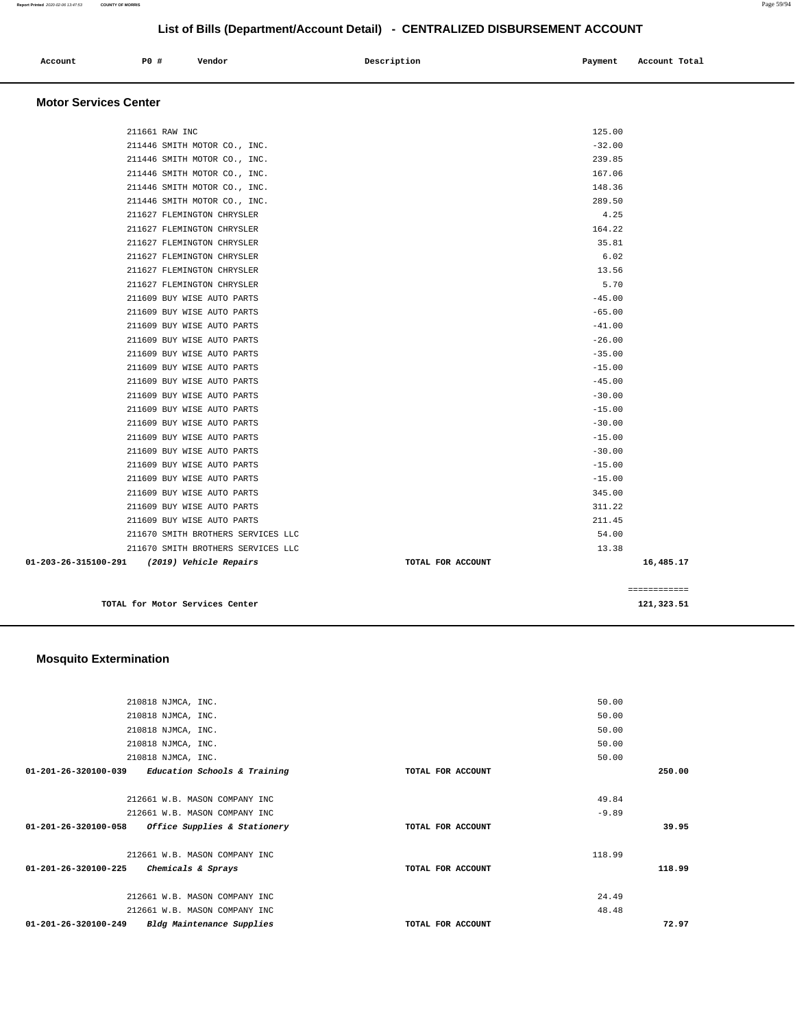| Account<br>. | PO# | Vendor | Description | Payment | Account Total<br>. |
|--------------|-----|--------|-------------|---------|--------------------|
|              |     |        |             |         |                    |

#### **Motor Services Center**

|                                             |                   | ============ |
|---------------------------------------------|-------------------|--------------|
| 01-203-26-315100-291 (2019) Vehicle Repairs | TOTAL FOR ACCOUNT | 16,485.17    |
| 211670 SMITH BROTHERS SERVICES LLC          |                   | 13.38        |
| 211670 SMITH BROTHERS SERVICES LLC          |                   | 54.00        |
| 211609 BUY WISE AUTO PARTS                  |                   | 211.45       |
| 211609 BUY WISE AUTO PARTS                  |                   | 311.22       |
| 211609 BUY WISE AUTO PARTS                  |                   | 345.00       |
| 211609 BUY WISE AUTO PARTS                  |                   | $-15.00$     |
| 211609 BUY WISE AUTO PARTS                  |                   | $-15.00$     |
| 211609 BUY WISE AUTO PARTS                  |                   | $-30.00$     |
| 211609 BUY WISE AUTO PARTS                  |                   | $-15.00$     |
| 211609 BUY WISE AUTO PARTS                  |                   | $-30.00$     |
| 211609 BUY WISE AUTO PARTS                  |                   | $-15.00$     |
| 211609 BUY WISE AUTO PARTS                  |                   | $-30.00$     |
| 211609 BUY WISE AUTO PARTS                  |                   | $-45.00$     |
| 211609 BUY WISE AUTO PARTS                  |                   | $-15.00$     |
| 211609 BUY WISE AUTO PARTS                  |                   | $-35.00$     |
| 211609 BUY WISE AUTO PARTS                  |                   | $-26.00$     |
| 211609 BUY WISE AUTO PARTS                  |                   | $-41.00$     |
| 211609 BUY WISE AUTO PARTS                  |                   | $-65.00$     |
| 211609 BUY WISE AUTO PARTS                  |                   | $-45.00$     |
| 211627 FLEMINGTON CHRYSLER                  |                   | 5.70         |
| 211627 FLEMINGTON CHRYSLER                  |                   | 13.56        |
| 211627 FLEMINGTON CHRYSLER                  |                   | 6.02         |
| 211627 FLEMINGTON CHRYSLER                  |                   | 35.81        |
| 211627 FLEMINGTON CHRYSLER                  |                   | 164.22       |
| 211627 FLEMINGTON CHRYSLER                  |                   | 4.25         |
| 211446 SMITH MOTOR CO., INC.                |                   | 289.50       |
| 211446 SMITH MOTOR CO., INC.                |                   | 148.36       |
| 211446 SMITH MOTOR CO., INC.                |                   | 167.06       |
| 211446 SMITH MOTOR CO., INC.                |                   | 239.85       |
| 211446 SMITH MOTOR CO., INC.                |                   | $-32.00$     |
| 211661 RAW INC                              |                   | 125.00       |
|                                             |                   |              |

**TOTAL for Motor Services Center 121,323.51** 

#### **Mosquito Extermination**

|                                | 210818 NJMCA, INC.                      |                   | 50.00   |        |
|--------------------------------|-----------------------------------------|-------------------|---------|--------|
|                                | 210818 NJMCA, INC.                      |                   | 50.00   |        |
|                                | 210818 NJMCA, INC.                      |                   | 50.00   |        |
|                                | 210818 NJMCA, INC.                      |                   | 50.00   |        |
|                                | 210818 NJMCA, INC.                      |                   | 50.00   |        |
| $01 - 201 - 26 - 320100 - 039$ | <i>Education Schools &amp; Training</i> | TOTAL FOR ACCOUNT |         | 250.00 |
|                                |                                         |                   |         |        |
|                                | 212661 W.B. MASON COMPANY INC           |                   | 49.84   |        |
|                                | 212661 W.B. MASON COMPANY INC           |                   | $-9.89$ |        |
| $01 - 201 - 26 - 320100 - 058$ | <i>Office Supplies &amp; Stationery</i> | TOTAL FOR ACCOUNT |         | 39.95  |
|                                |                                         |                   |         |        |
|                                | 212661 W.B. MASON COMPANY INC           |                   | 118.99  |        |
| 01-201-26-320100-225           | Chemicals & Sprays                      | TOTAL FOR ACCOUNT |         | 118.99 |
|                                |                                         |                   |         |        |
|                                | 212661 W.B. MASON COMPANY INC           |                   | 24.49   |        |
|                                | 212661 W.B. MASON COMPANY INC           |                   | 48.48   |        |
| $01 - 201 - 26 - 320100 - 249$ | Bldg Maintenance Supplies               | TOTAL FOR ACCOUNT |         | 72.97  |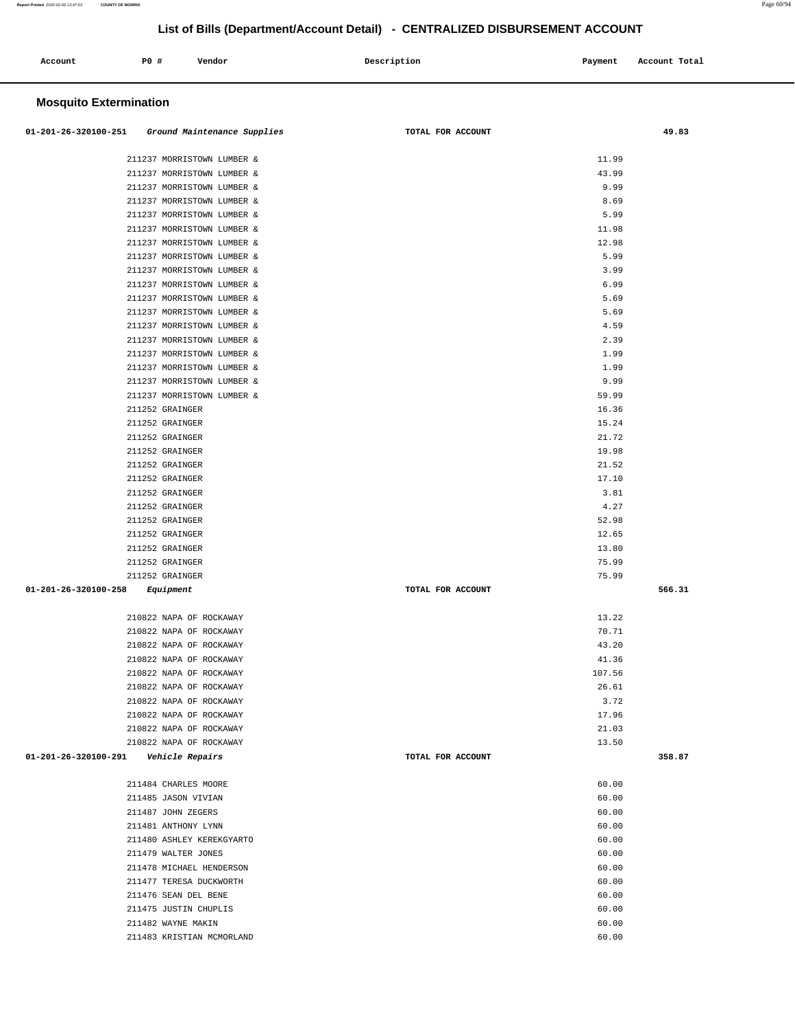| Account<br>. | <b>PO #</b> | Vendor | Description<br>$\sim$ $\sim$ $\sim$ | Payment<br>$\sim$ $\sim$ | Account Total |
|--------------|-------------|--------|-------------------------------------|--------------------------|---------------|
|              |             |        |                                     |                          |               |

### **Mosquito Extermination**

| 01-201-26-320100-251 Ground Maintenance Supplies | TOTAL FOR ACCOUNT |        | 49.83  |
|--------------------------------------------------|-------------------|--------|--------|
|                                                  |                   |        |        |
| 211237 MORRISTOWN LUMBER &                       |                   | 11.99  |        |
| 211237 MORRISTOWN LUMBER &                       |                   | 43.99  |        |
| 211237 MORRISTOWN LUMBER &                       |                   | 9.99   |        |
| 211237 MORRISTOWN LUMBER &                       |                   | 8.69   |        |
| 211237 MORRISTOWN LUMBER &                       |                   | 5.99   |        |
| 211237 MORRISTOWN LUMBER &                       |                   | 11.98  |        |
| 211237 MORRISTOWN LUMBER &                       |                   | 12.98  |        |
| 211237 MORRISTOWN LUMBER &                       |                   | 5.99   |        |
| 211237 MORRISTOWN LUMBER &                       |                   | 3.99   |        |
| 211237 MORRISTOWN LUMBER &                       |                   | 6.99   |        |
| 211237 MORRISTOWN LUMBER &                       |                   | 5.69   |        |
| 211237 MORRISTOWN LUMBER &                       |                   | 5.69   |        |
| 211237 MORRISTOWN LUMBER &                       |                   | 4.59   |        |
| 211237 MORRISTOWN LUMBER &                       |                   | 2.39   |        |
| 211237 MORRISTOWN LUMBER &                       |                   | 1.99   |        |
| 211237 MORRISTOWN LUMBER &                       |                   | 1.99   |        |
| 211237 MORRISTOWN LUMBER &                       |                   | 9.99   |        |
| 211237 MORRISTOWN LUMBER &                       |                   | 59.99  |        |
| 211252 GRAINGER                                  |                   | 16.36  |        |
| 211252 GRAINGER                                  |                   | 15.24  |        |
| 211252 GRAINGER                                  |                   | 21.72  |        |
| 211252 GRAINGER                                  |                   | 19.98  |        |
| 211252 GRAINGER                                  |                   | 21.52  |        |
| 211252 GRAINGER                                  |                   | 17.10  |        |
| 211252 GRAINGER                                  |                   | 3.81   |        |
| 211252 GRAINGER                                  |                   | 4.27   |        |
| 211252 GRAINGER                                  |                   | 52.98  |        |
| 211252 GRAINGER                                  |                   | 12.65  |        |
| 211252 GRAINGER                                  |                   | 13.80  |        |
| 211252 GRAINGER                                  |                   | 75.99  |        |
| 211252 GRAINGER                                  |                   | 75.99  |        |
| $01 - 201 - 26 - 320100 - 258$<br>Equipment      | TOTAL FOR ACCOUNT |        | 566.31 |
|                                                  |                   |        |        |
| 210822 NAPA OF ROCKAWAY                          |                   | 13.22  |        |
| 210822 NAPA OF ROCKAWAY                          |                   | 70.71  |        |
| 210822 NAPA OF ROCKAWAY                          |                   | 43.20  |        |
| 210822 NAPA OF ROCKAWAY                          |                   | 41.36  |        |
| 210822 NAPA OF ROCKAWAY                          |                   | 107.56 |        |
| 210822 NAPA OF ROCKAWAY                          |                   | 26.61  |        |
| 210822 NAPA OF ROCKAWAY                          |                   | 3.72   |        |
| 210822 NAPA OF ROCKAWAY                          |                   | 17.96  |        |
| 210822 NAPA OF ROCKAWAY                          |                   | 21.03  |        |
| 210822 NAPA OF ROCKAWAY                          |                   | 13.50  |        |
| 01-201-26-320100-291<br>Vehicle Repairs          | TOTAL FOR ACCOUNT |        | 358.87 |
|                                                  |                   |        |        |
| 211484 CHARLES MOORE                             |                   | 60.00  |        |
| 211485 JASON VIVIAN                              |                   | 60.00  |        |
| 211487 JOHN ZEGERS                               |                   | 60.00  |        |
| 211481 ANTHONY LYNN                              |                   | 60.00  |        |
| 211480 ASHLEY KEREKGYARTO                        |                   | 60.00  |        |
| 211479 WALTER JONES                              |                   | 60.00  |        |
| 211478 MICHAEL HENDERSON                         |                   | 60.00  |        |
| 211477 TERESA DUCKWORTH                          |                   | 60.00  |        |
| 211476 SEAN DEL BENE                             |                   | 60.00  |        |
| 211475 JUSTIN CHUPLIS                            |                   | 60.00  |        |
| 211482 WAYNE MAKIN                               |                   | 60.00  |        |
| 211483 KRISTIAN MCMORLAND                        |                   | 60.00  |        |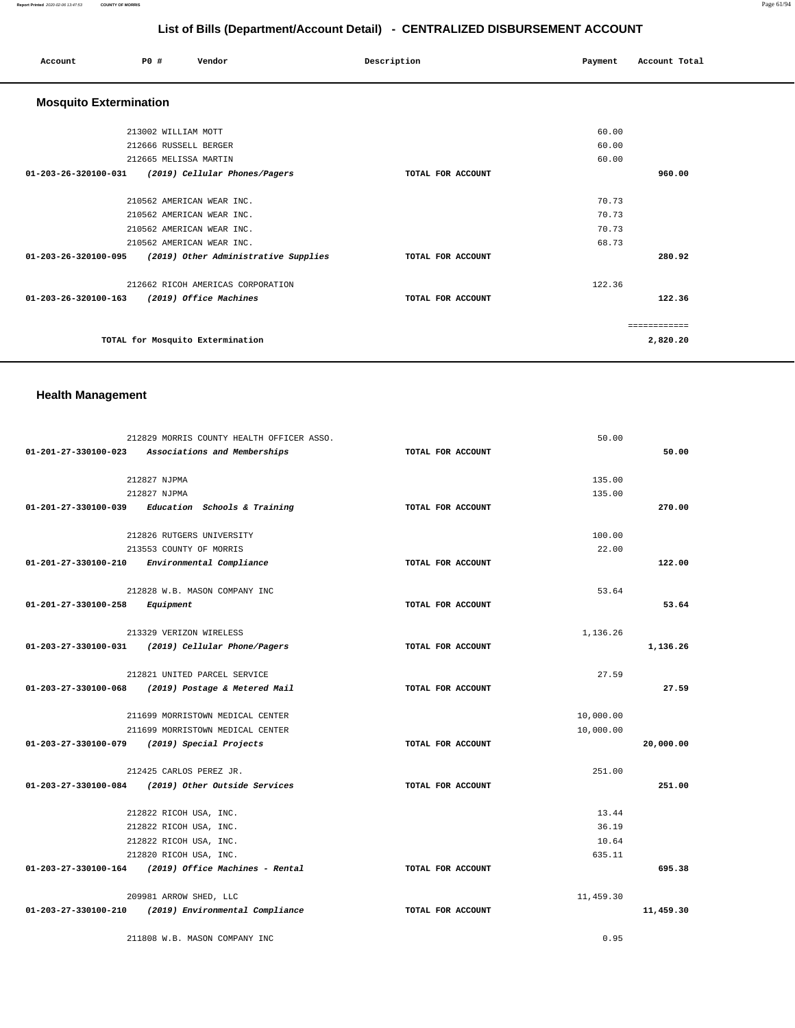#### **Report Printed** 2020-02-06 13:47:53 **COUNTY OF MORRIS** Page 61/94

# **List of Bills (Department/Account Detail) - CENTRALIZED DISBURSEMENT ACCOUNT**

| Account                       | PO#                   | Vendor                               | Description       | Payment | Account Total |
|-------------------------------|-----------------------|--------------------------------------|-------------------|---------|---------------|
| <b>Mosquito Extermination</b> |                       |                                      |                   |         |               |
|                               | 213002 WILLIAM MOTT   |                                      |                   | 60.00   |               |
|                               | 212666 RUSSELL BERGER |                                      |                   | 60.00   |               |
|                               | 212665 MELISSA MARTIN |                                      |                   | 60.00   |               |
| 01-203-26-320100-031          |                       | (2019) Cellular Phones/Pagers        | TOTAL FOR ACCOUNT |         | 960.00        |
|                               |                       | 210562 AMERICAN WEAR INC.            |                   | 70.73   |               |
|                               |                       | 210562 AMERICAN WEAR INC.            |                   | 70.73   |               |
|                               |                       | 210562 AMERICAN WEAR INC.            |                   | 70.73   |               |
|                               |                       | 210562 AMERICAN WEAR INC.            |                   | 68.73   |               |
| 01-203-26-320100-095          |                       | (2019) Other Administrative Supplies | TOTAL FOR ACCOUNT |         | 280.92        |
|                               |                       | 212662 RICOH AMERICAS CORPORATION    |                   | 122.36  |               |
| 01-203-26-320100-163          |                       | (2019) Office Machines               | TOTAL FOR ACCOUNT |         | 122.36        |
|                               |                       |                                      |                   |         | ============  |
|                               |                       | TOTAL for Mosquito Extermination     |                   |         | 2,820.20      |

### **Health Management**

|                                          | 212829 MORRIS COUNTY HEALTH OFFICER ASSO.              |                   | 50.00     |           |
|------------------------------------------|--------------------------------------------------------|-------------------|-----------|-----------|
|                                          | 01-201-27-330100-023 Associations and Memberships      | TOTAL FOR ACCOUNT |           | 50.00     |
|                                          | 212827 NJPMA                                           |                   | 135.00    |           |
|                                          | 212827 NJPMA                                           |                   | 135.00    |           |
|                                          | $01-201-27-330100-039$ Education Schools & Training    | TOTAL FOR ACCOUNT |           | 270.00    |
|                                          | 212826 RUTGERS UNIVERSITY                              |                   | 100.00    |           |
|                                          | 213553 COUNTY OF MORRIS                                |                   | 22.00     |           |
|                                          | 01-201-27-330100-210 Environmental Compliance          | TOTAL FOR ACCOUNT |           | 122.00    |
|                                          | 212828 W.B. MASON COMPANY INC                          |                   | 53.64     |           |
| $01 - 201 - 27 - 330100 - 258$ Equipment |                                                        | TOTAL FOR ACCOUNT |           | 53.64     |
|                                          | 213329 VERIZON WIRELESS                                |                   | 1,136.26  |           |
|                                          | 01-203-27-330100-031 (2019) Cellular Phone/Pagers      | TOTAL FOR ACCOUNT |           | 1,136.26  |
|                                          | 212821 UNITED PARCEL SERVICE                           |                   | 27.59     |           |
|                                          | 01-203-27-330100-068 (2019) Postage & Metered Mail     | TOTAL FOR ACCOUNT |           | 27.59     |
|                                          | 211699 MORRISTOWN MEDICAL CENTER                       |                   | 10,000.00 |           |
|                                          | 211699 MORRISTOWN MEDICAL CENTER                       |                   | 10,000.00 |           |
|                                          | 01-203-27-330100-079 (2019) Special Projects           | TOTAL FOR ACCOUNT |           | 20,000.00 |
|                                          | 212425 CARLOS PEREZ JR.                                |                   | 251.00    |           |
|                                          | 01-203-27-330100-084 (2019) Other Outside Services     | TOTAL FOR ACCOUNT |           | 251.00    |
|                                          | 212822 RICOH USA, INC.                                 |                   | 13.44     |           |
|                                          | 212822 RICOH USA, INC.                                 |                   | 36.19     |           |
|                                          | 212822 RICOH USA, INC.                                 |                   | 10.64     |           |
|                                          | 212820 RICOH USA, INC.                                 |                   | 635.11    |           |
|                                          | $01-203-27-330100-164$ (2019) Office Machines - Rental | TOTAL FOR ACCOUNT |           | 695.38    |
|                                          | 209981 ARROW SHED, LLC                                 |                   | 11,459.30 |           |
|                                          | 01-203-27-330100-210 (2019) Environmental Compliance   | TOTAL FOR ACCOUNT |           | 11,459.30 |
|                                          | 211808 W.B. MASON COMPANY INC                          |                   | 0.95      |           |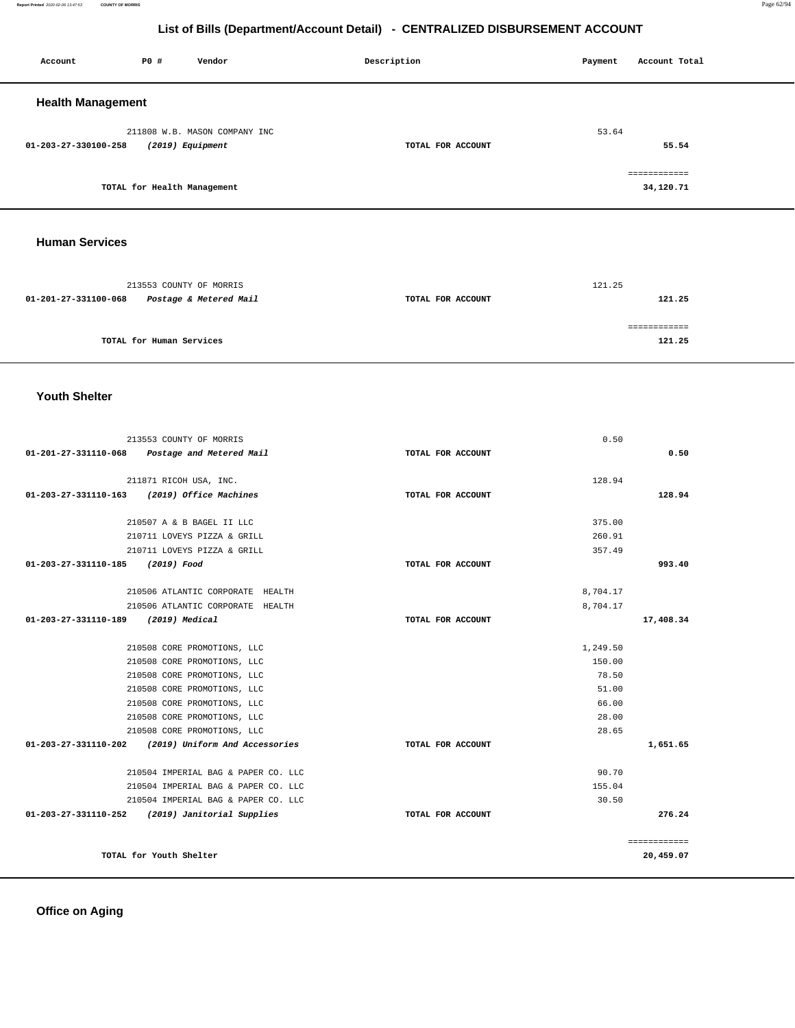### **Office on Aging**

| 01-201-27-331100-068             | Postage & Metered Mail                          | TOTAL FOR ACCOUNT |          | 121.25       |
|----------------------------------|-------------------------------------------------|-------------------|----------|--------------|
|                                  |                                                 |                   |          | ============ |
|                                  | TOTAL for Human Services                        |                   |          | 121.25       |
|                                  |                                                 |                   |          |              |
| <b>Youth Shelter</b>             |                                                 |                   |          |              |
|                                  | 213553 COUNTY OF MORRIS                         |                   | 0.50     |              |
| 01-201-27-331110-068             | Postage and Metered Mail                        | TOTAL FOR ACCOUNT |          | 0.50         |
|                                  | 211871 RICOH USA, INC.                          |                   | 128.94   |              |
|                                  | 01-203-27-331110-163 (2019) Office Machines     | TOTAL FOR ACCOUNT |          | 128.94       |
|                                  | 210507 A & B BAGEL II LLC                       |                   | 375.00   |              |
|                                  | 210711 LOVEYS PIZZA & GRILL                     |                   | 260.91   |              |
|                                  | 210711 LOVEYS PIZZA & GRILL                     |                   | 357.49   |              |
| 01-203-27-331110-185 (2019) Food |                                                 | TOTAL FOR ACCOUNT |          | 993.40       |
|                                  | 210506 ATLANTIC CORPORATE HEALTH                |                   | 8,704.17 |              |
|                                  | 210506 ATLANTIC CORPORATE HEALTH                |                   | 8,704.17 |              |
| 01-203-27-331110-189             | (2019) Medical                                  | TOTAL FOR ACCOUNT |          | 17,408.34    |
|                                  | 210508 CORE PROMOTIONS, LLC                     |                   | 1,249.50 |              |
|                                  | 210508 CORE PROMOTIONS, LLC                     |                   | 150.00   |              |
|                                  | 210508 CORE PROMOTIONS, LLC                     |                   | 78.50    |              |
|                                  | 210508 CORE PROMOTIONS, LLC                     |                   | 51.00    |              |
|                                  | 210508 CORE PROMOTIONS, LLC                     |                   | 66.00    |              |
|                                  | 210508 CORE PROMOTIONS, LLC                     |                   | 28.00    |              |
|                                  | 210508 CORE PROMOTIONS, LLC                     |                   | 28.65    |              |
| 01-203-27-331110-202             | (2019) Uniform And Accessories                  | TOTAL FOR ACCOUNT |          | 1,651.65     |
|                                  | 210504 IMPERIAL BAG & PAPER CO. LLC             |                   | 90.70    |              |
|                                  | 210504 IMPERIAL BAG & PAPER CO. LLC             |                   | 155.04   |              |
|                                  | 210504 IMPERIAL BAG & PAPER CO. LLC             |                   | 30.50    |              |
|                                  | 01-203-27-331110-252 (2019) Janitorial Supplies | TOTAL FOR ACCOUNT |          | 276.24       |
|                                  |                                                 |                   |          | ============ |
|                                  | TOTAL for Youth Shelter                         |                   |          | 20,459.07    |
|                                  |                                                 |                   |          |              |

# **Human Services**  213553 COUNTY OF MORRIS 121.25

| <b>Health Management</b>                 |                   |               |
|------------------------------------------|-------------------|---------------|
| 211808 W.B. MASON COMPANY INC            |                   | 53.64         |
| (2019) Equipment<br>01-203-27-330100-258 | TOTAL FOR ACCOUNT | 55.54         |
|                                          |                   |               |
|                                          |                   | ------------- |
| TOTAL for Health Management              |                   | 34,120.71     |
|                                          |                   |               |

### **List of Bills (Department/Account Detail) - CENTRALIZED DISBURSEMENT ACCOUNT**

 **Account** P0 # Vendor Payment Account Post Payment Account Total **Payment** Account Total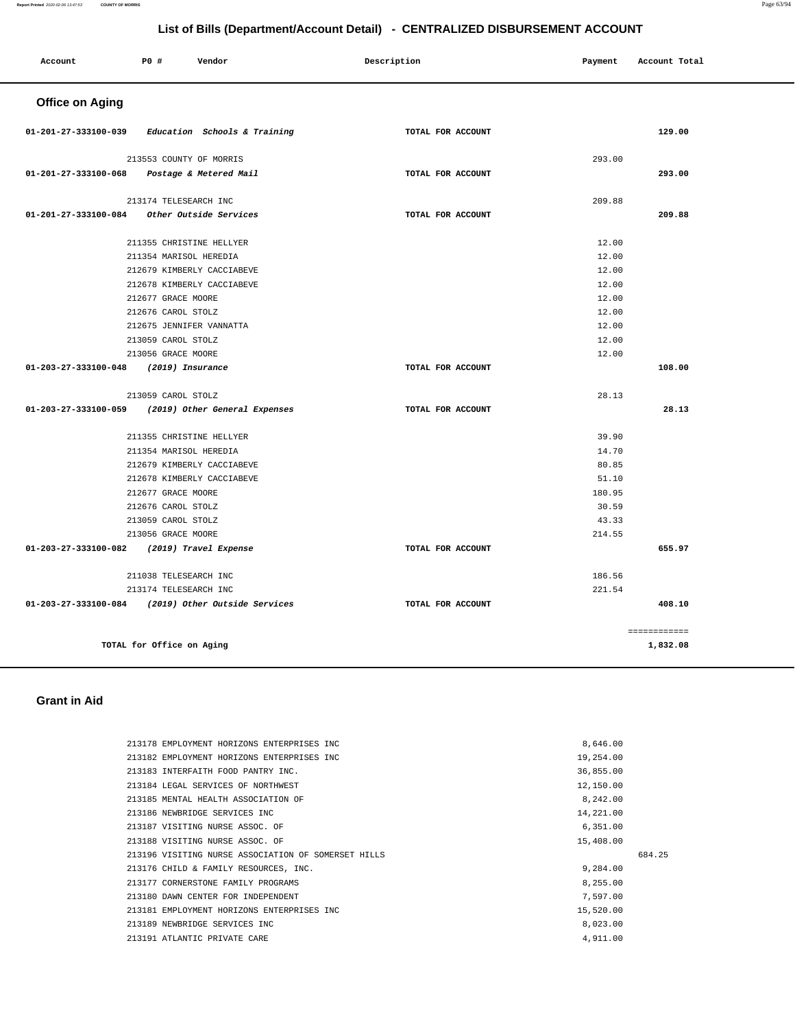#### **Report Printed** 2020-02-06 13:47:53 **COUNTY OF MORRIS** Page 63/94

### **List of Bills (Department/Account Detail) - CENTRALIZED DISBURSEMENT ACCOUNT**

| Account                | P0 #                      | Vendor                        | Description |                   | Payment | Account Total |
|------------------------|---------------------------|-------------------------------|-------------|-------------------|---------|---------------|
| <b>Office on Aging</b> |                           |                               |             |                   |         |               |
| 01-201-27-333100-039   |                           | Education Schools & Training  |             | TOTAL FOR ACCOUNT |         | 129.00        |
|                        | 213553 COUNTY OF MORRIS   |                               |             |                   | 293.00  |               |
| 01-201-27-333100-068   |                           | Postage & Metered Mail        |             | TOTAL FOR ACCOUNT |         | 293.00        |
|                        | 213174 TELESEARCH INC     |                               |             |                   | 209.88  |               |
| 01-201-27-333100-084   |                           | Other Outside Services        |             | TOTAL FOR ACCOUNT |         | 209.88        |
|                        | 211355 CHRISTINE HELLYER  |                               |             |                   | 12.00   |               |
|                        | 211354 MARISOL HEREDIA    |                               |             |                   | 12.00   |               |
|                        |                           | 212679 KIMBERLY CACCIABEVE    |             |                   | 12.00   |               |
|                        |                           | 212678 KIMBERLY CACCIABEVE    |             |                   | 12.00   |               |
|                        | 212677 GRACE MOORE        |                               |             |                   | 12.00   |               |
|                        | 212676 CAROL STOLZ        |                               |             |                   | 12.00   |               |
|                        | 212675 JENNIFER VANNATTA  |                               |             |                   | 12.00   |               |
|                        | 213059 CAROL STOLZ        |                               |             |                   | 12.00   |               |
|                        | 213056 GRACE MOORE        |                               |             |                   | 12.00   |               |
| 01-203-27-333100-048   | (2019) Insurance          |                               |             | TOTAL FOR ACCOUNT |         | 108.00        |
|                        | 213059 CAROL STOLZ        |                               |             |                   | 28.13   |               |
| 01-203-27-333100-059   |                           | (2019) Other General Expenses |             | TOTAL FOR ACCOUNT |         | 28.13         |
|                        | 211355 CHRISTINE HELLYER  |                               |             |                   | 39.90   |               |
|                        | 211354 MARISOL HEREDIA    |                               |             |                   | 14.70   |               |
|                        |                           | 212679 KIMBERLY CACCIABEVE    |             |                   | 80.85   |               |
|                        |                           | 212678 KIMBERLY CACCIABEVE    |             |                   | 51.10   |               |
|                        | 212677 GRACE MOORE        |                               |             |                   | 180.95  |               |
|                        | 212676 CAROL STOLZ        |                               |             |                   | 30.59   |               |
|                        | 213059 CAROL STOLZ        |                               |             |                   | 43.33   |               |
|                        | 213056 GRACE MOORE        |                               |             |                   | 214.55  |               |
| 01-203-27-333100-082   |                           | (2019) Travel Expense         |             | TOTAL FOR ACCOUNT |         | 655.97        |
|                        | 211038 TELESEARCH INC     |                               |             |                   | 186.56  |               |
|                        | 213174 TELESEARCH INC     |                               |             |                   | 221.54  |               |
| 01-203-27-333100-084   |                           | (2019) Other Outside Services |             | TOTAL FOR ACCOUNT |         | 408.10        |
|                        |                           |                               |             |                   |         | ------------  |
|                        | TOTAL for Office on Aging |                               |             |                   |         | 1,832.08      |
|                        |                           |                               |             |                   |         |               |

#### **Grant in Aid**

|  | 8,646.00                                                                                                                                                                                                                                                                                                                                                                                                                                                                                                                                                                                                      |        |
|--|---------------------------------------------------------------------------------------------------------------------------------------------------------------------------------------------------------------------------------------------------------------------------------------------------------------------------------------------------------------------------------------------------------------------------------------------------------------------------------------------------------------------------------------------------------------------------------------------------------------|--------|
|  | 19,254.00                                                                                                                                                                                                                                                                                                                                                                                                                                                                                                                                                                                                     |        |
|  | 36,855.00                                                                                                                                                                                                                                                                                                                                                                                                                                                                                                                                                                                                     |        |
|  | 12,150.00                                                                                                                                                                                                                                                                                                                                                                                                                                                                                                                                                                                                     |        |
|  | 8,242.00                                                                                                                                                                                                                                                                                                                                                                                                                                                                                                                                                                                                      |        |
|  | 14,221.00                                                                                                                                                                                                                                                                                                                                                                                                                                                                                                                                                                                                     |        |
|  | 6,351.00                                                                                                                                                                                                                                                                                                                                                                                                                                                                                                                                                                                                      |        |
|  | 15,408.00                                                                                                                                                                                                                                                                                                                                                                                                                                                                                                                                                                                                     |        |
|  |                                                                                                                                                                                                                                                                                                                                                                                                                                                                                                                                                                                                               | 684.25 |
|  | 9,284.00                                                                                                                                                                                                                                                                                                                                                                                                                                                                                                                                                                                                      |        |
|  | 8,255.00                                                                                                                                                                                                                                                                                                                                                                                                                                                                                                                                                                                                      |        |
|  | 7.597.00                                                                                                                                                                                                                                                                                                                                                                                                                                                                                                                                                                                                      |        |
|  | 15,520.00                                                                                                                                                                                                                                                                                                                                                                                                                                                                                                                                                                                                     |        |
|  | 8,023,00                                                                                                                                                                                                                                                                                                                                                                                                                                                                                                                                                                                                      |        |
|  | 4,911.00                                                                                                                                                                                                                                                                                                                                                                                                                                                                                                                                                                                                      |        |
|  | 213178 EMPLOYMENT HORIZONS ENTERPRISES INC<br>213182 EMPLOYMENT HORIZONS ENTERPRISES INC<br>213183 INTERFAITH FOOD PANTRY INC.<br>213184 LEGAL SERVICES OF NORTHWEST<br>213185 MENTAL HEALTH ASSOCIATION OF<br>213186 NEWBRIDGE SERVICES INC<br>213187 VISITING NURSE ASSOC. OF<br>213188 VISITING NURSE ASSOC. OF<br>213196 VISITING NURSE ASSOCIATION OF SOMERSET HILLS<br>213176 CHILD & FAMILY RESOURCES, INC.<br>213177 CORNERSTONE FAMILY PROGRAMS<br>213180 DAWN CENTER FOR INDEPENDENT<br>213181 EMPLOYMENT HORIZONS ENTERPRISES INC<br>213189 NEWBRIDGE SERVICES INC<br>213191 ATLANTIC PRIVATE CARE |        |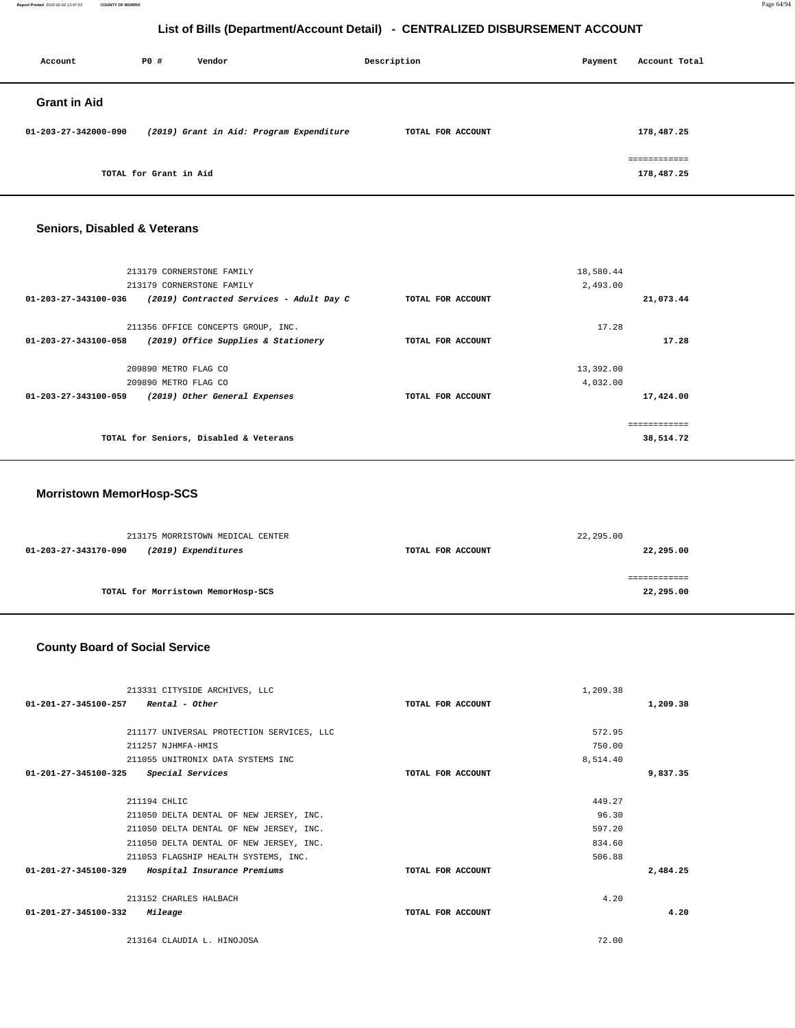**Report Printed** 2020-02-06 13:47:53 **COUNTY OF MORRIS** Page 64/94

### **List of Bills (Department/Account Detail) - CENTRALIZED DISBURSEMENT ACCOUNT**

| Account              | P0 #                   | Vendor                                   | Description       | Payment | Account Total              |
|----------------------|------------------------|------------------------------------------|-------------------|---------|----------------------------|
| <b>Grant in Aid</b>  |                        |                                          |                   |         |                            |
| 01-203-27-342000-090 |                        | (2019) Grant in Aid: Program Expenditure | TOTAL FOR ACCOUNT |         | 178,487.25                 |
|                      | TOTAL for Grant in Aid |                                          |                   |         | ============<br>178,487.25 |

#### **Seniors, Disabled & Veterans**

|                      | TOTAL for Seniors, Disabled & Veterans   |                   |           | -----------<br>38,514.72 |
|----------------------|------------------------------------------|-------------------|-----------|--------------------------|
| 01-203-27-343100-059 | (2019) Other General Expenses            | TOTAL FOR ACCOUNT |           | 17,424.00                |
|                      | 209890 METRO FLAG CO                     |                   | 4,032.00  |                          |
|                      | 209890 METRO FLAG CO                     |                   | 13,392.00 |                          |
| 01-203-27-343100-058 | (2019) Office Supplies & Stationery      | TOTAL FOR ACCOUNT |           | 17.28                    |
|                      | 211356 OFFICE CONCEPTS GROUP, INC.       |                   | 17.28     |                          |
| 01-203-27-343100-036 | (2019) Contracted Services - Adult Day C | TOTAL FOR ACCOUNT |           | 21,073.44                |
|                      | 213179 CORNERSTONE FAMILY                |                   | 2,493.00  |                          |
|                      | 213179 CORNERSTONE FAMILY                |                   | 18,580.44 |                          |
|                      |                                          |                   |           |                          |

#### **Morristown MemorHosp-SCS**

| 213175 MORRISTOWN MEDICAL CENTER            |                   | 22,295.00 |
|---------------------------------------------|-------------------|-----------|
| (2019) Expenditures<br>01-203-27-343170-090 | TOTAL FOR ACCOUNT | 22,295.00 |
|                                             |                   |           |
|                                             |                   |           |
| TOTAL for Morristown MemorHosp-SCS          |                   | 22,295.00 |

#### **County Board of Social Service**

|                                                        | 213331 CITYSIDE ARCHIVES, LLC             |                   | 1,209.38 |          |
|--------------------------------------------------------|-------------------------------------------|-------------------|----------|----------|
| $01 - 201 - 27 - 345100 - 257$<br>Rental - Other       |                                           | TOTAL FOR ACCOUNT |          | 1,209.38 |
|                                                        |                                           |                   |          |          |
|                                                        | 211177 UNIVERSAL PROTECTION SERVICES, LLC |                   | 572.95   |          |
| 211257 NJHMFA-HMIS                                     |                                           |                   | 750.00   |          |
|                                                        | 211055 UNITRONIX DATA SYSTEMS INC         |                   | 8,514.40 |          |
| 01-201-27-345100-325<br><i><b>Special Services</b></i> |                                           | TOTAL FOR ACCOUNT |          | 9,837.35 |
| 211194 CHLIC                                           |                                           |                   | 449.27   |          |
|                                                        |                                           |                   |          |          |
|                                                        | 211050 DELTA DENTAL OF NEW JERSEY, INC.   |                   | 96.30    |          |
|                                                        | 211050 DELTA DENTAL OF NEW JERSEY, INC.   |                   | 597.20   |          |
|                                                        | 211050 DELTA DENTAL OF NEW JERSEY, INC.   |                   | 834.60   |          |
|                                                        | 211053 FLAGSHIP HEALTH SYSTEMS, INC.      |                   | 506.88   |          |
| 01-201-27-345100-329                                   | Hospital Insurance Premiums               | TOTAL FOR ACCOUNT |          | 2,484.25 |
| 213152 CHARLES HALBACH                                 |                                           |                   | 4.20     |          |
| 01-201-27-345100-332<br>Mileage                        |                                           | TOTAL FOR ACCOUNT |          | 4.20     |
| 213164 CLAUDIA L. HINOJOSA                             |                                           |                   | 72.00    |          |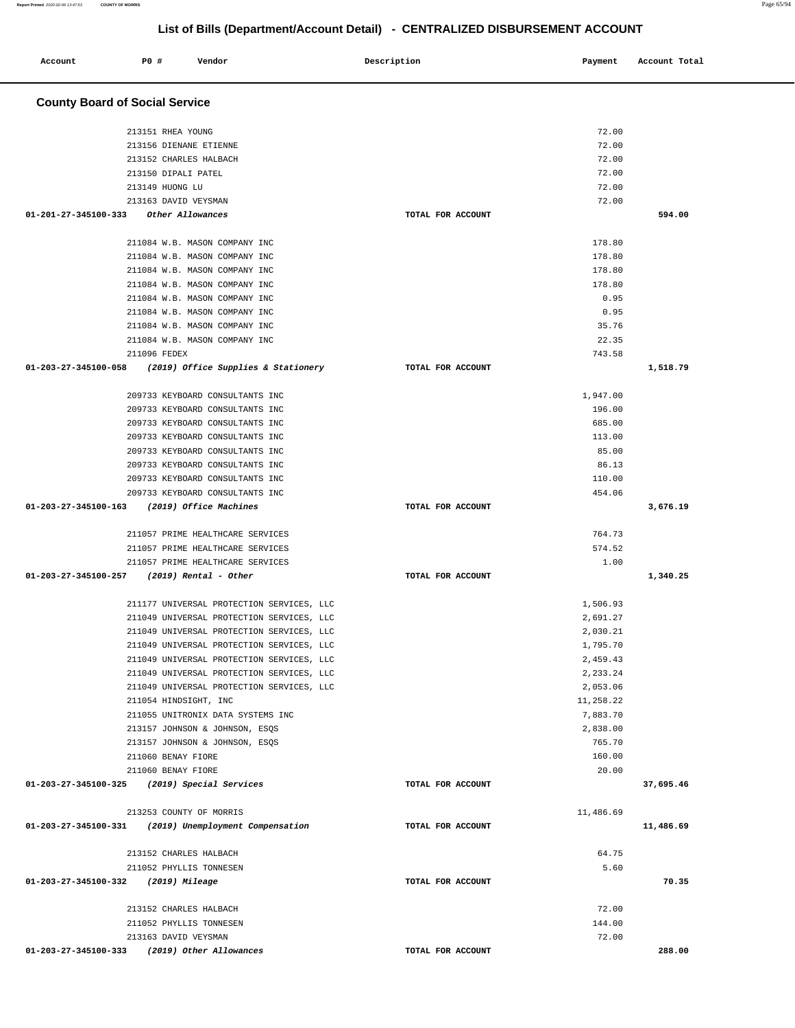#### **Account** 20 **PO** # **Vendor** Payment **Payment** Account Total **Payment** Account Total **Payment County Board of Social Service** 213151 RHEA YOUNG 213156 DIENANE ETIENNE 213152 CHARLES HALBACH 213150 DIPALI PATEL 213149 HUONG LU 213163 DAVID VEYSMAN  **01-201-27-345100-333 Other Allowances TOTAL FOR ACCOUNT**  72.00 72.00 72.00 72.00 72.00 72.00 **594.00** 211084 W.B. MASON COMPANY INC 211084 W.B. MASON COMPANY INC 211084 W.B. MASON COMPANY INC 211084 W.B. MASON COMPANY INC 211084 W.B. MASON COMPANY INC 211084 W.B. MASON COMPANY INC 211084 W.B. MASON COMPANY INC 211084 W.B. MASON COMPANY INC 211096 FEDEX  **01-203-27-345100-058 (2019) Office Supplies & Stationery TOTAL FOR ACCOUNT**  178.80 178.80 178.80 178.80 0.95 0.95 35.76 22.35 743.58 **1,518.79** 209733 KEYBOARD CONSULTANTS INC 209733 KEYBOARD CONSULTANTS INC 209733 KEYBOARD CONSULTANTS INC 209733 KEYBOARD CONSULTANTS INC 209733 KEYBOARD CONSULTANTS INC 209733 KEYBOARD CONSULTANTS INC 209733 KEYBOARD CONSULTANTS INC 209733 KEYBOARD CONSULTANTS INC  **01-203-27-345100-163 (2019) Office Machines TOTAL FOR ACCOUNT**  1,947.00 196.00 685.00 113.00 85.00 86.13 110.00 454.06 **3,676.19** 211057 PRIME HEALTHCARE SERVICES 211057 PRIME HEALTHCARE SERVICES 211057 PRIME HEALTHCARE SERVICES  **01-203-27-345100-257 (2019) Rental - Other TOTAL FOR ACCOUNT**  764.73 574.52 1.00 **1,340.25** 211177 UNIVERSAL PROTECTION SERVICES, LLC 211049 UNIVERSAL PROTECTION SERVICES, LLC 211049 UNIVERSAL PROTECTION SERVICES, LLC 211049 UNIVERSAL PROTECTION SERVICES, LLC 211049 UNIVERSAL PROTECTION SERVICES, LLC 211049 UNIVERSAL PROTECTION SERVICES, LLC 211049 UNIVERSAL PROTECTION SERVICES, LLC 211054 HINDSIGHT, INC 211055 UNITRONIX DATA SYSTEMS INC 213157 JOHNSON & JOHNSON, ESQS 213157 JOHNSON & JOHNSON, ESQS 211060 BENAY FIORE 211060 BENAY FIORE  **01-203-27-345100-325 (2019) Special Services TOTAL FOR ACCOUNT**  1,506.93 2,691.27 2,030.21 1,795.70 2,459.43 2,233.24 2,053.06 11,258.22 7,883.70 2,838.00 765.70 160.00 20.00 **37,695.46** 213253 COUNTY OF MORRIS  **01-203-27-345100-331 (2019) Unemployment Compensation TOTAL FOR ACCOUNT**  11,486.69 **11,486.69** 213152 CHARLES HALBACH 211052 PHYLLIS TONNESEN  **01-203-27-345100-332 (2019) Mileage TOTAL FOR ACCOUNT**  64.75 5.60 **70.35** 213152 CHARLES HALBACH 211052 PHYLLIS TONNESEN 213163 DAVID VEYSMAN  **01-203-27-345100-333 (2019) Other Allowances TOTAL FOR ACCOUNT**  72.00 144.00 72.00 **288.00**

### **List of Bills (Department/Account Detail) - CENTRALIZED DISBURSEMENT ACCOUNT**

**Report Printed** 2020-02-06 13:47:53 **COUNTY OF MORRIS** Page 65/94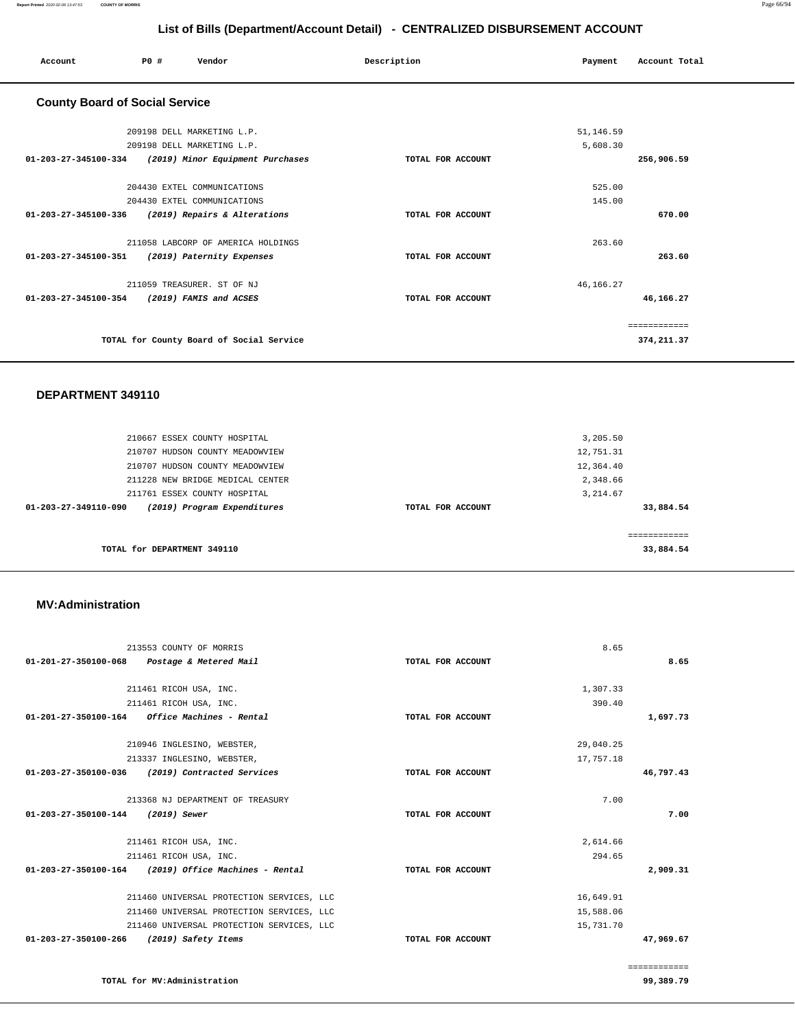| Account                               | P0 # | Vendor                                   | Description       | Payment   | Account Total |
|---------------------------------------|------|------------------------------------------|-------------------|-----------|---------------|
| <b>County Board of Social Service</b> |      |                                          |                   |           |               |
|                                       |      | 209198 DELL MARKETING L.P.               |                   | 51,146.59 |               |
|                                       |      | 209198 DELL MARKETING L.P.               |                   | 5,608.30  |               |
| 01-203-27-345100-334                  |      | (2019) Minor Equipment Purchases         | TOTAL FOR ACCOUNT |           | 256,906.59    |
|                                       |      | 204430 EXTEL COMMUNICATIONS              |                   | 525.00    |               |
|                                       |      | 204430 EXTEL COMMUNICATIONS              |                   | 145.00    |               |
| 01-203-27-345100-336                  |      | (2019) Repairs & Alterations             | TOTAL FOR ACCOUNT |           | 670.00        |
|                                       |      | 211058 LABCORP OF AMERICA HOLDINGS       |                   | 263.60    |               |
| 01-203-27-345100-351                  |      | (2019) Paternity Expenses                | TOTAL FOR ACCOUNT |           | 263.60        |
|                                       |      | 211059 TREASURER. ST OF NJ               |                   | 46,166.27 |               |
| 01-203-27-345100-354                  |      | (2019) FAMIS and ACSES                   | TOTAL FOR ACCOUNT |           | 46,166.27     |
|                                       |      |                                          |                   |           | ============  |
|                                       |      | TOTAL for County Board of Social Service |                   |           | 374,211.37    |

#### **DEPARTMENT 349110**

| 210667 ESSEX COUNTY HOSPITAL<br>210707 HUDSON COUNTY MEADOWVIEW |                   | 3,205.50<br>12,751.31    |
|-----------------------------------------------------------------|-------------------|--------------------------|
| 210707 HUDSON COUNTY MEADOWVIEW                                 |                   | 12,364.40                |
| 211228 NEW BRIDGE MEDICAL CENTER                                |                   | 2,348.66                 |
| 211761 ESSEX COUNTY HOSPITAL                                    |                   | 3, 214.67                |
| (2019) Program Expenditures<br>$01 - 203 - 27 - 349110 - 090$   | TOTAL FOR ACCOUNT | 33,884.54                |
| TOTAL for DEPARTMENT 349110                                     |                   | -----------<br>33,884.54 |

#### **MV:Administration**

|                                             | 213553 COUNTY OF MORRIS                              |                   | 8.65      |              |
|---------------------------------------------|------------------------------------------------------|-------------------|-----------|--------------|
| 01-201-27-350100-068 Postage & Metered Mail |                                                      | TOTAL FOR ACCOUNT |           | 8.65         |
|                                             | 211461 RICOH USA, INC.                               |                   | 1,307.33  |              |
|                                             | 211461 RICOH USA, INC.                               |                   | 390.40    |              |
|                                             | $01-201-27-350100-164$ Office Machines - Rental      | TOTAL FOR ACCOUNT |           | 1,697.73     |
|                                             | 210946 INGLESINO, WEBSTER,                           |                   | 29,040.25 |              |
|                                             | 213337 INGLESINO, WEBSTER,                           |                   | 17,757.18 |              |
|                                             | 01-203-27-350100-036 (2019) Contracted Services      | TOTAL FOR ACCOUNT |           | 46,797.43    |
|                                             | 213368 NJ DEPARTMENT OF TREASURY                     |                   | 7.00      |              |
| 01-203-27-350100-144                        | (2019) Sewer                                         | TOTAL FOR ACCOUNT |           | 7.00         |
|                                             | 211461 RICOH USA, INC.                               |                   | 2,614.66  |              |
|                                             | 211461 RICOH USA, INC.                               |                   | 294.65    |              |
|                                             | 01-203-27-350100-164 (2019) Office Machines - Rental | TOTAL FOR ACCOUNT |           | 2,909.31     |
|                                             | 211460 UNIVERSAL PROTECTION SERVICES, LLC            |                   | 16,649.91 |              |
|                                             | 211460 UNIVERSAL PROTECTION SERVICES, LLC            |                   | 15,588.06 |              |
|                                             | 211460 UNIVERSAL PROTECTION SERVICES, LLC            |                   | 15,731.70 |              |
| 01-203-27-350100-266                        | (2019) Safety Items                                  | TOTAL FOR ACCOUNT |           | 47,969.67    |
|                                             |                                                      |                   |           | ============ |

**99,389.79** 

**TOTAL for MV:Administration**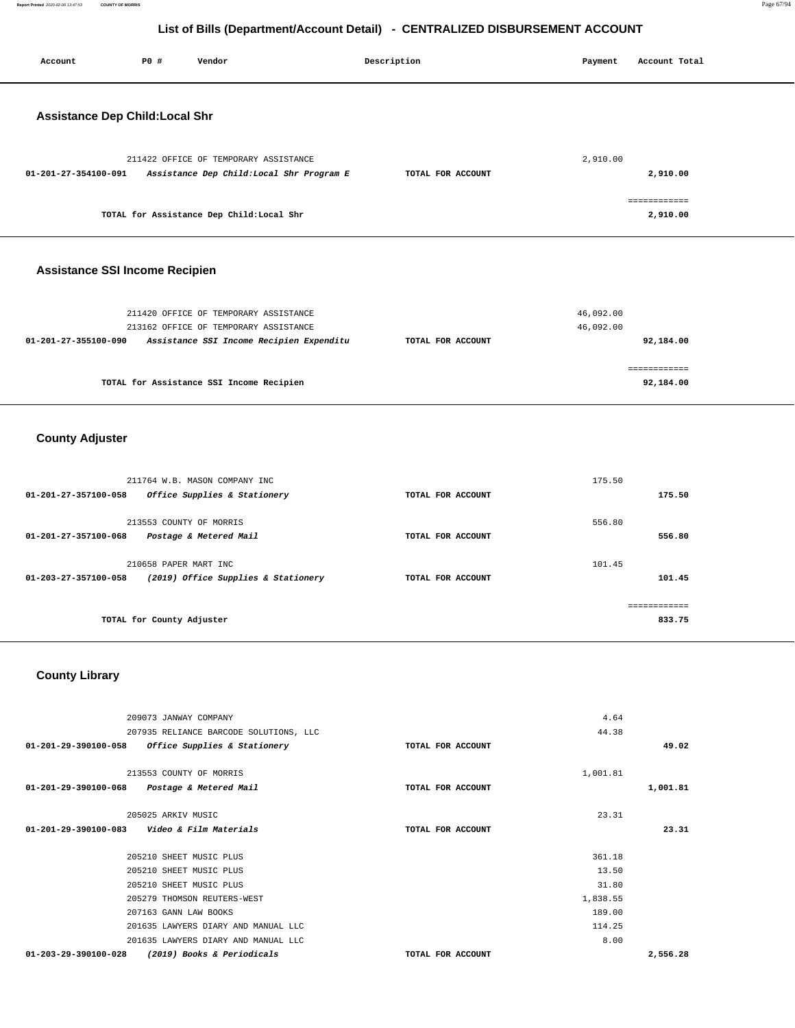| Account                                                      | P0 #                      | Vendor                                                                                                                     | Description            | Payment                | Account Total             |
|--------------------------------------------------------------|---------------------------|----------------------------------------------------------------------------------------------------------------------------|------------------------|------------------------|---------------------------|
| <b>Assistance Dep Child:Local Shr</b>                        |                           |                                                                                                                            |                        |                        |                           |
| 01-201-27-354100-091                                         |                           | 211422 OFFICE OF TEMPORARY ASSISTANCE<br>Assistance Dep Child: Local Shr Program E                                         | TOTAL FOR ACCOUNT      | 2,910.00               | 2,910.00                  |
|                                                              |                           | TOTAL for Assistance Dep Child:Local Shr                                                                                   |                        |                        | ============<br>2,910.00  |
| <b>Assistance SSI Income Recipien</b>                        |                           |                                                                                                                            |                        |                        |                           |
| 01-201-27-355100-090                                         |                           | 211420 OFFICE OF TEMPORARY ASSISTANCE<br>213162 OFFICE OF TEMPORARY ASSISTANCE<br>Assistance SSI Income Recipien Expenditu | TOTAL FOR ACCOUNT      | 46,092.00<br>46,092.00 | 92,184.00                 |
|                                                              |                           | TOTAL for Assistance SSI Income Recipien                                                                                   |                        |                        | ============<br>92,184.00 |
| <b>County Adjuster</b>                                       |                           |                                                                                                                            |                        |                        |                           |
| 01-201-27-357100-058                                         |                           | 211764 W.B. MASON COMPANY INC<br>Office Supplies & Stationery                                                              | TOTAL FOR ACCOUNT      | 175.50                 | 175.50                    |
| 01-201-27-357100-068                                         | 213553 COUNTY OF MORRIS   | Postage & Metered Mail                                                                                                     | TOTAL FOR ACCOUNT      | 556.80                 | 556.80                    |
| 01-203-27-357100-058                                         | 210658 PAPER MART INC     | (2019) Office Supplies & Stationery                                                                                        | TOTAL FOR ACCOUNT      | 101.45                 | 101.45<br>============    |
|                                                              | TOTAL for County Adjuster |                                                                                                                            |                        |                        | 833.75                    |
| <b>County Library</b>                                        |                           |                                                                                                                            |                        |                        |                           |
| 01-201-29-390100-058                                         | 209073 JANWAY COMPANY     | 207935 RELIANCE BARCODE SOLUTIONS, LLC<br>Office Supplies & Stationery                                                     | TOTAL FOR ACCOUNT      | 4.64<br>44.38          | 49.02                     |
| $\begin{array}{c}\n200100 \\ \end{array}$<br>201<br>$\Omega$ | 213553 COUNTY OF MORRIS   | Dectare C. Material Mail                                                                                                   | $EXAMPLE BOD 30001000$ | 1,001.81               | 001.01                    |

| 01-201-29-390100-068           | Postage & Metered Mail              | TOTAL FOR ACCOUNT | 1,001.81 |
|--------------------------------|-------------------------------------|-------------------|----------|
|                                | 205025 ARKIV MUSIC                  |                   | 23.31    |
| $01 - 201 - 29 - 390100 - 083$ | Video & Film Materials              | TOTAL FOR ACCOUNT | 23.31    |
|                                | 205210 SHEET MUSIC PLUS             |                   | 361.18   |
|                                | 205210 SHEET MUSIC PLUS             |                   | 13.50    |
|                                | 205210 SHEET MUSIC PLUS             |                   | 31.80    |
|                                | 205279 THOMSON REUTERS-WEST         |                   | 1,838.55 |
|                                | 207163 GANN LAW BOOKS               |                   | 189.00   |
|                                | 201635 LAWYERS DIARY AND MANUAL LLC |                   | 114.25   |
|                                | 201635 LAWYERS DIARY AND MANUAL LLC |                   | 8.00     |
| 01-203-29-390100-028           | (2019) Books & Periodicals          | TOTAL FOR ACCOUNT | 2,556.28 |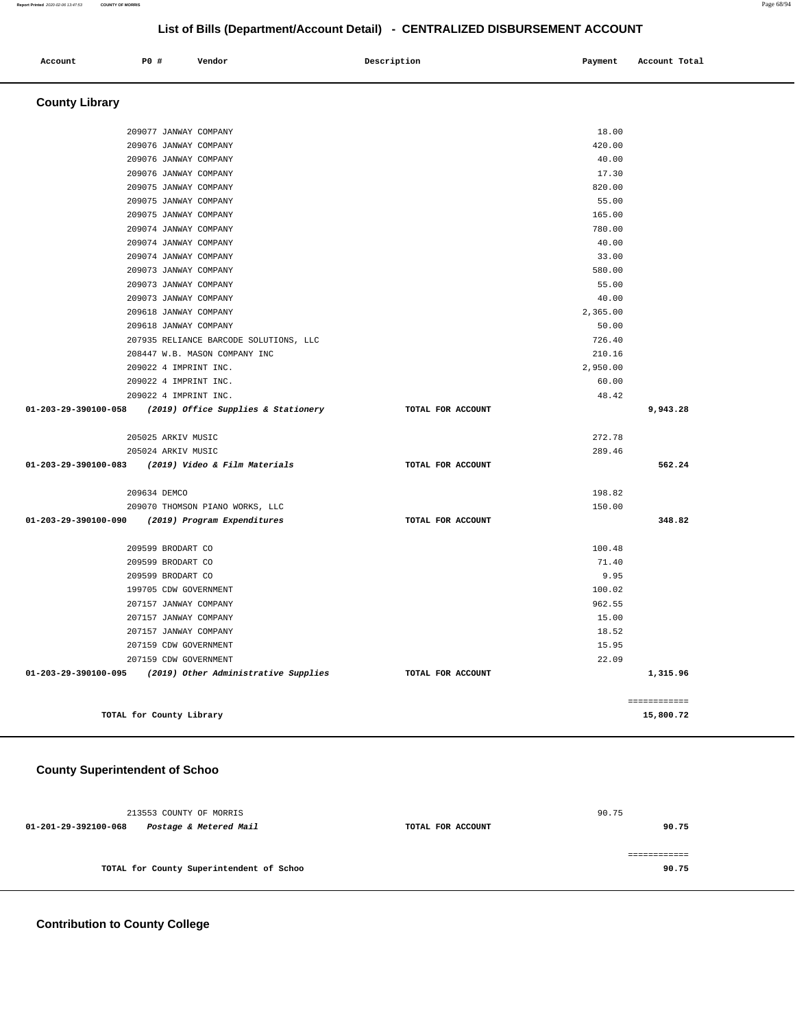|  |  | Account | P0 # | Vendor | Description | Payment | Account Total |
|--|--|---------|------|--------|-------------|---------|---------------|
|--|--|---------|------|--------|-------------|---------|---------------|

```
County Library
```

| 209077 JANWAY COMPANY                                       |                   | 18.00    |              |
|-------------------------------------------------------------|-------------------|----------|--------------|
| 209076 JANWAY COMPANY                                       |                   | 420.00   |              |
| 209076 JANWAY COMPANY                                       |                   | 40.00    |              |
| 209076 JANWAY COMPANY                                       |                   | 17.30    |              |
| 209075 JANWAY COMPANY                                       |                   | 820.00   |              |
| 209075 JANWAY COMPANY                                       |                   | 55.00    |              |
| 209075 JANWAY COMPANY                                       |                   | 165.00   |              |
| 209074 JANWAY COMPANY                                       |                   | 780.00   |              |
| 209074 JANWAY COMPANY                                       |                   | 40.00    |              |
| 209074 JANWAY COMPANY                                       |                   | 33.00    |              |
| 209073 JANWAY COMPANY                                       |                   | 580.00   |              |
| 209073 JANWAY COMPANY                                       |                   | 55.00    |              |
| 209073 JANWAY COMPANY                                       |                   | 40.00    |              |
| 209618 JANWAY COMPANY                                       |                   | 2,365.00 |              |
| 209618 JANWAY COMPANY                                       |                   | 50.00    |              |
| 207935 RELIANCE BARCODE SOLUTIONS, LLC                      |                   | 726.40   |              |
| 208447 W.B. MASON COMPANY INC                               |                   | 210.16   |              |
| 209022 4 IMPRINT INC.                                       |                   | 2,950.00 |              |
| 209022 4 IMPRINT INC.                                       |                   | 60.00    |              |
| 209022 4 IMPRINT INC.                                       |                   | 48.42    |              |
| 01-203-29-390100-058 (2019) Office Supplies & Stationery    | TOTAL FOR ACCOUNT |          | 9,943.28     |
| 205025 ARKIV MUSIC                                          |                   | 272.78   |              |
| 205024 ARKIV MUSIC                                          |                   | 289.46   |              |
| 01-203-29-390100-083 (2019) Video & Film Materials          | TOTAL FOR ACCOUNT |          | 562.24       |
| 209634 DEMCO                                                |                   | 198.82   |              |
| 209070 THOMSON PIANO WORKS, LLC                             |                   | 150.00   |              |
| 01-203-29-390100-090 (2019) Program Expenditures            | TOTAL FOR ACCOUNT |          | 348.82       |
| 209599 BRODART CO                                           |                   | 100.48   |              |
| 209599 BRODART CO                                           |                   | 71.40    |              |
| 209599 BRODART CO                                           |                   | 9.95     |              |
| 199705 CDW GOVERNMENT                                       |                   | 100.02   |              |
| 207157 JANWAY COMPANY                                       |                   | 962.55   |              |
| 207157 JANWAY COMPANY                                       |                   | 15.00    |              |
| 207157 JANWAY COMPANY                                       |                   | 18.52    |              |
| 207159 CDW GOVERNMENT                                       |                   | 15.95    |              |
| 207159 CDW GOVERNMENT                                       |                   | 22.09    |              |
| $01-203-29-390100-095$ (2019) Other Administrative Supplies | TOTAL FOR ACCOUNT |          | 1,315.96     |
|                                                             |                   |          | ============ |
| TOTAL for County Library                                    |                   |          | 15,800.72    |

### **County Superintendent of Schoo**

| 213553 COUNTY OF MORRIS                        |                   | 90.75 |
|------------------------------------------------|-------------------|-------|
| Postage & Metered Mail<br>01-201-29-392100-068 | TOTAL FOR ACCOUNT | 90.75 |
|                                                |                   |       |
|                                                |                   |       |
| TOTAL for County Superintendent of Schoo       |                   | 90.75 |
|                                                |                   |       |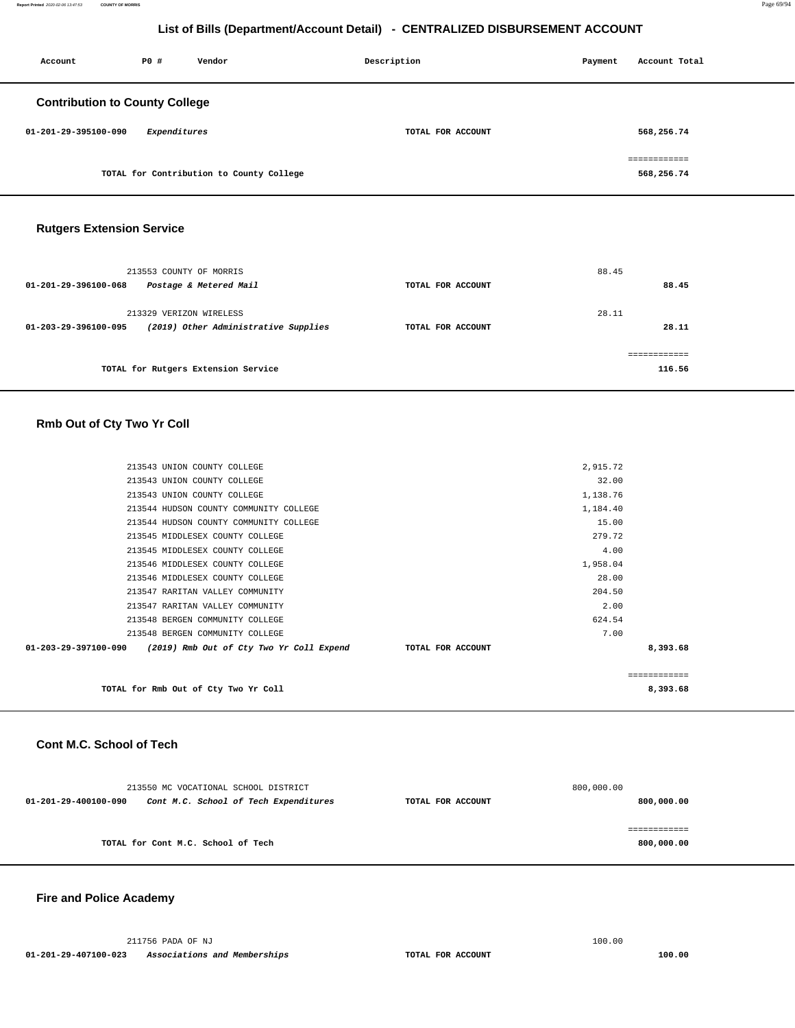| Account                               | P0#          | Vendor                                   | Description       | Payment | Account Total              |
|---------------------------------------|--------------|------------------------------------------|-------------------|---------|----------------------------|
| <b>Contribution to County College</b> |              |                                          |                   |         |                            |
| 01-201-29-395100-090                  | Expenditures |                                          | TOTAL FOR ACCOUNT |         | 568,256.74                 |
|                                       |              | TOTAL for Contribution to County College |                   |         | ============<br>568,256.74 |

#### **Rutgers Extension Service**

| 213553 COUNTY OF MORRIS<br>Postage & Metered Mail<br>01-201-29-396100-068               | TOTAL FOR ACCOUNT | 88.45<br>88.45          |
|-----------------------------------------------------------------------------------------|-------------------|-------------------------|
| 213329 VERIZON WIRELESS<br>(2019) Other Administrative Supplies<br>01-203-29-396100-095 | TOTAL FOR ACCOUNT | 28.11<br>28.11          |
| TOTAL for Rutgers Extension Service                                                     |                   | -------------<br>116.56 |

#### **Rmb Out of Cty Two Yr Coll**

| TOTAL for Rmb Out of Cty Two Yr Coll                                              |          | -------------<br>8,393.68 |
|-----------------------------------------------------------------------------------|----------|---------------------------|
| $01-203-29-397100-090$ (2019) Rmb Out of Cty Two Yr Coll Expend TOTAL FOR ACCOUNT |          | 8,393.68                  |
| 213548 BERGEN COMMUNITY COLLEGE                                                   | 7.00     |                           |
| 213548 BERGEN COMMUNITY COLLEGE                                                   | 624.54   |                           |
| 213547 RARITAN VALLEY COMMUNITY                                                   | 2.00     |                           |
| 213547 RARITAN VALLEY COMMUNITY                                                   | 204.50   |                           |
| 213546 MIDDLESEX COUNTY COLLEGE                                                   | 28.00    |                           |
| 213546 MIDDLESEX COUNTY COLLEGE                                                   | 1,958.04 |                           |
| 213545 MIDDLESEX COUNTY COLLEGE                                                   | 4.00     |                           |
| 213545 MIDDLESEX COUNTY COLLEGE                                                   | 279.72   |                           |
| 213544 HUDSON COUNTY COMMUNITY COLLEGE                                            | 15.00    |                           |
| 213544 HUDSON COUNTY COMMUNITY COLLEGE                                            | 1,184.40 |                           |
| 213543 UNION COUNTY COLLEGE                                                       | 1,138.76 |                           |
| 213543 UNION COUNTY COLLEGE                                                       | 32.00    |                           |
| 213543 UNION COUNTY COLLEGE                                                       | 2,915.72 |                           |
|                                                                                   |          |                           |

#### **Cont M.C. School of Tech**

|                      | 213550 MC VOCATIONAL SCHOOL DISTRICT  |                   | 800,000.00 |
|----------------------|---------------------------------------|-------------------|------------|
| 01-201-29-400100-090 | Cont M.C. School of Tech Expenditures | TOTAL FOR ACCOUNT | 800,000.00 |
|                      |                                       |                   |            |
|                      |                                       |                   |            |
|                      | TOTAL for Cont M.C. School of Tech    |                   | 800,000.00 |
|                      |                                       |                   |            |

#### **Fire and Police Academy**

 211756 PADA OF NJ 100.00  **01-201-29-407100-023 Associations and Memberships TOTAL FOR ACCOUNT 100.00**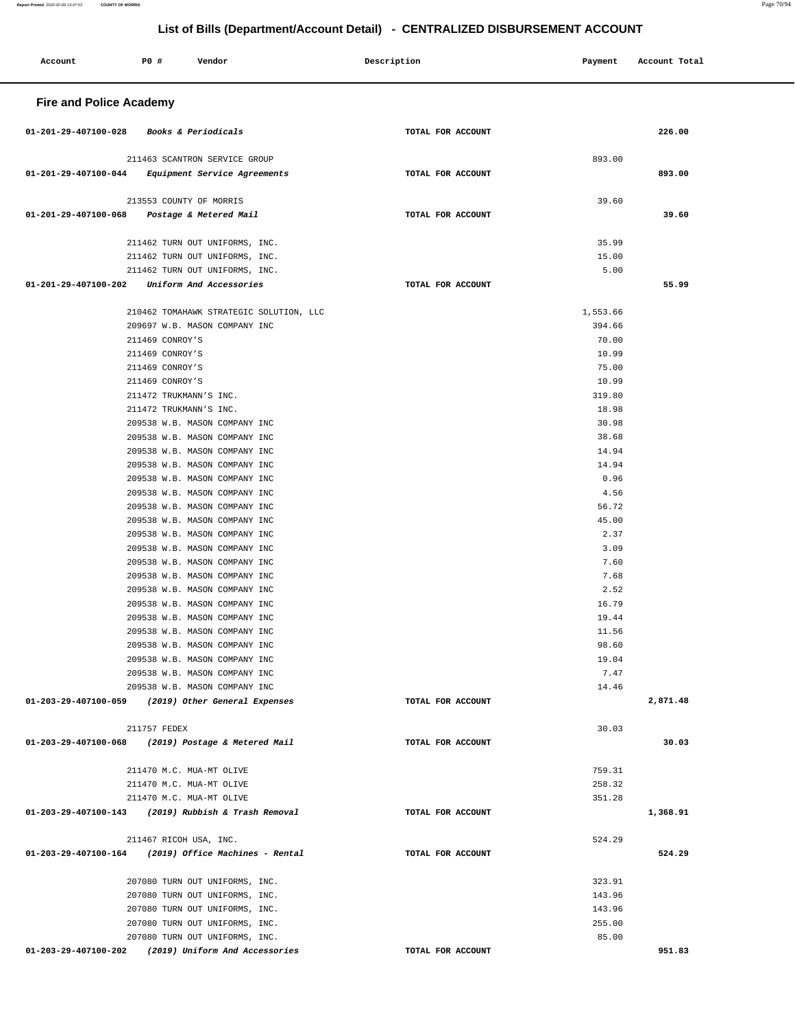| Account                                                | <b>PO #</b>                        | Vendor                                                           |  | Description       |  | Payment        | Account Total |  |
|--------------------------------------------------------|------------------------------------|------------------------------------------------------------------|--|-------------------|--|----------------|---------------|--|
| <b>Fire and Police Academy</b>                         |                                    |                                                                  |  |                   |  |                |               |  |
| 01-201-29-407100-028                                   |                                    | <i>Books &amp; Periodicals</i>                                   |  | TOTAL FOR ACCOUNT |  |                | 226.00        |  |
|                                                        |                                    | 211463 SCANTRON SERVICE GROUP                                    |  |                   |  | 893.00         |               |  |
| 01-201-29-407100-044                                   |                                    | Equipment Service Agreements                                     |  | TOTAL FOR ACCOUNT |  |                | 893.00        |  |
|                                                        |                                    |                                                                  |  |                   |  |                |               |  |
| 01-201-29-407100-068                                   |                                    | 213553 COUNTY OF MORRIS<br>Postage & Metered Mail                |  | TOTAL FOR ACCOUNT |  | 39.60          | 39.60         |  |
|                                                        |                                    |                                                                  |  |                   |  |                |               |  |
|                                                        |                                    | 211462 TURN OUT UNIFORMS, INC.                                   |  |                   |  | 35.99          |               |  |
|                                                        |                                    | 211462 TURN OUT UNIFORMS, INC.                                   |  |                   |  | 15.00          |               |  |
| 01-201-29-407100-202                                   |                                    | 211462 TURN OUT UNIFORMS, INC.                                   |  | TOTAL FOR ACCOUNT |  | 5.00           | 55.99         |  |
|                                                        |                                    | Uniform And Accessories                                          |  |                   |  |                |               |  |
|                                                        |                                    | 210462 TOMAHAWK STRATEGIC SOLUTION, LLC                          |  |                   |  | 1,553.66       |               |  |
|                                                        |                                    | 209697 W.B. MASON COMPANY INC                                    |  |                   |  | 394.66         |               |  |
|                                                        | 211469 CONROY'S                    |                                                                  |  |                   |  | 70.00          |               |  |
|                                                        | 211469 CONROY'S                    |                                                                  |  |                   |  | 10.99          |               |  |
|                                                        | 211469 CONROY'S<br>211469 CONROY'S |                                                                  |  |                   |  | 75.00<br>10.99 |               |  |
|                                                        | 211472 TRUKMANN'S INC.             |                                                                  |  |                   |  | 319.80         |               |  |
|                                                        | 211472 TRUKMANN'S INC.             |                                                                  |  |                   |  | 18.98          |               |  |
|                                                        |                                    | 209538 W.B. MASON COMPANY INC                                    |  |                   |  | 30.98          |               |  |
|                                                        |                                    | 209538 W.B. MASON COMPANY INC                                    |  |                   |  | 38.68          |               |  |
|                                                        |                                    | 209538 W.B. MASON COMPANY INC                                    |  |                   |  | 14.94          |               |  |
|                                                        |                                    | 209538 W.B. MASON COMPANY INC<br>209538 W.B. MASON COMPANY INC   |  |                   |  | 14.94<br>0.96  |               |  |
|                                                        |                                    | 209538 W.B. MASON COMPANY INC                                    |  |                   |  | 4.56           |               |  |
|                                                        |                                    | 209538 W.B. MASON COMPANY INC                                    |  |                   |  | 56.72          |               |  |
|                                                        |                                    | 209538 W.B. MASON COMPANY INC                                    |  |                   |  | 45.00          |               |  |
|                                                        |                                    | 209538 W.B. MASON COMPANY INC                                    |  |                   |  | 2.37           |               |  |
|                                                        |                                    | 209538 W.B. MASON COMPANY INC                                    |  |                   |  | 3.09           |               |  |
|                                                        |                                    | 209538 W.B. MASON COMPANY INC<br>209538 W.B. MASON COMPANY INC   |  |                   |  | 7.60<br>7.68   |               |  |
|                                                        |                                    | 209538 W.B. MASON COMPANY INC                                    |  |                   |  | 2.52           |               |  |
|                                                        |                                    | 209538 W.B. MASON COMPANY INC                                    |  |                   |  | 16.79          |               |  |
|                                                        |                                    | 209538 W.B. MASON COMPANY INC                                    |  |                   |  | 19.44          |               |  |
|                                                        |                                    | 209538 W.B. MASON COMPANY INC                                    |  |                   |  | 11.56          |               |  |
|                                                        |                                    | 209538 W.B. MASON COMPANY INC                                    |  |                   |  | 98.60          |               |  |
|                                                        |                                    | 209538 W.B. MASON COMPANY INC<br>209538 W.B. MASON COMPANY INC   |  |                   |  | 19.04<br>7.47  |               |  |
|                                                        |                                    | 209538 W.B. MASON COMPANY INC                                    |  |                   |  | 14.46          |               |  |
| 01-203-29-407100-059 (2019) Other General Expenses     |                                    |                                                                  |  | TOTAL FOR ACCOUNT |  |                | 2,871.48      |  |
|                                                        |                                    |                                                                  |  |                   |  |                |               |  |
|                                                        | 211757 FEDEX                       |                                                                  |  |                   |  | 30.03          |               |  |
| 01-203-29-407100-068 (2019) Postage & Metered Mail     |                                    |                                                                  |  | TOTAL FOR ACCOUNT |  |                | 30.03         |  |
|                                                        |                                    | 211470 M.C. MUA-MT OLIVE                                         |  |                   |  | 759.31         |               |  |
|                                                        |                                    | 211470 M.C. MUA-MT OLIVE                                         |  |                   |  | 258.32         |               |  |
|                                                        |                                    | 211470 M.C. MUA-MT OLIVE                                         |  |                   |  | 351.28         |               |  |
| 01-203-29-407100-143 (2019) Rubbish & Trash Removal    |                                    |                                                                  |  | TOTAL FOR ACCOUNT |  |                | 1,368.91      |  |
|                                                        |                                    |                                                                  |  |                   |  |                |               |  |
| $01-203-29-407100-164$ (2019) Office Machines - Rental | 211467 RICOH USA, INC.             |                                                                  |  | TOTAL FOR ACCOUNT |  | 524.29         | 524.29        |  |
|                                                        |                                    |                                                                  |  |                   |  |                |               |  |
|                                                        |                                    | 207080 TURN OUT UNIFORMS, INC.                                   |  |                   |  | 323.91         |               |  |
|                                                        |                                    | 207080 TURN OUT UNIFORMS, INC.                                   |  |                   |  | 143.96         |               |  |
|                                                        |                                    | 207080 TURN OUT UNIFORMS, INC.                                   |  |                   |  | 143.96         |               |  |
|                                                        |                                    | 207080 TURN OUT UNIFORMS, INC.                                   |  |                   |  | 255.00         |               |  |
| 01-203-29-407100-202                                   |                                    | 207080 TURN OUT UNIFORMS, INC.<br>(2019) Uniform And Accessories |  | TOTAL FOR ACCOUNT |  | 85.00          | 951.83        |  |
|                                                        |                                    |                                                                  |  |                   |  |                |               |  |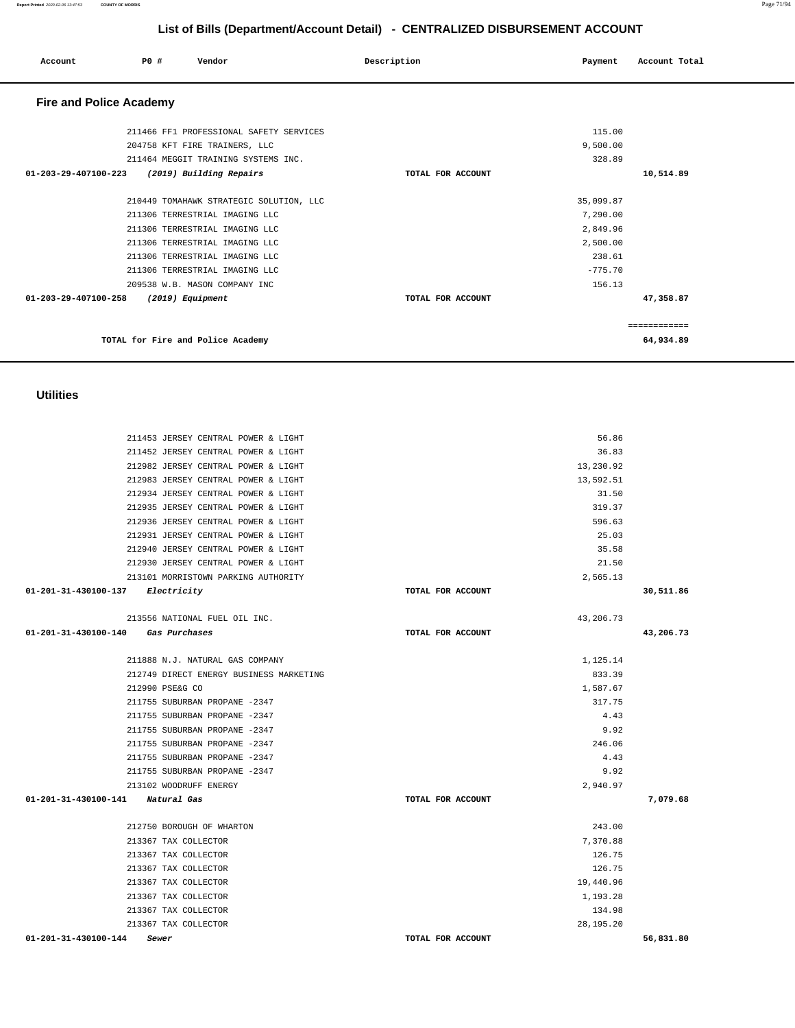#### **List of Bills (Department/Account Detail) - CENTRALIZED DISBURSEMENT ACCOUNT Account P0 # Vendor Description Payment Account Total Fire and Police Academy**  211466 FF1 PROFESSIONAL SAFETY SERVICES 204758 KFT FIRE TRAINERS, LLC 211464 MEGGIT TRAINING SYSTEMS INC.  **01-203-29-407100-223 (2019) Building Repairs TOTAL FOR ACCOUNT**  115.00 9,500.00 328.89 **10,514.89** 210449 TOMAHAWK STRATEGIC SOLUTION, LLC 211306 TERRESTRIAL IMAGING LLC 211306 TERRESTRIAL IMAGING LLC 211306 TERRESTRIAL IMAGING LLC 211306 TERRESTRIAL IMAGING LLC 211306 TERRESTRIAL IMAGING LLC 209538 W.B. MASON COMPANY INC  **01-203-29-407100-258 (2019) Equipment TOTAL FOR ACCOUNT**  35,099.87 7,290.00 2,849.96 2,500.00 238.61 -775.70 156.13 **47,358.87** ============ **TOTAL for Fire and Police Academy 64,934.89 Utilities**  211453 JERSEY CENTRAL POWER & LIGHT 56.86 211452 JERSEY CENTRAL POWER & LIGHT 36.83 212982 JERSEY CENTRAL POWER & LIGHT 13,230.92 212983 JERSEY CENTRAL POWER & LIGHT 13,592.51 212934 JERSEY CENTRAL POWER & LIGHT 31.50 212935 JERSEY CENTRAL POWER & LIGHT 319.37 212936 JERSEY CENTRAL POWER & LIGHT 596.63 212931 JERSEY CENTRAL POWER & LIGHT 25.03 212940 JERSEY CENTRAL POWER & LIGHT 35.58 212930 JERSEY CENTRAL POWER & LIGHT 21.50 213101 MORRISTOWN PARKING AUTHORITY 2,565.13  **01-201-31-430100-137 Electricity TOTAL FOR ACCOUNT 30,511.86** 213556 NATIONAL FUEL OIL INC. 43,206.73  **01-201-31-430100-140 Gas Purchases TOTAL FOR ACCOUNT 43,206.73** 211888 N.J. NATURAL GAS COMPANY 1,125.14 212749 DIRECT ENERGY BUSINESS MARKETING 833.39 212990 PSE&G CO 1,587.67 211755 SUBURBAN PROPANE -2347 317.75 211755 SUBURBAN PROPANE -2347 4.43

 211755 SUBURBAN PROPANE -2347 9.92 211755 SUBURBAN PROPANE -2347 246.06 211755 SUBURBAN PROPANE -2347 4.43 211755 SUBURBAN PROPANE -2347 9.92 213102 WOODRUFF ENERGY 2,940.97  **01-201-31-430100-141 Natural Gas TOTAL FOR ACCOUNT 7,079.68**

 212750 BOROUGH OF WHARTON 243.00 213367 TAX COLLECTOR 7,370.88 213367 TAX COLLECTOR 126.75 213367 TAX COLLECTOR 126.75 213367 TAX COLLECTOR 19,440.96 213367 TAX COLLECTOR 1,193.28 213367 TAX COLLECTOR 134.98 213367 TAX COLLECTOR 28,195.20  **01-201-31-430100-144 Sewer TOTAL FOR ACCOUNT 56,831.80** 

**Report Printed** 2020-02-06 13:47:53 **COUNTY OF MORRIS** Page 71/94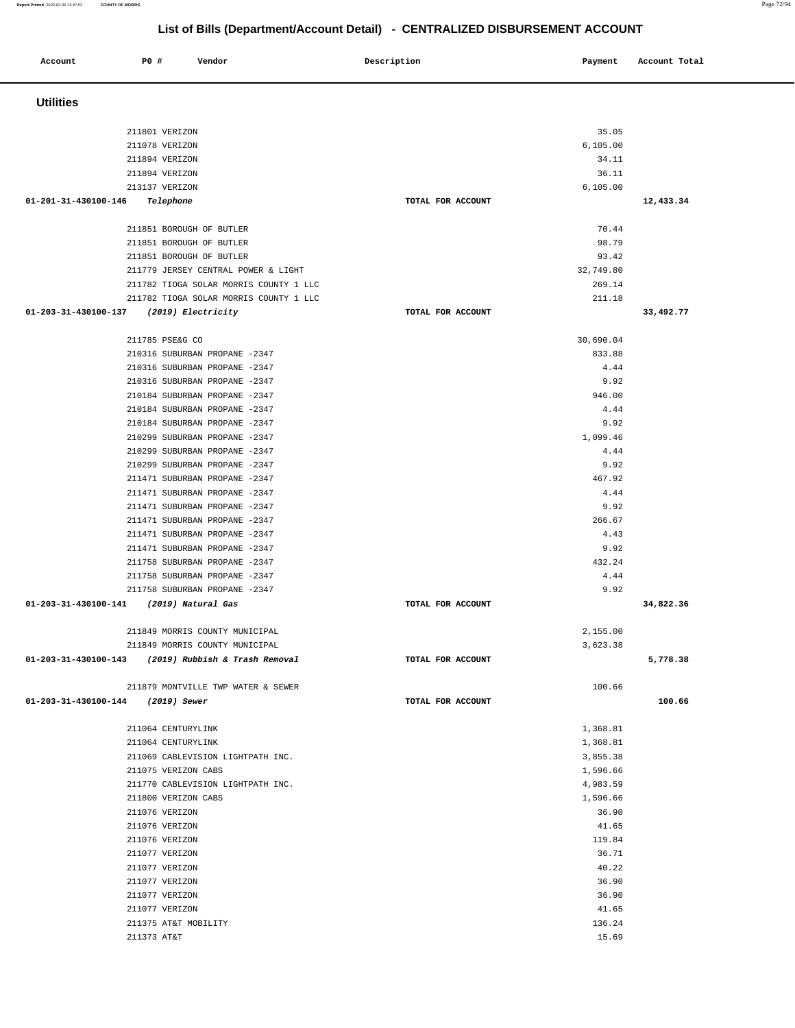| <b>Utilities</b>                                               |                   |              |           |
|----------------------------------------------------------------|-------------------|--------------|-----------|
| 211801 VERIZON                                                 |                   | 35.05        |           |
| 211078 VERIZON                                                 |                   | 6, 105.00    |           |
| 211894 VERIZON                                                 |                   | 34.11        |           |
| 211894 VERIZON                                                 |                   | 36.11        |           |
| 213137 VERIZON                                                 |                   | 6, 105.00    |           |
| 01-201-31-430100-146<br>Telephone                              | TOTAL FOR ACCOUNT |              | 12,433.34 |
| 211851 BOROUGH OF BUTLER                                       |                   | 70.44        |           |
| 211851 BOROUGH OF BUTLER                                       |                   | 98.79        |           |
| 211851 BOROUGH OF BUTLER                                       |                   | 93.42        |           |
| 211779 JERSEY CENTRAL POWER & LIGHT                            |                   | 32,749.80    |           |
| 211782 TIOGA SOLAR MORRIS COUNTY 1 LLC                         |                   | 269.14       |           |
| 211782 TIOGA SOLAR MORRIS COUNTY 1 LLC                         |                   | 211.18       |           |
| 01-203-31-430100-137<br>(2019) Electricity                     | TOTAL FOR ACCOUNT |              | 33,492.77 |
| 211785 PSE&G CO                                                |                   | 30,690.04    |           |
| 210316 SUBURBAN PROPANE -2347                                  |                   | 833.88       |           |
| 210316 SUBURBAN PROPANE -2347                                  |                   | 4.44         |           |
| 210316 SUBURBAN PROPANE -2347                                  |                   | 9.92         |           |
| 210184 SUBURBAN PROPANE -2347                                  |                   | 946.00       |           |
| 210184 SUBURBAN PROPANE -2347                                  |                   | 4.44         |           |
| 210184 SUBURBAN PROPANE -2347                                  |                   | 9.92         |           |
| 210299 SUBURBAN PROPANE -2347                                  |                   | 1,099.46     |           |
| 210299 SUBURBAN PROPANE -2347                                  |                   | 4.44         |           |
| 210299 SUBURBAN PROPANE -2347                                  |                   | 9.92         |           |
| 211471 SUBURBAN PROPANE -2347                                  |                   | 467.92       |           |
| 211471 SUBURBAN PROPANE -2347                                  |                   | 4.44         |           |
| 211471 SUBURBAN PROPANE -2347                                  |                   | 9.92         |           |
| 211471 SUBURBAN PROPANE -2347                                  |                   | 266.67       |           |
| 211471 SUBURBAN PROPANE -2347<br>211471 SUBURBAN PROPANE -2347 |                   | 4.43<br>9.92 |           |
| 211758 SUBURBAN PROPANE -2347                                  |                   | 432.24       |           |
| 211758 SUBURBAN PROPANE -2347                                  |                   | 4.44         |           |
| 211758 SUBURBAN PROPANE -2347                                  |                   | 9.92         |           |
| $01 - 203 - 31 - 430100 - 141$<br>(2019) Natural Gas           | TOTAL FOR ACCOUNT |              | 34,822.36 |
| 211849 MORRIS COUNTY MUNICIPAL                                 |                   | 2,155.00     |           |
| 211849 MORRIS COUNTY MUNICIPAL                                 |                   | 3,623.38     |           |
| 01-203-31-430100-143<br>(2019) Rubbish & Trash Removal         | TOTAL FOR ACCOUNT |              | 5,778.38  |
| 211879 MONTVILLE TWP WATER & SEWER                             |                   | 100.66       |           |
| 01-203-31-430100-144 (2019) Sewer                              | TOTAL FOR ACCOUNT |              | 100.66    |
| 211064 CENTURYLINK                                             |                   | 1,368.81     |           |
| 211064 CENTURYLINK                                             |                   | 1,368.81     |           |
| 211069 CABLEVISION LIGHTPATH INC.                              |                   | 3,855.38     |           |
| 211075 VERIZON CABS                                            |                   | 1,596.66     |           |
| 211770 CABLEVISION LIGHTPATH INC.                              |                   | 4,983.59     |           |
| 211800 VERIZON CABS                                            |                   | 1,596.66     |           |
| 211076 VERIZON                                                 |                   | 36.90        |           |
| 211076 VERIZON                                                 |                   | 41.65        |           |
| 211076 VERIZON                                                 |                   | 119.84       |           |
| 211077 VERIZON                                                 |                   | 36.71        |           |
| 211077 VERIZON                                                 |                   | 40.22        |           |
| 211077 VERIZON                                                 |                   | 36.90        |           |
| 211077 VERIZON                                                 |                   | 36.90        |           |
| 211077 VERIZON                                                 |                   | 41.65        |           |
| 211375 AT&T MOBILITY                                           |                   | 136.24       |           |
| 211373 AT&T                                                    |                   | 15.69        |           |

**Report Printed** 2020-02-06 13:47:53 **COUNTY OF MORRIS** Page 72/94  **List of Bills (Department/Account Detail) - CENTRALIZED DISBURSEMENT ACCOUNT Account P0 # Vendor Description Payment Account Total**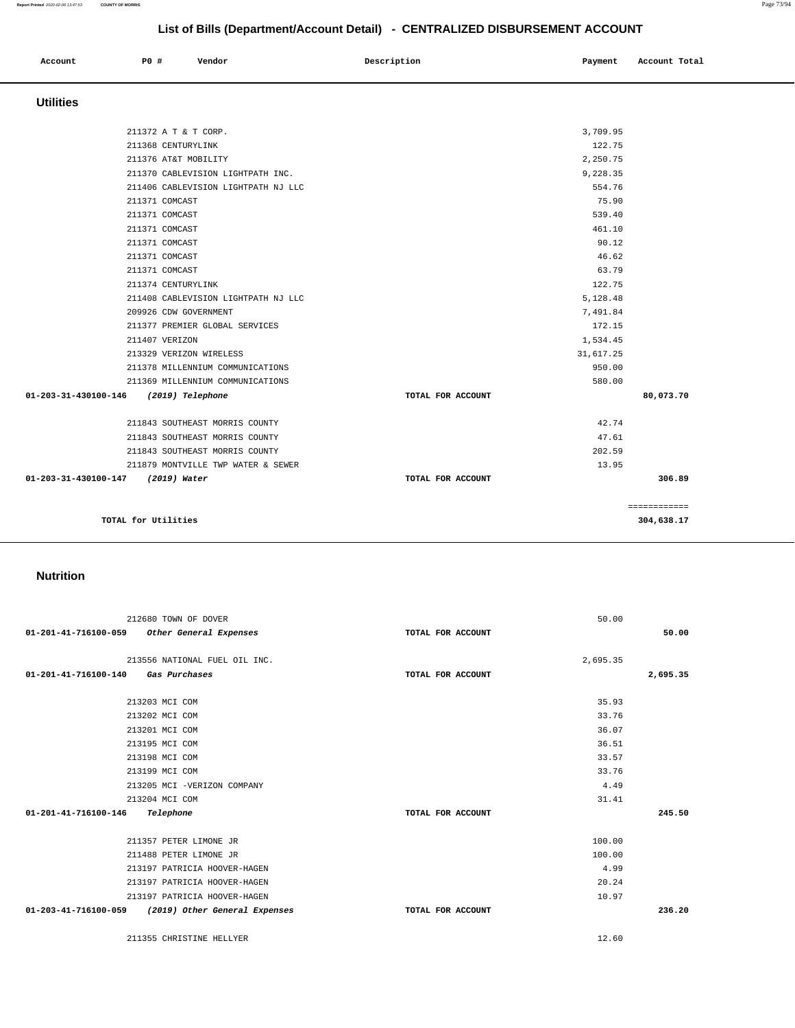|                                                    | 212680 TOWN OF DOVER          |                   | 50.00    |          |
|----------------------------------------------------|-------------------------------|-------------------|----------|----------|
| 01-201-41-716100-059 Other General Expenses        |                               | TOTAL FOR ACCOUNT |          | 50.00    |
|                                                    | 213556 NATIONAL FUEL OIL INC. |                   | 2,695.35 |          |
| 01-201-41-716100-140                               | Gas Purchases                 | TOTAL FOR ACCOUNT |          | 2,695.35 |
|                                                    |                               |                   |          |          |
|                                                    | 213203 MCI COM                |                   | 35.93    |          |
|                                                    | 213202 MCI COM                |                   | 33.76    |          |
|                                                    | 213201 MCI COM                |                   | 36.07    |          |
|                                                    | 213195 MCI COM                |                   | 36.51    |          |
|                                                    | 213198 MCI COM                |                   | 33.57    |          |
|                                                    | 213199 MCI COM                |                   | 33.76    |          |
|                                                    | 213205 MCI -VERIZON COMPANY   |                   | 4.49     |          |
|                                                    | 213204 MCI COM                |                   | 31.41    |          |
| 01-201-41-716100-146                               | Telephone                     | TOTAL FOR ACCOUNT |          | 245.50   |
|                                                    |                               |                   |          |          |
|                                                    | 211357 PETER LIMONE JR        |                   | 100.00   |          |
|                                                    | 211488 PETER LIMONE JR        |                   | 100.00   |          |
|                                                    | 213197 PATRICIA HOOVER-HAGEN  |                   | 4.99     |          |
|                                                    | 213197 PATRICIA HOOVER-HAGEN  |                   | 20.24    |          |
|                                                    | 213197 PATRICIA HOOVER-HAGEN  |                   | 10.97    |          |
| 01-203-41-716100-059 (2019) Other General Expenses |                               | TOTAL FOR ACCOUNT |          | 236.20   |
|                                                    | 211355 CHRISTINE HELLYER      |                   | 12.60    |          |

#### **Nutrition**

| <b>Utilities</b>                         |                   |           |              |
|------------------------------------------|-------------------|-----------|--------------|
| 211372 A T & T CORP.                     |                   | 3,709.95  |              |
| 211368 CENTURYLINK                       |                   | 122.75    |              |
| 211376 AT&T MOBILITY                     |                   | 2,250.75  |              |
| 211370 CABLEVISION LIGHTPATH INC.        |                   | 9,228.35  |              |
| 211406 CABLEVISION LIGHTPATH NJ LLC      |                   | 554.76    |              |
| 211371 COMCAST                           |                   | 75.90     |              |
| 211371 COMCAST                           |                   | 539.40    |              |
| 211371 COMCAST                           |                   | 461.10    |              |
| 211371 COMCAST                           |                   | 90.12     |              |
| 211371 COMCAST                           |                   | 46.62     |              |
| 211371 COMCAST                           |                   | 63.79     |              |
| 211374 CENTURYLINK                       |                   | 122.75    |              |
| 211408 CABLEVISION LIGHTPATH NJ LLC      |                   | 5,128.48  |              |
| 209926 CDW GOVERNMENT                    |                   | 7,491.84  |              |
| 211377 PREMIER GLOBAL SERVICES           |                   | 172.15    |              |
| 211407 VERIZON                           |                   | 1,534.45  |              |
| 213329 VERIZON WIRELESS                  |                   | 31,617.25 |              |
| 211378 MILLENNIUM COMMUNICATIONS         |                   | 950.00    |              |
| 211369 MILLENNIUM COMMUNICATIONS         |                   | 580.00    |              |
| 01-203-31-430100-146<br>(2019) Telephone | TOTAL FOR ACCOUNT |           | 80,073.70    |
| 211843 SOUTHEAST MORRIS COUNTY           |                   | 42.74     |              |
| 211843 SOUTHEAST MORRIS COUNTY           |                   | 47.61     |              |
| 211843 SOUTHEAST MORRIS COUNTY           |                   | 202.59    |              |
| 211879 MONTVILLE TWP WATER & SEWER       |                   | 13.95     |              |
| 01-203-31-430100-147<br>(2019) Water     | TOTAL FOR ACCOUNT |           | 306.89       |
|                                          |                   |           | ============ |
| TOTAL for Utilities                      |                   |           | 304,638.17   |

# **List of Bills (Department/Account Detail) - CENTRALIZED DISBURSEMENT ACCOUNT**

 **Account** P0 # Vendor Payment Account Post Payment Account Total **Payment** Account Total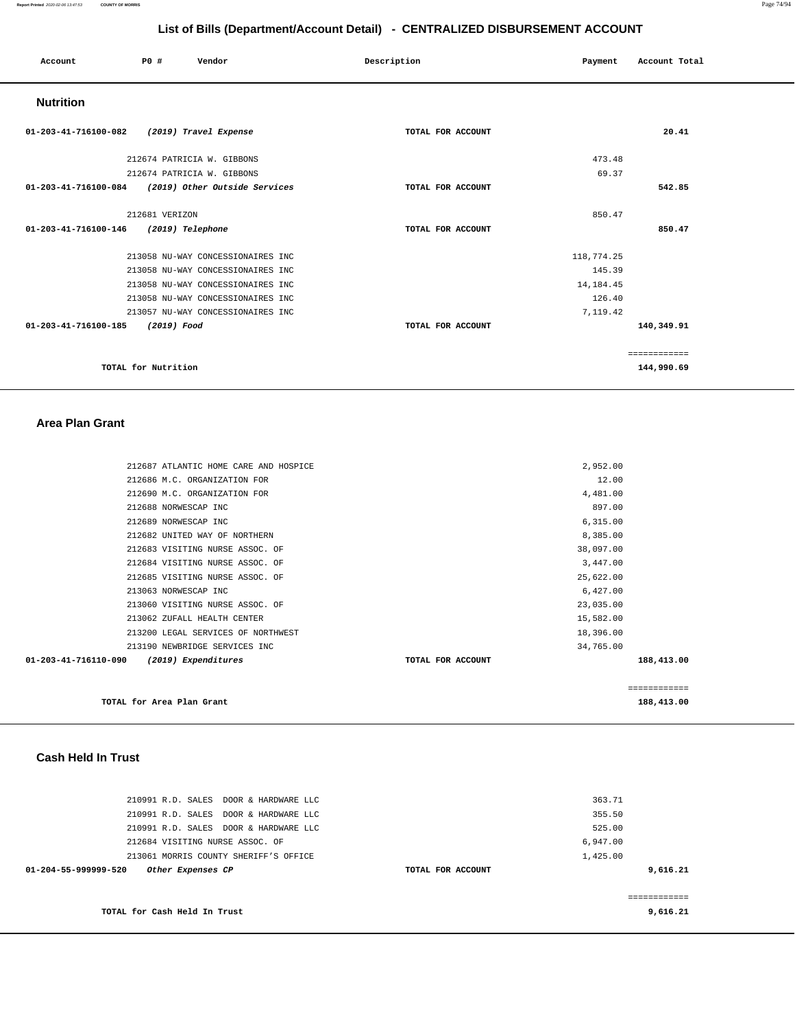#### **Report Printed** 2020-02-06 13:47:53 **COUNTY OF MORRIS** Page 74/94

# **List of Bills (Department/Account Detail) - CENTRALIZED DISBURSEMENT ACCOUNT**

| Account              | P0 #                | Vendor                            | Description       | Payment     | Account Total |
|----------------------|---------------------|-----------------------------------|-------------------|-------------|---------------|
| <b>Nutrition</b>     |                     |                                   |                   |             |               |
| 01-203-41-716100-082 |                     | (2019) Travel Expense             | TOTAL FOR ACCOUNT |             | 20.41         |
|                      |                     | 212674 PATRICIA W. GIBBONS        |                   | 473.48      |               |
|                      |                     | 212674 PATRICIA W. GIBBONS        |                   | 69.37       |               |
| 01-203-41-716100-084 |                     | (2019) Other Outside Services     | TOTAL FOR ACCOUNT |             | 542.85        |
|                      | 212681 VERIZON      |                                   |                   | 850.47      |               |
| 01-203-41-716100-146 |                     | (2019) Telephone                  | TOTAL FOR ACCOUNT |             | 850.47        |
|                      |                     | 213058 NU-WAY CONCESSIONAIRES INC |                   | 118,774.25  |               |
|                      |                     | 213058 NU-WAY CONCESSIONAIRES INC |                   | 145.39      |               |
|                      |                     | 213058 NU-WAY CONCESSIONAIRES INC |                   | 14, 184. 45 |               |
|                      |                     | 213058 NU-WAY CONCESSIONAIRES INC |                   | 126.40      |               |
|                      |                     | 213057 NU-WAY CONCESSIONAIRES INC |                   | 7,119.42    |               |
| 01-203-41-716100-185 | (2019) Food         |                                   | TOTAL FOR ACCOUNT |             | 140,349.91    |
|                      |                     |                                   |                   |             | ============  |
|                      | TOTAL for Nutrition |                                   |                   |             | 144,990.69    |

### **Area Plan Grant**

| 212687 ATLANTIC HOME CARE AND HOSPICE       |                   | 2,952.00  |              |
|---------------------------------------------|-------------------|-----------|--------------|
| 212686 M.C. ORGANIZATION FOR                |                   | 12.00     |              |
| 212690 M.C. ORGANIZATION FOR                |                   | 4,481.00  |              |
| 212688 NORWESCAP INC                        |                   | 897.00    |              |
| 212689 NORWESCAP INC                        |                   | 6,315.00  |              |
| 212682 UNITED WAY OF NORTHERN               |                   | 8,385.00  |              |
| 212683 VISITING NURSE ASSOC. OF             |                   | 38,097.00 |              |
| 212684 VISITING NURSE ASSOC. OF             |                   | 3,447.00  |              |
| 212685 VISITING NURSE ASSOC. OF             |                   | 25,622.00 |              |
| 213063 NORWESCAP INC                        |                   | 6,427.00  |              |
| 213060 VISITING NURSE ASSOC. OF             |                   | 23,035.00 |              |
| 213062 ZUFALL HEALTH CENTER                 |                   | 15,582.00 |              |
| 213200 LEGAL SERVICES OF NORTHWEST          |                   | 18,396.00 |              |
| 213190 NEWBRIDGE SERVICES INC               |                   | 34,765.00 |              |
| 01-203-41-716110-090<br>(2019) Expenditures | TOTAL FOR ACCOUNT |           | 188,413.00   |
|                                             |                   |           | ============ |
| TOTAL for Area Plan Grant                   |                   |           | 188,413.00   |

<u> 1989 - Johann Barbara, martxa alemaniar amerikan personal (h. 1989).</u>

# **Cash Held In Trust**

| 210991 R.D. SALES DOOR & HARDWARE LLC     |                   | 363.71        |
|-------------------------------------------|-------------------|---------------|
| 210991 R.D. SALES DOOR & HARDWARE LLC     |                   | 355.50        |
| 210991 R.D. SALES DOOR & HARDWARE LLC     |                   | 525.00        |
| 212684 VISITING NURSE ASSOC. OF           |                   | 6.947.00      |
| 213061 MORRIS COUNTY SHERIFF'S OFFICE     |                   | 1,425.00      |
| 01-204-55-999999-520<br>Other Expenses CP | TOTAL FOR ACCOUNT | 9,616.21      |
|                                           |                   |               |
|                                           |                   | ------------- |
| TOTAL for Cash Held In Trust              |                   | 9,616.21      |
|                                           |                   |               |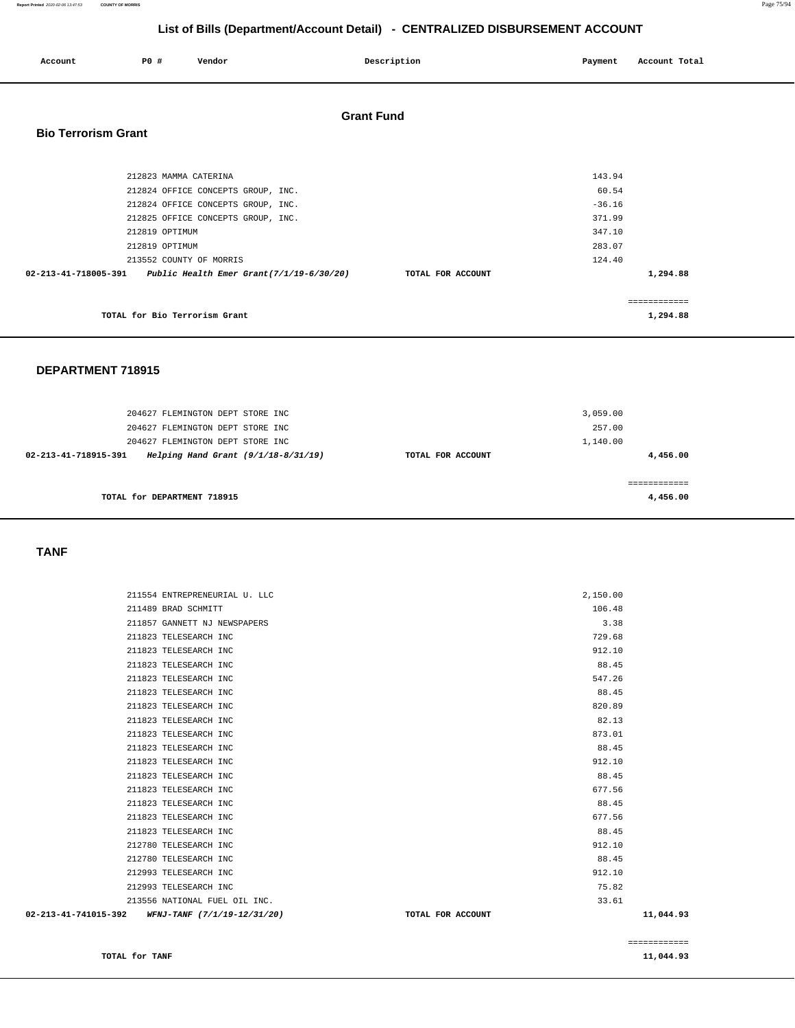**Report Printed** 2020-02-06 13:47:53 **COUNTY OF MORRIS** Page 75/94

# **List of Bills (Department/Account Detail) - CENTRALIZED DISBURSEMENT ACCOUNT**

| Account                    | P0 #           | Vendor                                                        |                   | Description       | Payment |              | Account Total |
|----------------------------|----------------|---------------------------------------------------------------|-------------------|-------------------|---------|--------------|---------------|
| <b>Bio Terrorism Grant</b> |                |                                                               | <b>Grant Fund</b> |                   |         |              |               |
|                            |                |                                                               |                   |                   |         |              |               |
|                            |                | 212823 MAMMA CATERINA                                         |                   |                   |         | 143.94       |               |
|                            |                | 212824 OFFICE CONCEPTS GROUP, INC.                            |                   |                   |         | 60.54        |               |
|                            |                | 212824 OFFICE CONCEPTS GROUP, INC.                            |                   |                   |         | $-36.16$     |               |
|                            |                | 212825 OFFICE CONCEPTS GROUP, INC.                            |                   |                   |         | 371.99       |               |
|                            | 212819 OPTIMUM |                                                               |                   |                   |         | 347.10       |               |
|                            | 212819 OPTIMUM |                                                               |                   |                   |         | 283.07       |               |
|                            |                | 213552 COUNTY OF MORRIS                                       |                   |                   |         | 124.40       |               |
|                            |                | 02-213-41-718005-391 Public Health Emer Grant(7/1/19-6/30/20) |                   | TOTAL FOR ACCOUNT |         | 1,294.88     |               |
|                            |                |                                                               |                   |                   |         | ============ |               |
|                            |                | TOTAL for Bio Terrorism Grant                                 |                   |                   |         | 1,294.88     |               |

#### **DEPARTMENT 718915**

| 204627 FLEMINGTON DEPT STORE INC<br>204627 FLEMINGTON DEPT STORE INC<br>204627 FLEMINGTON DEPT STORE INC |                   | 3,059.00<br>257.00<br>1,140.00 |
|----------------------------------------------------------------------------------------------------------|-------------------|--------------------------------|
| Helping Hand Grant $(9/1/18-8/31/19)$<br>02-213-41-718915-391                                            | TOTAL FOR ACCOUNT | 4,456.00                       |
| TOTAL for DEPARTMENT 718915                                                                              |                   | ==========<br>4,456.00         |

### **TANF**

| $02 - 213 - 41 - 741015 - 392$ WFNJ-TANF $(7/1/19 - 12/31/20)$ | TOTAL FOR ACCOUNT | 11,044.93 |
|----------------------------------------------------------------|-------------------|-----------|
| 213556 NATIONAL FUEL OIL INC.                                  | 33.61             |           |
| 212993 TELESEARCH INC                                          | 75.82             |           |
| 212993 TELESEARCH INC                                          | 912.10            |           |
| 212780 TELESEARCH INC                                          | 88.45             |           |
| 212780 TELESEARCH INC                                          | 912.10            |           |
| 211823 TELESEARCH INC                                          | 88.45             |           |
| 211823 TELESEARCH INC                                          | 677.56            |           |
| 211823 TELESEARCH INC                                          | 88.45             |           |
| 211823 TELESEARCH INC                                          | 677.56            |           |
| 211823 TELESEARCH INC                                          | 88.45             |           |
| 211823 TELESEARCH INC                                          | 912.10            |           |
| 211823 TELESEARCH INC                                          | 88.45             |           |
| 211823 TELESEARCH INC                                          | 873.01            |           |
| 211823 TELESEARCH INC                                          | 82.13             |           |
| 211823 TELESEARCH INC                                          | 820.89            |           |
| 211823 TELESEARCH INC                                          | 88.45             |           |
| 211823 TELESEARCH INC                                          | 547.26            |           |
| 211823 TELESEARCH INC                                          | 88.45             |           |
| 211823 TELESEARCH INC                                          | 912.10            |           |
| 211823 TELESEARCH INC                                          | 729.68            |           |
| 211857 GANNETT NJ NEWSPAPERS                                   | 3.38              |           |
| 211489 BRAD SCHMITT                                            | 106.48            |           |
| 211554 ENTREPRENEURIAL U. LLC                                  | 2,150.00          |           |
|                                                                |                   |           |

**TOTAL for TANF** 11,044.93

============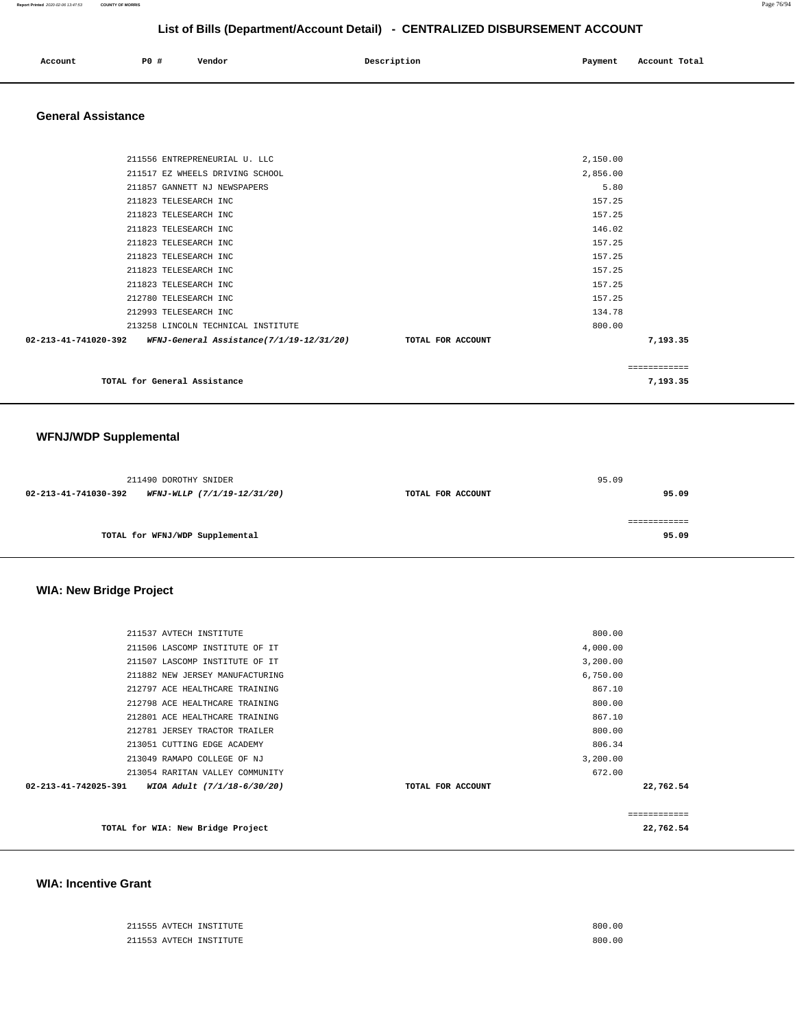| Account | <b>PO #</b> | Vendor | Description | Payment | Account Total |
|---------|-------------|--------|-------------|---------|---------------|
|         |             |        |             |         |               |

# **General Assistance**

| 213258 LINCOLN TECHNICAL INSTITUTE<br>$02 - 213 - 41 - 741020 - 392$<br>$WFMJ$ -General Assistance(7/1/19-12/31/20) TOTAL FOR ACCOUNT | 800.00<br>7,193.35 |                                 |
|---------------------------------------------------------------------------------------------------------------------------------------|--------------------|---------------------------------|
|                                                                                                                                       |                    |                                 |
|                                                                                                                                       |                    |                                 |
|                                                                                                                                       |                    |                                 |
| 212780 TELESEARCH INC                                                                                                                 | 157.25             |                                 |
| 211823 TELESEARCH INC                                                                                                                 | 157.25             |                                 |
| 211823 TELESEARCH INC                                                                                                                 | 157.25             |                                 |
| 211823 TELESEARCH INC                                                                                                                 | 157.25             |                                 |
| 211823 TELESEARCH INC                                                                                                                 | 157.25             |                                 |
| 211823 TELESEARCH INC                                                                                                                 | 146.02             |                                 |
| 211823 TELESEARCH INC                                                                                                                 | 157.25             |                                 |
| 211823 TELESEARCH INC                                                                                                                 | 157.25             |                                 |
| 211857 GANNETT NJ NEWSPAPERS                                                                                                          | 5.80               |                                 |
| 211517 EZ WHEELS DRIVING SCHOOL                                                                                                       | 2,856.00           |                                 |
| 211556 ENTREPRENEURIAL U. LLC                                                                                                         | 2,150.00           |                                 |
|                                                                                                                                       |                    | 134.78<br>212993 TELESEARCH INC |

**WFNJ/WDP Supplemental** 

| 211490 DOROTHY SNIDER                               |                   | 95.09 |
|-----------------------------------------------------|-------------------|-------|
| WFNJ-WLLP (7/1/19-12/31/20)<br>02-213-41-741030-392 | TOTAL FOR ACCOUNT | 95.09 |
|                                                     |                   |       |
|                                                     |                   |       |
| TOTAL for WFNJ/WDP Supplemental                     |                   | 95.09 |

# **WIA: New Bridge Project**

|                                | TOTAL for WIA: New Bridge Project |                   |          | ============<br>22,762.54 |
|--------------------------------|-----------------------------------|-------------------|----------|---------------------------|
| $02 - 213 - 41 - 742025 - 391$ | WIOA Adult (7/1/18-6/30/20)       | TOTAL FOR ACCOUNT |          | 22,762.54                 |
|                                | 213054 RARITAN VALLEY COMMUNITY   |                   | 672.00   |                           |
|                                | 213049 RAMAPO COLLEGE OF NJ       |                   | 3,200.00 |                           |
|                                | 213051 CUTTING EDGE ACADEMY       |                   | 806.34   |                           |
|                                | 212781 JERSEY TRACTOR TRAILER     |                   | 800.00   |                           |
|                                | 212801 ACE HEALTHCARE TRAINING    |                   | 867.10   |                           |
|                                | 212798 ACE HEALTHCARE TRAINING    |                   | 800.00   |                           |
|                                | 212797 ACE HEALTHCARE TRAINING    |                   | 867.10   |                           |
|                                | 211882 NEW JERSEY MANUFACTURING   |                   | 6,750.00 |                           |
|                                | 211507 LASCOMP INSTITUTE OF IT    |                   | 3,200.00 |                           |
|                                | 211506 LASCOMP INSTITUTE OF IT    |                   | 4,000.00 |                           |
|                                | 211537 AVTECH INSTITUTE           |                   | 800.00   |                           |
|                                |                                   |                   |          |                           |

**WIA: Incentive Grant** 

| 211555 AVTECH INSTITUTE | 800.00 |
|-------------------------|--------|
| 211553 AVTECH INSTITUTE | 800.00 |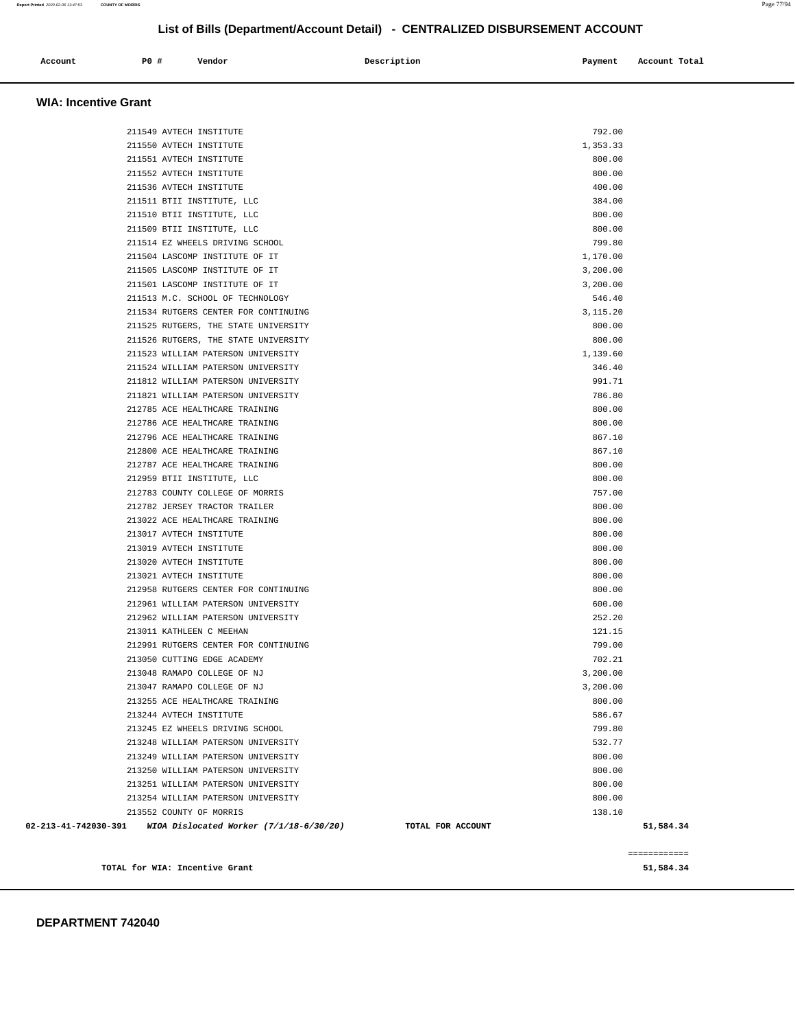| Account<br>. | <b>PO #</b> | Vendor | Description | Payment<br>$\sim$ $\sim$ | Account Total |
|--------------|-------------|--------|-------------|--------------------------|---------------|
|              |             |        |             |                          |               |

#### **WIA: Incentive Grant**

| 211549 AVTECH INSTITUTE                                         |                   | 792.00   |              |
|-----------------------------------------------------------------|-------------------|----------|--------------|
| 211550 AVTECH INSTITUTE                                         |                   | 1,353.33 |              |
| 211551 AVTECH INSTITUTE                                         |                   | 800.00   |              |
| 211552 AVTECH INSTITUTE                                         |                   | 800.00   |              |
| 211536 AVTECH INSTITUTE                                         |                   | 400.00   |              |
| 211511 BTII INSTITUTE, LLC                                      |                   | 384.00   |              |
| 211510 BTII INSTITUTE, LLC                                      |                   | 800.00   |              |
| 211509 BTII INSTITUTE, LLC                                      |                   | 800.00   |              |
| 211514 EZ WHEELS DRIVING SCHOOL                                 |                   | 799.80   |              |
| 211504 LASCOMP INSTITUTE OF IT                                  |                   | 1,170.00 |              |
| 211505 LASCOMP INSTITUTE OF IT                                  |                   | 3,200.00 |              |
| 211501 LASCOMP INSTITUTE OF IT                                  |                   | 3,200.00 |              |
| 211513 M.C. SCHOOL OF TECHNOLOGY                                |                   | 546.40   |              |
| 211534 RUTGERS CENTER FOR CONTINUING                            |                   | 3,115.20 |              |
| 211525 RUTGERS, THE STATE UNIVERSITY                            |                   | 800.00   |              |
| 211526 RUTGERS, THE STATE UNIVERSITY                            |                   | 800.00   |              |
| 211523 WILLIAM PATERSON UNIVERSITY                              |                   | 1,139.60 |              |
| 211524 WILLIAM PATERSON UNIVERSITY                              |                   | 346.40   |              |
| 211812 WILLIAM PATERSON UNIVERSITY                              |                   | 991.71   |              |
| 211821 WILLIAM PATERSON UNIVERSITY                              |                   | 786.80   |              |
| 212785 ACE HEALTHCARE TRAINING                                  |                   | 800.00   |              |
| 212786 ACE HEALTHCARE TRAINING                                  |                   | 800.00   |              |
| 212796 ACE HEALTHCARE TRAINING                                  |                   | 867.10   |              |
| 212800 ACE HEALTHCARE TRAINING                                  |                   | 867.10   |              |
| 212787 ACE HEALTHCARE TRAINING                                  |                   | 800.00   |              |
| 212959 BTII INSTITUTE, LLC                                      |                   | 800.00   |              |
| 212783 COUNTY COLLEGE OF MORRIS                                 |                   | 757.00   |              |
| 212782 JERSEY TRACTOR TRAILER                                   |                   | 800.00   |              |
| 213022 ACE HEALTHCARE TRAINING                                  |                   | 800.00   |              |
| 213017 AVTECH INSTITUTE                                         |                   | 800.00   |              |
| 213019 AVTECH INSTITUTE                                         |                   | 800.00   |              |
| 213020 AVTECH INSTITUTE                                         |                   | 800.00   |              |
| 213021 AVTECH INSTITUTE                                         |                   | 800.00   |              |
| 212958 RUTGERS CENTER FOR CONTINUING                            |                   | 800.00   |              |
| 212961 WILLIAM PATERSON UNIVERSITY                              |                   | 600.00   |              |
| 212962 WILLIAM PATERSON UNIVERSITY                              |                   | 252.20   |              |
| 213011 KATHLEEN C MEEHAN                                        |                   | 121.15   |              |
| 212991 RUTGERS CENTER FOR CONTINUING                            |                   | 799.00   |              |
| 213050 CUTTING EDGE ACADEMY                                     |                   | 702.21   |              |
| 213048 RAMAPO COLLEGE OF NJ                                     |                   | 3,200.00 |              |
| 213047 RAMAPO COLLEGE OF NJ                                     |                   | 3,200.00 |              |
| 213255 ACE HEALTHCARE TRAINING                                  |                   | 800.00   |              |
| 213244 AVTECH INSTITUTE                                         |                   | 586.67   |              |
| 213245 EZ WHEELS DRIVING SCHOOL                                 |                   | 799.80   |              |
| 213248 WILLIAM PATERSON UNIVERSITY                              |                   | 532.77   |              |
| 213249 WILLIAM PATERSON UNIVERSITY                              |                   | 800.00   |              |
| 213250 WILLIAM PATERSON UNIVERSITY                              |                   | 800.00   |              |
| 213251 WILLIAM PATERSON UNIVERSITY                              |                   | 800.00   |              |
| 213254 WILLIAM PATERSON UNIVERSITY                              |                   | 800.00   |              |
| 213552 COUNTY OF MORRIS                                         |                   | 138.10   |              |
| 02-213-41-742030-391<br>WIOA Dislocated Worker (7/1/18-6/30/20) | TOTAL FOR ACCOUNT |          | 51,584.34    |
|                                                                 |                   |          |              |
|                                                                 |                   |          | ============ |
| TOTAL for WIA: Incentive Grant                                  |                   |          | 51,584.34    |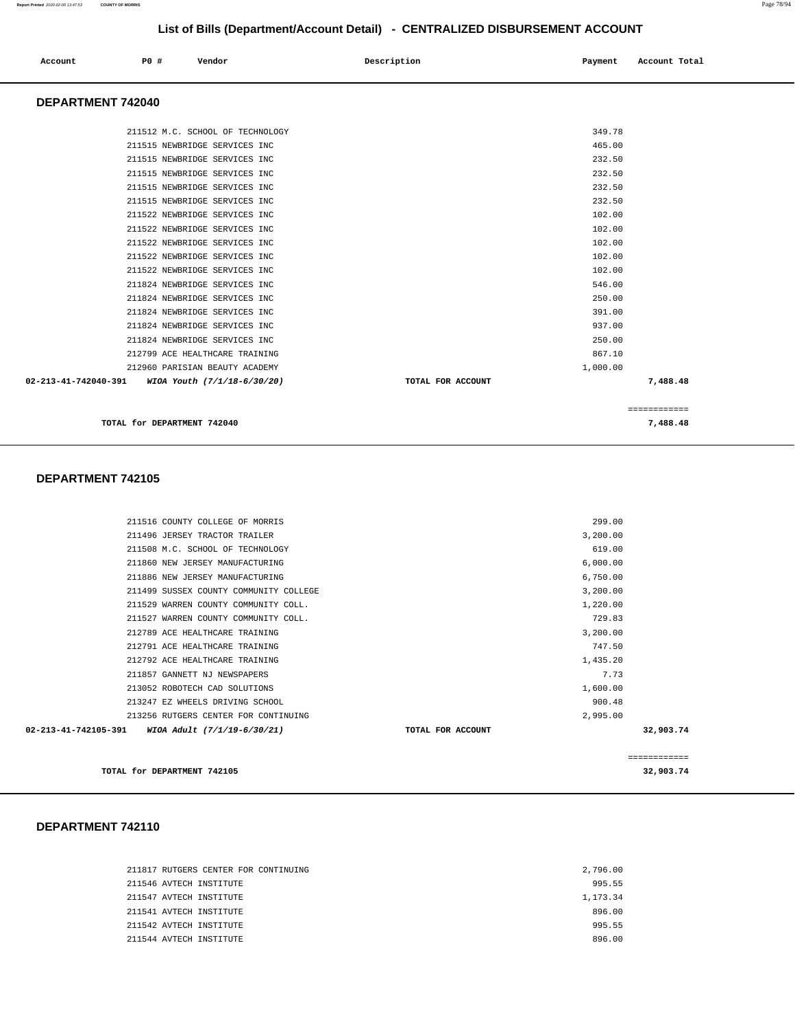| Account | P0 # | Vendor | Description | Payment | Account Total |
|---------|------|--------|-------------|---------|---------------|
|         |      |        |             |         |               |

#### **DEPARTMENT 742040**

| 211512 M.C. SCHOOL OF TECHNOLOGY                 |                   | 349.78       |
|--------------------------------------------------|-------------------|--------------|
| 211515 NEWBRIDGE SERVICES INC                    |                   | 465.00       |
| 211515 NEWBRIDGE SERVICES INC                    |                   | 232.50       |
| 211515 NEWBRIDGE SERVICES INC                    |                   | 232.50       |
| 211515 NEWBRIDGE SERVICES INC                    |                   | 232.50       |
| 211515 NEWBRIDGE SERVICES INC                    |                   | 232.50       |
| 211522 NEWBRIDGE SERVICES INC                    |                   | 102.00       |
| 211522 NEWBRIDGE SERVICES INC                    |                   | 102.00       |
| 211522 NEWBRIDGE SERVICES INC                    |                   | 102.00       |
| 211522 NEWBRIDGE SERVICES INC                    |                   | 102.00       |
| 211522 NEWBRIDGE SERVICES INC                    |                   | 102.00       |
| 211824 NEWBRIDGE SERVICES INC                    |                   | 546.00       |
| 211824 NEWBRIDGE SERVICES INC                    |                   | 250.00       |
| 211824 NEWBRIDGE SERVICES INC                    |                   | 391.00       |
| 211824 NEWBRIDGE SERVICES INC                    |                   | 937.00       |
| 211824 NEWBRIDGE SERVICES INC                    |                   | 250.00       |
| 212799 ACE HEALTHCARE TRAINING                   |                   | 867.10       |
| 212960 PARISIAN BEAUTY ACADEMY                   |                   | 1,000.00     |
| 02-213-41-742040-391 WIOA Youth (7/1/18-6/30/20) | TOTAL FOR ACCOUNT | 7,488.48     |
|                                                  |                   |              |
|                                                  |                   | ============ |

**TOTAL for DEPARTMENT 742040 7,488.48** 

**DEPARTMENT 742105** 

| TOTAL for DEPARTMENT 742105                         |                   |          | 32,903.74    |
|-----------------------------------------------------|-------------------|----------|--------------|
|                                                     |                   |          | ============ |
| 02-213-41-742105-391<br>WIOA Adult (7/1/19-6/30/21) | TOTAL FOR ACCOUNT |          | 32,903.74    |
| 213256 RUTGERS CENTER FOR CONTINUING                |                   | 2,995,00 |              |
| 213247 EZ WHEELS DRIVING SCHOOL                     |                   | 900.48   |              |
| 213052 ROBOTECH CAD SOLUTIONS                       |                   | 1,600.00 |              |
| 211857 GANNETT NJ NEWSPAPERS                        |                   | 7.73     |              |
| 212792 ACE HEALTHCARE TRAINING                      |                   | 1,435.20 |              |
| 212791 ACE HEALTHCARE TRAINING                      |                   | 747.50   |              |
| 212789 ACE HEALTHCARE TRAINING                      |                   | 3,200.00 |              |
| 211527 WARREN COUNTY COMMUNITY COLL.                |                   | 729.83   |              |
| 211529 WARREN COUNTY COMMUNITY COLL.                |                   | 1,220.00 |              |
| 211499 SUSSEX COUNTY COMMUNITY COLLEGE              |                   | 3,200.00 |              |
| 211886 NEW JERSEY MANUFACTURING                     |                   | 6,750.00 |              |
| 211860 NEW JERSEY MANUFACTURING                     |                   | 6,000.00 |              |
| 211508 M.C. SCHOOL OF TECHNOLOGY                    |                   | 619.00   |              |
| 211496 JERSEY TRACTOR TRAILER                       |                   | 3,200.00 |              |
| 211516 COUNTY COLLEGE OF MORRIS                     |                   | 299.00   |              |
|                                                     |                   |          |              |

|  | 211817 RUTGERS CENTER FOR CONTINUING | 2,796.00 |
|--|--------------------------------------|----------|
|  | 211546 AVTECH INSTITUTE              | 995.55   |
|  | 211547 AVTECH INSTITUTE              | 1,173.34 |
|  | 211541 AVTECH INSTITUTE              | 896.00   |
|  | 211542 AVTECH INSTITUTE              | 995.55   |
|  | 211544 AVTECH INSTITUTE              | 896.00   |
|  |                                      |          |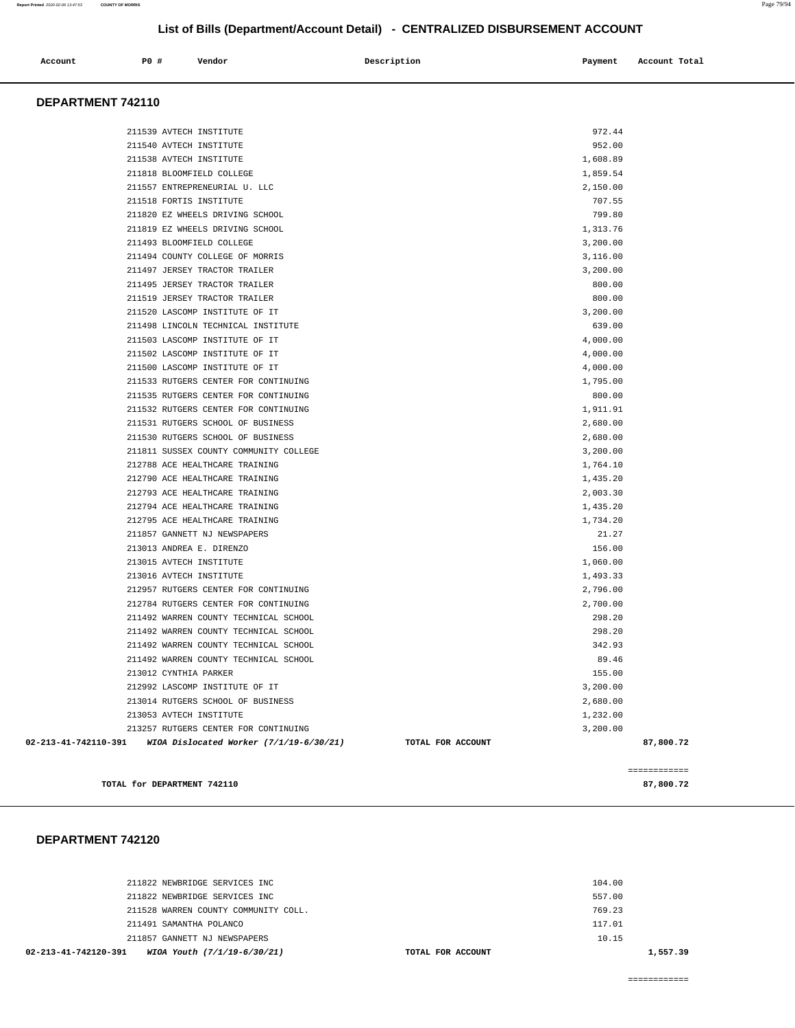| Account | PO# | Vendor | Description | Payment | Account Total |
|---------|-----|--------|-------------|---------|---------------|
|         |     |        |             |         |               |

### **DEPARTMENT 742110**

| TOTAL for DEPARTMENT 742110                                  |                   | 87,800.72    |  |
|--------------------------------------------------------------|-------------------|--------------|--|
|                                                              |                   | ------------ |  |
|                                                              |                   |              |  |
| 02-213-41-742110-391 WIOA Dislocated Worker (7/1/19-6/30/21) | TOTAL FOR ACCOUNT | 87,800.72    |  |
| 213257 RUTGERS CENTER FOR CONTINUING                         |                   | 3,200.00     |  |
| 213053 AVTECH INSTITUTE                                      |                   | 1,232.00     |  |
| 213014 RUTGERS SCHOOL OF BUSINESS                            |                   | 2,680.00     |  |
| 212992 LASCOMP INSTITUTE OF IT                               |                   | 3,200.00     |  |
| 213012 CYNTHIA PARKER                                        |                   | 155.00       |  |
| 211492 WARREN COUNTY TECHNICAL SCHOOL                        |                   | 89.46        |  |
| 211492 WARREN COUNTY TECHNICAL SCHOOL                        |                   | 342.93       |  |
| 211492 WARREN COUNTY TECHNICAL SCHOOL                        |                   | 298.20       |  |
| 211492 WARREN COUNTY TECHNICAL SCHOOL                        |                   | 298.20       |  |
| 212784 RUTGERS CENTER FOR CONTINUING                         |                   | 2,700.00     |  |
| 212957 RUTGERS CENTER FOR CONTINUING                         |                   | 2,796.00     |  |
| 213016 AVTECH INSTITUTE                                      |                   | 1,493.33     |  |
| 213015 AVTECH INSTITUTE                                      |                   | 1,060.00     |  |
| 213013 ANDREA E. DIRENZO                                     |                   | 156.00       |  |
| 211857 GANNETT NJ NEWSPAPERS                                 |                   | 21.27        |  |
| 212795 ACE HEALTHCARE TRAINING                               |                   | 1,734.20     |  |
| 212794 ACE HEALTHCARE TRAINING                               |                   | 1,435.20     |  |
| 212793 ACE HEALTHCARE TRAINING                               |                   | 2,003.30     |  |
| 212790 ACE HEALTHCARE TRAINING                               |                   | 1,435.20     |  |
| 212788 ACE HEALTHCARE TRAINING                               |                   | 1,764.10     |  |
| 211811 SUSSEX COUNTY COMMUNITY COLLEGE                       |                   | 3,200.00     |  |
| 211530 RUTGERS SCHOOL OF BUSINESS                            |                   | 2,680.00     |  |
| 211531 RUTGERS SCHOOL OF BUSINESS                            |                   | 2,680.00     |  |
| 211532 RUTGERS CENTER FOR CONTINUING                         |                   | 1,911.91     |  |
| 211535 RUTGERS CENTER FOR CONTINUING                         |                   | 800.00       |  |
| 211533 RUTGERS CENTER FOR CONTINUING                         |                   | 1,795.00     |  |
| 211500 LASCOMP INSTITUTE OF IT                               |                   | 4,000.00     |  |
| 211502 LASCOMP INSTITUTE OF IT                               |                   | 4,000.00     |  |
| 211503 LASCOMP INSTITUTE OF IT                               |                   | 4,000.00     |  |
| 211498 LINCOLN TECHNICAL INSTITUTE                           |                   | 639.00       |  |
| 211520 LASCOMP INSTITUTE OF IT                               |                   | 3,200.00     |  |
| 211519 JERSEY TRACTOR TRAILER                                |                   | 800.00       |  |
| 211495 JERSEY TRACTOR TRAILER                                |                   | 800.00       |  |
| 211497 JERSEY TRACTOR TRAILER                                |                   | 3,200.00     |  |
| 211494 COUNTY COLLEGE OF MORRIS                              |                   | 3,116.00     |  |
| 211493 BLOOMFIELD COLLEGE                                    |                   | 3,200.00     |  |
| 211819 EZ WHEELS DRIVING SCHOOL                              |                   | 1,313.76     |  |
| 211820 EZ WHEELS DRIVING SCHOOL                              |                   | 799.80       |  |
| 211518 FORTIS INSTITUTE                                      |                   | 707.55       |  |
| 211557 ENTREPRENEURIAL U. LLC                                |                   | 2,150.00     |  |
| 211818 BLOOMFIELD COLLEGE                                    |                   | 1,859.54     |  |
| 211538 AVTECH INSTITUTE                                      |                   | 1,608.89     |  |
| 211540 AVTECH INSTITUTE                                      |                   | 952.00       |  |
| 211539 AVTECH INSTITUTE                                      |                   | 972.44       |  |
|                                                              |                   |              |  |

#### **DEPARTMENT 742120**

| WIOA Youth (7/1/19-6/30/21)<br>02-213-41-742120-391 | TOTAL FOR ACCOUNT | 1,557.39 |  |
|-----------------------------------------------------|-------------------|----------|--|
| 211857 GANNETT NJ NEWSPAPERS                        |                   | 10.15    |  |
| 211491 SAMANTHA POLANCO                             |                   | 117.01   |  |
| 211528 WARREN COUNTY COMMUNITY COLL.                |                   | 769.23   |  |
| 211822 NEWBRIDGE SERVICES INC                       |                   | 557.00   |  |
| 211822 NEWBRIDGE SERVICES INC                       |                   | 104.00   |  |
|                                                     |                   |          |  |

============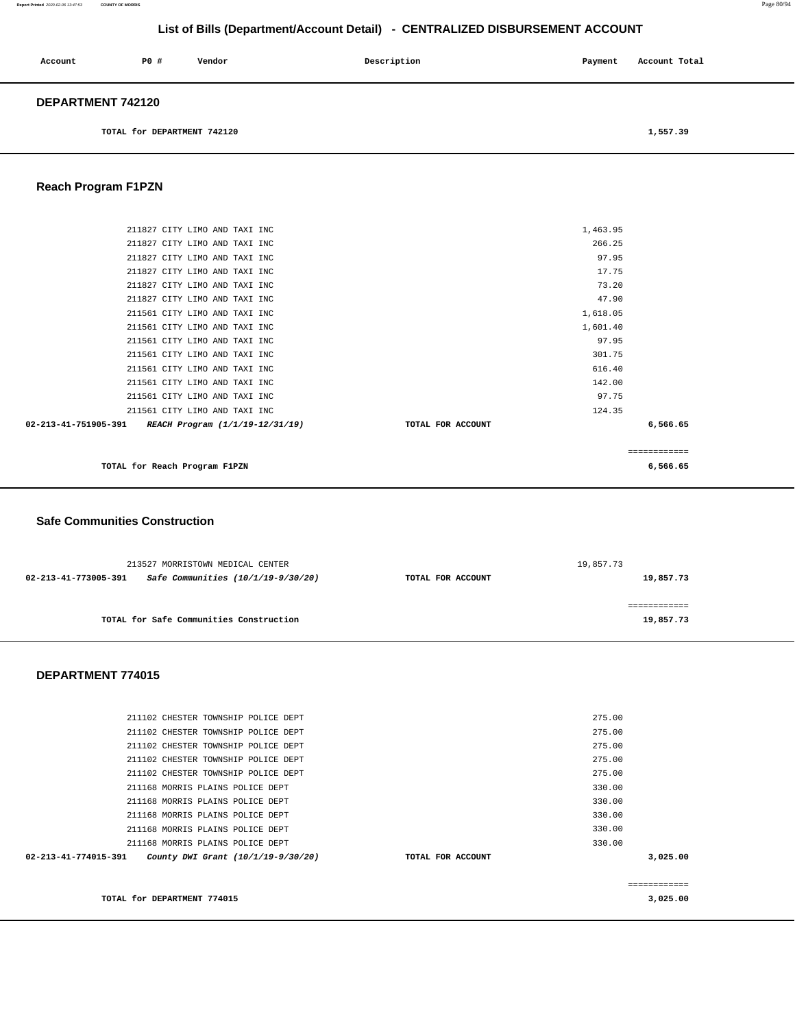**Report Printed** 2020-02-06 13:47:53 **COUNTY OF MORRIS** Page 80/94

# **List of Bills (Department/Account Detail) - CENTRALIZED DISBURSEMENT ACCOUNT**

| Account                  | P0 #                        | Vendor | Description | Payment | Account Total |  |
|--------------------------|-----------------------------|--------|-------------|---------|---------------|--|
| <b>DEPARTMENT 742120</b> |                             |        |             |         |               |  |
|                          | TOTAL for DEPARTMENT 742120 |        |             |         | 1,557.39      |  |

<u> 1980 - Johann Stoff, deutscher Stoff, der Stoff, der Stoff, der Stoff, der Stoff, der Stoff, der Stoff, der S</u>

# **Reach Program F1PZN**

| TOTAL for Reach Program F1PZN                        |                   | 6,566.65      |
|------------------------------------------------------|-------------------|---------------|
|                                                      |                   | ------------- |
| 02-213-41-751905-391 REACH Program (1/1/19-12/31/19) | TOTAL FOR ACCOUNT | 6,566.65      |
| 211561 CITY LIMO AND TAXI INC                        | 124.35            |               |
| 211561 CITY LIMO AND TAXI INC                        | 97.75             |               |
| 211561 CITY LIMO AND TAXI INC                        | 142.00            |               |
| 211561 CITY LIMO AND TAXI INC                        | 616.40            |               |
| 211561 CITY LIMO AND TAXI INC                        | 301.75            |               |
| 211561 CITY LIMO AND TAXI INC                        | 97.95             |               |
| 211561 CITY LIMO AND TAXI INC                        | 1,601.40          |               |
| 211561 CITY LIMO AND TAXI INC                        | 1,618.05          |               |
| 211827 CITY LIMO AND TAXI INC                        | 47.90             |               |
| 211827 CITY LIMO AND TAXI INC                        | 73.20             |               |
| 211827 CITY LIMO AND TAXI INC                        | 17.75             |               |
| 211827 CITY LIMO AND TAXI INC                        | 97.95             |               |
| 211827 CITY LIMO AND TAXI INC                        | 266.25            |               |
| 211827 CITY LIMO AND TAXI INC                        | 1,463.95          |               |
|                                                      |                   |               |

### **Safe Communities Construction**

| 213527 MORRISTOWN MEDICAL CENTER                           |                   | 19,857.73 |
|------------------------------------------------------------|-------------------|-----------|
| Safe Communities (10/1/19-9/30/20)<br>02-213-41-773005-391 | TOTAL FOR ACCOUNT | 19,857.73 |
|                                                            |                   |           |
|                                                            |                   |           |
| TOTAL for Safe Communities Construction                    |                   | 19,857.73 |
|                                                            |                   |           |

|                   | 275.00       |
|-------------------|--------------|
|                   | 275.00       |
|                   | 275.00       |
|                   | 275.00       |
|                   | 275.00       |
|                   | 330.00       |
|                   | 330.00       |
|                   | 330.00       |
|                   | 330.00       |
|                   | 330.00       |
| TOTAL FOR ACCOUNT | 3,025.00     |
|                   |              |
|                   | ============ |
|                   | 3,025,00     |
|                   |              |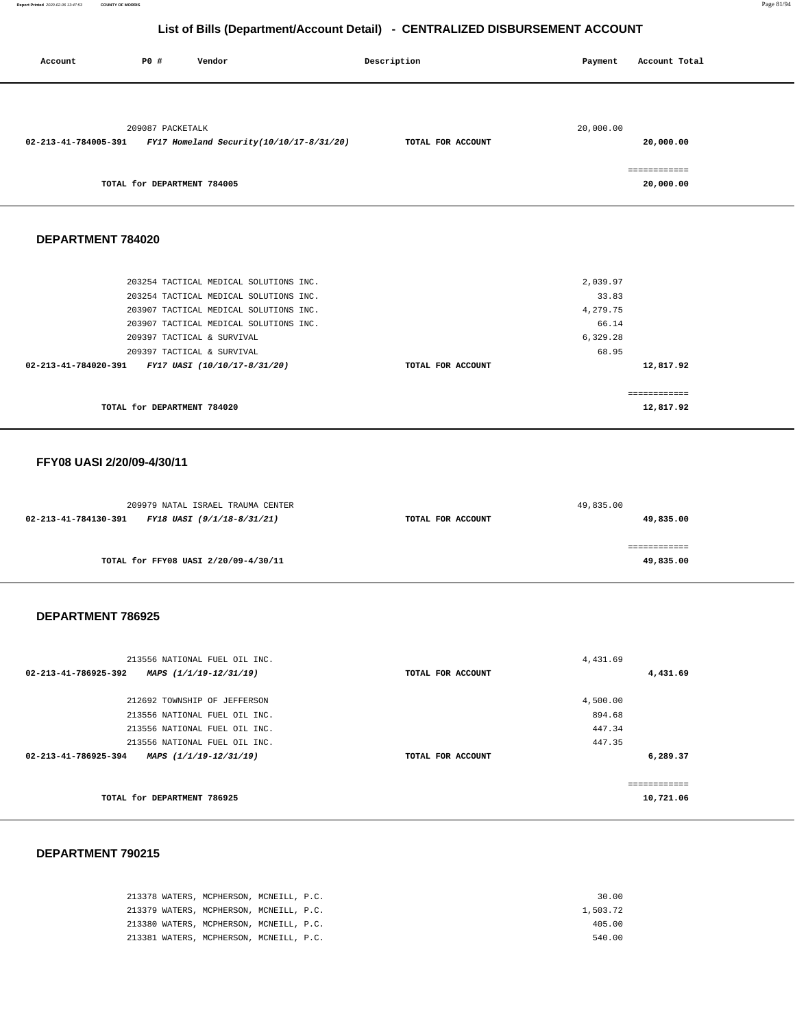**Report Printed** 2020-02-06 13:47:53 **COUNTY OF MORRIS** Page 81/94

**12,817.92** 

# **List of Bills (Department/Account Detail) - CENTRALIZED DISBURSEMENT ACCOUNT**

| Account              | PO#                         | Vendor                                   | Description       | Payment   | Account Total             |
|----------------------|-----------------------------|------------------------------------------|-------------------|-----------|---------------------------|
| 02-213-41-784005-391 | 209087 PACKETALK            | FY17 Homeland Security(10/10/17-8/31/20) | TOTAL FOR ACCOUNT | 20,000.00 | 20,000.00                 |
|                      | TOTAL for DEPARTMENT 784005 |                                          |                   |           | ============<br>20,000.00 |
| DEPARTMENT 784020    |                             |                                          |                   |           |                           |
|                      |                             | 203254 TACTICAL MEDICAL SOLUTIONS INC.   |                   | 2,039.97  |                           |
|                      |                             | 203254 TACTICAL MEDICAL SOLUTIONS INC.   |                   | 33.83     |                           |
|                      |                             | 203907 TACTICAL MEDICAL SOLUTIONS INC.   |                   | 4,279.75  |                           |
|                      |                             | 203907 TACTICAL MEDICAL SOLUTIONS INC.   |                   | 66.14     |                           |
|                      |                             | 209397 TACTICAL & SURVIVAL               |                   | 6,329.28  |                           |
|                      |                             | 209397 TACTICAL & SURVIVAL               |                   | 68.95     |                           |
| 02-213-41-784020-391 |                             | FY17 UASI (10/10/17-8/31/20)             | TOTAL FOR ACCOUNT |           | 12,817.92                 |
|                      |                             |                                          |                   |           | ============              |

**TOTAL for DEPARTMENT 784020** 

### **FFY08 UASI 2/20/09-4/30/11**

| 209979 NATAL ISRAEL TRAUMA CENTER                  |                   | 49,835.00 |
|----------------------------------------------------|-------------------|-----------|
| 02-213-41-784130-391<br>FY18 UASI (9/1/18-8/31/21) | TOTAL FOR ACCOUNT | 49,835.00 |
|                                                    |                   |           |
|                                                    |                   |           |
| TOTAL for FFY08 UASI 2/20/09-4/30/11               |                   | 49,835.00 |
|                                                    |                   |           |

#### **DEPARTMENT 786925**

| 213556 NATIONAL FUEL OIL INC.                  |                   | 4,431.69      |
|------------------------------------------------|-------------------|---------------|
| 02-213-41-786925-392<br>MAPS (1/1/19-12/31/19) | TOTAL FOR ACCOUNT | 4,431.69      |
| 212692 TOWNSHIP OF JEFFERSON                   |                   | 4,500.00      |
| 213556 NATIONAL FUEL OIL INC.                  |                   | 894.68        |
| 213556 NATIONAL FUEL OIL INC.                  |                   | 447.34        |
| 213556 NATIONAL FUEL OIL INC.                  |                   | 447.35        |
| 02-213-41-786925-394<br>MAPS (1/1/19-12/31/19) | TOTAL FOR ACCOUNT | 6,289.37      |
|                                                |                   | ------------- |
| TOTAL for DEPARTMENT 786925                    |                   | 10,721.06     |

|  | 213378 WATERS, MCPHERSON, MCNEILL, P.C. |  | 30.00    |
|--|-----------------------------------------|--|----------|
|  | 213379 WATERS, MCPHERSON, MCNEILL, P.C. |  | 1,503.72 |
|  | 213380 WATERS, MCPHERSON, MCNEILL, P.C. |  | 405.00   |
|  | 213381 WATERS, MCPHERSON, MCNEILL, P.C. |  | 540.00   |
|  |                                         |  |          |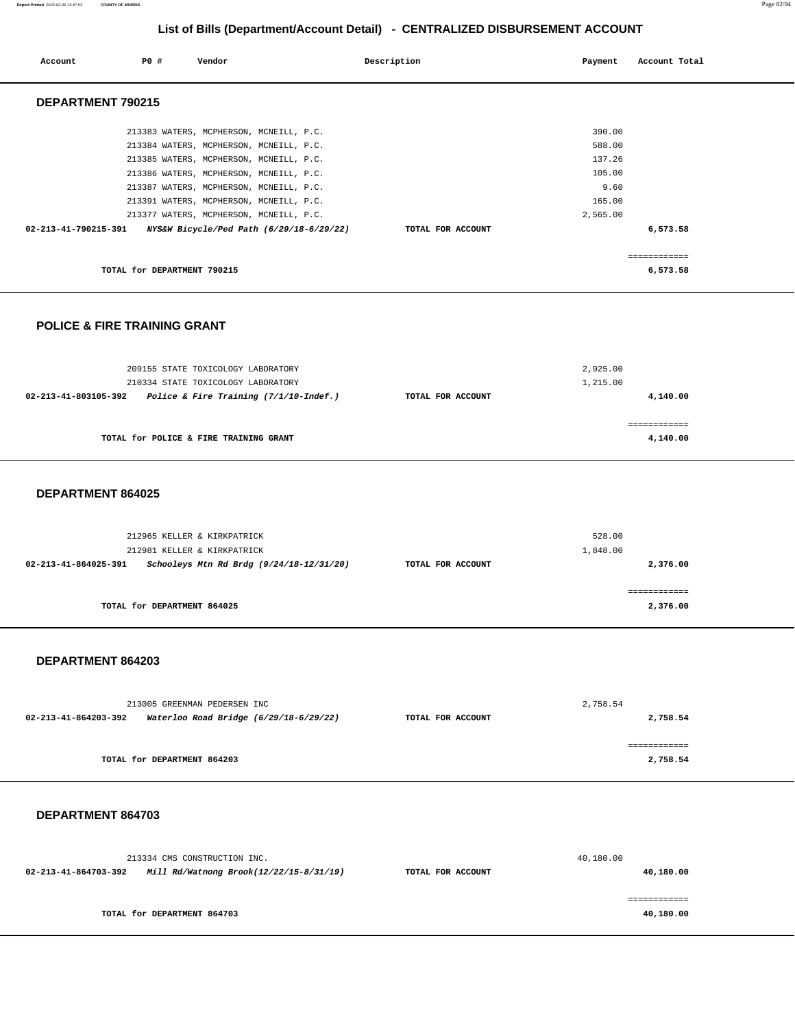#### **Report Printed** 2020-02-06 13:47:53 **COUNTY OF MORRIS** Page 82/94

# **List of Bills (Department/Account Detail) - CENTRALIZED DISBURSEMENT ACCOUNT**

| Account                                 | P0 #                        | Vendor                                   | Description       | Payment   | Account Total |
|-----------------------------------------|-----------------------------|------------------------------------------|-------------------|-----------|---------------|
|                                         |                             |                                          |                   |           |               |
|                                         |                             |                                          |                   |           |               |
| DEPARTMENT 790215                       |                             |                                          |                   |           |               |
|                                         |                             |                                          |                   |           |               |
|                                         |                             | 213383 WATERS, MCPHERSON, MCNEILL, P.C.  |                   | 390.00    |               |
|                                         |                             | 213384 WATERS, MCPHERSON, MCNEILL, P.C.  |                   | 588.00    |               |
|                                         |                             | 213385 WATERS, MCPHERSON, MCNEILL, P.C.  |                   | 137.26    |               |
|                                         |                             | 213386 WATERS, MCPHERSON, MCNEILL, P.C.  |                   | 105.00    |               |
|                                         |                             | 213387 WATERS, MCPHERSON, MCNEILL, P.C.  |                   | 9.60      |               |
|                                         |                             | 213391 WATERS, MCPHERSON, MCNEILL, P.C.  |                   | 165.00    |               |
|                                         |                             | 213377 WATERS, MCPHERSON, MCNEILL, P.C.  |                   | 2,565.00  |               |
| 02-213-41-790215-391                    |                             | NYS&W Bicycle/Ped Path (6/29/18-6/29/22) | TOTAL FOR ACCOUNT |           | 6,573.58      |
|                                         |                             |                                          |                   |           |               |
|                                         |                             |                                          |                   |           | ============  |
|                                         | TOTAL for DEPARTMENT 790215 |                                          |                   |           | 6,573.58      |
|                                         |                             |                                          |                   |           |               |
|                                         |                             |                                          |                   |           |               |
|                                         |                             |                                          |                   |           |               |
| <b>POLICE &amp; FIRE TRAINING GRANT</b> |                             |                                          |                   |           |               |
|                                         |                             |                                          |                   |           |               |
|                                         |                             |                                          |                   |           |               |
|                                         |                             | 209155 STATE TOXICOLOGY LABORATORY       |                   | 2,925.00  |               |
|                                         |                             | 210334 STATE TOXICOLOGY LABORATORY       |                   | 1,215.00  |               |
| 02-213-41-803105-392                    |                             | Police & Fire Training (7/1/10-Indef.)   | TOTAL FOR ACCOUNT |           | 4,140.00      |
|                                         |                             |                                          |                   |           |               |
|                                         |                             |                                          |                   |           | ============  |
|                                         |                             | TOTAL for POLICE & FIRE TRAINING GRANT   |                   |           | 4,140.00      |
|                                         |                             |                                          |                   |           |               |
|                                         |                             |                                          |                   |           |               |
| DEPARTMENT 864025                       |                             |                                          |                   |           |               |
|                                         |                             |                                          |                   |           |               |
|                                         |                             |                                          |                   |           |               |
|                                         |                             |                                          |                   |           |               |
|                                         |                             | 212965 KELLER & KIRKPATRICK              |                   | 528.00    |               |
|                                         |                             | 212981 KELLER & KIRKPATRICK              |                   | 1,848.00  |               |
| 02-213-41-864025-391                    |                             | Schooleys Mtn Rd Brdg (9/24/18-12/31/20) | TOTAL FOR ACCOUNT |           | 2,376.00      |
|                                         |                             |                                          |                   |           | ============  |
|                                         | TOTAL for DEPARTMENT 864025 |                                          |                   |           | 2,376.00      |
|                                         |                             |                                          |                   |           |               |
|                                         |                             |                                          |                   |           |               |
|                                         |                             |                                          |                   |           |               |
| DEPARTMENT 864203                       |                             |                                          |                   |           |               |
|                                         |                             |                                          |                   |           |               |
|                                         |                             |                                          |                   |           |               |
|                                         |                             | 213005 GREENMAN PEDERSEN INC             |                   | 2.758.54  |               |
| 02-213-41-864203-392                    |                             | Waterloo Road Bridge (6/29/18-6/29/22)   | TOTAL FOR ACCOUNT |           | 2,758.54      |
|                                         |                             |                                          |                   |           |               |
|                                         |                             |                                          |                   |           | ============  |
|                                         | TOTAL for DEPARTMENT 864203 |                                          |                   |           | 2,758.54      |
|                                         |                             |                                          |                   |           |               |
|                                         |                             |                                          |                   |           |               |
|                                         |                             |                                          |                   |           |               |
| DEPARTMENT 864703                       |                             |                                          |                   |           |               |
|                                         |                             |                                          |                   |           |               |
|                                         |                             |                                          |                   |           |               |
|                                         |                             | 213334 CMS CONSTRUCTION INC.             |                   | 40,180.00 |               |
| 02-213-41-864703-392                    |                             | Mill Rd/Watnong Brook(12/22/15-8/31/19)  | TOTAL FOR ACCOUNT |           | 40,180.00     |
|                                         |                             |                                          |                   |           |               |
|                                         |                             |                                          |                   |           | ============  |
|                                         | TOTAL for DEPARTMENT 864703 |                                          |                   |           | 40,180.00     |
|                                         |                             |                                          |                   |           |               |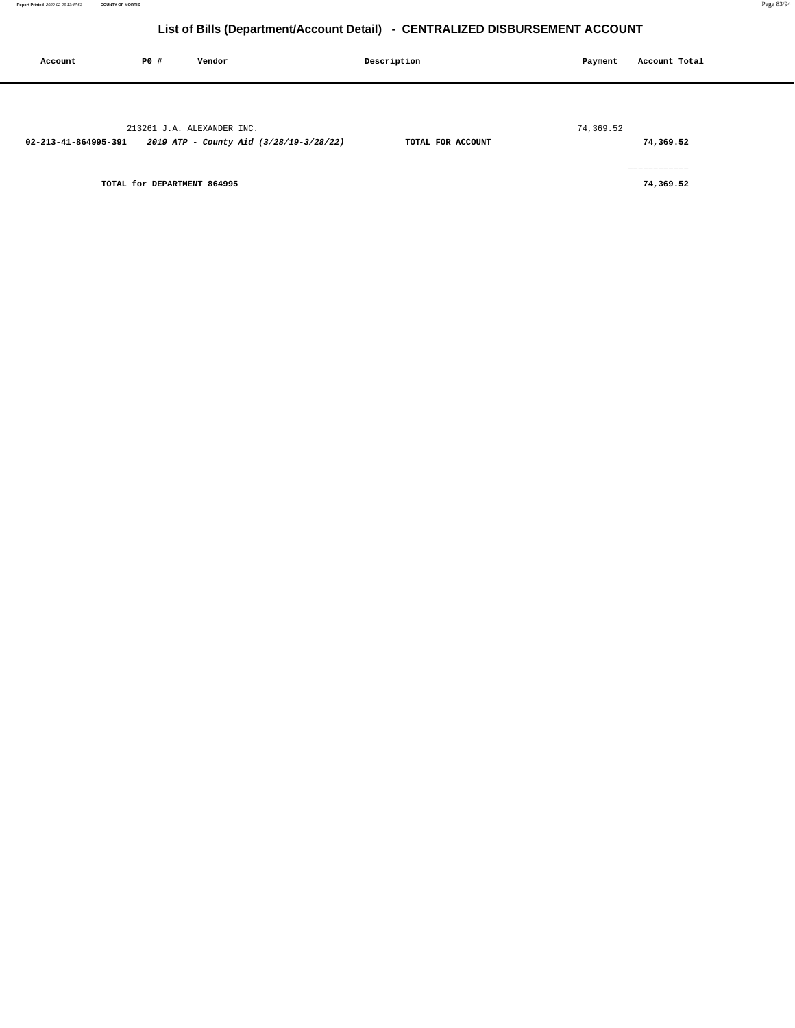| Account              | <b>PO #</b>                 | Vendor                                                                | Description       | Payment   | Account Total             |
|----------------------|-----------------------------|-----------------------------------------------------------------------|-------------------|-----------|---------------------------|
| 02-213-41-864995-391 |                             | 213261 J.A. ALEXANDER INC.<br>2019 ATP - County Aid (3/28/19-3/28/22) | TOTAL FOR ACCOUNT | 74,369.52 | 74,369.52                 |
|                      | TOTAL for DEPARTMENT 864995 |                                                                       |                   |           | ============<br>74,369.52 |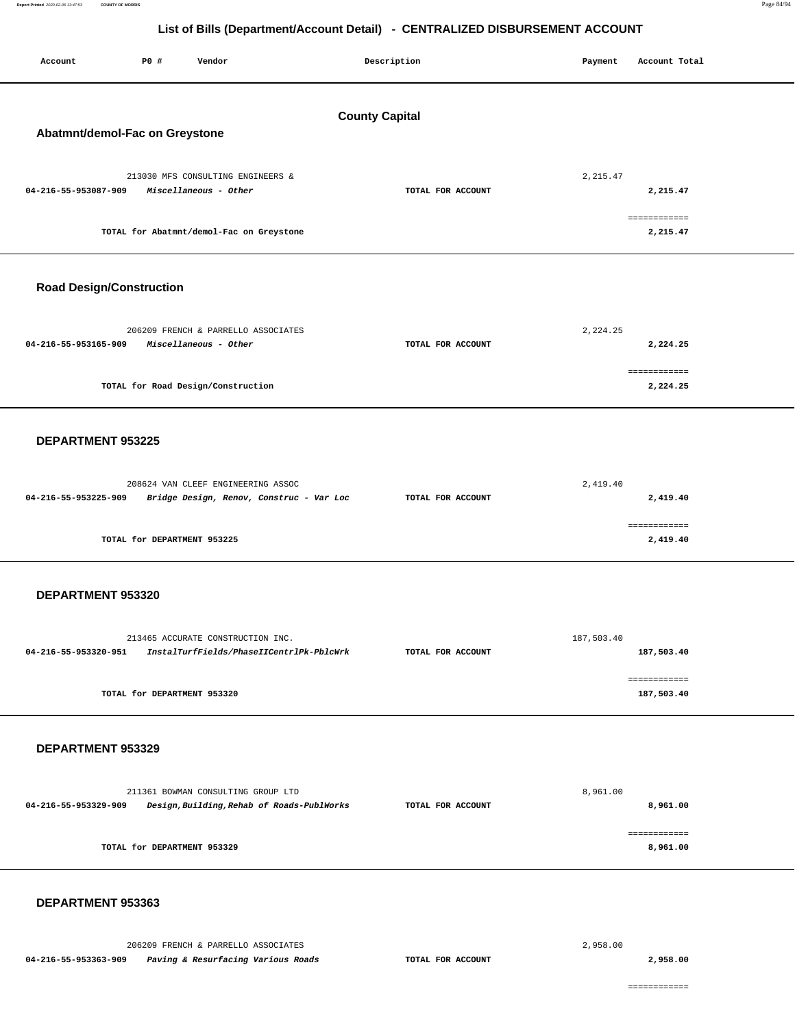Report Printed 2020-02-06 13:47:53 **Report Printed** 2020-02-06 13:47:53 **COUNTY OF MORRIS** Page 84/94

# **List of Bills (Department/Account Detail) - CENTRALIZED DISBURSEMENT ACCOUNT**

| Account<br><b>PO #</b><br>Vendor                                                                         | Description       | Payment<br>Account Total   |  |  |  |  |
|----------------------------------------------------------------------------------------------------------|-------------------|----------------------------|--|--|--|--|
| <b>County Capital</b><br>Abatmnt/demol-Fac on Greystone                                                  |                   |                            |  |  |  |  |
| 213030 MFS CONSULTING ENGINEERS &<br>04-216-55-953087-909<br>Miscellaneous - Other                       | TOTAL FOR ACCOUNT | 2, 215.47<br>2,215.47      |  |  |  |  |
| TOTAL for Abatmnt/demol-Fac on Greystone                                                                 |                   | ============<br>2,215.47   |  |  |  |  |
| <b>Road Design/Construction</b>                                                                          |                   |                            |  |  |  |  |
| 206209 FRENCH & PARRELLO ASSOCIATES<br>04-216-55-953165-909<br>Miscellaneous - Other                     | TOTAL FOR ACCOUNT | 2, 224.25<br>2,224.25      |  |  |  |  |
| TOTAL for Road Design/Construction                                                                       |                   | ============<br>2,224.25   |  |  |  |  |
| DEPARTMENT 953225                                                                                        |                   |                            |  |  |  |  |
| 208624 VAN CLEEF ENGINEERING ASSOC<br>04-216-55-953225-909<br>Bridge Design, Renov, Construc - Var Loc   | TOTAL FOR ACCOUNT | 2,419.40<br>2,419.40       |  |  |  |  |
| TOTAL for DEPARTMENT 953225                                                                              |                   | ============<br>2,419.40   |  |  |  |  |
| DEPARTMENT 953320                                                                                        |                   |                            |  |  |  |  |
| 213465 ACCURATE CONSTRUCTION INC.<br>04-216-55-953320-951<br>InstalTurfFields/PhaseIICentrlPk-PblcWrk    | TOTAL FOR ACCOUNT | 187,503.40<br>187,503.40   |  |  |  |  |
| TOTAL for DEPARTMENT 953320                                                                              |                   | ============<br>187,503.40 |  |  |  |  |
| DEPARTMENT 953329                                                                                        |                   |                            |  |  |  |  |
| 211361 BOWMAN CONSULTING GROUP LTD<br>04-216-55-953329-909<br>Design, Building, Rehab of Roads-PublWorks | TOTAL FOR ACCOUNT | 8,961.00<br>8,961.00       |  |  |  |  |
| TOTAL for DEPARTMENT 953329                                                                              |                   | ============<br>8,961.00   |  |  |  |  |
| DEPARTMENT 953363                                                                                        |                   |                            |  |  |  |  |

206209 FRENCH & PARRELLO ASSOCIATES

 **04-216-55-953363-909 Paving & Resurfacing Various Roads TOTAL FOR ACCOUNT** 

2,958.00

**2,958.00**

============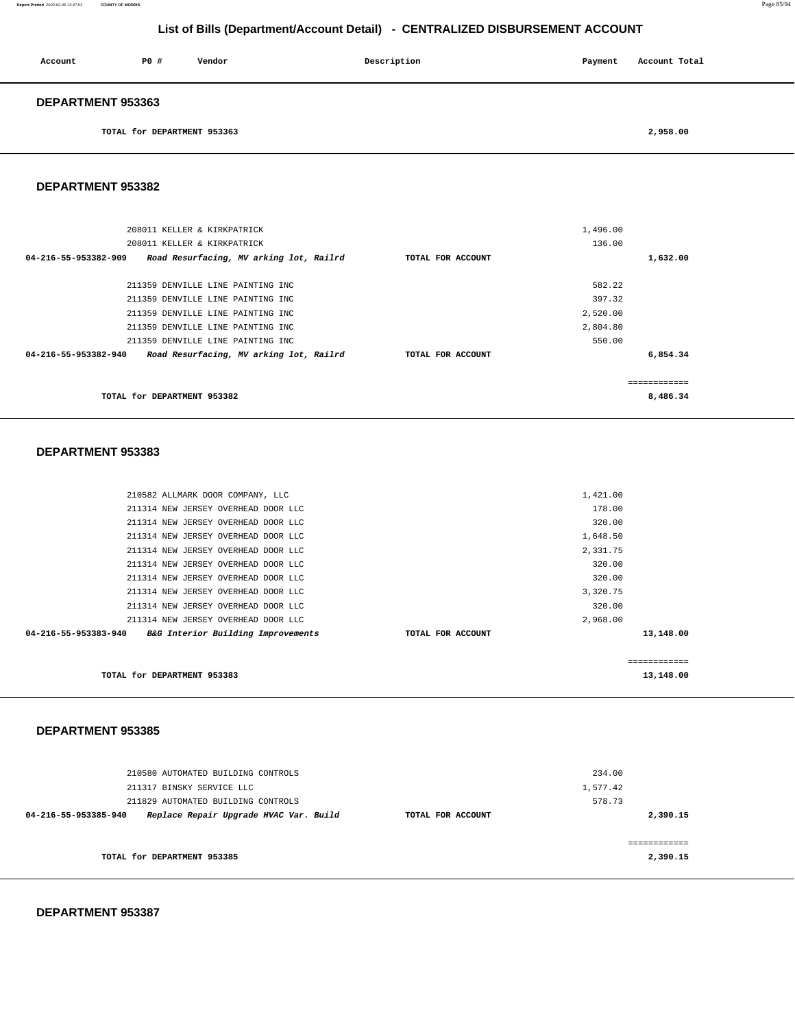#### **DEPARTMENT 953387**

|                      | 210580 AUTOMATED BUILDING CONTROLS     |                   | 234.00   |              |
|----------------------|----------------------------------------|-------------------|----------|--------------|
|                      | 211317 BINSKY SERVICE LLC              |                   | 1,577.42 |              |
|                      | 211829 AUTOMATED BUILDING CONTROLS     |                   | 578.73   |              |
| 04-216-55-953385-940 | Replace Repair Upgrade HVAC Var. Build | TOTAL FOR ACCOUNT |          | 2,390.15     |
|                      |                                        |                   |          |              |
|                      |                                        |                   |          | ------------ |
|                      | TOTAL for DEPARTMENT 953385            |                   |          | 2,390.15     |
|                      |                                        |                   |          |              |

#### **DEPARTMENT 953385**

| TOTAL for DEPARTMENT 953383                                |                   |          | 13,148.00    |
|------------------------------------------------------------|-------------------|----------|--------------|
|                                                            |                   |          | ============ |
| 04-216-55-953383-940<br>B&G Interior Building Improvements | TOTAL FOR ACCOUNT |          | 13,148.00    |
| 211314 NEW JERSEY OVERHEAD DOOR LLC                        |                   | 2,968.00 |              |
| 211314 NEW JERSEY OVERHEAD DOOR LLC                        |                   | 320.00   |              |
| 211314 NEW JERSEY OVERHEAD DOOR LLC                        |                   | 3,320.75 |              |
| 211314 NEW JERSEY OVERHEAD DOOR LLC                        |                   | 320.00   |              |
| 211314 NEW JERSEY OVERHEAD DOOR LLC                        |                   | 320.00   |              |
| 211314 NEW JERSEY OVERHEAD DOOR LLC                        |                   | 2,331.75 |              |
| 211314 NEW JERSEY OVERHEAD DOOR LLC                        |                   | 1,648.50 |              |
| 211314 NEW JERSEY OVERHEAD DOOR LLC                        |                   | 320.00   |              |
| 211314 NEW JERSEY OVERHEAD DOOR LLC                        |                   | 178.00   |              |
| 210582 ALLMARK DOOR COMPANY, LLC                           |                   | 1,421.00 |              |
|                                                            |                   |          |              |

#### **DEPARTMENT 953383**

|                      | 208011 KELLER & KIRKPATRICK             |                   | 1,496.00 |              |
|----------------------|-----------------------------------------|-------------------|----------|--------------|
|                      | 208011 KELLER & KIRKPATRICK             |                   | 136.00   |              |
| 04-216-55-953382-909 | Road Resurfacing, MV arking lot, Railrd | TOTAL FOR ACCOUNT |          | 1,632.00     |
|                      |                                         |                   |          |              |
|                      | 211359 DENVILLE LINE PAINTING INC       |                   | 582.22   |              |
|                      | 211359 DENVILLE LINE PAINTING INC       |                   | 397.32   |              |
|                      | 211359 DENVILLE LINE PAINTING INC       |                   | 2,520.00 |              |
|                      | 211359 DENVILLE LINE PAINTING INC       |                   | 2,804.80 |              |
|                      | 211359 DENVILLE LINE PAINTING INC       |                   | 550.00   |              |
| 04-216-55-953382-940 | Road Resurfacing, MV arking lot, Railrd | TOTAL FOR ACCOUNT |          | 6,854.34     |
|                      |                                         |                   |          | ============ |
|                      | TOTAL for DEPARTMENT 953382             |                   |          | 8,486.34     |

# **DEPARTMENT 953382**

**DEPARTMENT 953363** 

**TOTAL for DEPARTMENT 953363 2,958.00** 

**Report Printed** 2020-02-06 13:47:53 **COUNTY OF MORRIS** Page 85/94

# **List of Bills (Department/Account Detail) - CENTRALIZED DISBURSEMENT ACCOUNT**

 **Account** P0 # Vendor Payment Recount Total Description Payment Account Total Payment Account Total Payment Account Total Payment Account Total Payment Account Total Payment Account Total Payment Account Total Payment Acc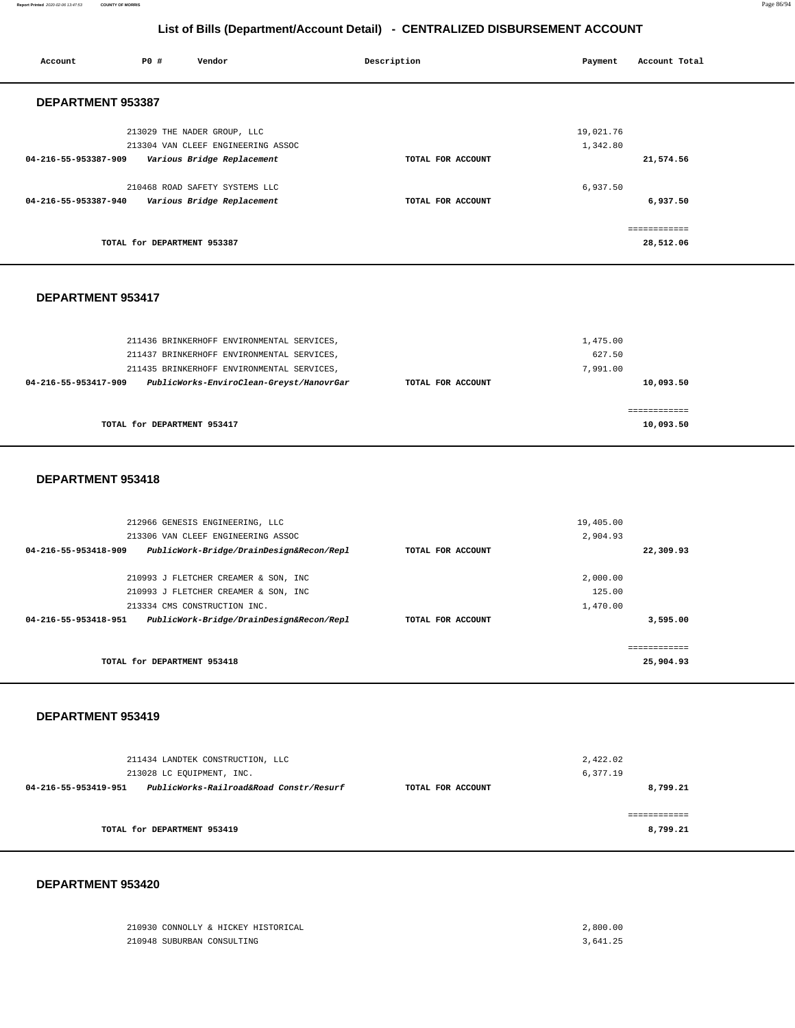| Account              | <b>PO #</b> | Vendor                                                            | Description       | Payment               | Account Total             |  |
|----------------------|-------------|-------------------------------------------------------------------|-------------------|-----------------------|---------------------------|--|
| DEPARTMENT 953387    |             |                                                                   |                   |                       |                           |  |
|                      |             | 213029 THE NADER GROUP, LLC<br>213304 VAN CLEEF ENGINEERING ASSOC |                   | 19,021.76<br>1,342.80 |                           |  |
| 04-216-55-953387-909 |             | Various Bridge Replacement                                        | TOTAL FOR ACCOUNT |                       | 21,574.56                 |  |
| 04-216-55-953387-940 |             | 210468 ROAD SAFETY SYSTEMS LLC<br>Various Bridge Replacement      | TOTAL FOR ACCOUNT | 6,937.50              | 6,937.50                  |  |
|                      |             | TOTAL for DEPARTMENT 953387                                       |                   |                       | ------------<br>28,512.06 |  |

#### **DEPARTMENT 953417**

| 211436 BRINKERHOFF ENVIRONMENTAL SERVICES,<br>211437 BRINKERHOFF ENVIRONMENTAL SERVICES,                       |                   | 1,475.00<br>627.50    |
|----------------------------------------------------------------------------------------------------------------|-------------------|-----------------------|
| 211435 BRINKERHOFF ENVIRONMENTAL SERVICES,<br>PublicWorks-EnviroClean-Greyst/HanovrGar<br>04-216-55-953417-909 | TOTAL FOR ACCOUNT | 7.991.00<br>10,093.50 |
|                                                                                                                |                   |                       |
|                                                                                                                |                   |                       |
| TOTAL for DEPARTMENT 953417                                                                                    |                   | 10,093.50             |

#### **DEPARTMENT 953418**

| 212966 GENESIS ENGINEERING, LLC                                  |                   | 19,405.00    |  |
|------------------------------------------------------------------|-------------------|--------------|--|
| 213306 VAN CLEEF ENGINEERING ASSOC                               |                   | 2,904.93     |  |
| PublicWork-Bridge/DrainDesign&Recon/Repl<br>04-216-55-953418-909 | TOTAL FOR ACCOUNT | 22,309.93    |  |
|                                                                  |                   |              |  |
| 210993 J FLETCHER CREAMER & SON, INC                             |                   | 2,000.00     |  |
| 210993 J FLETCHER CREAMER & SON, INC                             |                   | 125.00       |  |
| 213334 CMS CONSTRUCTION INC.                                     |                   | 1,470.00     |  |
| PublicWork-Bridge/DrainDesign&Recon/Repl<br>04-216-55-953418-951 | TOTAL FOR ACCOUNT | 3,595.00     |  |
|                                                                  |                   |              |  |
|                                                                  |                   | ------------ |  |
| TOTAL for DEPARTMENT 953418                                      |                   | 25,904.93    |  |

# **DEPARTMENT 953419**

| 211434 LANDTEK CONSTRUCTION, LLC<br>213028 LC EQUIPMENT, INC.   |                   | 2,422.02<br>6,377.19 |  |
|-----------------------------------------------------------------|-------------------|----------------------|--|
| PublicWorks-Railroad&Road Constr/Resurf<br>04-216-55-953419-951 | TOTAL FOR ACCOUNT | 8,799.21             |  |
| TOTAL for DEPARTMENT 953419                                     |                   | 8,799.21             |  |

|                            | 210930 CONNOLLY & HICKEY HISTORICAL | 2,800.00 |
|----------------------------|-------------------------------------|----------|
| 210948 SUBURBAN CONSULTING |                                     | 3,641.25 |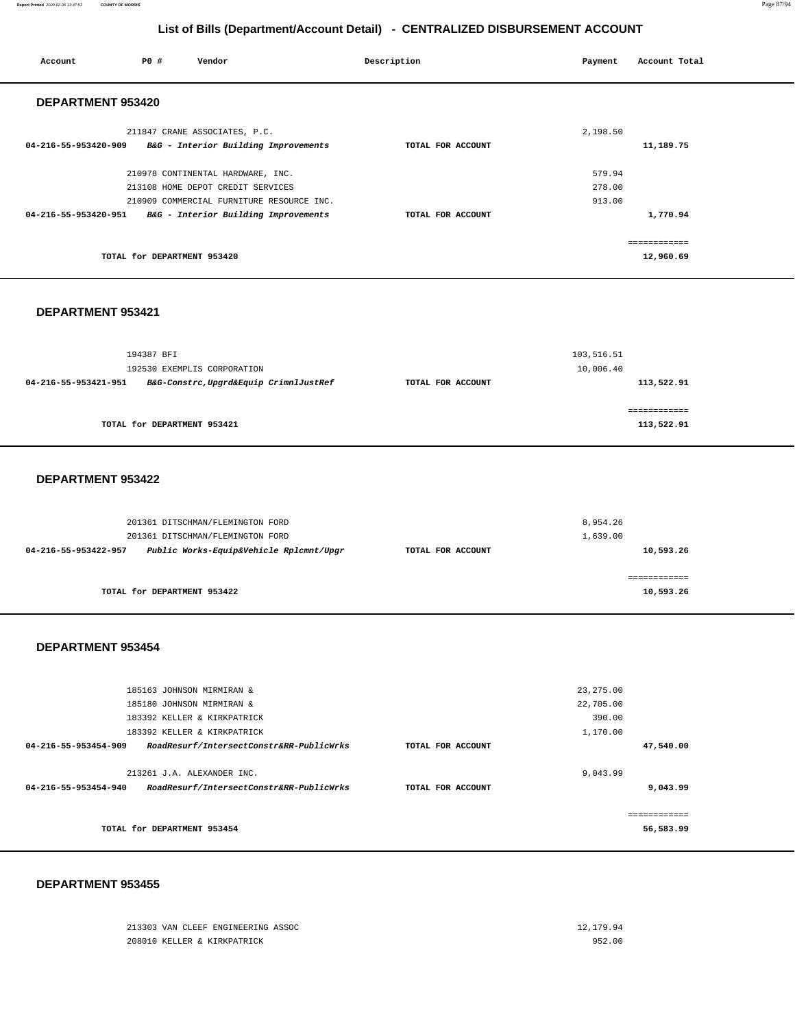#### **Report Printed** 2020-02-06 13:47:53 **COUNTY OF MORRIS** Page 87/94

# **List of Bills (Department/Account Detail) - CENTRALIZED DISBURSEMENT ACCOUNT**

| Account              | P0 #                        | Vendor                                                    | Description       | Payment  | Account Total |  |
|----------------------|-----------------------------|-----------------------------------------------------------|-------------------|----------|---------------|--|
| DEPARTMENT 953420    |                             |                                                           |                   |          |               |  |
|                      |                             | 211847 CRANE ASSOCIATES, P.C.                             |                   | 2,198.50 |               |  |
|                      |                             | 04-216-55-953420-909 B&G - Interior Building Improvements | TOTAL FOR ACCOUNT |          | 11,189.75     |  |
|                      |                             | 210978 CONTINENTAL HARDWARE, INC.                         |                   | 579.94   |               |  |
|                      |                             | 213108 HOME DEPOT CREDIT SERVICES                         |                   | 278.00   |               |  |
|                      |                             | 210909 COMMERCIAL FURNITURE RESOURCE INC.                 |                   | 913.00   |               |  |
| 04-216-55-953420-951 |                             | B&G - Interior Building Improvements                      | TOTAL FOR ACCOUNT |          | 1,770.94      |  |
|                      |                             |                                                           |                   |          | ============  |  |
|                      | TOTAL for DEPARTMENT 953420 |                                                           |                   |          | 12,960.69     |  |
|                      |                             |                                                           |                   |          |               |  |

#### **DEPARTMENT 953421**

|                      | 194387 BFI<br>192530 EXEMPLIS CORPORATION |                   | 103,516.51<br>10,006.40 |
|----------------------|-------------------------------------------|-------------------|-------------------------|
| 04-216-55-953421-951 | B&G-Constrc, Upgrd&Equip CrimnlJustRef    | TOTAL FOR ACCOUNT | 113,522.91              |
|                      | TOTAL for DEPARTMENT 953421               |                   | 113,522.91              |

#### **DEPARTMENT 953422**

|                      | 201361 DITSCHMAN/FLEMINGTON FORD<br>201361 DITSCHMAN/FLEMINGTON FORD |                   | 8,954.26<br>1,639.00 |
|----------------------|----------------------------------------------------------------------|-------------------|----------------------|
| 04-216-55-953422-957 | Public Works-Equip&Vehicle Rplcmnt/Upgr                              | TOTAL FOR ACCOUNT | 10,593.26            |
|                      | TOTAL for DEPARTMENT 953422                                          |                   | 10,593.26            |

### **DEPARTMENT 953454**

|                             | 185163 JOHNSON MIRMIRAN &                |                   | 23, 275.00 |              |
|-----------------------------|------------------------------------------|-------------------|------------|--------------|
|                             | 185180 JOHNSON MIRMIRAN &                |                   | 22,705.00  |              |
| 183392 KELLER & KIRKPATRICK |                                          |                   | 390.00     |              |
|                             | 183392 KELLER & KIRKPATRICK              |                   | 1,170.00   |              |
| 04-216-55-953454-909        | RoadResurf/IntersectConstr&RR-PublicWrks | TOTAL FOR ACCOUNT |            | 47,540.00    |
|                             |                                          |                   |            |              |
|                             | 213261 J.A. ALEXANDER INC.               |                   | 9,043.99   |              |
| 04-216-55-953454-940        | RoadResurf/IntersectConstr&RR-PublicWrks | TOTAL FOR ACCOUNT |            | 9,043.99     |
|                             |                                          |                   |            |              |
|                             |                                          |                   |            | ============ |
|                             | TOTAL for DEPARTMENT 953454              |                   |            | 56,583.99    |
|                             |                                          |                   |            |              |

#### **DEPARTMENT 953455**

 $213303$  VAN CLEEF ENGINEERING ASSOC  $12,179.94$ 208010 KELLER & KIRKPATRICK 952.00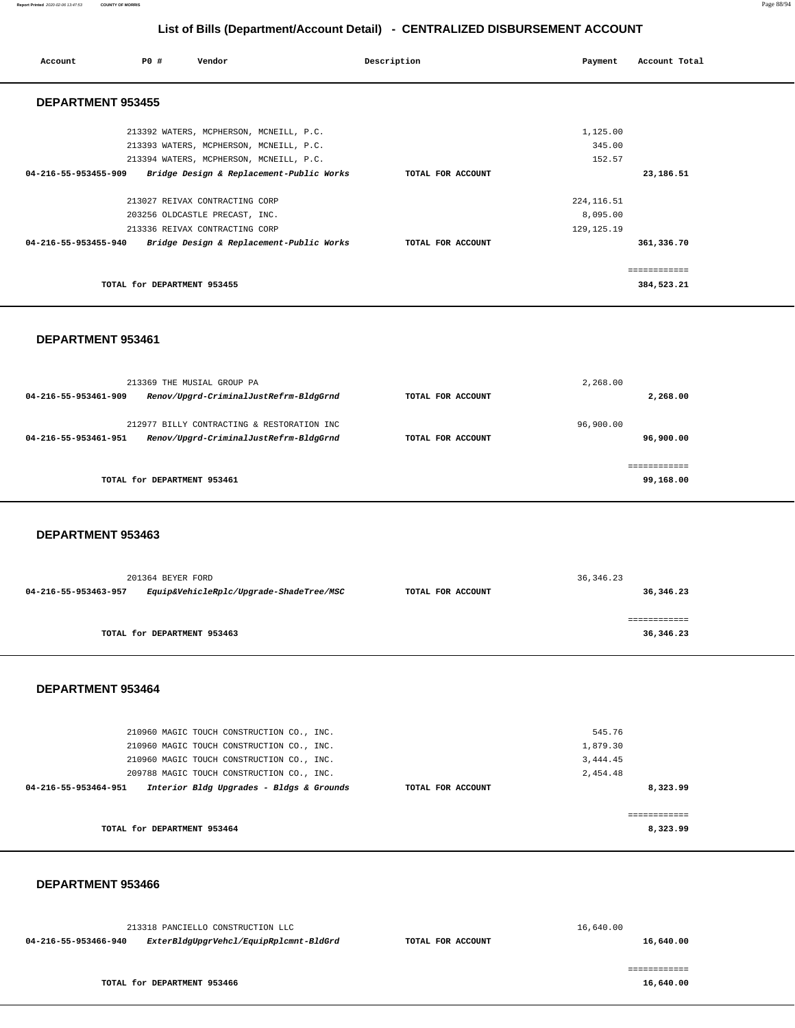#### **Report Printed** 2020-02-06 13:47:53 **COUNTY OF MORRIS** Page 88/94

# **List of Bills (Department/Account Detail) - CENTRALIZED DISBURSEMENT ACCOUNT**

| Account                  | PO#<br>Vendor                            | Description       | Payment      | Account Total |
|--------------------------|------------------------------------------|-------------------|--------------|---------------|
| <b>DEPARTMENT 953455</b> |                                          |                   |              |               |
|                          | 213392 WATERS, MCPHERSON, MCNEILL, P.C.  |                   | 1,125.00     |               |
|                          | 213393 WATERS, MCPHERSON, MCNEILL, P.C.  |                   | 345.00       |               |
|                          | 213394 WATERS, MCPHERSON, MCNEILL, P.C.  |                   | 152.57       |               |
| 04-216-55-953455-909     | Bridge Design & Replacement-Public Works | TOTAL FOR ACCOUNT |              | 23,186.51     |
|                          | 213027 REIVAX CONTRACTING CORP           |                   | 224, 116.51  |               |
|                          | 203256 OLDCASTLE PRECAST, INC.           |                   | 8,095.00     |               |
|                          | 213336 REIVAX CONTRACTING CORP           |                   | 129, 125. 19 |               |
| 04-216-55-953455-940     | Bridge Design & Replacement-Public Works | TOTAL FOR ACCOUNT |              | 361,336.70    |
|                          |                                          |                   |              | ------------- |
|                          | TOTAL for DEPARTMENT 953455              |                   |              | 384,523.21    |

#### **DEPARTMENT 953461**

| 213369 THE MUSIAL GROUP PA<br>Renov/Upgrd-CriminalJustRefrm-BldgGrnd<br>04-216-55-953461-909                 | TOTAL FOR ACCOUNT | 2,268.00<br>2,268.00       |
|--------------------------------------------------------------------------------------------------------------|-------------------|----------------------------|
| 212977 BILLY CONTRACTING & RESTORATION INC<br>Renov/Upgrd-CriminalJustRefrm-BldgGrnd<br>04-216-55-953461-951 | TOTAL FOR ACCOUNT | 96,900.00<br>96,900.00     |
| TOTAL for DEPARTMENT 953461                                                                                  |                   | -------------<br>99,168.00 |

### **DEPARTMENT 953463**

|                      | 201364 BEYER FORD                       | 36, 346.23        |           |  |
|----------------------|-----------------------------------------|-------------------|-----------|--|
| 04-216-55-953463-957 | Equip&VehicleRplc/Upgrade-ShadeTree/MSC | TOTAL FOR ACCOUNT | 36,346.23 |  |
|                      |                                         |                   |           |  |
|                      |                                         |                   |           |  |
|                      | TOTAL for DEPARTMENT 953463             |                   | 36,346.23 |  |
|                      |                                         |                   |           |  |

#### **DEPARTMENT 953464**

|                      | 210960 MAGIC TOUCH CONSTRUCTION CO., INC. |                   | 545.76   |
|----------------------|-------------------------------------------|-------------------|----------|
|                      | 210960 MAGIC TOUCH CONSTRUCTION CO., INC. |                   | 1,879.30 |
|                      | 210960 MAGIC TOUCH CONSTRUCTION CO., INC. |                   | 3,444.45 |
|                      | 209788 MAGIC TOUCH CONSTRUCTION CO., INC. |                   | 2,454.48 |
| 04-216-55-953464-951 | Interior Bldg Upgrades - Bldgs & Grounds  | TOTAL FOR ACCOUNT | 8,323.99 |
|                      |                                           |                   |          |
|                      |                                           |                   |          |
|                      | TOTAL for DEPARTMENT 953464               |                   | 8,323.99 |

| 213318 PANCIELLO CONSTRUCTION LLC                              |                   | 16,640.00 |
|----------------------------------------------------------------|-------------------|-----------|
| ExterBldgUpgrVehcl/EquipRplcmnt-BldGrd<br>04-216-55-953466-940 | TOTAL FOR ACCOUNT | 16,640.00 |
|                                                                |                   |           |
|                                                                |                   |           |
| TOTAL for DEPARTMENT 953466                                    |                   | 16,640.00 |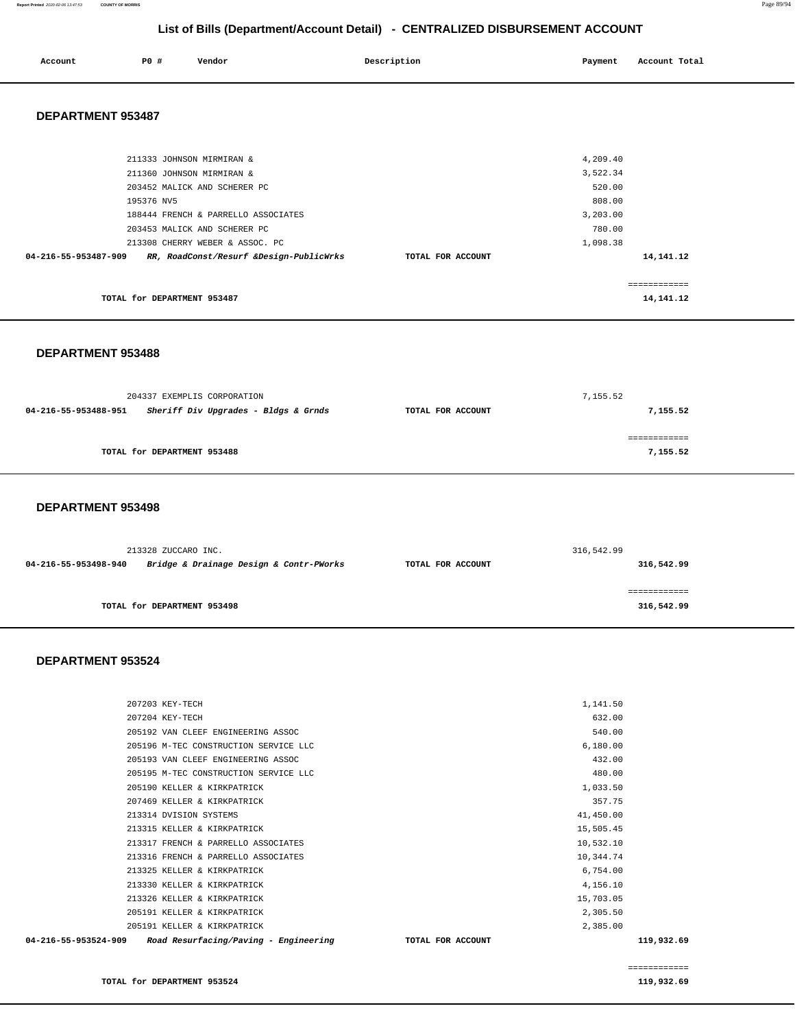#### **Report Printed** 2020-02-06 13:47:53 **COUNTY OF MORRIS** Page 89/94

# **List of Bills (Department/Account Detail) - CENTRALIZED DISBURSEMENT ACCOUNT**

| Account | P0 # | Vendor | Description | Payment | Account Total |
|---------|------|--------|-------------|---------|---------------|
|         |      |        |             |         |               |

#### **DEPARTMENT 953487**

| 211333 JOHNSON MIRMIRAN &                                       |                   | 4,209.40     |  |
|-----------------------------------------------------------------|-------------------|--------------|--|
| 211360 JOHNSON MIRMIRAN &                                       |                   | 3,522.34     |  |
| 203452 MALICK AND SCHERER PC                                    |                   | 520.00       |  |
| 195376 NV5                                                      |                   | 808.00       |  |
| 188444 FRENCH & PARRELLO ASSOCIATES                             |                   | 3,203.00     |  |
| 203453 MALICK AND SCHERER PC                                    |                   | 780.00       |  |
| 213308 CHERRY WEBER & ASSOC. PC                                 |                   | 1,098.38     |  |
| RR, RoadConst/Resurf &Design-PublicWrks<br>04-216-55-953487-909 | TOTAL FOR ACCOUNT | 14, 141. 12  |  |
|                                                                 |                   |              |  |
|                                                                 |                   | ============ |  |
| TOTAL for DEPARTMENT 953487                                     |                   | 14, 141. 12  |  |
|                                                                 |                   |              |  |

#### **DEPARTMENT 953488**

|                      | 204337 EXEMPLIS CORPORATION          |                   | 7,155.52 |  |
|----------------------|--------------------------------------|-------------------|----------|--|
| 04-216-55-953488-951 | Sheriff Div Upgrades - Bldgs & Grnds | TOTAL FOR ACCOUNT | 7,155.52 |  |
|                      |                                      |                   |          |  |
|                      | TOTAL for DEPARTMENT 953488          |                   | 7,155.52 |  |

#### **DEPARTMENT 953498**

| 213328 ZUCCARO INC.                                             |                             |                   | 316,542.99 |  |
|-----------------------------------------------------------------|-----------------------------|-------------------|------------|--|
| Bridge & Drainage Design & Contr-PWorks<br>04-216-55-953498-940 |                             | TOTAL FOR ACCOUNT | 316,542.99 |  |
|                                                                 |                             |                   |            |  |
|                                                                 | TOTAL for DEPARTMENT 953498 |                   | 316,542.99 |  |
|                                                                 |                             |                   |            |  |

#### **DEPARTMENT 953524**

|                      | 207203 KEY-TECH                       | 1,141.50          |            |
|----------------------|---------------------------------------|-------------------|------------|
|                      | 207204 KEY-TECH                       | 632.00            |            |
|                      | 205192 VAN CLEEF ENGINEERING ASSOC    | 540.00            |            |
|                      | 205196 M-TEC CONSTRUCTION SERVICE LLC | 6,180.00          |            |
|                      | 205193 VAN CLEEF ENGINEERING ASSOC    | 432.00            |            |
|                      | 205195 M-TEC CONSTRUCTION SERVICE LLC | 480.00            |            |
|                      | 205190 KELLER & KIRKPATRICK           | 1,033.50          |            |
|                      | 207469 KELLER & KIRKPATRICK           | 357.75            |            |
|                      | 213314 DVISION SYSTEMS                | 41,450.00         |            |
|                      | 213315 KELLER & KIRKPATRICK           | 15,505.45         |            |
|                      | 213317 FRENCH & PARRELLO ASSOCIATES   | 10,532.10         |            |
|                      | 213316 FRENCH & PARRELLO ASSOCIATES   | 10,344.74         |            |
|                      | 213325 KELLER & KIRKPATRICK           | 6,754.00          |            |
|                      | 213330 KELLER & KIRKPATRICK           | 4,156.10          |            |
|                      | 213326 KELLER & KIRKPATRICK           | 15,703.05         |            |
|                      | 205191 KELLER & KIRKPATRICK           | 2,305.50          |            |
|                      | 205191 KELLER & KIRKPATRICK           | 2,385.00          |            |
| 04-216-55-953524-909 | Road Resurfacing/Paving - Engineering | TOTAL FOR ACCOUNT | 119,932.69 |
|                      |                                       |                   |            |

============

**TOTAL for DEPARTMENT 953524** 119,932.69 **119,932.69**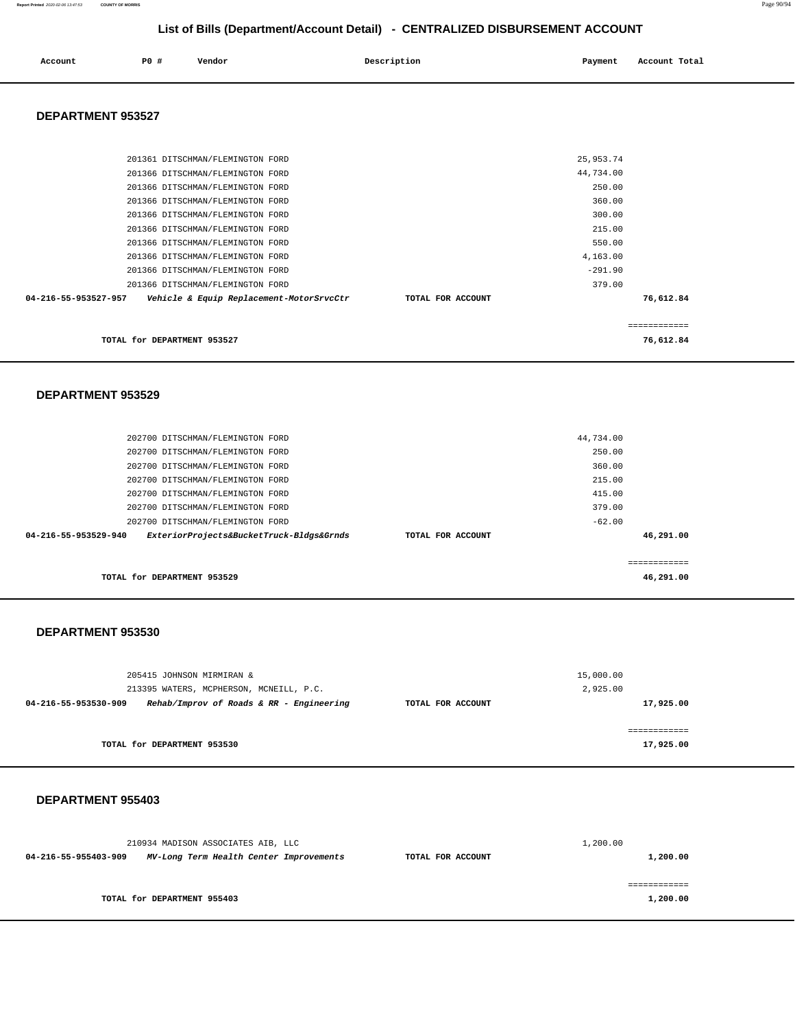| Account | P0# | Vendor | Description | Payment | Account Total |
|---------|-----|--------|-------------|---------|---------------|
|         |     |        |             |         |               |

#### **DEPARTMENT 953527**

| TOTAL for DEPARTMENT 953527                                      |                   |           | ============<br>76,612.84 |
|------------------------------------------------------------------|-------------------|-----------|---------------------------|
| 04-216-55-953527-957<br>Vehicle & Equip Replacement-MotorSrvcCtr | TOTAL FOR ACCOUNT |           | 76,612.84                 |
| 201366 DITSCHMAN/FLEMINGTON FORD                                 |                   | 379.00    |                           |
| 201366 DITSCHMAN/FLEMINGTON FORD                                 |                   | $-291.90$ |                           |
| 201366 DITSCHMAN/FLEMINGTON FORD                                 |                   | 4,163.00  |                           |
| 201366 DITSCHMAN/FLEMINGTON FORD                                 |                   | 550.00    |                           |
| 201366 DITSCHMAN/FLEMINGTON FORD                                 |                   | 215.00    |                           |
| 201366 DITSCHMAN/FLEMINGTON FORD                                 |                   | 300.00    |                           |
| 201366 DITSCHMAN/FLEMINGTON FORD                                 |                   | 360.00    |                           |
| 201366 DITSCHMAN/FLEMINGTON FORD                                 |                   | 250.00    |                           |
| 201366 DITSCHMAN/FLEMINGTON FORD                                 |                   | 44,734.00 |                           |
| 201361 DITSCHMAN/FLEMINGTON FORD                                 |                   | 25,953.74 |                           |
|                                                                  |                   |           |                           |

#### **DEPARTMENT 953529**

| 202700 DITSCHMAN/FLEMINGTON FORD<br>202700 DITSCHMAN/FLEMINGTON FORD |  | 379.00<br>$-62.00$ |  |
|----------------------------------------------------------------------|--|--------------------|--|
|                                                                      |  |                    |  |
| 202700 DITSCHMAN/FLEMINGTON FORD                                     |  | 415.00             |  |
| 202700 DITSCHMAN/FLEMINGTON FORD<br>202700 DITSCHMAN/FLEMINGTON FORD |  | 360.00<br>215.00   |  |
| 202700 DITSCHMAN/FLEMINGTON FORD                                     |  | 250.00             |  |
| 202700 DITSCHMAN/FLEMINGTON FORD                                     |  | 44,734.00          |  |

#### **DEPARTMENT 953530**

| 205415 JOHNSON MIRMIRAN &                                        |                   | 15,000.00 |
|------------------------------------------------------------------|-------------------|-----------|
| 213395 WATERS, MCPHERSON, MCNEILL, P.C.                          |                   | 2,925.00  |
| Rehab/Improv of Roads & RR - Engineering<br>04-216-55-953530-909 | TOTAL FOR ACCOUNT | 17,925.00 |
|                                                                  |                   |           |
|                                                                  |                   |           |
| TOTAL for DEPARTMENT 953530                                      |                   | 17,925.00 |

|                      | 210934 MADISON ASSOCIATES AIB, LLC      |                   | 1,200.00 |
|----------------------|-----------------------------------------|-------------------|----------|
| 04-216-55-955403-909 | MV-Long Term Health Center Improvements | TOTAL FOR ACCOUNT | 1,200.00 |
|                      |                                         |                   |          |
|                      |                                         |                   |          |
|                      | TOTAL for DEPARTMENT 955403             |                   | 1,200.00 |
|                      |                                         |                   |          |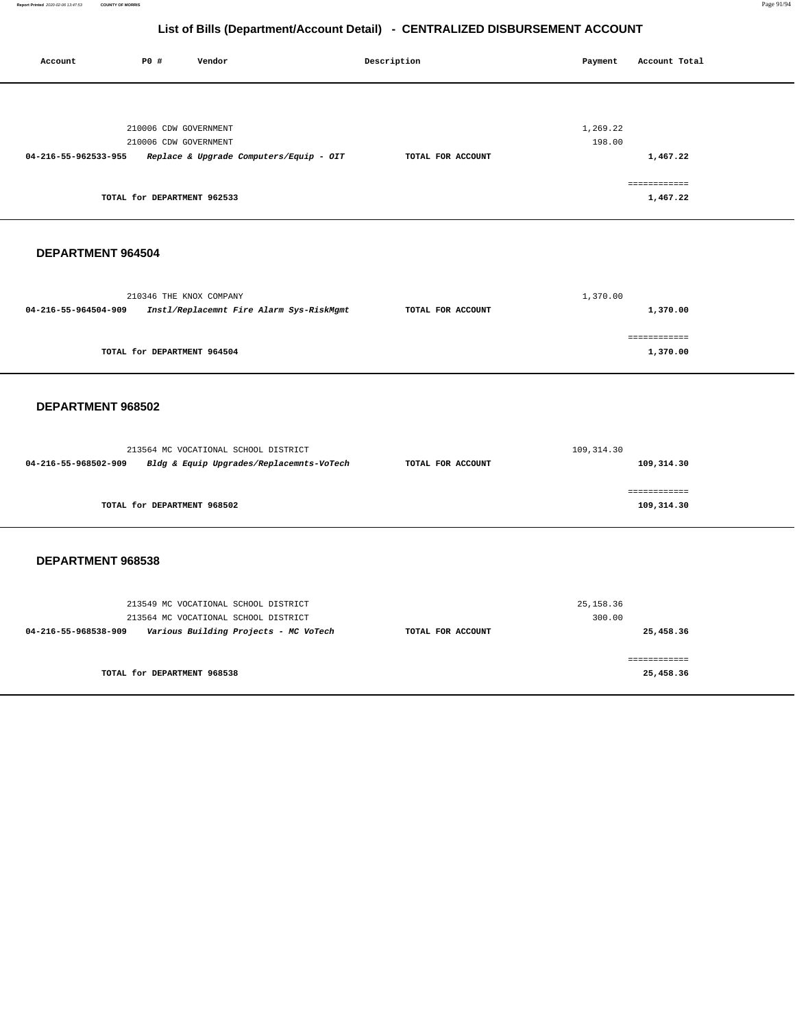**Report Printed** 2020-02-06 13:47:53 **COUNTY OF MORRIS** Page 91/94

# **List of Bills (Department/Account Detail) - CENTRALIZED DISBURSEMENT ACCOUNT**

Report Printed 2020-02-06 13:47:53

| Account              | P0 #<br>Vendor                                                                                                           | Description       | Payment<br>Account Total                                   |  |  |
|----------------------|--------------------------------------------------------------------------------------------------------------------------|-------------------|------------------------------------------------------------|--|--|
| 04-216-55-962533-955 | 210006 CDW GOVERNMENT<br>210006 CDW GOVERNMENT<br>Replace & Upgrade Computers/Equip - OIT<br>TOTAL for DEPARTMENT 962533 | TOTAL FOR ACCOUNT | 1,269.22<br>198.00<br>1,467.22<br>============<br>1,467.22 |  |  |
| DEPARTMENT 964504    |                                                                                                                          |                   |                                                            |  |  |
| 04-216-55-964504-909 | 210346 THE KNOX COMPANY<br>Instl/Replacemnt Fire Alarm Sys-RiskMgmt                                                      | TOTAL FOR ACCOUNT | 1,370.00<br>1,370.00                                       |  |  |
|                      | TOTAL for DEPARTMENT 964504                                                                                              |                   | ============<br>1,370.00                                   |  |  |
| DEPARTMENT 968502    |                                                                                                                          |                   |                                                            |  |  |
| 04-216-55-968502-909 | 213564 MC VOCATIONAL SCHOOL DISTRICT<br>Bldg & Equip Upgrades/Replacemnts-VoTech                                         | TOTAL FOR ACCOUNT | 109,314.30<br>109,314.30                                   |  |  |
|                      | TOTAL for DEPARTMENT 968502                                                                                              |                   | ------------<br>109,314.30                                 |  |  |
| DEPARTMENT 968538    |                                                                                                                          |                   |                                                            |  |  |
| 04-216-55-968538-909 | 213549 MC VOCATIONAL SCHOOL DISTRICT<br>213564 MC VOCATIONAL SCHOOL DISTRICT<br>Various Building Projects - MC VoTech    | TOTAL FOR ACCOUNT | 25, 158.36<br>300.00<br>25,458.36                          |  |  |
|                      | TOTAL for DEPARTMENT 968538                                                                                              |                   | ============<br>25,458.36                                  |  |  |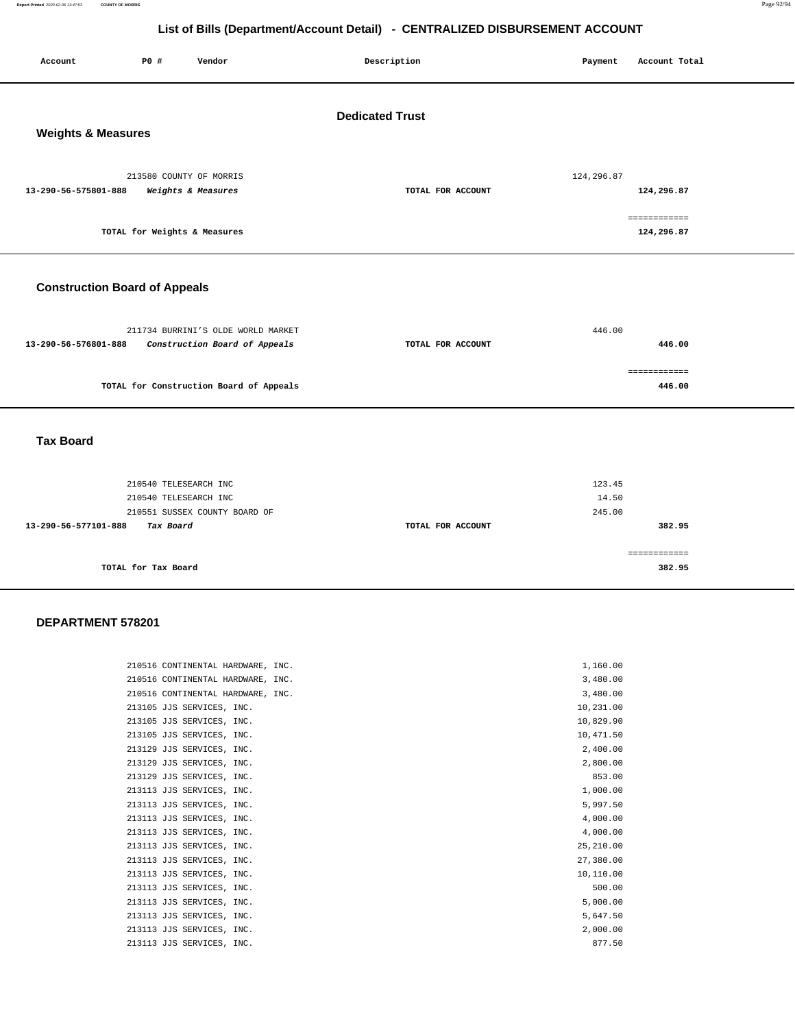**Report Printed** 2020-02-06 13:47:53 **COUNTY OF MORRIS** Page 92/94

# **List of Bills (Department/Account Detail) - CENTRALIZED DISBURSEMENT ACCOUNT**

| Account                                                 | P0 #                         | Vendor                                                              | Description       | Payment                                         | Account Total                            |  |
|---------------------------------------------------------|------------------------------|---------------------------------------------------------------------|-------------------|-------------------------------------------------|------------------------------------------|--|
| <b>Dedicated Trust</b><br><b>Weights &amp; Measures</b> |                              |                                                                     |                   |                                                 |                                          |  |
| 13-290-56-575801-888                                    | TOTAL for Weights & Measures | 213580 COUNTY OF MORRIS<br>Weights & Measures                       | TOTAL FOR ACCOUNT | 124,296.87                                      | 124,296.87<br>============<br>124,296.87 |  |
| <b>Construction Board of Appeals</b>                    |                              |                                                                     |                   |                                                 |                                          |  |
| 13-290-56-576801-888                                    |                              | 211734 BURRINI'S OLDE WORLD MARKET<br>Construction Board of Appeals | TOTAL FOR ACCOUNT | 446.00                                          | 446.00                                   |  |
|                                                         |                              | TOTAL for Construction Board of Appeals                             |                   |                                                 | ============<br>446.00                   |  |
| <b>Tax Board</b>                                        |                              |                                                                     |                   |                                                 |                                          |  |
|                                                         | $010510$ mproposed: $710$    |                                                                     |                   | $\begin{array}{c}\n1 & 0 \\ 1 & 0\n\end{array}$ |                                          |  |

| 210540 TELESEARCH INC             |                   | 123.45       |
|-----------------------------------|-------------------|--------------|
| 210540 TELESEARCH INC             |                   | 14.50        |
| 210551 SUSSEX COUNTY BOARD OF     |                   | 245.00       |
| 13-290-56-577101-888<br>Tax Board | TOTAL FOR ACCOUNT | 382.95       |
|                                   |                   |              |
|                                   |                   | ============ |
| TOTAL for Tax Board               |                   | 382.95       |

| 210516 CONTINENTAL HARDWARE, INC. | 1,160.00    |
|-----------------------------------|-------------|
| 210516 CONTINENTAL HARDWARE, INC. | 3,480.00    |
| 210516 CONTINENTAL HARDWARE, INC. | 3,480.00    |
| 213105 JJS SERVICES, INC.         | 10,231.00   |
| 213105 JJS SERVICES, INC.         | 10,829.90   |
| 213105 JJS SERVICES, INC.         | 10,471.50   |
| 213129 JJS SERVICES, INC.         | 2,400.00    |
| 213129 JJS SERVICES, INC.         | 2,800.00    |
| 213129 JJS SERVICES, INC.         | 853.00      |
| 213113 JJS SERVICES, INC.         | 1,000.00    |
| 213113 JJS SERVICES, INC.         | 5,997.50    |
| 213113 JJS SERVICES, INC.         | 4,000.00    |
| 213113 JJS SERVICES, INC.         | 4,000.00    |
| 213113 JJS SERVICES, INC.         | 25, 210, 00 |
| 213113 JJS SERVICES, INC.         | 27,380.00   |
| 213113 JJS SERVICES, INC.         | 10,110.00   |
| 213113 JJS SERVICES, INC.         | 500.00      |
| 213113 JJS SERVICES, INC.         | 5,000.00    |
| 213113 JJS SERVICES, INC.         | 5,647.50    |
| 213113 JJS SERVICES, INC.         | 2,000.00    |
| 213113 JJS SERVICES, INC.         | 877.50      |